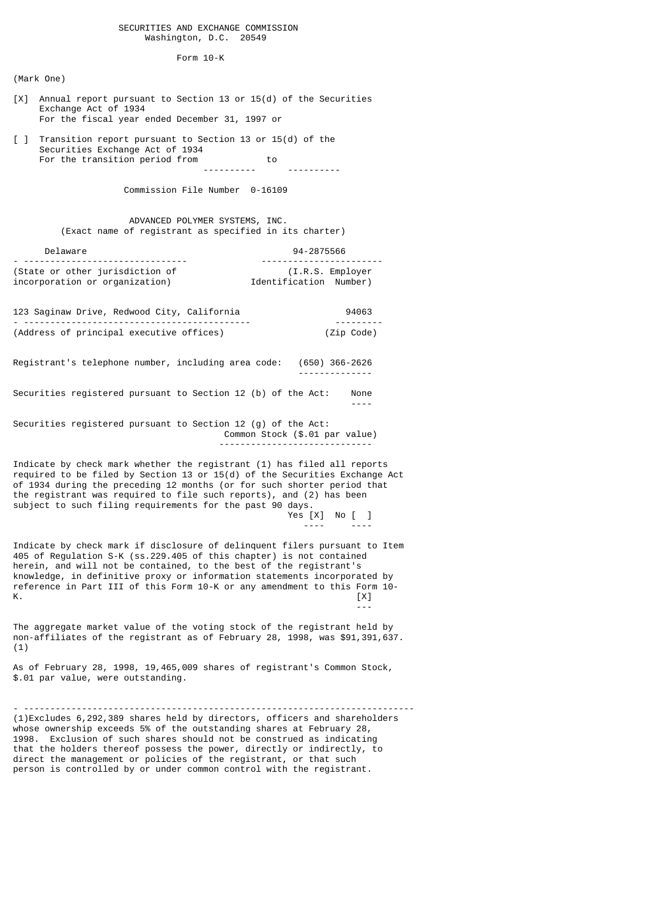## SECURITIES AND EXCHANGE COMMISSION Washington, D.C. 20549

Form 10-K

(Mark One)

- [X] Annual report pursuant to Section 13 or 15(d) of the Securities Exchange Act of 1934 For the fiscal year ended December 31, 1997 or
- [ ] Transition report pursuant to Section 13 or 15(d) of the Securities Exchange Act of 1934 For the transition period from to

---------- ----------

Commission File Number 0-16109

 ADVANCED POLYMER SYSTEMS, INC. (Exact name of registrant as specified in its charter)

| Delaware                        | 94-2875566             |
|---------------------------------|------------------------|
| (State or other jurisdiction of | (I.R.S. Employer)      |
| incorporation or organization)  | Identification Number) |

123 Saginaw Drive, Redwood City, California 94063 - ------------------------------------------- --------- (Address of principal executive offices) (Zip Code)

Registrant's telephone number, including area code: (650) 366-2626 --------------

Securities registered pursuant to Section 12 (b) of the Act: None ----

Securities registered pursuant to Section 12 (g) of the Act: Common Stock (\$.01 par value) -----------------------------

Indicate by check mark whether the registrant (1) has filed all reports required to be filed by Section 13 or 15(d) of the Securities Exchange Act of 1934 during the preceding 12 months (or for such shorter period that the registrant was required to file such reports), and (2) has been subject to such filing requirements for the past 90 days. Yes [X] No [ ]

---- ----

Indicate by check mark if disclosure of delinquent filers pursuant to Item 405 of Regulation S-K (ss.229.405 of this chapter) is not contained herein, and will not be contained, to the best of the registrant's knowledge, in definitive proxy or information statements incorporated by reference in Part III of this Form 10-K or any amendment to this Form 10- K.  $[3]$ 

The aggregate market value of the voting stock of the registrant held by non-affiliates of the registrant as of February 28, 1998, was \$91,391,637. (1)

---

As of February 28, 1998, 19,465,009 shares of registrant's Common Stock, \$.01 par value, were outstanding.

- -------------------------------------------------------------------------- (1)Excludes 6,292,389 shares held by directors, officers and shareholders whose ownership exceeds 5% of the outstanding shares at February 28, 1998. Exclusion of such shares should not be construed as indicating that the holders thereof possess the power, directly or indirectly, to direct the management or policies of the registrant, or that such person is controlled by or under common control with the registrant.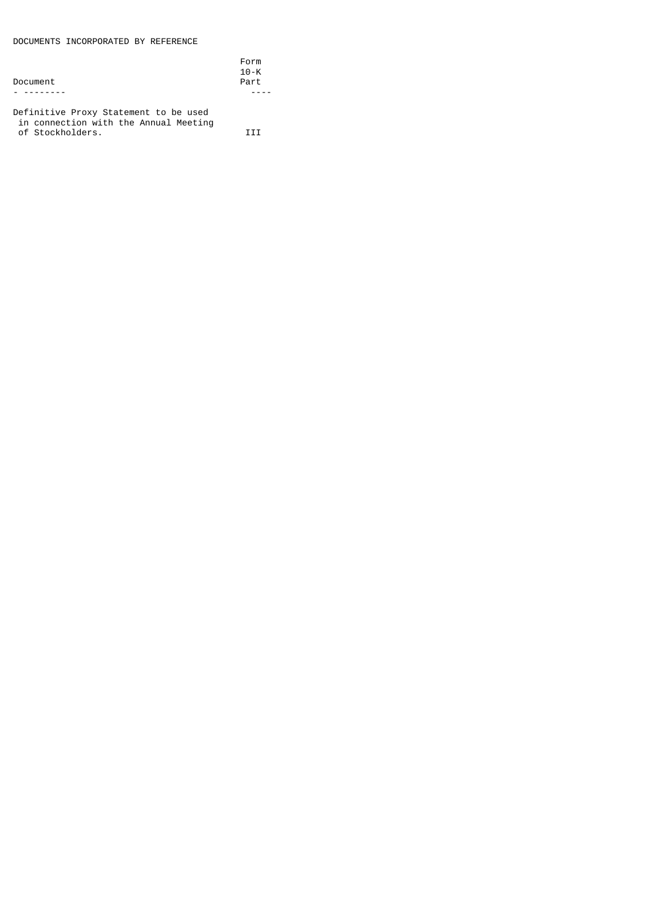DOCUMENTS INCORPORATED BY REFERENCE

|                                        | Form     |
|----------------------------------------|----------|
|                                        | $10 - K$ |
| Document                               | Part     |
|                                        |          |
| Definitive Desco, Chatamant to be used |          |

Definitive Proxy Statement to be used in connection with the Annual Meeting of Stockholders. III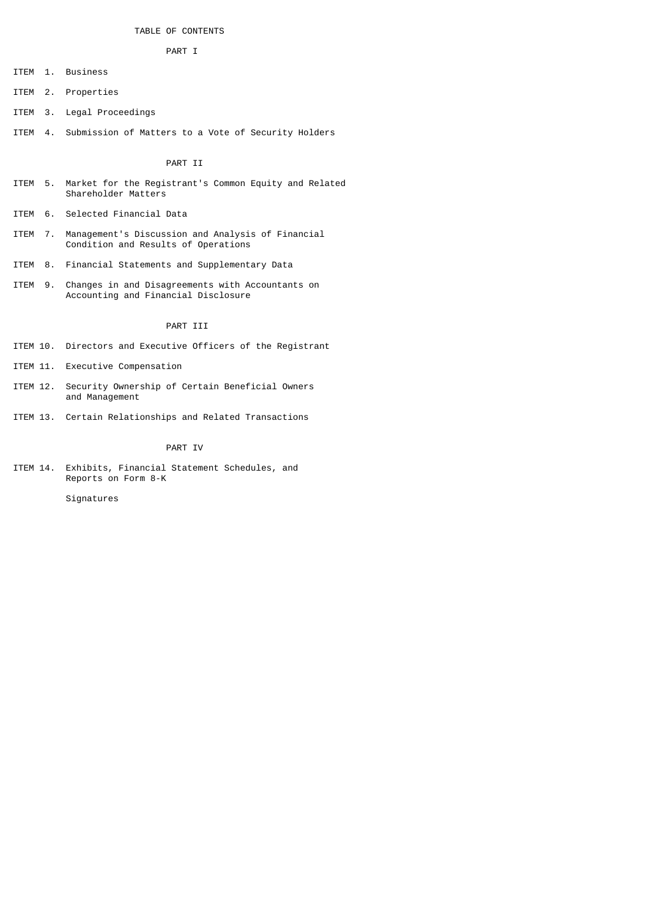# TABLE OF CONTENTS

## PART I

ITEM 1. Business

- ITEM 2. Properties
- ITEM 3. Legal Proceedings
- ITEM 4. Submission of Matters to a Vote of Security Holders

# PART II

- ITEM 5. Market for the Registrant's Common Equity and Related Shareholder Matters
- ITEM 6. Selected Financial Data
- ITEM 7. Management's Discussion and Analysis of Financial Condition and Results of Operations
- ITEM 8. Financial Statements and Supplementary Data
- ITEM 9. Changes in and Disagreements with Accountants on Accounting and Financial Disclosure

## PART III

- ITEM 10. Directors and Executive Officers of the Registrant
- ITEM 11. Executive Compensation
- ITEM 12. Security Ownership of Certain Beneficial Owners and Management
- ITEM 13. Certain Relationships and Related Transactions

## PART IV

ITEM 14. Exhibits, Financial Statement Schedules, and Reports on Form 8-K

Signatures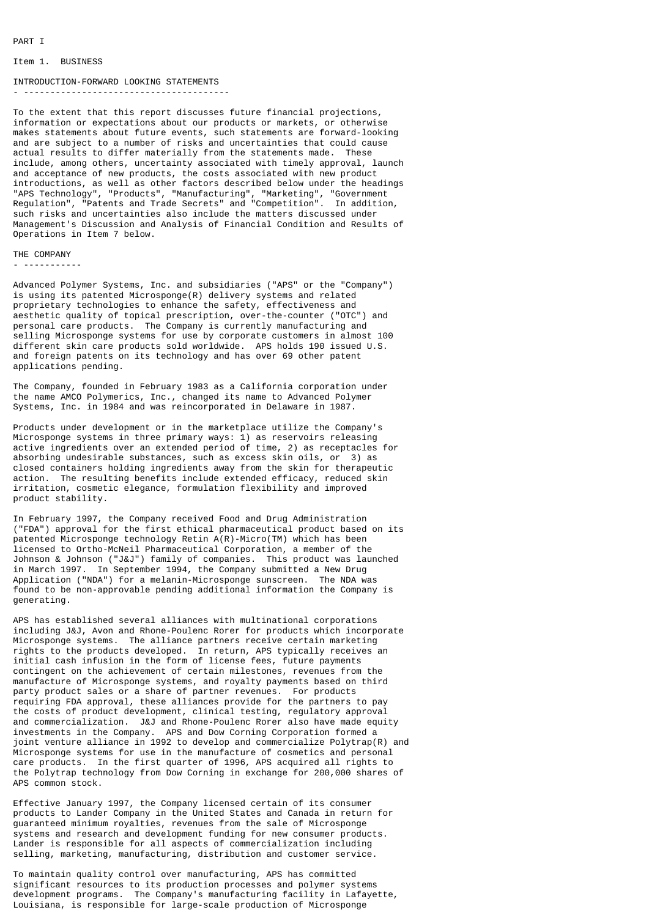Item 1. BUSINESS

## INTRODUCTION-FORWARD LOOKING STATEMENTS

- ---------------------------------------

To the extent that this report discusses future financial projections, information or expectations about our products or markets, or otherwise makes statements about future events, such statements are forward-looking and are subject to a number of risks and uncertainties that could cause actual results to differ materially from the statements made. These include, among others, uncertainty associated with timely approval, launch and acceptance of new products, the costs associated with new product introductions, as well as other factors described below under the headings "APS Technology", "Products", "Manufacturing", "Marketing", "Government Regulation", "Patents and Trade Secrets" and "Competition". In addition, such risks and uncertainties also include the matters discussed under Management's Discussion and Analysis of Financial Condition and Results of Operations in Item 7 below.

THE COMPANY

- -----------

Advanced Polymer Systems, Inc. and subsidiaries ("APS" or the "Company") is using its patented Microsponge(R) delivery systems and related proprietary technologies to enhance the safety, effectiveness and aesthetic quality of topical prescription, over-the-counter ("OTC") and personal care products. The Company is currently manufacturing and selling Microsponge systems for use by corporate customers in almost 100 different skin care products sold worldwide. APS holds 190 issued U.S. and foreign patents on its technology and has over 69 other patent applications pending.

The Company, founded in February 1983 as a California corporation under the name AMCO Polymerics, Inc., changed its name to Advanced Polymer Systems, Inc. in 1984 and was reincorporated in Delaware in 1987.

Products under development or in the marketplace utilize the Company's Microsponge systems in three primary ways: 1) as reservoirs releasing active ingredients over an extended period of time, 2) as receptacles for absorbing undesirable substances, such as excess skin oils, or 3) as closed containers holding ingredients away from the skin for therapeutic action. The resulting benefits include extended efficacy, reduced skin irritation, cosmetic elegance, formulation flexibility and improved product stability.

In February 1997, the Company received Food and Drug Administration ("FDA") approval for the first ethical pharmaceutical product based on its patented Microsponge technology Retin A(R)-Micro(TM) which has been licensed to Ortho-McNeil Pharmaceutical Corporation, a member of the Johnson & Johnson ("J&J") family of companies. This product was launched in March 1997. In September 1994, the Company submitted a New Drug Application ("NDA") for a melanin-Microsponge sunscreen. The NDA was found to be non-approvable pending additional information the Company is generating.

APS has established several alliances with multinational corporations including J&J, Avon and Rhone-Poulenc Rorer for products which incorporate Microsponge systems. The alliance partners receive certain marketing rights to the products developed. In return, APS typically receives an initial cash infusion in the form of license fees, future payments contingent on the achievement of certain milestones, revenues from the manufacture of Microsponge systems, and royalty payments based on third party product sales or a share of partner revenues. For products requiring FDA approval, these alliances provide for the partners to pay the costs of product development, clinical testing, regulatory approval and commercialization. J&J and Rhone-Poulenc Rorer also have made equity investments in the Company. APS and Dow Corning Corporation formed a joint venture alliance in 1992 to develop and commercialize Polytrap(R) and Microsponge systems for use in the manufacture of cosmetics and personal care products. In the first quarter of 1996, APS acquired all rights to the Polytrap technology from Dow Corning in exchange for 200,000 shares of APS common stock.

Effective January 1997, the Company licensed certain of its consumer products to Lander Company in the United States and Canada in return for guaranteed minimum royalties, revenues from the sale of Microsponge systems and research and development funding for new consumer products. Lander is responsible for all aspects of commercialization including selling, marketing, manufacturing, distribution and customer service.

To maintain quality control over manufacturing, APS has committed significant resources to its production processes and polymer systems development programs. The Company's manufacturing facility in Lafayette, Louisiana, is responsible for large-scale production of Microsponge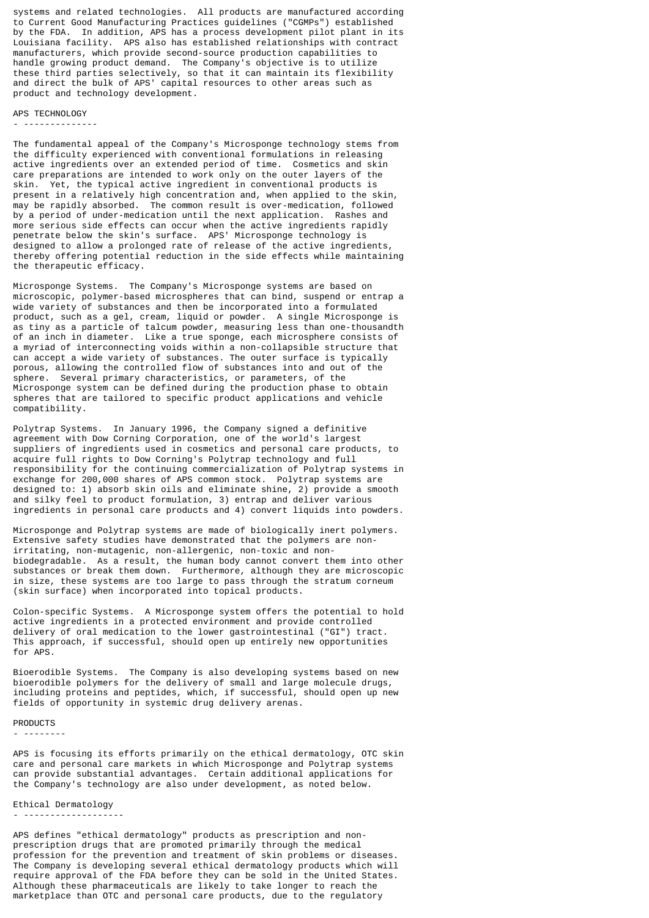systems and related technologies. All products are manufactured according to Current Good Manufacturing Practices guidelines ("CGMPs") established by the FDA. In addition, APS has a process development pilot plant in its Louisiana facility. APS also has established relationships with contract manufacturers, which provide second-source production capabilities to handle growing product demand. The Company's objective is to utilize these third parties selectively, so that it can maintain its flexibility and direct the bulk of APS' capital resources to other areas such as product and technology development.

## APS TECHNOLOGY

- --------------

The fundamental appeal of the Company's Microsponge technology stems from the difficulty experienced with conventional formulations in releasing active ingredients over an extended period of time. Cosmetics and skin care preparations are intended to work only on the outer layers of the skin. Yet, the typical active ingredient in conventional products is present in a relatively high concentration and, when applied to the skin, may be rapidly absorbed. The common result is over-medication, followed by a period of under-medication until the next application. Rashes and more serious side effects can occur when the active ingredients rapidly penetrate below the skin's surface. APS' Microsponge technology is designed to allow a prolonged rate of release of the active ingredients, thereby offering potential reduction in the side effects while maintaining the therapeutic efficacy.

Microsponge Systems. The Company's Microsponge systems are based on microscopic, polymer-based microspheres that can bind, suspend or entrap a wide variety of substances and then be incorporated into a formulated product, such as a gel, cream, liquid or powder. A single Microsponge is as tiny as a particle of talcum powder, measuring less than one-thousandth of an inch in diameter. Like a true sponge, each microsphere consists of a myriad of interconnecting voids within a non-collapsible structure that can accept a wide variety of substances. The outer surface is typically porous, allowing the controlled flow of substances into and out of the sphere. Several primary characteristics, or parameters, of the Microsponge system can be defined during the production phase to obtain spheres that are tailored to specific product applications and vehicle compatibility.

Polytrap Systems. In January 1996, the Company signed a definitive agreement with Dow Corning Corporation, one of the world's largest suppliers of ingredients used in cosmetics and personal care products, to acquire full rights to Dow Corning's Polytrap technology and full responsibility for the continuing commercialization of Polytrap systems in exchange for 200,000 shares of APS common stock. Polytrap systems are designed to: 1) absorb skin oils and eliminate shine, 2) provide a smooth and silky feel to product formulation, 3) entrap and deliver various ingredients in personal care products and 4) convert liquids into powders.

Microsponge and Polytrap systems are made of biologically inert polymers. Extensive safety studies have demonstrated that the polymers are nonirritating, non-mutagenic, non-allergenic, non-toxic and nonbiodegradable. As a result, the human body cannot convert them into other substances or break them down. Furthermore, although they are microscopic in size, these systems are too large to pass through the stratum corneum (skin surface) when incorporated into topical products.

Colon-specific Systems. A Microsponge system offers the potential to hold active ingredients in a protected environment and provide controlled delivery of oral medication to the lower gastrointestinal ("GI") tract. This approach, if successful, should open up entirely new opportunities for APS.

Bioerodible Systems. The Company is also developing systems based on new bioerodible polymers for the delivery of small and large molecule drugs, including proteins and peptides, which, if successful, should open up new fields of opportunity in systemic drug delivery arenas.

## PRODUCTS

- --------

APS is focusing its efforts primarily on the ethical dermatology, OTC skin care and personal care markets in which Microsponge and Polytrap systems can provide substantial advantages. Certain additional applications for the Company's technology are also under development, as noted below.

## Ethical Dermatology - -------------------

APS defines "ethical dermatology" products as prescription and nonprescription drugs that are promoted primarily through the medical profession for the prevention and treatment of skin problems or diseases. The Company is developing several ethical dermatology products which will require approval of the FDA before they can be sold in the United States. Although these pharmaceuticals are likely to take longer to reach the marketplace than OTC and personal care products, due to the regulatory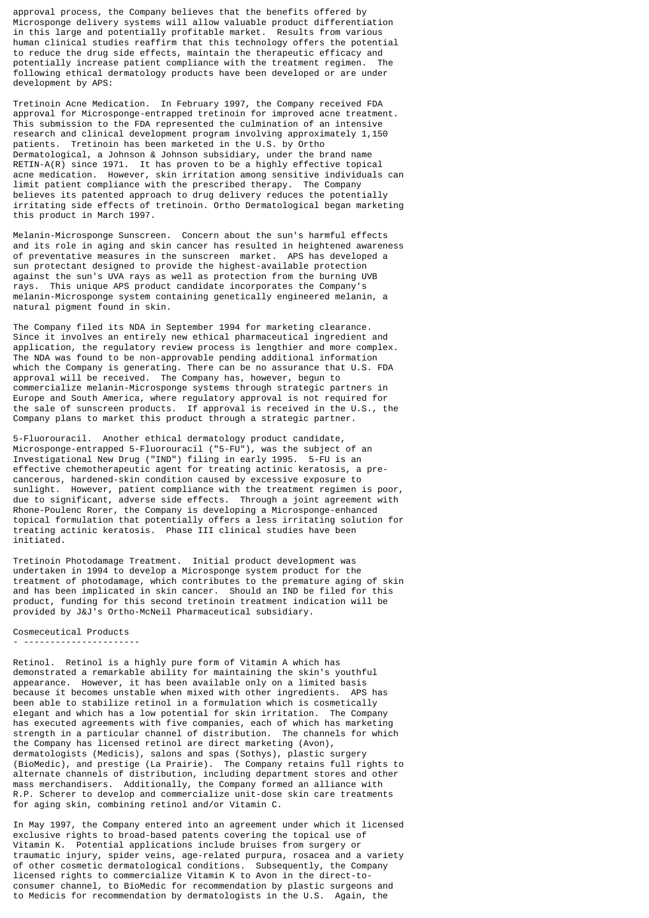approval process, the Company believes that the benefits offered by Microsponge delivery systems will allow valuable product differentiation in this large and potentially profitable market. Results from various human clinical studies reaffirm that this technology offers the potential to reduce the drug side effects, maintain the therapeutic efficacy and potentially increase patient compliance with the treatment regimen. The following ethical dermatology products have been developed or are under development by APS:

Tretinoin Acne Medication. In February 1997, the Company received FDA approval for Microsponge-entrapped tretinoin for improved acne treatment. This submission to the FDA represented the culmination of an intensive research and clinical development program involving approximately 1,150 patients. Tretinoin has been marketed in the U.S. by Ortho Dermatological, a Johnson & Johnson subsidiary, under the brand name RETIN-A(R) since 1971. It has proven to be a highly effective topical acne medication. However, skin irritation among sensitive individuals can limit patient compliance with the prescribed therapy. The Company believes its patented approach to drug delivery reduces the potentially irritating side effects of tretinoin. Ortho Dermatological began marketing this product in March 1997.

Melanin-Microsponge Sunscreen. Concern about the sun's harmful effects and its role in aging and skin cancer has resulted in heightened awareness of preventative measures in the sunscreen market. APS has developed a sun protectant designed to provide the highest-available protection against the sun's UVA rays as well as protection from the burning UVB rays. This unique APS product candidate incorporates the Company melanin-Microsponge system containing genetically engineered melanin, a natural pigment found in skin.

The Company filed its NDA in September 1994 for marketing clearance. Since it involves an entirely new ethical pharmaceutical ingredient and application, the regulatory review process is lengthier and more complex. The NDA was found to be non-approvable pending additional information which the Company is generating. There can be no assurance that U.S. FDA approval will be received. The Company has, however, begun to commercialize melanin-Microsponge systems through strategic partners in Europe and South America, where regulatory approval is not required for the sale of sunscreen products. If approval is received in the U.S., the Company plans to market this product through a strategic partner.

5-Fluorouracil. Another ethical dermatology product candidate, Microsponge-entrapped 5-Fluorouracil ("5-FU"), was the subject of an Investigational New Drug ("IND") filing in early 1995. 5-FU is an effective chemotherapeutic agent for treating actinic keratosis, a precancerous, hardened-skin condition caused by excessive exposure to sunlight. However, patient compliance with the treatment regimen is poor, due to significant, adverse side effects. Through a joint agreement with Rhone-Poulenc Rorer, the Company is developing a Microsponge-enhanced topical formulation that potentially offers a less irritating solution for treating actinic keratosis. Phase III clinical studies have been initiated.

Tretinoin Photodamage Treatment. Initial product development was undertaken in 1994 to develop a Microsponge system product for the treatment of photodamage, which contributes to the premature aging of skin and has been implicated in skin cancer. Should an IND be filed for this product, funding for this second tretinoin treatment indication will be provided by J&J's Ortho-McNeil Pharmaceutical subsidiary.

Cosmeceutical Products

- ----------------------

Retinol. Retinol is a highly pure form of Vitamin A which has demonstrated a remarkable ability for maintaining the skin's youthful appearance. However, it has been available only on a limited basis because it becomes unstable when mixed with other ingredients. APS has been able to stabilize retinol in a formulation which is cosmetically elegant and which has a low potential for skin irritation. The Company has executed agreements with five companies, each of which has marketing strength in a particular channel of distribution. The channels for which the Company has licensed retinol are direct marketing (Avon), dermatologists (Medicis), salons and spas (Sothys), plastic surgery (BioMedic), and prestige (La Prairie). The Company retains full rights to alternate channels of distribution, including department stores and other mass merchandisers. Additionally, the Company formed an alliance with R.P. Scherer to develop and commercialize unit-dose skin care treatments for aging skin, combining retinol and/or Vitamin C.

In May 1997, the Company entered into an agreement under which it licensed exclusive rights to broad-based patents covering the topical use of Vitamin K. Potential applications include bruises from surgery or traumatic injury, spider veins, age-related purpura, rosacea and a variety of other cosmetic dermatological conditions. Subsequently, the Company licensed rights to commercialize Vitamin K to Avon in the direct-toconsumer channel, to BioMedic for recommendation by plastic surgeons and to Medicis for recommendation by dermatologists in the U.S. Again, the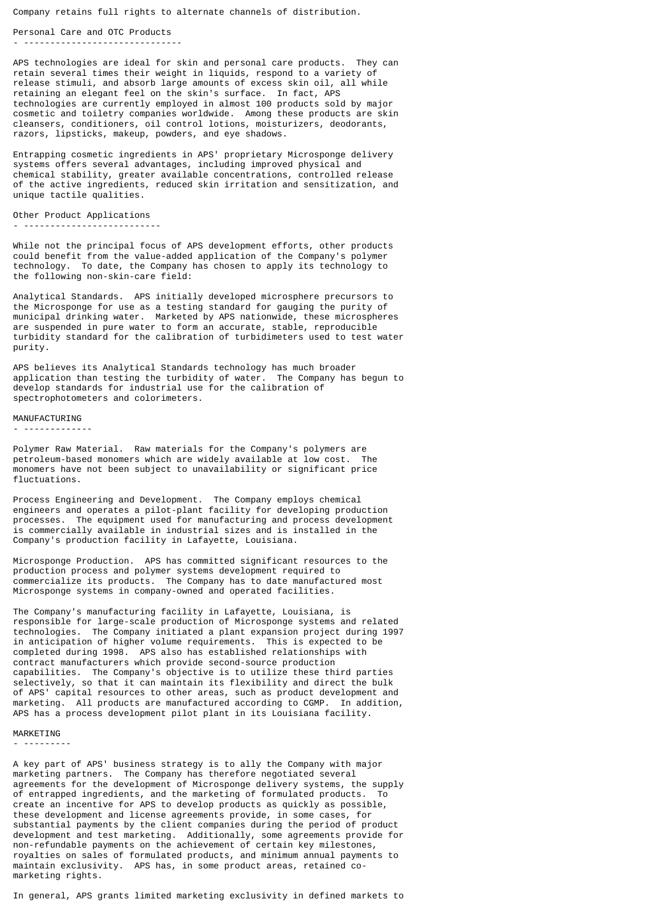Company retains full rights to alternate channels of distribution.

Personal Care and OTC Products - ------------------------------

APS technologies are ideal for skin and personal care products. They can retain several times their weight in liquids, respond to a variety of release stimuli, and absorb large amounts of excess skin oil, all while retaining an elegant feel on the skin's surface. In fact, APS technologies are currently employed in almost 100 products sold by major cosmetic and toiletry companies worldwide. Among these products are skin cleansers, conditioners, oil control lotions, moisturizers, deodorants, razors, lipsticks, makeup, powders, and eye shadows.

Entrapping cosmetic ingredients in APS' proprietary Microsponge delivery systems offers several advantages, including improved physical and chemical stability, greater available concentrations, controlled release of the active ingredients, reduced skin irritation and sensitization, and unique tactile qualities.

```
Other Product Applications
- --------------------------
```
While not the principal focus of APS development efforts, other products could benefit from the value-added application of the Company's polymer technology. To date, the Company has chosen to apply its technology to the following non-skin-care field:

Analytical Standards. APS initially developed microsphere precursors to the Microsponge for use as a testing standard for gauging the purity of municipal drinking water. Marketed by APS nationwide, these microspheres are suspended in pure water to form an accurate, stable, reproducible turbidity standard for the calibration of turbidimeters used to test water purity.

APS believes its Analytical Standards technology has much broader application than testing the turbidity of water. The Company has begun to develop standards for industrial use for the calibration of spectrophotometers and colorimeters.

#### MANUFACTURING

- -------------

Polymer Raw Material. Raw materials for the Company's polymers are petroleum-based monomers which are widely available at low cost. The monomers have not been subject to unavailability or significant price fluctuations.

Process Engineering and Development. The Company employs chemical engineers and operates a pilot-plant facility for developing production processes. The equipment used for manufacturing and process development is commercially available in industrial sizes and is installed in the Company's production facility in Lafayette, Louisiana.

Microsponge Production. APS has committed significant resources to the production process and polymer systems development required to commercialize its products. The Company has to date manufactured most Microsponge systems in company-owned and operated facilities.

The Company's manufacturing facility in Lafayette, Louisiana, is responsible for large-scale production of Microsponge systems and related technologies. The Company initiated a plant expansion project during 1997 in anticipation of higher volume requirements. This is expected to be completed during 1998. APS also has established relationships with contract manufacturers which provide second-source production capabilities. The Company's objective is to utilize these third parties selectively, so that it can maintain its flexibility and direct the bulk of APS' capital resources to other areas, such as product development and marketing. All products are manufactured according to CGMP. In addition, APS has a process development pilot plant in its Louisiana facility.

## MARKETING - ---------

A key part of APS' business strategy is to ally the Company with major marketing partners. The Company has therefore negotiated several agreements for the development of Microsponge delivery systems, the supply of entrapped ingredients, and the marketing of formulated products. To create an incentive for APS to develop products as quickly as possible, these development and license agreements provide, in some cases, for substantial payments by the client companies during the period of product development and test marketing. Additionally, some agreements provide for non-refundable payments on the achievement of certain key milestones, royalties on sales of formulated products, and minimum annual payments to maintain exclusivity. APS has, in some product areas, retained comarketing rights.

In general, APS grants limited marketing exclusivity in defined markets to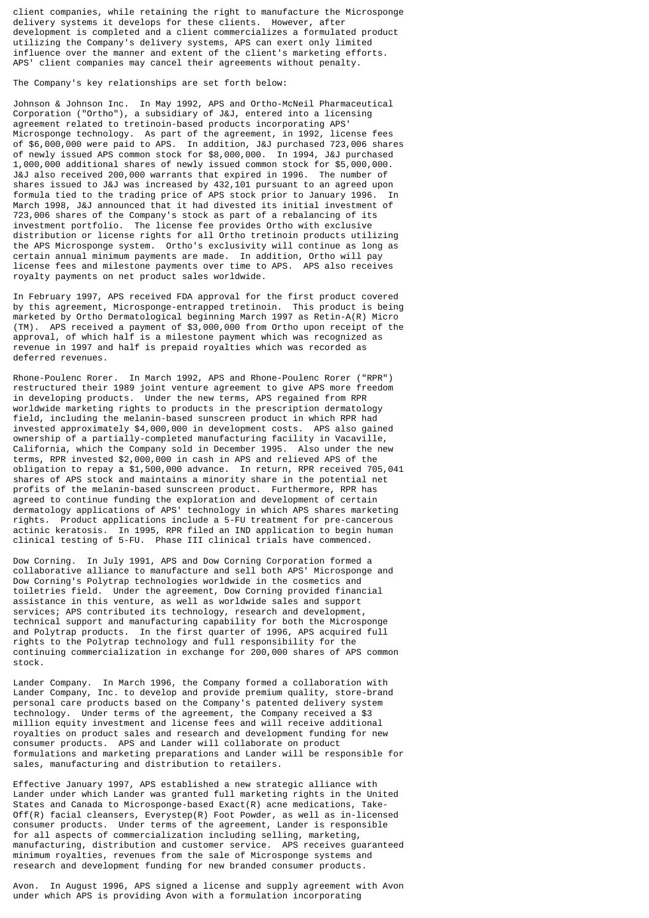client companies, while retaining the right to manufacture the Microsponge delivery systems it develops for these clients. However, after development is completed and a client commercializes a formulated product utilizing the Company's delivery systems, APS can exert only limited influence over the manner and extent of the client's marketing efforts. APS' client companies may cancel their agreements without penalty.

The Company's key relationships are set forth below:

Johnson & Johnson Inc. In May 1992, APS and Ortho-McNeil Pharmaceutical Corporation ("Ortho"), a subsidiary of J&J, entered into a licensing agreement related to tretinoin-based products incorporating APS' Microsponge technology. As part of the agreement, in 1992, license fees of \$6,000,000 were paid to APS. In addition, J&J purchased 723,006 shares of newly issued APS common stock for \$8,000,000. In 1994, J&J purchased 1,000,000 additional shares of newly issued common stock for \$5,000,000. J&J also received 200,000 warrants that expired in 1996. The number of shares issued to J&J was increased by 432,101 pursuant to an agreed upon formula tied to the trading price of APS stock prior to January 1996. In March 1998, J&J announced that it had divested its initial investment of 723,006 shares of the Company's stock as part of a rebalancing of its investment portfolio. The license fee provides Ortho with exclusive distribution or license rights for all Ortho tretinoin products utilizing the APS Microsponge system. Ortho's exclusivity will continue as long as certain annual minimum payments are made. In addition, Ortho will pay license fees and milestone payments over time to APS. APS also receives royalty payments on net product sales worldwide.

In February 1997, APS received FDA approval for the first product covered by this agreement, Microsponge-entrapped tretinoin. This product is being marketed by Ortho Dermatological beginning March 1997 as Retin-A(R) Micro (TM). APS received a payment of \$3,000,000 from Ortho upon receipt of the approval, of which half is a milestone payment which was recognized as revenue in 1997 and half is prepaid royalties which was recorded as deferred revenues.

Rhone-Poulenc Rorer. In March 1992, APS and Rhone-Poulenc Rorer ("RPR") restructured their 1989 joint venture agreement to give APS more freedom in developing products. Under the new terms, APS regained from RPR worldwide marketing rights to products in the prescription dermatology field, including the melanin-based sunscreen product in which RPR had invested approximately \$4,000,000 in development costs. APS also gained ownership of a partially-completed manufacturing facility in Vacaville, California, which the Company sold in December 1995. Also under the new terms, RPR invested \$2,000,000 in cash in APS and relieved APS of the obligation to repay a \$1,500,000 advance. In return, RPR received 705,041 shares of APS stock and maintains a minority share in the potential net profits of the melanin-based sunscreen product. Furthermore, RPR has agreed to continue funding the exploration and development of certain dermatology applications of APS' technology in which APS shares marketing rights. Product applications include a 5-FU treatment for pre-cancerous actinic keratosis. In 1995, RPR filed an IND application to begin human clinical testing of 5-FU. Phase III clinical trials have commenced.

Dow Corning. In July 1991, APS and Dow Corning Corporation formed a collaborative alliance to manufacture and sell both APS' Microsponge and Dow Corning's Polytrap technologies worldwide in the cosmetics and toiletries field. Under the agreement, Dow Corning provided financial assistance in this venture, as well as worldwide sales and support services; APS contributed its technology, research and development, technical support and manufacturing capability for both the Microsponge and Polytrap products. In the first quarter of 1996, APS acquired full rights to the Polytrap technology and full responsibility for the continuing commercialization in exchange for 200,000 shares of APS common stock.

Lander Company. In March 1996, the Company formed a collaboration with Lander Company, Inc. to develop and provide premium quality, store-brand personal care products based on the Company's patented delivery system technology. Under terms of the agreement, the Company received a \$3 million equity investment and license fees and will receive additional royalties on product sales and research and development funding for new consumer products. APS and Lander will collaborate on product formulations and marketing preparations and Lander will be responsible for sales, manufacturing and distribution to retailers.

Effective January 1997, APS established a new strategic alliance with Lander under which Lander was granted full marketing rights in the United States and Canada to Microsponge-based Exact(R) acne medications, Take-Off(R) facial cleansers, Everystep(R) Foot Powder, as well as in-licensed consumer products. Under terms of the agreement, Lander is responsible for all aspects of commercialization including selling, marketing, manufacturing, distribution and customer service. APS receives guaranteed minimum royalties, revenues from the sale of Microsponge systems and research and development funding for new branded consumer products.

Avon. In August 1996, APS signed a license and supply agreement with Avon under which APS is providing Avon with a formulation incorporating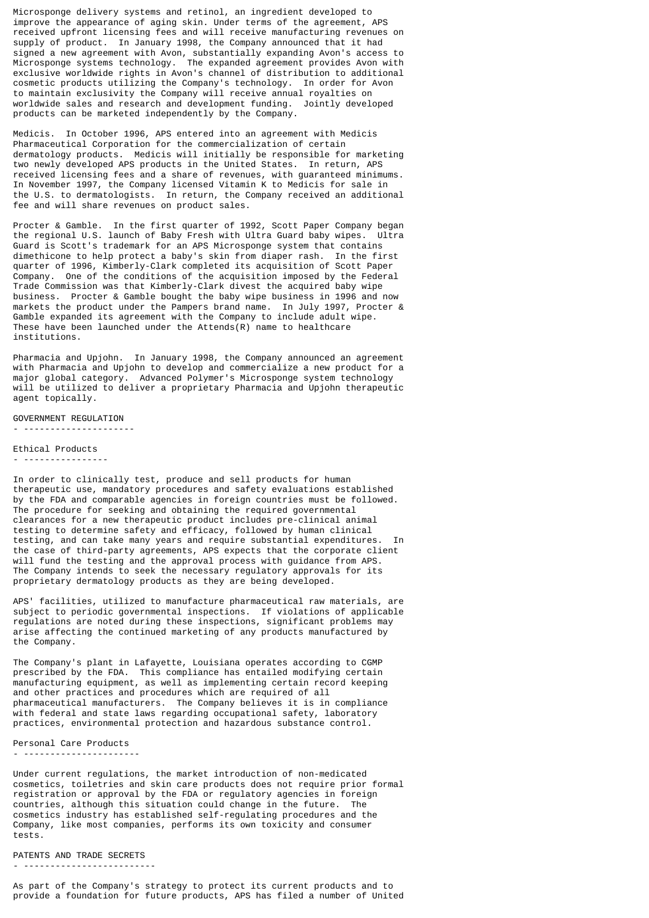Microsponge delivery systems and retinol, an ingredient developed to improve the appearance of aging skin. Under terms of the agreement, APS received upfront licensing fees and will receive manufacturing revenues on supply of product. In January 1998, the Company announced that it had signed a new agreement with Avon, substantially expanding Avon's access to Microsponge systems technology. The expanded agreement provides Avon with exclusive worldwide rights in Avon's channel of distribution to additional cosmetic products utilizing the Company's technology. In order for Avon to maintain exclusivity the Company will receive annual royalties on worldwide sales and research and development funding. Jointly developed products can be marketed independently by the Company.

Medicis. In October 1996, APS entered into an agreement with Medicis Pharmaceutical Corporation for the commercialization of certain dermatology products. Medicis will initially be responsible for marketing two newly developed APS products in the United States. In return, APS received licensing fees and a share of revenues, with guaranteed minimums. In November 1997, the Company licensed Vitamin K to Medicis for sale in the U.S. to dermatologists. In return, the Company received an additional fee and will share revenues on product sales.

Procter & Gamble. In the first quarter of 1992, Scott Paper Company began the regional U.S. launch of Baby Fresh with Ultra Guard baby wipes. Ultra Guard is Scott's trademark for an APS Microsponge system that contains dimethicone to help protect a baby's skin from diaper rash. In the first quarter of 1996, Kimberly-Clark completed its acquisition of Scott Paper Company. One of the conditions of the acquisition imposed by the Federal Trade Commission was that Kimberly-Clark divest the acquired baby wipe business. Procter & Gamble bought the baby wipe business in 1996 and now markets the product under the Pampers brand name. In July 1997, Procter & Gamble expanded its agreement with the Company to include adult wipe. These have been launched under the Attends $(R)$  name to healthcare institutions.

Pharmacia and Upjohn. In January 1998, the Company announced an agreement with Pharmacia and Upjohn to develop and commercialize a new product for a major global category. Advanced Polymer's Microsponge system technology will be utilized to deliver a proprietary Pharmacia and Upjohn therapeutic agent topically.

GOVERNMENT REGULATION - ---------------------

Ethical Products

- ----------------

In order to clinically test, produce and sell products for human therapeutic use, mandatory procedures and safety evaluations established by the FDA and comparable agencies in foreign countries must be followed. The procedure for seeking and obtaining the required governmental clearances for a new therapeutic product includes pre-clinical animal testing to determine safety and efficacy, followed by human clinical testing, and can take many years and require substantial expenditures. In the case of third-party agreements, APS expects that the corporate client will fund the testing and the approval process with guidance from APS. The Company intends to seek the necessary regulatory approvals for its proprietary dermatology products as they are being developed.

APS' facilities, utilized to manufacture pharmaceutical raw materials, are subject to periodic governmental inspections. If violations of applicable regulations are noted during these inspections, significant problems may arise affecting the continued marketing of any products manufactured by the Company.

The Company's plant in Lafayette, Louisiana operates according to CGMP prescribed by the FDA. This compliance has entailed modifying certain manufacturing equipment, as well as implementing certain record keeping and other practices and procedures which are required of all pharmaceutical manufacturers. The Company believes it is in compliance with federal and state laws regarding occupational safety, laboratory practices, environmental protection and hazardous substance control.

Personal Care Products - ----------------------

Under current regulations, the market introduction of non-medicated cosmetics, toiletries and skin care products does not require prior formal registration or approval by the FDA or regulatory agencies in foreign countries, although this situation could change in the future. The cosmetics industry has established self-regulating procedures and the Company, like most companies, performs its own toxicity and consumer tests.

PATENTS AND TRADE SECRETS

- -------------------------

As part of the Company's strategy to protect its current products and to provide a foundation for future products, APS has filed a number of United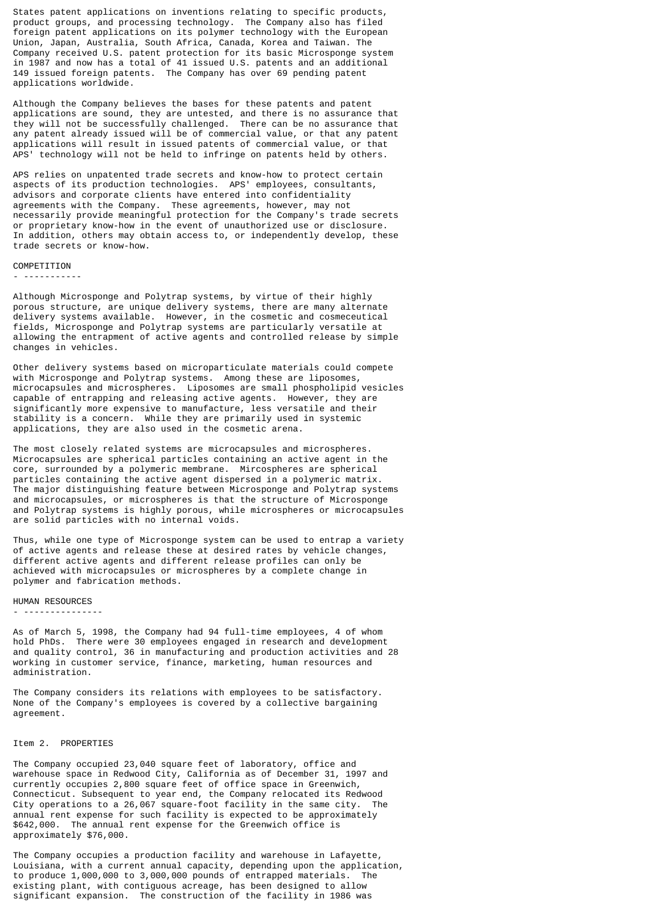States patent applications on inventions relating to specific products, product groups, and processing technology. The Company also has filed foreign patent applications on its polymer technology with the European Union, Japan, Australia, South Africa, Canada, Korea and Taiwan. The Company received U.S. patent protection for its basic Microsponge system in 1987 and now has a total of 41 issued U.S. patents and an additional 149 issued foreign patents. The Company has over 69 pending patent applications worldwide.

Although the Company believes the bases for these patents and patent applications are sound, they are untested, and there is no assurance that they will not be successfully challenged. There can be no assurance that any patent already issued will be of commercial value, or that any patent applications will result in issued patents of commercial value, or that APS' technology will not be held to infringe on patents held by others.

APS relies on unpatented trade secrets and know-how to protect certain aspects of its production technologies. APS' employees, consultants, advisors and corporate clients have entered into confidentiality agreements with the Company. These agreements, however, may not necessarily provide meaningful protection for the Company's trade secrets or proprietary know-how in the event of unauthorized use or disclosure. In addition, others may obtain access to, or independently develop, these trade secrets or know-how.

#### COMPETITION

- -----------

Although Microsponge and Polytrap systems, by virtue of their highly porous structure, are unique delivery systems, there are many alternate delivery systems available. However, in the cosmetic and cosmeceutical fields, Microsponge and Polytrap systems are particularly versatile at allowing the entrapment of active agents and controlled release by simple changes in vehicles.

Other delivery systems based on microparticulate materials could compete with Microsponge and Polytrap systems. Among these are liposomes, microcapsules and microspheres. Liposomes are small phospholipid vesicles capable of entrapping and releasing active agents. However, they are significantly more expensive to manufacture, less versatile and their stability is a concern. While they are primarily used in systemic applications, they are also used in the cosmetic arena.

The most closely related systems are microcapsules and microspheres. Microcapsules are spherical particles containing an active agent in the core, surrounded by a polymeric membrane. Mircospheres are spherical particles containing the active agent dispersed in a polymeric matrix. The major distinguishing feature between Microsponge and Polytrap systems and microcapsules, or microspheres is that the structure of Microsponge and Polytrap systems is highly porous, while microspheres or microcapsules are solid particles with no internal voids.

Thus, while one type of Microsponge system can be used to entrap a variety of active agents and release these at desired rates by vehicle changes, different active agents and different release profiles can only be achieved with microcapsules or microspheres by a complete change in polymer and fabrication methods.

HUMAN RESOURCES

- ---------------

As of March 5, 1998, the Company had 94 full-time employees, 4 of whom hold PhDs. There were 30 employees engaged in research and development and quality control, 36 in manufacturing and production activities and 28 working in customer service, finance, marketing, human resources and administration.

The Company considers its relations with employees to be satisfactory. None of the Company's employees is covered by a collective bargaining agreement.

#### Item 2. PROPERTIES

The Company occupied 23,040 square feet of laboratory, office and warehouse space in Redwood City, California as of December 31, 1997 and currently occupies 2,800 square feet of office space in Greenwich, Connecticut. Subsequent to year end, the Company relocated its Redwood<br>City operations to a 26.067 square-foot facility in the same city. The City operations to a 26,067 square-foot facility in the same city. annual rent expense for such facility is expected to be approximately \$642,000. The annual rent expense for the Greenwich office is approximately \$76,000.

The Company occupies a production facility and warehouse in Lafayette, Louisiana, with a current annual capacity, depending upon the application, to produce 1,000,000 to 3,000,000 pounds of entrapped materials. The existing plant, with contiguous acreage, has been designed to allow significant expansion. The construction of the facility in 1986 was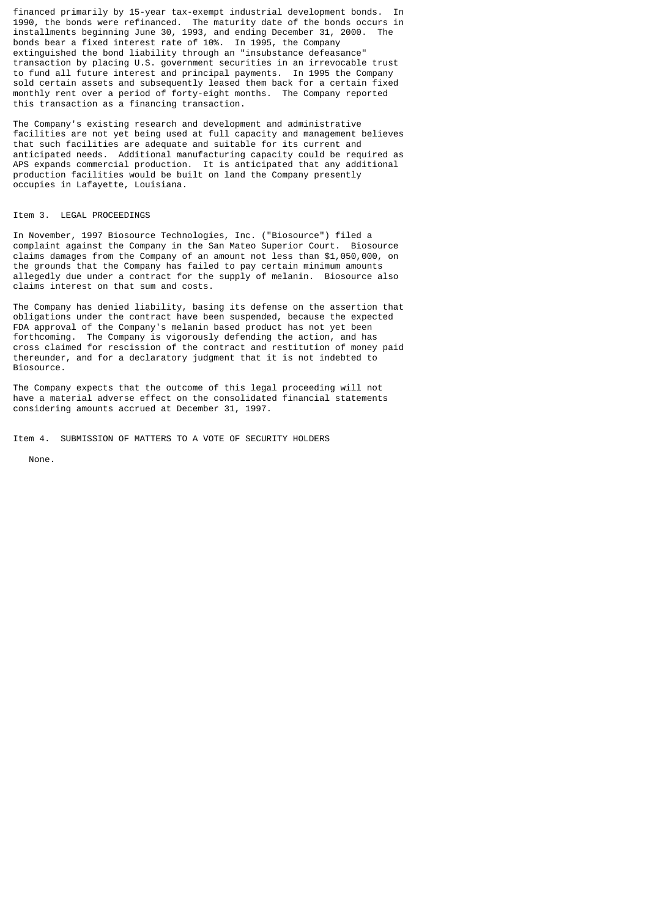financed primarily by 15-year tax-exempt industrial development bonds. In 1990, the bonds were refinanced. The maturity date of the bonds occurs in installments beginning June 30, 1993, and ending December 31, 2000. The bonds bear a fixed interest rate of 10%. In 1995, the Company extinguished the bond liability through an "insubstance defeasance" transaction by placing U.S. government securities in an irrevocable trust to fund all future interest and principal payments. In 1995 the Company sold certain assets and subsequently leased them back for a certain fixed monthly rent over a period of forty-eight months. The Company reported this transaction as a financing transaction.

The Company's existing research and development and administrative facilities are not yet being used at full capacity and management believes that such facilities are adequate and suitable for its current and anticipated needs. Additional manufacturing capacity could be required as APS expands commercial production. It is anticipated that any additional production facilities would be built on land the Company presently occupies in Lafayette, Louisiana.

## Item 3. LEGAL PROCEEDINGS

In November, 1997 Biosource Technologies, Inc. ("Biosource") filed a complaint against the Company in the San Mateo Superior Court. Biosource claims damages from the Company of an amount not less than \$1,050,000, on the grounds that the Company has failed to pay certain minimum amounts allegedly due under a contract for the supply of melanin. Biosource also claims interest on that sum and costs.

The Company has denied liability, basing its defense on the assertion that obligations under the contract have been suspended, because the expected FDA approval of the Company's melanin based product has not yet been forthcoming. The Company is vigorously defending the action, and has cross claimed for rescission of the contract and restitution of money paid thereunder, and for a declaratory judgment that it is not indebted to Biosource.

The Company expects that the outcome of this legal proceeding will not have a material adverse effect on the consolidated financial statements considering amounts accrued at December 31, 1997.

Item 4. SUBMISSION OF MATTERS TO A VOTE OF SECURITY HOLDERS

None.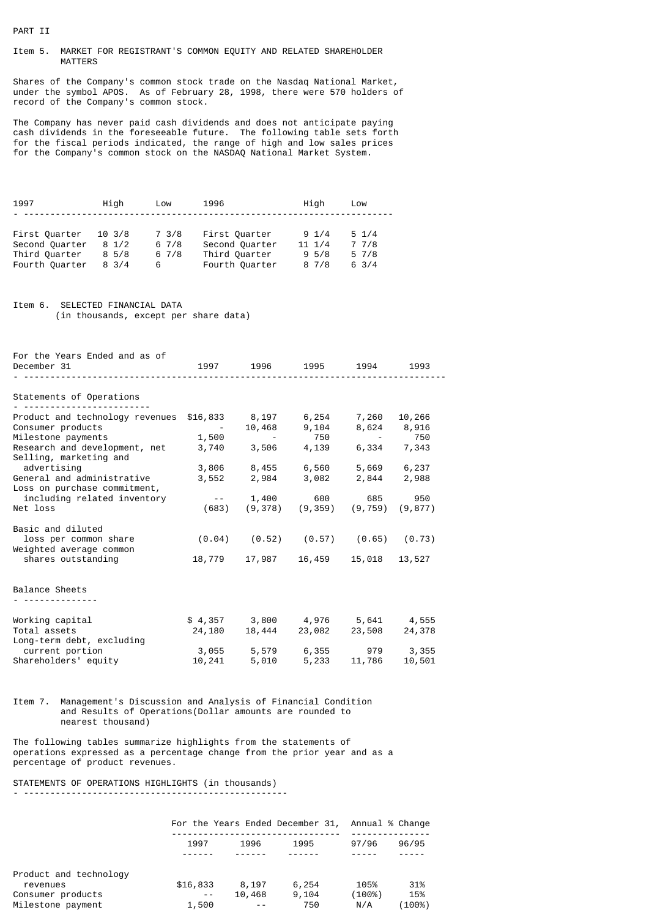# PART II

## Item 5. MARKET FOR REGISTRANT'S COMMON EQUITY AND RELATED SHAREHOLDER MATTERS

Shares of the Company's common stock trade on the Nasdaq National Market, under the symbol APOS. As of February 28, 1998, there were 570 holders of record of the Company's common stock.

The Company has never paid cash dividends and does not anticipate paying cash dividends in the foreseeable future. The following table sets forth for the fiscal periods indicated, the range of high and low sales prices for the Company's common stock on the NASDAQ National Market System.

| Hiah             | Low   | 1996           | High             | Low             |
|------------------|-------|----------------|------------------|-----------------|
|                  |       |                |                  |                 |
| $10 \frac{3}{8}$ | 7 3/8 | First Quarter  | $9 \frac{1}{4}$  | $5 \frac{1}{4}$ |
| $8 \frac{1}{2}$  | 67/8  | Second Quarter | $11 \frac{1}{4}$ | 7 7/8           |
| $8\,5/8$         | 67/8  | Third Quarter  | 9.5/8            | 57/8            |
| $8 \frac{3}{4}$  | 6     | Fourth Quarter | 87/8             | $6 \frac{3}{4}$ |
|                  |       |                |                  |                 |

Item 6. SELECTED FINANCIAL DATA (in thousands, except per share data)

| For the Years Ended and as of<br>December 31                                                                                                                                                                                                                  |                                            | 1997 1996                                                                                                                                                                                                  | 1995 — 1995                                | 1994                                                              | 1993                                         |
|---------------------------------------------------------------------------------------------------------------------------------------------------------------------------------------------------------------------------------------------------------------|--------------------------------------------|------------------------------------------------------------------------------------------------------------------------------------------------------------------------------------------------------------|--------------------------------------------|-------------------------------------------------------------------|----------------------------------------------|
| Statements of Operations                                                                                                                                                                                                                                      |                                            |                                                                                                                                                                                                            |                                            |                                                                   |                                              |
| Product and technology revenues<br>Consumer products<br>Milestone payments<br>Research and development, net<br>Selling, marketing and<br>advertising<br>General and administrative<br>Loss on purchase commitment,<br>including related inventory<br>Net loss | <b>Contract Contract</b><br>1,500<br>(683) | $$16,833$ $8,197$ $6,254$ $7,260$<br>10,468<br>$\mathcal{L}_{\rm{max}}$ and $\mathcal{L}_{\rm{max}}$<br>3,740 3,506 4,139<br>3,806 8,455 6,560 5,669 6,237<br>3,552 2,984 3,082 2,844 2,988<br>$- - 1,400$ | 9,104<br>750<br>600<br>$(9,378)$ $(9,359)$ | 8,624<br><b>Contract Contract</b><br>685<br>$(9, 759)$ $(9, 877)$ | 10,266<br>8,916<br>750<br>6,334 7,343<br>950 |
| Basic and diluted                                                                                                                                                                                                                                             |                                            |                                                                                                                                                                                                            |                                            |                                                                   |                                              |
| loss per common share<br>Weighted average common                                                                                                                                                                                                              |                                            | $(0.04)$ $(0.52)$ $(0.57)$ $(0.65)$ $(0.73)$                                                                                                                                                               |                                            |                                                                   |                                              |
| shares outstanding                                                                                                                                                                                                                                            |                                            | 18,779 17,987 16,459                                                                                                                                                                                       |                                            | 15,018                                                            | 13,527                                       |
| Balance Sheets                                                                                                                                                                                                                                                |                                            |                                                                                                                                                                                                            |                                            |                                                                   |                                              |
| Working capital<br>Total assets<br>Long-term debt, excluding<br>current portion<br>Shareholders' equity                                                                                                                                                       | 24,180                                     | $$4,357$ 3,800 4,976 5,641 4,555<br>3,055 5,579 6,355 979 3,355<br>10,241 5,010 5,233 11,786                                                                                                               | 18,444 23,082 23,508                       |                                                                   | 24,378<br>10,501                             |
|                                                                                                                                                                                                                                                               |                                            |                                                                                                                                                                                                            |                                            |                                                                   |                                              |

Item 7. Management's Discussion and Analysis of Financial Condition and Results of Operations(Dollar amounts are rounded to nearest thousand)

The following tables summarize highlights from the statements of operations expressed as a percentage change from the prior year and as a percentage of product revenues.

STATEMENTS OF OPERATIONS HIGHLIGHTS (in thousands)

- --------------------------------------------------

|                        |          |        | For the Years Ended December 31, Annual % Change |        |        |
|------------------------|----------|--------|--------------------------------------------------|--------|--------|
|                        | 1997     | 1996   | 1995                                             | 97/96  | 96/95  |
|                        |          |        |                                                  |        |        |
| Product and technology |          |        |                                                  |        |        |
| revenues               | \$16,833 | 8.197  | 6,254                                            | 105%   | 31%    |
| Consumer products      | $- -$    | 10,468 | 9,104                                            | (100%) | 15%    |
| Milestone payment      | 1,500    | $ -$   | 750                                              | N/A    | (100%) |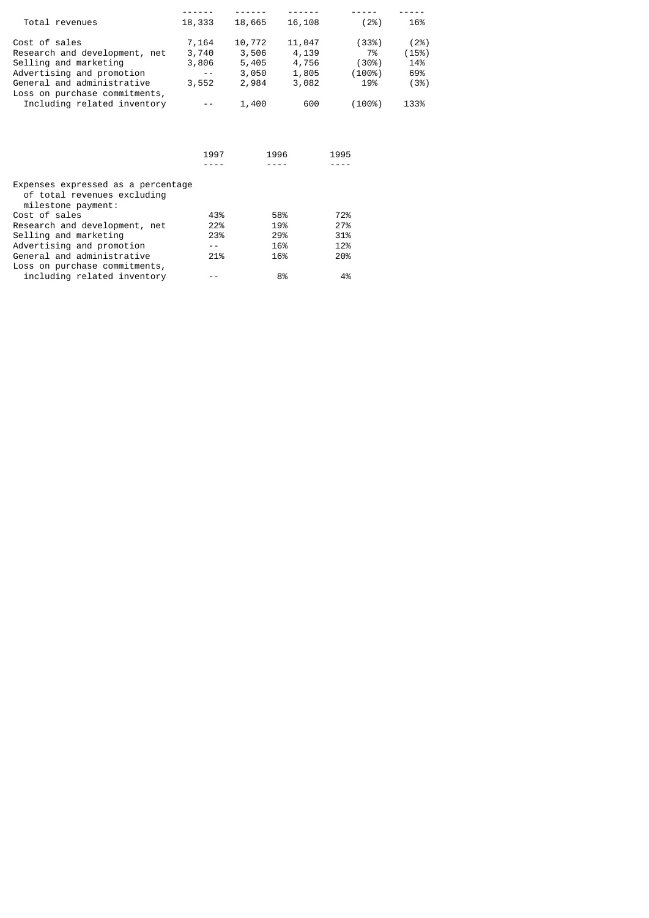| Total revenues                                               | 18,333 | 18,665 | 16,108 | (2%)   | 16%   |
|--------------------------------------------------------------|--------|--------|--------|--------|-------|
| Cost of sales                                                | 7,164  | 10,772 | 11,047 | (33%)  | (2%)  |
| Research and development, net                                | 3,740  | 3,506  | 4,139  | 7%     | (15%) |
| Selling and marketing                                        | 3,806  | 5,405  | 4,756  | (30%)  | 14%   |
| Advertising and promotion                                    | $ -$   | 3,050  | 1,805  | (100%) | 69%   |
| General and administrative                                   | 3,552  | 2,984  | 3,082  | 19%    | (3%)  |
| Loss on purchase commitments,<br>Including related inventory |        | 1,400  | 600    | (100%) | 133%  |

|                                                                                         | 1997 | 1996 | 1995 |
|-----------------------------------------------------------------------------------------|------|------|------|
| Expenses expressed as a percentage<br>of total revenues excluding<br>milestone payment: |      |      |      |
| Cost of sales                                                                           | 43%  | 58%  | 72%  |
| Research and development, net                                                           | 22%  | 19%  | 27%  |
| Selling and marketing                                                                   | 23%  | 29%  | 31%  |
| Advertising and promotion                                                               |      | 16%  | 12%  |
| General and administrative                                                              | 21%  | 16%  | 20%  |
| Loss on purchase commitments,                                                           |      |      |      |
| including related inventory                                                             |      | 8%   | 4%   |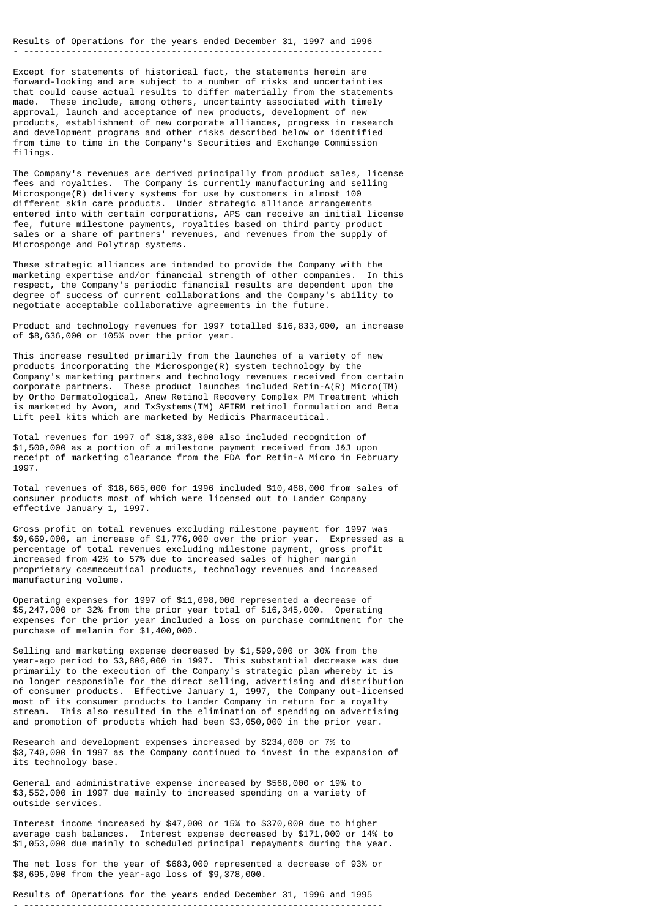## Results of Operations for the years ended December 31, 1997 and 1996 - --------------------------------------------------------------------

Except for statements of historical fact, the statements herein are forward-looking and are subject to a number of risks and uncertainties that could cause actual results to differ materially from the statements made. These include, among others, uncertainty associated with timely approval, launch and acceptance of new products, development of new products, establishment of new corporate alliances, progress in research and development programs and other risks described below or identified from time to time in the Company's Securities and Exchange Commission filings.

The Company's revenues are derived principally from product sales, license fees and royalties. The Company is currently manufacturing and selling Microsponge(R) delivery systems for use by customers in almost 100 different skin care products. Under strategic alliance arrangements entered into with certain corporations, APS can receive an initial license fee, future milestone payments, royalties based on third party product sales or a share of partners' revenues, and revenues from the supply of Microsponge and Polytrap systems.

These strategic alliances are intended to provide the Company with the marketing expertise and/or financial strength of other companies. In this respect, the Company's periodic financial results are dependent upon the degree of success of current collaborations and the Company's ability to negotiate acceptable collaborative agreements in the future.

Product and technology revenues for 1997 totalled \$16,833,000, an increase of \$8,636,000 or 105% over the prior year.

This increase resulted primarily from the launches of a variety of new products incorporating the Microsponge(R) system technology by the Company's marketing partners and technology revenues received from certain corporate partners. These product launches included Retin-A(R) Micro(TM) by Ortho Dermatological, Anew Retinol Recovery Complex PM Treatment which is marketed by Avon, and TxSystems(TM) AFIRM retinol formulation and Beta Lift peel kits which are marketed by Medicis Pharmaceutical.

Total revenues for 1997 of \$18,333,000 also included recognition of \$1,500,000 as a portion of a milestone payment received from J&J upon receipt of marketing clearance from the FDA for Retin-A Micro in February 1997.

Total revenues of \$18,665,000 for 1996 included \$10,468,000 from sales of consumer products most of which were licensed out to Lander Company effective January 1, 1997.

Gross profit on total revenues excluding milestone payment for 1997 was \$9,669,000, an increase of \$1,776,000 over the prior year. Expressed as a percentage of total revenues excluding milestone payment, gross profit increased from 42% to 57% due to increased sales of higher margin proprietary cosmeceutical products, technology revenues and increased manufacturing volume.

Operating expenses for 1997 of \$11,098,000 represented a decrease of \$5,247,000 or 32% from the prior year total of \$16,345,000. Operating expenses for the prior year included a loss on purchase commitment for the purchase of melanin for \$1,400,000.

Selling and marketing expense decreased by \$1,599,000 or 30% from the year-ago period to \$3,806,000 in 1997. This substantial decrease was due primarily to the execution of the Company's strategic plan whereby it is no longer responsible for the direct selling, advertising and distribution of consumer products. Effective January 1, 1997, the Company out-licensed most of its consumer products to Lander Company in return for a royalty stream. This also resulted in the elimination of spending on advertising and promotion of products which had been \$3,050,000 in the prior year.

Research and development expenses increased by \$234,000 or 7% to \$3,740,000 in 1997 as the Company continued to invest in the expansion of its technology base.

General and administrative expense increased by \$568,000 or 19% to \$3,552,000 in 1997 due mainly to increased spending on a variety of outside services.

Interest income increased by \$47,000 or 15% to \$370,000 due to higher average cash balances. Interest expense decreased by \$171,000 or 14% to \$1,053,000 due mainly to scheduled principal repayments during the year.

The net loss for the year of \$683,000 represented a decrease of 93% or \$8,695,000 from the year-ago loss of \$9,378,000.

Results of Operations for the years ended December 31, 1996 and 1995 - --------------------------------------------------------------------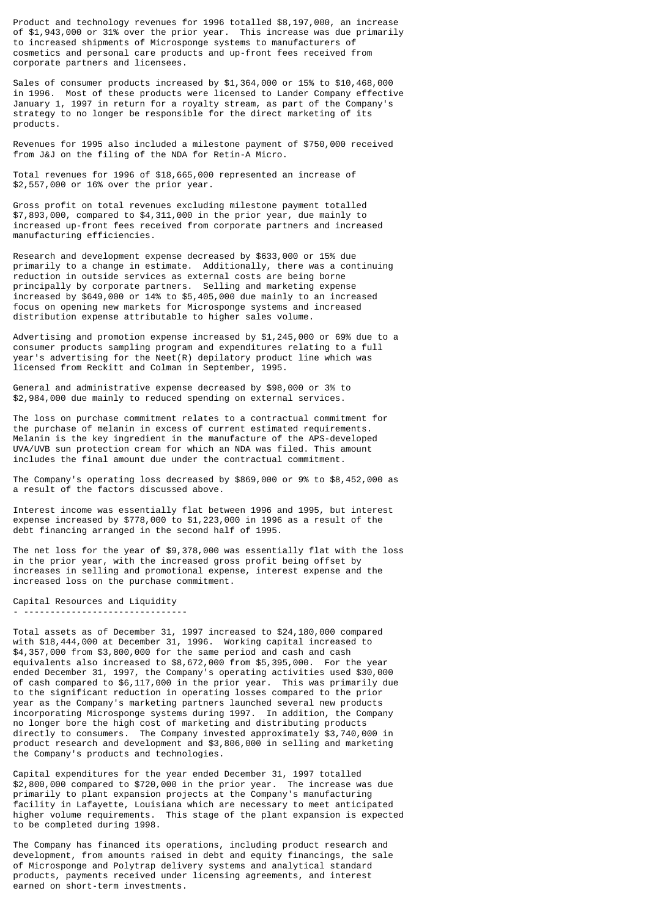Product and technology revenues for 1996 totalled \$8,197,000, an increase of \$1,943,000 or 31% over the prior year. This increase was due primarily to increased shipments of Microsponge systems to manufacturers of cosmetics and personal care products and up-front fees received from corporate partners and licensees.

Sales of consumer products increased by \$1,364,000 or 15% to \$10,468,000 in 1996. Most of these products were licensed to Lander Company effective January 1, 1997 in return for a royalty stream, as part of the Company's strategy to no longer be responsible for the direct marketing of its products.

Revenues for 1995 also included a milestone payment of \$750,000 received from J&J on the filing of the NDA for Retin-A Micro.

Total revenues for 1996 of \$18,665,000 represented an increase of \$2,557,000 or 16% over the prior year.

Gross profit on total revenues excluding milestone payment totalled \$7,893,000, compared to \$4,311,000 in the prior year, due mainly to increased up-front fees received from corporate partners and increased manufacturing efficiencies.

Research and development expense decreased by \$633,000 or 15% due primarily to a change in estimate. Additionally, there was a continuing reduction in outside services as external costs are being borne principally by corporate partners. Selling and marketing expense increased by \$649,000 or 14% to \$5,405,000 due mainly to an increased focus on opening new markets for Microsponge systems and increased distribution expense attributable to higher sales volume.

Advertising and promotion expense increased by \$1,245,000 or 69% due to a consumer products sampling program and expenditures relating to a full year's advertising for the Neet(R) depilatory product line which was licensed from Reckitt and Colman in September, 1995.

General and administrative expense decreased by \$98,000 or 3% to \$2,984,000 due mainly to reduced spending on external services.

The loss on purchase commitment relates to a contractual commitment for the purchase of melanin in excess of current estimated requirements. Melanin is the key ingredient in the manufacture of the APS-developed UVA/UVB sun protection cream for which an NDA was filed. This amount includes the final amount due under the contractual commitment.

The Company's operating loss decreased by \$869,000 or 9% to \$8,452,000 as a result of the factors discussed above.

Interest income was essentially flat between 1996 and 1995, but interest expense increased by \$778,000 to \$1,223,000 in 1996 as a result of the debt financing arranged in the second half of 1995.

The net loss for the year of \$9,378,000 was essentially flat with the loss in the prior year, with the increased gross profit being offset by increases in selling and promotional expense, interest expense and the increased loss on the purchase commitment.

Capital Resources and Liquidity

- -------------------------------

Total assets as of December 31, 1997 increased to \$24,180,000 compared with \$18,444,000 at December 31, 1996. Working capital increased to  $$4,357,000$  from  $$3,800,000$  for the same period and cash and cash equivalents also increased to \$8,672,000 from \$5,395,000. For the year ended December 31, 1997, the Company's operating activities used \$30,000 of cash compared to \$6,117,000 in the prior year. This was primarily due to the significant reduction in operating losses compared to the prior year as the Company's marketing partners launched several new products incorporating Microsponge systems during 1997. In addition, the Company no longer bore the high cost of marketing and distributing products directly to consumers. The Company invested approximately \$3,740,000 in product research and development and \$3,806,000 in selling and marketing the Company's products and technologies.

Capital expenditures for the year ended December 31, 1997 totalled \$2,800,000 compared to \$720,000 in the prior year. The increase was due primarily to plant expansion projects at the Company's manufacturing facility in Lafayette, Louisiana which are necessary to meet anticipated higher volume requirements. This stage of the plant expansion is expected to be completed during 1998.

The Company has financed its operations, including product research and development, from amounts raised in debt and equity financings, the sale of Microsponge and Polytrap delivery systems and analytical standard products, payments received under licensing agreements, and interest earned on short-term investments.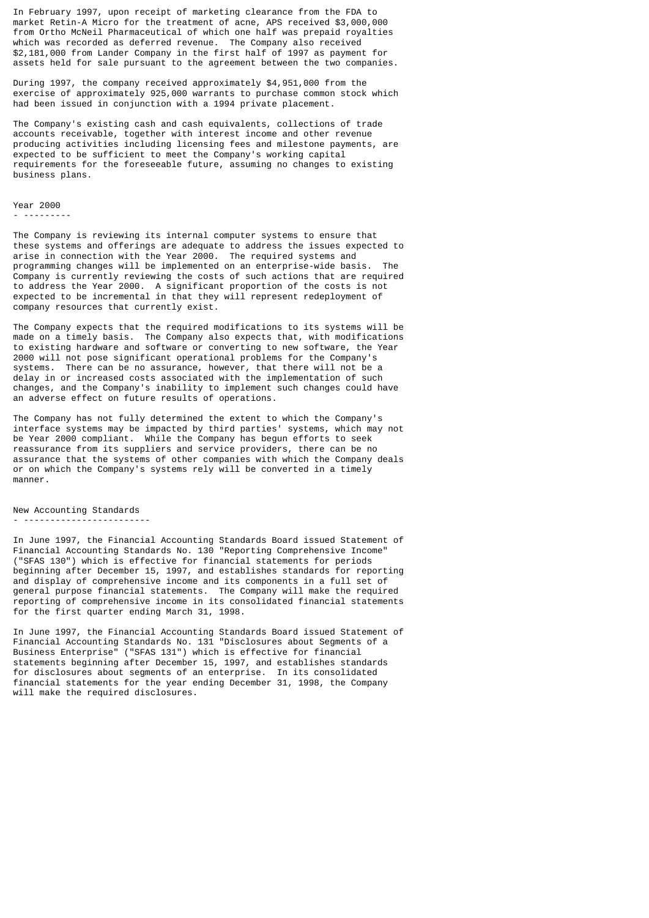In February 1997, upon receipt of marketing clearance from the FDA to market Retin-A Micro for the treatment of acne, APS received \$3,000,000 from Ortho McNeil Pharmaceutical of which one half was prepaid royalties which was recorded as deferred revenue. The Company also received \$2,181,000 from Lander Company in the first half of 1997 as payment for assets held for sale pursuant to the agreement between the two companies.

During 1997, the company received approximately \$4,951,000 from the exercise of approximately 925,000 warrants to purchase common stock which had been issued in conjunction with a 1994 private placement.

The Company's existing cash and cash equivalents, collections of trade accounts receivable, together with interest income and other revenue producing activities including licensing fees and milestone payments, are expected to be sufficient to meet the Company's working capital requirements for the foreseeable future, assuming no changes to existing business plans.

#### Year 2000

#### - ---------

The Company is reviewing its internal computer systems to ensure that these systems and offerings are adequate to address the issues expected to arise in connection with the Year 2000. The required systems and programming changes will be implemented on an enterprise-wide basis. Company is currently reviewing the costs of such actions that are required to address the Year 2000. A significant proportion of the costs is not expected to be incremental in that they will represent redeployment of company resources that currently exist.

The Company expects that the required modifications to its systems will be made on a timely basis. The Company also expects that, with modifications to existing hardware and software or converting to new software, the Year 2000 will not pose significant operational problems for the Company's systems. There can be no assurance, however, that there will not be a delay in or increased costs associated with the implementation of such changes, and the Company's inability to implement such changes could have an adverse effect on future results of operations.

The Company has not fully determined the extent to which the Company's interface systems may be impacted by third parties' systems, which may not be Year 2000 compliant. While the Company has begun efforts to seek reassurance from its suppliers and service providers, there can be no assurance that the systems of other companies with which the Company deals or on which the Company's systems rely will be converted in a timely manner.

New Accounting Standards

#### - ------------------------

In June 1997, the Financial Accounting Standards Board issued Statement of Financial Accounting Standards No. 130 "Reporting Comprehensive Income" ("SFAS 130") which is effective for financial statements for periods beginning after December 15, 1997, and establishes standards for reporting and display of comprehensive income and its components in a full set of general purpose financial statements. The Company will make the required reporting of comprehensive income in its consolidated financial statements for the first quarter ending March 31, 1998.

In June 1997, the Financial Accounting Standards Board issued Statement of Financial Accounting Standards No. 131 "Disclosures about Segments of a Business Enterprise" ("SFAS 131") which is effective for financial statements beginning after December 15, 1997, and establishes standards for disclosures about segments of an enterprise. In its consolidated financial statements for the year ending December 31, 1998, the Company will make the required disclosures.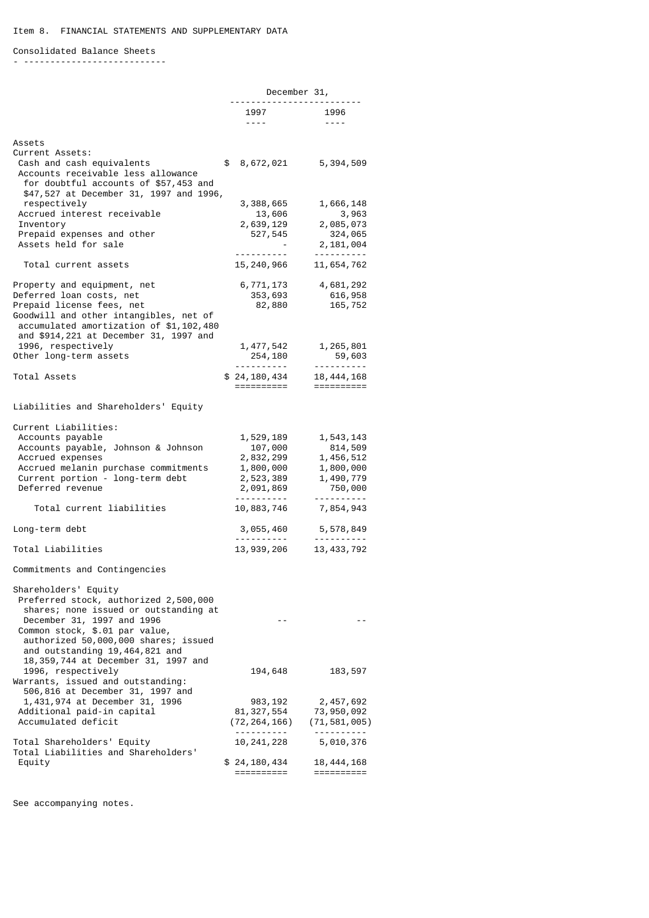# Consolidated Balance Sheets

- ---------------------------

|                                                                                                                                                                                                                                                  |                                                                                                           | December 31,                                                                       |
|--------------------------------------------------------------------------------------------------------------------------------------------------------------------------------------------------------------------------------------------------|-----------------------------------------------------------------------------------------------------------|------------------------------------------------------------------------------------|
|                                                                                                                                                                                                                                                  | 1997<br>$\frac{1}{2} \frac{1}{2} \frac{1}{2} \frac{1}{2} \frac{1}{2} \frac{1}{2} \frac{1}{2} \frac{1}{2}$ | 1996<br>$- - - - -$                                                                |
| Assets                                                                                                                                                                                                                                           |                                                                                                           |                                                                                    |
| Current Assets:<br>Cash and cash equivalents<br>Accounts receivable less allowance<br>for doubtful accounts of \$57,453 and<br>\$47,527 at December 31, 1997 and 1996,                                                                           | \$ 8,672,021                                                                                              | 5,394,509                                                                          |
| respectively                                                                                                                                                                                                                                     | 3,388,665                                                                                                 | 1,666,148                                                                          |
| Accrued interest receivable                                                                                                                                                                                                                      | 13,606                                                                                                    | 3,963                                                                              |
| Inventory<br>Prepaid expenses and other<br>Assets held for sale                                                                                                                                                                                  | 2,639,129<br>527,545                                                                                      | 2,085,073<br>324,065<br>2,181,004                                                  |
|                                                                                                                                                                                                                                                  | <u>.</u>                                                                                                  | <u>.</u>                                                                           |
| Total current assets                                                                                                                                                                                                                             | 15, 240, 966                                                                                              | 11,654,762                                                                         |
| Property and equipment, net<br>Deferred loan costs, net<br>Prepaid license fees, net<br>Goodwill and other intangibles, net of<br>accumulated amortization of \$1,102,480<br>and \$914, 221 at December 31, 1997 and                             | 6,771,173<br>353,693<br>82,880                                                                            | 4,681,292<br>616,958<br>165,752                                                    |
| 1996, respectively                                                                                                                                                                                                                               | 1, 477, 542                                                                                               | 1,265,801                                                                          |
| Other long-term assets                                                                                                                                                                                                                           | 254,180<br><u>.</u> .                                                                                     | 59,603<br><u>.</u>                                                                 |
| Total Assets                                                                                                                                                                                                                                     | \$24,180,434<br>==========                                                                                | 18, 444, 168<br>==========                                                         |
| Liabilities and Shareholders' Equity                                                                                                                                                                                                             |                                                                                                           |                                                                                    |
| Current Liabilities:<br>Accounts payable<br>Accounts payable, Johnson & Johnson<br>Accrued expenses<br>Accrued melanin purchase commitments<br>Current portion - long-term debt<br>Deferred revenue                                              | 1,529,189<br>107,000<br>2,832,299<br>1,800,000<br>2,523,389<br>2,091,869                                  | 1,543,143<br>814,509<br>1,456,512<br>1,800,000<br>1,490,779<br>750,000<br><u>.</u> |
| Total current liabilities                                                                                                                                                                                                                        | 10,883,746                                                                                                | 7,854,943                                                                          |
| Long-term debt                                                                                                                                                                                                                                   | 3,055,460                                                                                                 | 5,578,849                                                                          |
| Total Liabilities                                                                                                                                                                                                                                | 13, 939, 206                                                                                              | 13, 433, 792                                                                       |
| Commitments and Contingencies                                                                                                                                                                                                                    |                                                                                                           |                                                                                    |
| Shareholders' Equity<br>Preferred stock, authorized 2,500,000<br>shares; none issued or outstanding at<br>December 31, 1997 and 1996<br>Common stock, \$.01 par value,<br>authorized 50,000,000 shares; issued<br>and outstanding 19,464,821 and | - -                                                                                                       |                                                                                    |
| 18, 359, 744 at December 31, 1997 and<br>1996, respectively<br>Warrants, issued and outstanding:<br>506,816 at December 31, 1997 and                                                                                                             | 194,648                                                                                                   | 183,597                                                                            |
| 1,431,974 at December 31, 1996<br>Additional paid-in capital<br>Accumulated deficit                                                                                                                                                              | 983, 192<br>81, 327, 554<br>(72, 264, 166)<br><u>.</u>                                                    | 2,457,692<br>73,950,092<br>(71,581,005)<br><u> - - - - - - - - -</u>               |
| Total Shareholders' Equity<br>Total Liabilities and Shareholders'                                                                                                                                                                                | 10, 241, 228                                                                                              | 5,010,376                                                                          |
| Equity                                                                                                                                                                                                                                           | \$24,180,434<br>==========                                                                                | 18,444,168<br>==========                                                           |

See accompanying notes.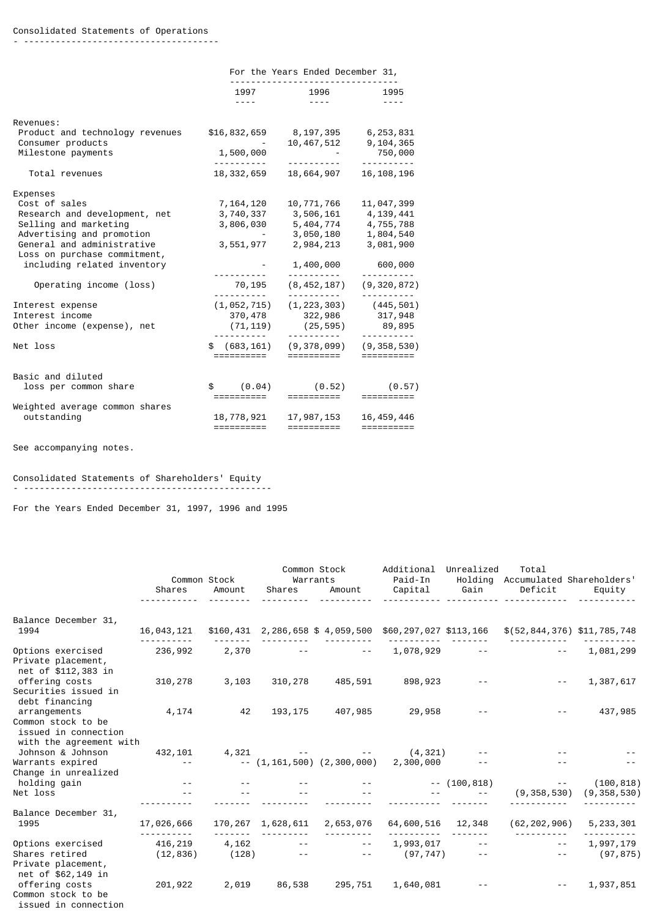# Consolidated Statements of Operations

- -------------------------------------

|                                                      | For the Years Ended December 31,         |                                                                                                           |                                                                                                                                                                                                                                                                                                                                                                                                                                     |  |  |  |
|------------------------------------------------------|------------------------------------------|-----------------------------------------------------------------------------------------------------------|-------------------------------------------------------------------------------------------------------------------------------------------------------------------------------------------------------------------------------------------------------------------------------------------------------------------------------------------------------------------------------------------------------------------------------------|--|--|--|
|                                                      | 1997 — 1997<br>-----                     | 1996<br>$\frac{1}{2} \frac{1}{2} \frac{1}{2} \frac{1}{2} \frac{1}{2} \frac{1}{2} \frac{1}{2} \frac{1}{2}$ | 1995<br>$- - - -$                                                                                                                                                                                                                                                                                                                                                                                                                   |  |  |  |
| Revenues:                                            |                                          |                                                                                                           |                                                                                                                                                                                                                                                                                                                                                                                                                                     |  |  |  |
| Product and technology revenues<br>Consumer products | \$16,832,659                             | 8,197,395 6,253,831<br>10, 467, 512 9, 104, 365                                                           |                                                                                                                                                                                                                                                                                                                                                                                                                                     |  |  |  |
| Milestone payments                                   | 1,500,000<br><u> - - - - - - - - - -</u> | <u>.</u>                                                                                                  | 750,000<br>---------                                                                                                                                                                                                                                                                                                                                                                                                                |  |  |  |
| Total revenues                                       | 18,332,659                               | 18,664,907                                                                                                | 16, 108, 196                                                                                                                                                                                                                                                                                                                                                                                                                        |  |  |  |
| Expenses                                             |                                          |                                                                                                           |                                                                                                                                                                                                                                                                                                                                                                                                                                     |  |  |  |
| Cost of sales                                        | 7,164,120                                | 10,771,766                                                                                                | 11,047,399                                                                                                                                                                                                                                                                                                                                                                                                                          |  |  |  |
| Research and development, net                        | 3,740,337                                | 3,506,161                                                                                                 | 4,139,441                                                                                                                                                                                                                                                                                                                                                                                                                           |  |  |  |
| Selling and marketing                                | 3,806,030                                | 5,404,774                                                                                                 | 4,755,788                                                                                                                                                                                                                                                                                                                                                                                                                           |  |  |  |
| Advertising and promotion                            |                                          | 3,050,180                                                                                                 | 1,804,540                                                                                                                                                                                                                                                                                                                                                                                                                           |  |  |  |
| General and administrative                           | 3,551,977                                | 2,984,213                                                                                                 | 3,081,900                                                                                                                                                                                                                                                                                                                                                                                                                           |  |  |  |
| Loss on purchase commitment,                         |                                          |                                                                                                           |                                                                                                                                                                                                                                                                                                                                                                                                                                     |  |  |  |
| including related inventory                          | <u>.</u>                                 | 1,400,000<br><u>.</u> .                                                                                   | 600,000<br>----------                                                                                                                                                                                                                                                                                                                                                                                                               |  |  |  |
| Operating income (loss)                              | 70,195<br>.                              | (8, 452, 187)<br><u>.</u>                                                                                 | (9, 320, 872)<br><u>.</u>                                                                                                                                                                                                                                                                                                                                                                                                           |  |  |  |
| Interest expense                                     | (1, 052, 715)                            |                                                                                                           | $(1, 223, 303)$ $(445, 501)$                                                                                                                                                                                                                                                                                                                                                                                                        |  |  |  |
| Interest income                                      | 370,478                                  | 322,986                                                                                                   | 317,948                                                                                                                                                                                                                                                                                                                                                                                                                             |  |  |  |
| Other income (expense), net                          | (71, 119)                                | (25, 595)                                                                                                 | 89,895                                                                                                                                                                                                                                                                                                                                                                                                                              |  |  |  |
| Net loss                                             | <u>.</u><br>\$ (683, 161)<br>==========  | .<br>(9,378,099)<br>==========                                                                            | (9, 358, 530)<br>==========                                                                                                                                                                                                                                                                                                                                                                                                         |  |  |  |
|                                                      |                                          |                                                                                                           |                                                                                                                                                                                                                                                                                                                                                                                                                                     |  |  |  |
| Basic and diluted                                    |                                          |                                                                                                           |                                                                                                                                                                                                                                                                                                                                                                                                                                     |  |  |  |
| loss per common share                                | \$ (0.04)                                | (0.52)                                                                                                    | (0.57)                                                                                                                                                                                                                                                                                                                                                                                                                              |  |  |  |
|                                                      | ==========                               | ==========                                                                                                | $=$ = = = = = = = = =                                                                                                                                                                                                                                                                                                                                                                                                               |  |  |  |
| Weighted average common shares                       |                                          |                                                                                                           |                                                                                                                                                                                                                                                                                                                                                                                                                                     |  |  |  |
| outstanding                                          | 18,778,921                               | 17,987,153                                                                                                | 16, 459, 446                                                                                                                                                                                                                                                                                                                                                                                                                        |  |  |  |
|                                                      | ==========                               |                                                                                                           | $\begin{array}{cccccccccc} \texttt{m} & \texttt{m} & \texttt{m} & \texttt{m} & \texttt{m} & \texttt{m} & \texttt{m} & \texttt{m} & \texttt{m} & \texttt{m} & \texttt{m} & \texttt{m} & \texttt{m} & \texttt{m} & \texttt{m} & \texttt{m} & \texttt{m} & \texttt{m} & \texttt{m} & \texttt{m} & \texttt{m} & \texttt{m} & \texttt{m} & \texttt{m} & \texttt{m} & \texttt{m} & \texttt{m} & \texttt{m} & \texttt{m} & \texttt{m} & \$ |  |  |  |

See accompanying notes.

# Consolidated Statements of Shareholders' Equity

- -----------------------------------------------

For the Years Ended December 31, 1997, 1996 and 1995

|                                                                                       | Common Stock  |        |                   | Common Stock<br>Warrants    |                                                          | Unrealized     | Total<br>Holding Accumulated Shareholders' |               |
|---------------------------------------------------------------------------------------|---------------|--------|-------------------|-----------------------------|----------------------------------------------------------|----------------|--------------------------------------------|---------------|
|                                                                                       | Shares        | Amount | Shares            |                             | Paid-In<br>Amount Capital                                | Gain           | Deficit                                    | Equity        |
| Balance December 31,<br>1994                                                          | 16,043,121    |        |                   |                             | $$160,431$ 2,286,658 \$ 4,059,500 \$60,297,027 \$113,166 |                | \$(52,844,376) \$11,785,748                |               |
| Options exercised<br>Private placement,<br>net of \$112,383 in                        | 236,992       | 2,370  |                   |                             | $1,078,929$ --                                           |                |                                            | 1,081,299     |
| offering costs<br>Securities issued in<br>debt financing                              | 310,278       | 3,103  | 310,278           | 485,591                     | 898,923                                                  |                |                                            | 1,387,617     |
| arrangements<br>Common stock to be<br>issued in connection<br>with the agreement with | 4,174         | 42     | 193, 175          | 407,985                     | 29,958                                                   |                |                                            | 437,985       |
| Johnson & Johnson                                                                     | 432,101       |        | $4,321$ -         |                             | (4, 321)                                                 |                |                                            |               |
| Warrants expired<br>Change in unrealized                                              | $\sim$ $\sim$ |        |                   | $-$ (1,161,500) (2,300,000) | 2,300,000                                                |                |                                            |               |
| holding gain                                                                          |               |        |                   |                             |                                                          | $--(100, 818)$ |                                            | (100, 818)    |
| Net loss                                                                              |               |        |                   |                             |                                                          |                | (9, 358, 530)                              | (9, 358, 530) |
| Balance December 31,                                                                  |               |        |                   |                             |                                                          |                |                                            |               |
| 1995                                                                                  | 17,026,666    |        | 170,267 1,628,611 | 2,653,076                   | 64,600,516 12,348                                        |                | (62, 202, 906)                             | 5, 233, 301   |
| Options exercised                                                                     | 416,219       |        | $4,162$ -- -- --  |                             | $1,993,017$ --                                           |                | $\sim$ $-$                                 | 1,997,179     |
| Shares retired<br>Private placement,<br>net of \$62,149 in                            | (12, 836)     |        |                   | $(128)$ -- --               | (97, 747)                                                | $\sim$ $\sim$  | $\sim$ $\sim$                              | (97, 875)     |
| offering costs<br>Common stock to be<br>issued in connection                          | 201,922       | 2,019  | 86,538            | 295,751                     | 1,640,081                                                |                |                                            | 1,937,851     |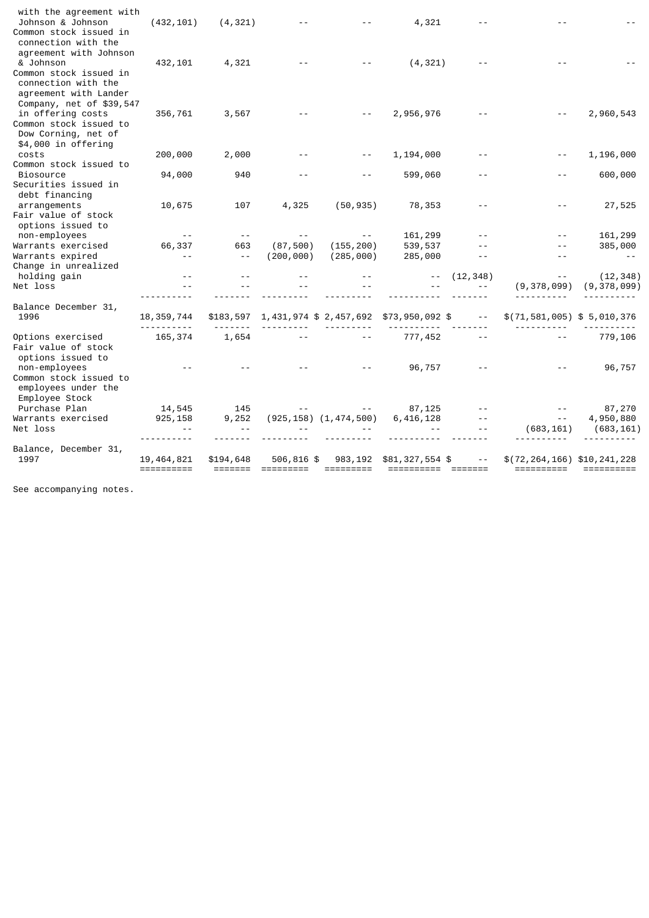| with the agreement with<br>Johnson & Johnson<br>Common stock issued in<br>connection with the                           | (432, 101)   | (4, 321)      |            |                              | 4,321                                 |            |                                 |               |
|-------------------------------------------------------------------------------------------------------------------------|--------------|---------------|------------|------------------------------|---------------------------------------|------------|---------------------------------|---------------|
| agreement with Johnson<br>& Johnson<br>Common stock issued in<br>connection with the                                    | 432, 101     | 4,321         |            |                              | (4, 321)                              |            |                                 |               |
| agreement with Lander<br>Company, net of \$39,547<br>in offering costs<br>Common stock issued to<br>Dow Corning, net of | 356,761      | 3,567         |            |                              | 2,956,976                             |            |                                 | 2,960,543     |
| \$4,000 in offering<br>costs                                                                                            | 200,000      | 2,000         |            |                              | 1,194,000                             |            |                                 | 1,196,000     |
| Common stock issued to                                                                                                  |              |               |            |                              |                                       |            |                                 |               |
| <b>Biosource</b>                                                                                                        | 94,000       | 940           |            |                              | 599,060                               |            |                                 | 600,000       |
| Securities issued in                                                                                                    |              |               |            |                              |                                       |            |                                 |               |
| debt financing                                                                                                          |              |               |            |                              |                                       |            |                                 |               |
| arrangements<br>Fair value of stock                                                                                     | 10,675       | 107           | 4,325      | (50, 935)                    | 78,353                                |            |                                 | 27,525        |
| options issued to                                                                                                       |              |               |            |                              |                                       |            |                                 |               |
| non-employees                                                                                                           | $\sim$ $-$   | $\sim$ $\sim$ | $ -$       |                              | 161,299                               |            |                                 | 161,299       |
| Warrants exercised                                                                                                      | 66,337       | 663           | (87, 500)  | (155, 200)                   | 539,537                               |            |                                 | 385,000       |
| Warrants expired                                                                                                        | $ -$         | $\sim$ $-$    | (200, 000) | (285,000)                    | 285,000                               |            | $ -$                            |               |
| Change in unrealized                                                                                                    |              |               |            |                              |                                       |            |                                 |               |
| holding gain                                                                                                            |              |               |            |                              |                                       | (12, 348)  |                                 | (12, 348)     |
| Net loss                                                                                                                |              |               |            |                              |                                       |            | (9, 378, 099)                   | (9, 378, 099) |
|                                                                                                                         |              |               |            |                              |                                       |            |                                 |               |
| Balance December 31,                                                                                                    |              |               |            |                              |                                       |            |                                 |               |
| 1996                                                                                                                    | 18, 359, 744 | \$183,597     |            |                              | 1,431,974 \$2,457,692 \$73,950,092 \$ | $\sim$ $-$ | \$(71, 581, 005) \$5,010,376    |               |
| Options exercised                                                                                                       | 165,374      | 1,654         |            |                              | 777,452                               |            |                                 | 779,106       |
| Fair value of stock<br>options issued to                                                                                |              |               |            |                              |                                       |            |                                 |               |
| non-employees                                                                                                           |              |               |            |                              | 96,757                                |            |                                 | 96,757        |
| Common stock issued to<br>employees under the<br>Employee Stock                                                         |              |               |            |                              |                                       |            |                                 |               |
| Purchase Plan                                                                                                           | 14,545       | 145           |            |                              | 87,125                                |            |                                 | 87,270        |
| Warrants exercised                                                                                                      | 925, 158     | 9,252         |            | $(925, 158)$ $(1, 474, 500)$ | 6,416,128                             |            | $\sim$ $\sim$                   | 4,950,880     |
| Net loss                                                                                                                |              |               |            |                              |                                       |            | (683, 161)                      | (683, 161)    |
|                                                                                                                         |              |               |            |                              |                                       |            |                                 |               |
| Balance, December 31,                                                                                                   |              |               |            |                              |                                       |            |                                 |               |
| 1997                                                                                                                    | 19, 464, 821 | \$194,648     | 506,816 \$ | 983,192                      | \$81,327,554 \$                       |            | \$(72, 264, 166) \$10, 241, 228 |               |
|                                                                                                                         |              |               |            |                              |                                       |            | ==========                      | $=$ ========= |

See accompanying notes.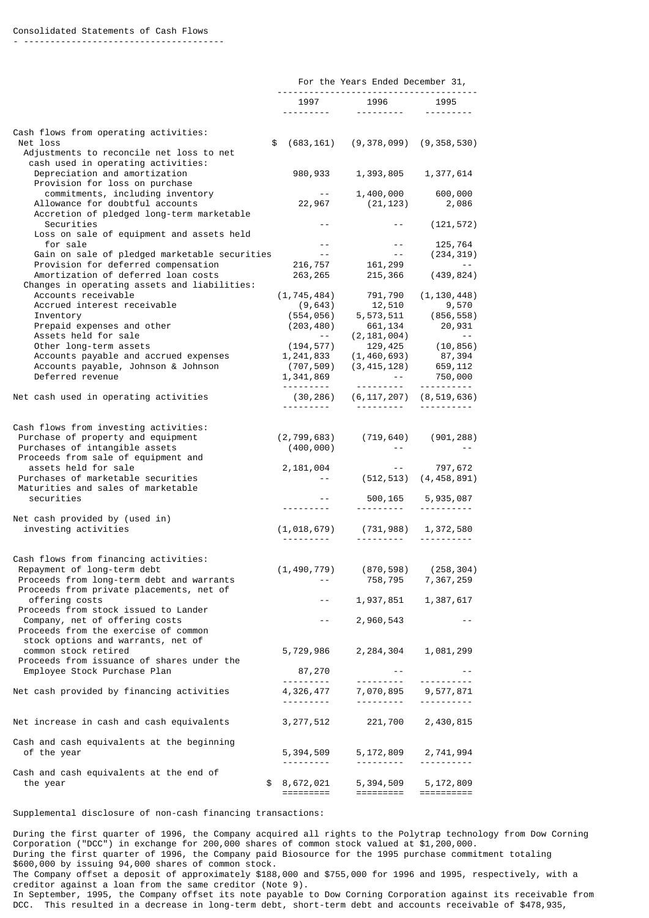- --------------------------------------

|                                                                                                                                                      | For the Years Ended December 31,                     |                                                                                                 |                                          |  |  |
|------------------------------------------------------------------------------------------------------------------------------------------------------|------------------------------------------------------|-------------------------------------------------------------------------------------------------|------------------------------------------|--|--|
|                                                                                                                                                      |                                                      | 1997 1996                                                                                       | 1995<br>1.1.1.1.1.1.1.1                  |  |  |
|                                                                                                                                                      |                                                      |                                                                                                 |                                          |  |  |
| Cash flows from operating activities:<br>Net loss<br>Adjustments to reconcile net loss to net                                                        | \$                                                   | $(683, 161)$ $(9, 378, 099)$ $(9, 358, 530)$                                                    |                                          |  |  |
| cash used in operating activities:<br>Depreciation and amortization                                                                                  |                                                      | 980, 933 1, 393, 805 1, 377, 614                                                                |                                          |  |  |
| Provision for loss on purchase<br>commitments, including inventory                                                                                   | $\alpha$ , $\alpha$ , $\alpha$ , $\alpha$ , $\alpha$ | 1,400,000 600,000                                                                               |                                          |  |  |
| Allowance for doubtful accounts<br>Accretion of pledged long-term marketable                                                                         |                                                      | 22,967 (21,123) 2,086                                                                           |                                          |  |  |
| Securities<br>Loss on sale of equipment and assets held                                                                                              |                                                      |                                                                                                 | $-$ (121,572)                            |  |  |
| for sale<br>Gain on sale of pledged marketable securities                                                                                            | $\omega_{\rm{eff}}=0.01$<br>$\sim 10^{-11}$          | $\sim 10^{-11}$                                                                                 | $-25,764$<br>(234, 319)                  |  |  |
| Provision for deferred compensation                                                                                                                  |                                                      | 216, 757 161, 299                                                                               | $\sim$ $ -$                              |  |  |
| Amortization of deferred loan costs<br>Changes in operating assets and liabilities:                                                                  |                                                      | 263, 265 215, 366                                                                               | (439, 824)                               |  |  |
| Accounts receivable                                                                                                                                  |                                                      | $(1, 745, 484)$ $791, 790$ $(1, 130, 448)$<br>$(9, 643)$ $12, 510$ $9, 570$                     |                                          |  |  |
| Accrued interest receivable<br>Inventory                                                                                                             | (554, 056)                                           | 12,510                                                                                          | 9,570<br>5,573,511 (856,558)             |  |  |
| Prepaid expenses and other                                                                                                                           | (203, 480)                                           | $5,5/3,3/4$<br>$661,134$<br>$(2,181,004)$<br>$(20,35)$<br>$(10,856)$<br>$(10,856)$<br>$(7,294)$ |                                          |  |  |
| Assets held for sale                                                                                                                                 | <b>Service State</b>                                 |                                                                                                 |                                          |  |  |
| Other long-term assets<br>Accounts payable and accrued expenses                                                                                      | (194,577)<br>1, 241, 833                             | (1, 460, 693)                                                                                   | 87,394                                   |  |  |
| Accounts payable, Johnson & Johnson                                                                                                                  | (707,509)                                            | $(3, 415, 128)$ 659, 112                                                                        |                                          |  |  |
| Deferred revenue                                                                                                                                     | 1,341,869                                            | and the state of                                                                                | 750,000                                  |  |  |
| Net cash used in operating activities                                                                                                                |                                                      | $(30, 286)$ $(6, 117, 207)$ $(8, 519, 636)$                                                     |                                          |  |  |
|                                                                                                                                                      |                                                      |                                                                                                 |                                          |  |  |
| Cash flows from investing activities:<br>Purchase of property and equipment<br>Purchases of intangible assets<br>Proceeds from sale of equipment and | (400,000)                                            | $(2, 799, 683)$ $(719, 640)$ $(901, 288)$                                                       |                                          |  |  |
| assets held for sale<br>Purchases of marketable securities<br>Maturities and sales of marketable                                                     | 2,181,004                                            | $-$ (512, 513) $(4, 458, 891)$                                                                  | $- -$ 797,672                            |  |  |
| securities                                                                                                                                           |                                                      |                                                                                                 | 500, 165 5, 935, 087                     |  |  |
|                                                                                                                                                      |                                                      | <u>.</u>                                                                                        |                                          |  |  |
| Net cash provided by (used in)<br>investing activities                                                                                               |                                                      | $(1, 018, 679)$ $(731, 988)$ $1, 372, 580$                                                      |                                          |  |  |
|                                                                                                                                                      |                                                      |                                                                                                 | <u> - - - - - - - - -</u>                |  |  |
| Cash flows from financing activities:                                                                                                                |                                                      |                                                                                                 |                                          |  |  |
| Repayment of long-term debt<br>Proceeds from long-term debt and warrants<br>Proceeds from private placements, net of                                 | (1, 490, 779)<br>$ -$                                | (870,598)<br>758,795                                                                            | (258,304)<br>7,367,259                   |  |  |
| offering costs<br>Proceeds from stock issued to Lander                                                                                               | $- -$                                                | 1,937,851                                                                                       | 1,387,617                                |  |  |
| Company, net of offering costs<br>Proceeds from the exercise of common                                                                               | $ -$                                                 | 2,960,543                                                                                       | $- -$                                    |  |  |
| stock options and warrants, net of<br>common stock retired                                                                                           | 5,729,986                                            | 2, 284, 304                                                                                     | 1,081,299                                |  |  |
| Proceeds from issuance of shares under the<br>Employee Stock Purchase Plan                                                                           | 87,270                                               | $\sim$ $-$                                                                                      | $- -$                                    |  |  |
|                                                                                                                                                      | <u>.</u>                                             | <u>.</u> .                                                                                      | ----------                               |  |  |
| Net cash provided by financing activities                                                                                                            | 4,326,477<br><u>.</u>                                | 7,070,895<br><u>.</u> .                                                                         | 9,577,871<br><u> - - - - - - - - - -</u> |  |  |
| Net increase in cash and cash equivalents                                                                                                            | 3, 277, 512                                          | 221,700                                                                                         | 2,430,815                                |  |  |
| Cash and cash equivalents at the beginning                                                                                                           |                                                      |                                                                                                 |                                          |  |  |
| of the year                                                                                                                                          | 5,394,509                                            |                                                                                                 | 5, 172, 809 2, 741, 994                  |  |  |
| Cash and cash equivalents at the end of                                                                                                              | ---------                                            | ----------                                                                                      | <u> - - - - - - - - -</u>                |  |  |
| the year<br>\$                                                                                                                                       | 8,672,021<br>=========                               | 5,394,509<br>=========                                                                          | 5,172,809<br>==========                  |  |  |

Supplemental disclosure of non-cash financing transactions:

During the first quarter of 1996, the Company acquired all rights to the Polytrap technology from Dow Corning Corporation ("DCC") in exchange for 200,000 shares of common stock valued at \$1,200,000. During the first quarter of 1996, the Company paid Biosource for the 1995 purchase commitment totaling \$600,000 by issuing 94,000 shares of common stock. The Company offset a deposit of approximately \$188,000 and \$755,000 for 1996 and 1995, respectively, with a creditor against a loan from the same creditor (Note 9). In September, 1995, the Company offset its note payable to Dow Corning Corporation against its receivable from DCC. This resulted in a decrease in long-term debt, short-term debt and accounts receivable of \$478,935,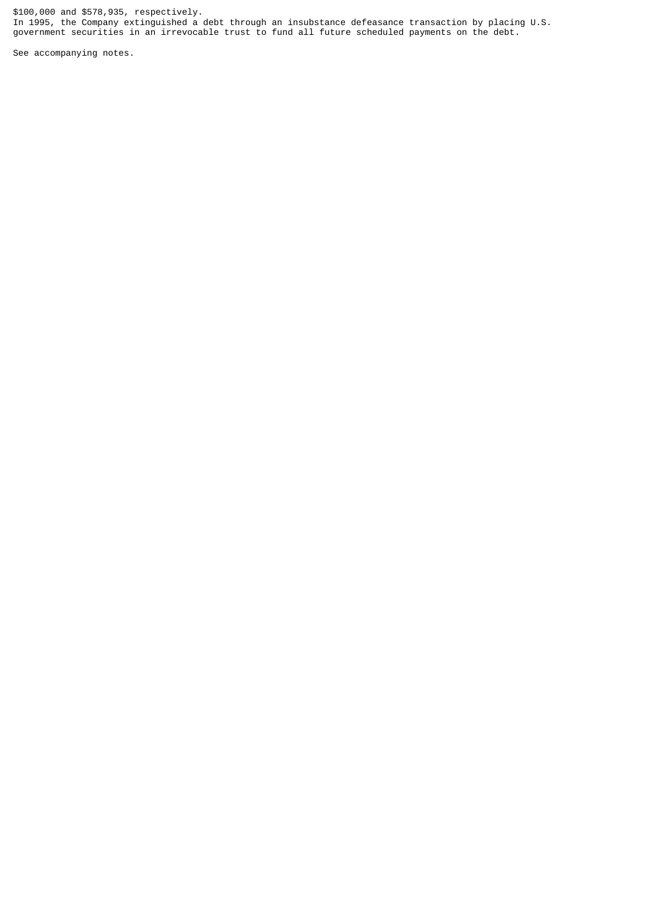\$100,000 and \$578,935, respectively. In 1995, the Company extinguished a debt through an insubstance defeasance transaction by placing U.S. government securities in an irrevocable trust to fund all future scheduled payments on the debt.

See accompanying notes.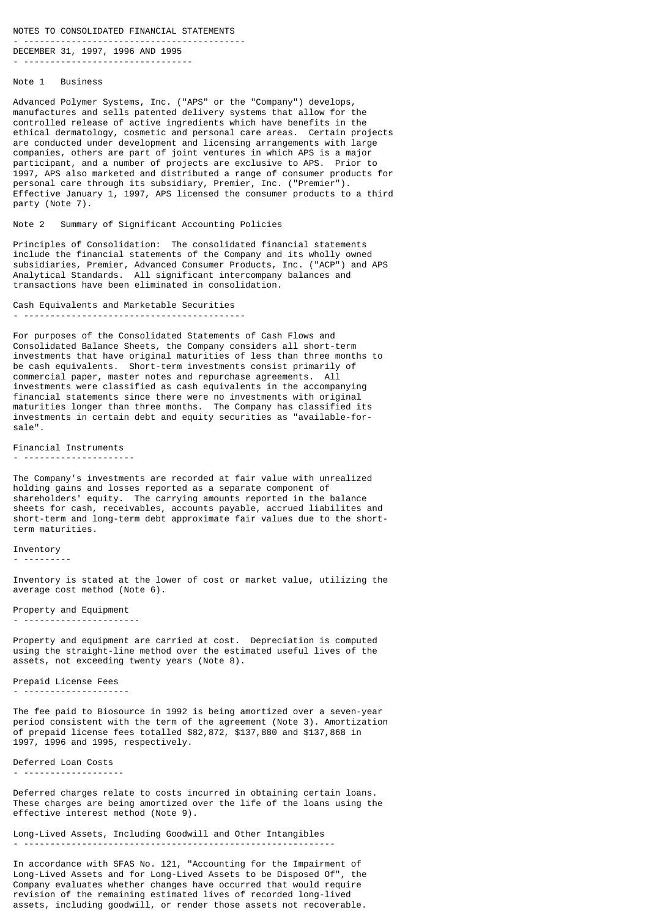NOTES TO CONSOLIDATED FINANCIAL STATEMENTS

- ------------------------------------------ DECEMBER 31, 1997, 1996 AND 1995

- --------------------------------

## Note 1 Business

Advanced Polymer Systems, Inc. ("APS" or the "Company") develops, manufactures and sells patented delivery systems that allow for the controlled release of active ingredients which have benefits in the ethical dermatology, cosmetic and personal care areas. Certain projects are conducted under development and licensing arrangements with large companies, others are part of joint ventures in which APS is a major participant, and a number of projects are exclusive to APS. Prior to 1997, APS also marketed and distributed a range of consumer products for personal care through its subsidiary, Premier, Inc. ("Premier"). Effective January 1, 1997, APS licensed the consumer products to a third party (Note 7).

Note 2 Summary of Significant Accounting Policies

Principles of Consolidation: The consolidated financial statements include the financial statements of the Company and its wholly owned subsidiaries, Premier, Advanced Consumer Products, Inc. ("ACP") and APS Analytical Standards. All significant intercompany balances and transactions have been eliminated in consolidation.

Cash Equivalents and Marketable Securities - ------------------------------------------

For purposes of the Consolidated Statements of Cash Flows and Consolidated Balance Sheets, the Company considers all short-term investments that have original maturities of less than three months to be cash equivalents. Short-term investments consist primarily of commercial paper, master notes and repurchase agreements. All investments were classified as cash equivalents in the accompanying financial statements since there were no investments with original maturities longer than three months. The Company has classified its investments in certain debt and equity securities as "available-forsale".

Financial Instruments

- ---------------------

The Company's investments are recorded at fair value with unrealized holding gains and losses reported as a separate component of shareholders' equity. The carrying amounts reported in the balance sheets for cash, receivables, accounts payable, accrued liabilites and short-term and long-term debt approximate fair values due to the shortterm maturities.

**Tnventory** 

- ---------

Inventory is stated at the lower of cost or market value, utilizing the average cost method (Note 6).

Property and Equipment - ----------------------

Property and equipment are carried at cost. Depreciation is computed using the straight-line method over the estimated useful lives of the assets, not exceeding twenty years (Note 8).

Prepaid License Fees

- --------------------

The fee paid to Biosource in 1992 is being amortized over a seven-year period consistent with the term of the agreement (Note 3). Amortization of prepaid license fees totalled \$82,872, \$137,880 and \$137,868 in 1997, 1996 and 1995, respectively.

Deferred Loan Costs - -------------------

Deferred charges relate to costs incurred in obtaining certain loans. These charges are being amortized over the life of the loans using the effective interest method (Note 9).

Long-Lived Assets, Including Goodwill and Other Intangibles - -----------------------------------------------------------

In accordance with SFAS No. 121, "Accounting for the Impairment of Long-Lived Assets and for Long-Lived Assets to be Disposed Of", the Company evaluates whether changes have occurred that would require revision of the remaining estimated lives of recorded long-lived assets, including goodwill, or render those assets not recoverable.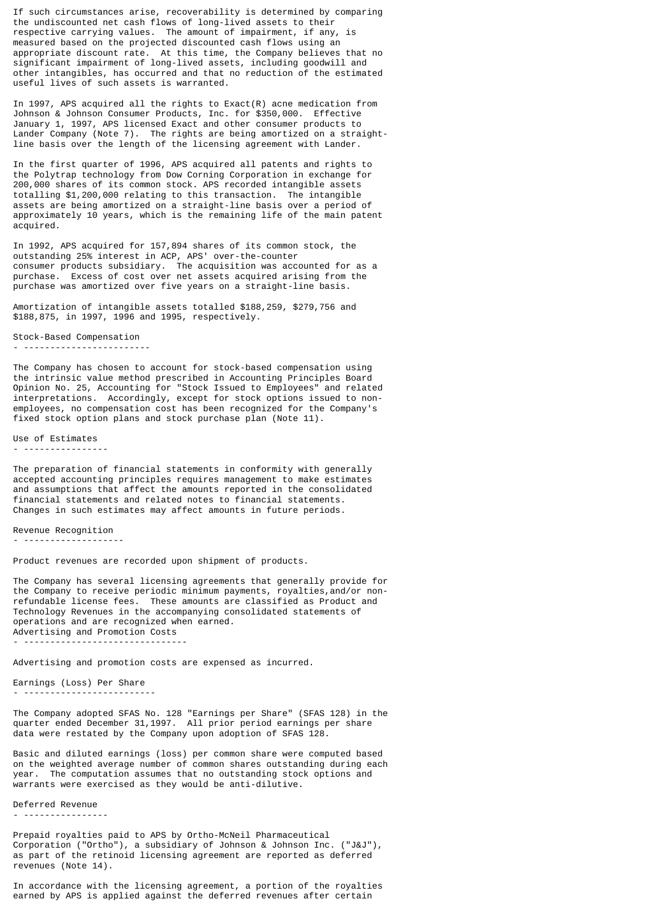If such circumstances arise, recoverability is determined by comparing the undiscounted net cash flows of long-lived assets to their respective carrying values. The amount of impairment, if any, is measured based on the projected discounted cash flows using an appropriate discount rate. At this time, the Company believes that no significant impairment of long-lived assets, including goodwill and other intangibles, has occurred and that no reduction of the estimated useful lives of such assets is warranted.

In 1997, APS acquired all the rights to Exact(R) acne medication from Johnson & Johnson Consumer Products, Inc. for \$350,000. Effective January 1, 1997, APS licensed Exact and other consumer products to Lander Company (Note 7). The rights are being amortized on a straightline basis over the length of the licensing agreement with Lander.

In the first quarter of 1996, APS acquired all patents and rights to the Polytrap technology from Dow Corning Corporation in exchange for 200,000 shares of its common stock. APS recorded intangible assets totalling \$1,200,000 relating to this transaction. The intangible assets are being amortized on a straight-line basis over a period of approximately 10 years, which is the remaining life of the main patent acquired.

In 1992, APS acquired for 157,894 shares of its common stock, the outstanding 25% interest in ACP, APS' over-the-counter consumer products subsidiary. The acquisition was accounted for as a purchase. Excess of cost over net assets acquired arising from the purchase was amortized over five years on a straight-line basis.

Amortization of intangible assets totalled \$188,259, \$279,756 and \$188,875, in 1997, 1996 and 1995, respectively.

Stock-Based Compensation - ------------------------

The Company has chosen to account for stock-based compensation using the intrinsic value method prescribed in Accounting Principles Board Opinion No. 25, Accounting for "Stock Issued to Employees" and related interpretations. Accordingly, except for stock options issued to nonemployees, no compensation cost has been recognized for the Company's fixed stock option plans and stock purchase plan (Note 11).

#### Use of Estimates - ----------------

The preparation of financial statements in conformity with generally accepted accounting principles requires management to make estimates and assumptions that affect the amounts reported in the consolidated financial statements and related notes to financial statements. Changes in such estimates may affect amounts in future periods.

Revenue Recognition

- -------------------

Product revenues are recorded upon shipment of products.

The Company has several licensing agreements that generally provide for the Company to receive periodic minimum payments, royalties,and/or nonrefundable license fees. These amounts are classified as Product and Technology Revenues in the accompanying consolidated statements of operations and are recognized when earned. Advertising and Promotion Costs

- -------------------------------

Advertising and promotion costs are expensed as incurred.

Earnings (Loss) Per Share - -------------------------

The Company adopted SFAS No. 128 "Earnings per Share" (SFAS 128) in the quarter ended December 31,1997. All prior period earnings per share data were restated by the Company upon adoption of SFAS 128.

Basic and diluted earnings (loss) per common share were computed based on the weighted average number of common shares outstanding during each year. The computation assumes that no outstanding stock options and warrants were exercised as they would be anti-dilutive.

Deferred Revenue - ----------------

Prepaid royalties paid to APS by Ortho-McNeil Pharmaceutical Corporation ("Ortho"), a subsidiary of Johnson & Johnson Inc. ("J&J"), as part of the retinoid licensing agreement are reported as deferred revenues (Note 14).

In accordance with the licensing agreement, a portion of the royalties earned by APS is applied against the deferred revenues after certain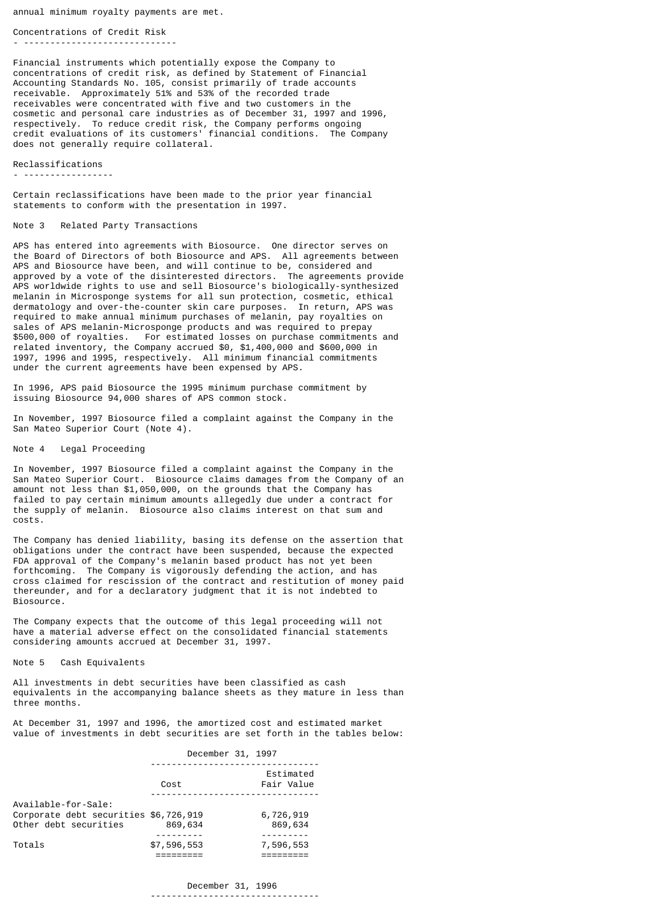annual minimum royalty payments are met.

Concentrations of Credit Risk - -----------------------------

Financial instruments which potentially expose the Company to concentrations of credit risk, as defined by Statement of Financial Accounting Standards No. 105, consist primarily of trade accounts receivable. Approximately 51% and 53% of the recorded trade receivables were concentrated with five and two customers in the cosmetic and personal care industries as of December 31, 1997 and 1996, respectively. To reduce credit risk, the Company performs ongoing credit evaluations of its customers' financial conditions. The Company does not generally require collateral.

Reclassifications

- -----------------

Certain reclassifications have been made to the prior year financial statements to conform with the presentation in 1997.

## Note 3 Related Party Transactions

APS has entered into agreements with Biosource. One director serves on the Board of Directors of both Biosource and APS. All agreements between APS and Biosource have been, and will continue to be, considered and approved by a vote of the disinterested directors. The agreements provide APS worldwide rights to use and sell Biosource's biologically-synthesized melanin in Microsponge systems for all sun protection, cosmetic, ethical dermatology and over-the-counter skin care purposes. In return, APS was required to make annual minimum purchases of melanin, pay royalties on sales of APS melanin-Microsponge products and was required to prepay \$500,000 of royalties. For estimated losses on purchase commitments and related inventory, the Company accrued \$0, \$1,400,000 and \$600,000 in 1997, 1996 and 1995, respectively. All minimum financial commitments under the current agreements have been expensed by APS.

In 1996, APS paid Biosource the 1995 minimum purchase commitment by issuing Biosource 94,000 shares of APS common stock.

In November, 1997 Biosource filed a complaint against the Company in the San Mateo Superior Court (Note 4).

#### Note 4 Legal Proceeding

In November, 1997 Biosource filed a complaint against the Company in the San Mateo Superior Court. Biosource claims damages from the Company of an amount not less than \$1,050,000, on the grounds that the Company has failed to pay certain minimum amounts allegedly due under a contract for the supply of melanin. Biosource also claims interest on that sum and costs.

The Company has denied liability, basing its defense on the assertion that obligations under the contract have been suspended, because the expected FDA approval of the Company's melanin based product has not yet been forthcoming. The Company is vigorously defending the action, and has cross claimed for rescission of the contract and restitution of money paid thereunder, and for a declaratory judgment that it is not indebted to Biosource.

The Company expects that the outcome of this legal proceeding will not have a material adverse effect on the consolidated financial statements considering amounts accrued at December 31, 1997.

## Note 5 Cash Equivalents

All investments in debt securities have been classified as cash equivalents in the accompanying balance sheets as they mature in less than three months.

At December 31, 1997 and 1996, the amortized cost and estimated market value of investments in debt securities are set forth in the tables below:

|                                                                                       | December 31, 1997 |                         |
|---------------------------------------------------------------------------------------|-------------------|-------------------------|
|                                                                                       | Cost              | Estimated<br>Fair Value |
| Available-for-Sale:<br>Corporate debt securities \$6,726,919<br>Other debt securities | 869,634           | 6,726,919<br>869,634    |
| Totals                                                                                | \$7,596,553       | 7,596,553               |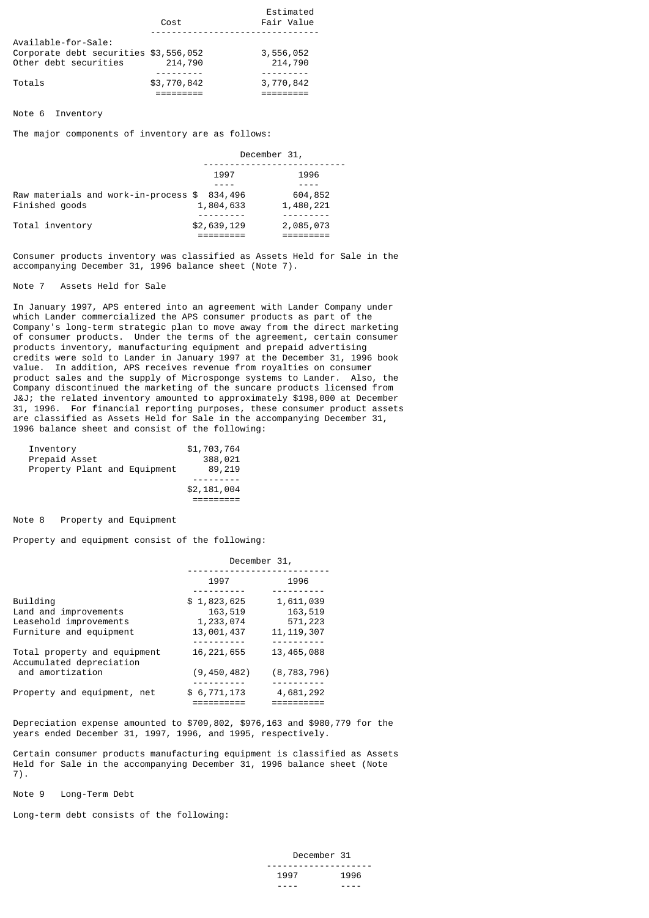|                                                                                       | Cost        | Estimated<br>Fair Value |
|---------------------------------------------------------------------------------------|-------------|-------------------------|
| Available-for-Sale:<br>Corporate debt securities \$3,556,052<br>Other debt securities | 214,790     | 3,556,052<br>214,790    |
| Totals                                                                                | \$3,770,842 | 3,770,842               |

## Note 6 Inventory

The major components of inventory are as follows:

|                                      | December 31, |           |
|--------------------------------------|--------------|-----------|
|                                      | 1997         | 1996      |
|                                      |              |           |
| Raw materials and work-in-process \$ | 834,496      | 604,852   |
| Finished goods                       | 1,804,633    | 1,480,221 |
|                                      |              |           |
| Total inventory                      | \$2,639,129  | 2,085,073 |
|                                      |              |           |

Consumer products inventory was classified as Assets Held for Sale in the accompanying December 31, 1996 balance sheet (Note 7).

Note 7 Assets Held for Sale

In January 1997, APS entered into an agreement with Lander Company under which Lander commercialized the APS consumer products as part of the Company's long-term strategic plan to move away from the direct marketing of consumer products. Under the terms of the agreement, certain consumer products inventory, manufacturing equipment and prepaid advertising credits were sold to Lander in January 1997 at the December 31, 1996 book value. In addition, APS receives revenue from royalties on consumer product sales and the supply of Microsponge systems to Lander. Also, the Company discontinued the marketing of the suncare products licensed from J&J; the related inventory amounted to approximately \$198,000 at December 31, 1996. For financial reporting purposes, these consumer product assets are classified as Assets Held for Sale in the accompanying December 31, 1996 balance sheet and consist of the following:

| Inventory<br>Prepaid Asset<br>Property Plant and Equipment | \$1,703,764<br>388,021<br>89,219 |
|------------------------------------------------------------|----------------------------------|
|                                                            | \$2,181,004                      |

Note 8 Property and Equipment

Property and equipment consist of the following:

|                                                          | December 31,            |                                              |
|----------------------------------------------------------|-------------------------|----------------------------------------------|
|                                                          | 1997                    | 1996                                         |
| Building<br>Land and improvements                        | \$1,823,625<br>163,519  | 1,611,039<br>163,519                         |
| Leasehold improvements<br>Furniture and equipment        | 1,233,074<br>13,001,437 | 571,223<br>11, 119, 307<br>- - - - - - - - - |
| Total property and equipment<br>Accumulated depreciation | 16, 221, 655            | 13,465,088                                   |
| and amortization                                         | (9, 450, 482)           | (8, 783, 796)                                |
| Property and equipment, net                              | \$6,771,173             | 4,681,292                                    |

Depreciation expense amounted to \$709,802, \$976,163 and \$980,779 for the years ended December 31, 1997, 1996, and 1995, respectively.

Certain consumer products manufacturing equipment is classified as Assets Held for Sale in the accompanying December 31, 1996 balance sheet (Note 7).

Note 9 Long-Term Debt

Long-term debt consists of the following:

| December 31 |      |
|-------------|------|
|             |      |
| 1997        | 1996 |
| ----        | ---- |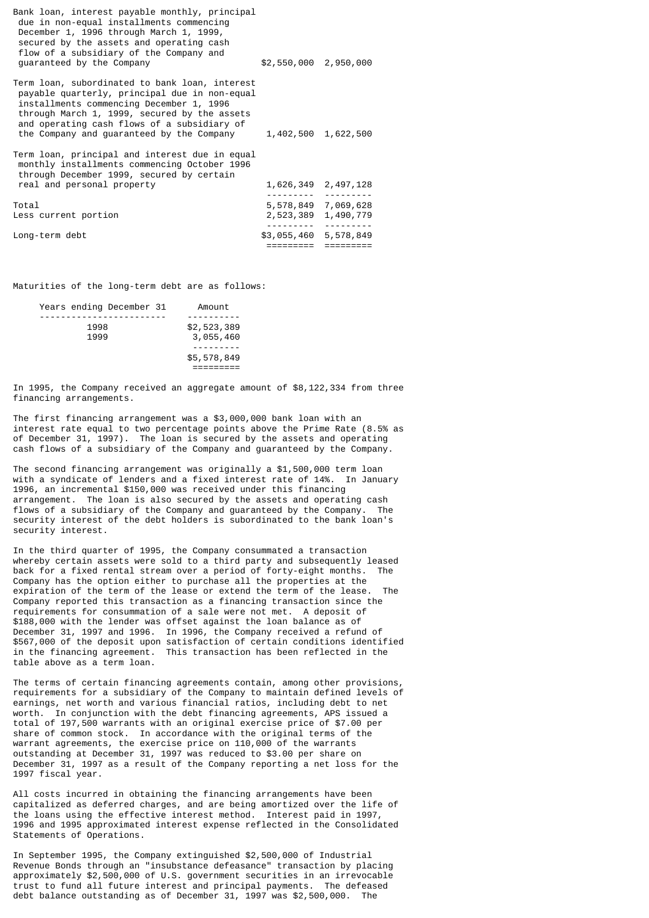| Bank loan, interest payable monthly, principal<br>due in non-equal installments commencing<br>December 1, 1996 through March 1, 1999,<br>secured by the assets and operating cash<br>flow of a subsidiary of the Company and<br>quaranteed by the Company                               | \$2,550,000 2,950,000                      |  |
|-----------------------------------------------------------------------------------------------------------------------------------------------------------------------------------------------------------------------------------------------------------------------------------------|--------------------------------------------|--|
| Term loan, subordinated to bank loan, interest<br>payable quarterly, principal due in non-equal<br>installments commencing December 1, 1996<br>through March 1, 1999, secured by the assets<br>and operating cash flows of a subsidiary of<br>the Company and guaranteed by the Company | 1,402,500 1,622,500                        |  |
| Term loan, principal and interest due in equal<br>monthly installments commencing October 1996<br>through December 1999, secured by certain                                                                                                                                             |                                            |  |
| real and personal property                                                                                                                                                                                                                                                              | 1,626,349 2,497,128                        |  |
| Total<br>Less current portion                                                                                                                                                                                                                                                           | 5,578,849 7,069,628<br>2,523,389 1,490,779 |  |
| Long-term debt                                                                                                                                                                                                                                                                          | \$3,055,460 5,578,849<br>=========         |  |
|                                                                                                                                                                                                                                                                                         |                                            |  |

Maturities of the long-term debt are as follows:

|  |      | Years ending December 31 | Amount      |  |
|--|------|--------------------------|-------------|--|
|  |      |                          |             |  |
|  | 1998 |                          | \$2,523,389 |  |
|  | 1999 |                          | 3,055,460   |  |
|  |      |                          |             |  |
|  |      |                          | \$5,578,849 |  |
|  |      |                          |             |  |
|  |      |                          |             |  |

In 1995, the Company received an aggregate amount of \$8,122,334 from three financing arrangements.

The first financing arrangement was a \$3,000,000 bank loan with an interest rate equal to two percentage points above the Prime Rate (8.5% as of December 31, 1997). The loan is secured by the assets and operating cash flows of a subsidiary of the Company and guaranteed by the Company.

The second financing arrangement was originally a \$1,500,000 term loan with a syndicate of lenders and a fixed interest rate of 14%. In January 1996, an incremental \$150,000 was received under this financing arrangement. The loan is also secured by the assets and operating cash flows of a subsidiary of the Company and guaranteed by the Company. The security interest of the debt holders is subordinated to the bank loan's security interest.

In the third quarter of 1995, the Company consummated a transaction whereby certain assets were sold to a third party and subsequently leased back for a fixed rental stream over a period of forty-eight months. The Company has the option either to purchase all the properties at the expiration of the term of the lease or extend the term of the lease. The Company reported this transaction as a financing transaction since the requirements for consummation of a sale were not met. A deposit of \$188,000 with the lender was offset against the loan balance as of December 31, 1997 and 1996. In 1996, the Company received a refund of \$567,000 of the deposit upon satisfaction of certain conditions identified in the financing agreement. This transaction has been reflected in the table above as a term loan.

The terms of certain financing agreements contain, among other provisions, requirements for a subsidiary of the Company to maintain defined levels of earnings, net worth and various financial ratios, including debt to net worth. In conjunction with the debt financing agreements, APS issued a total of 197,500 warrants with an original exercise price of \$7.00 per share of common stock. In accordance with the original terms of the warrant agreements, the exercise price on 110,000 of the warrants outstanding at December 31, 1997 was reduced to \$3.00 per share on December 31, 1997 as a result of the Company reporting a net loss for the 1997 fiscal year.

All costs incurred in obtaining the financing arrangements have been capitalized as deferred charges, and are being amortized over the life of the loans using the effective interest method. Interest paid in 1997, 1996 and 1995 approximated interest expense reflected in the Consolidated Statements of Operations.

In September 1995, the Company extinguished \$2,500,000 of Industrial Revenue Bonds through an "insubstance defeasance" transaction by placing approximately \$2,500,000 of U.S. government securities in an irrevocable trust to fund all future interest and principal payments. The defeased debt balance outstanding as of December 31, 1997 was \$2,500,000. The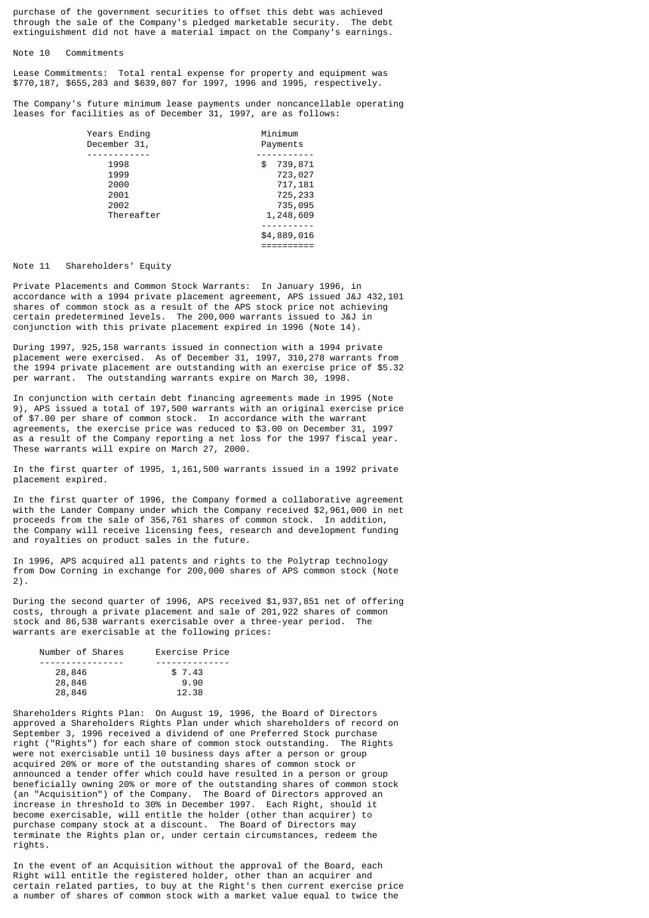purchase of the government securities to offset this debt was achieved through the sale of the Company's pledged marketable security. The debt extinguishment did not have a material impact on the Company's earnings.

Note 10 Commitments

Lease Commitments: Total rental expense for property and equipment was \$770,187, \$655,283 and \$639,807 for 1997, 1996 and 1995, respectively.

The Company's future minimum lease payments under noncancellable operating leases for facilities as of December 31, 1997, are as follows:

| Years Ending<br>December 31, | Minimum<br>Payments |
|------------------------------|---------------------|
|                              |                     |
| 1998                         | 739,871<br>\$       |
| 1999                         | 723,027             |
| 2000                         | 717,181             |
| 2001                         | 725,233             |
| 2002                         | 735,095             |
| Thereafter                   | 1,248,609           |
|                              |                     |
|                              | \$4,889,016         |
|                              |                     |

## Note 11 Shareholders' Equity

Private Placements and Common Stock Warrants: In January 1996, in accordance with a 1994 private placement agreement, APS issued J&J 432,101 shares of common stock as a result of the APS stock price not achieving certain predetermined levels. The 200,000 warrants issued to J&J in conjunction with this private placement expired in 1996 (Note 14).

During 1997, 925,158 warrants issued in connection with a 1994 private placement were exercised. As of December 31, 1997, 310,278 warrants from the 1994 private placement are outstanding with an exercise price of \$5.32 per warrant. The outstanding warrants expire on March 30, 1998.

In conjunction with certain debt financing agreements made in 1995 (Note 9), APS issued a total of 197,500 warrants with an original exercise price of \$7.00 per share of common stock. In accordance with the warrant agreements, the exercise price was reduced to \$3.00 on December 31, 1997 as a result of the Company reporting a net loss for the 1997 fiscal year. These warrants will expire on March 27, 2000.

In the first quarter of 1995, 1,161,500 warrants issued in a 1992 private placement expired.

In the first quarter of 1996, the Company formed a collaborative agreement with the Lander Company under which the Company received \$2,961,000 in net proceeds from the sale of 356,761 shares of common stock. In addition, the Company will receive licensing fees, research and development funding and royalties on product sales in the future.

In 1996, APS acquired all patents and rights to the Polytrap technology from Dow Corning in exchange for 200,000 shares of APS common stock (Note 2).

During the second quarter of 1996, APS received \$1,937,851 net of offering costs, through a private placement and sale of 201,922 shares of common stock and 86,538 warrants exercisable over a three-year period. The warrants are exercisable at the following prices:

| Exercise Price |
|----------------|
|                |
| \$7.43         |
| 9.90           |
| 12.38          |
|                |

Shareholders Rights Plan: On August 19, 1996, the Board of Directors approved a Shareholders Rights Plan under which shareholders of record on September 3, 1996 received a dividend of one Preferred Stock purchase right ("Rights") for each share of common stock outstanding. The Rights were not exercisable until 10 business days after a person or group acquired 20% or more of the outstanding shares of common stock or announced a tender offer which could have resulted in a person or group beneficially owning 20% or more of the outstanding shares of common stock (an "Acquisition") of the Company. The Board of Directors approved an increase in threshold to 30% in December 1997. Each Right, should it become exercisable, will entitle the holder (other than acquirer) to purchase company stock at a discount. The Board of Directors may terminate the Rights plan or, under certain circumstances, redeem the rights.

In the event of an Acquisition without the approval of the Board, each Right will entitle the registered holder, other than an acquirer and certain related parties, to buy at the Right's then current exercise price a number of shares of common stock with a market value equal to twice the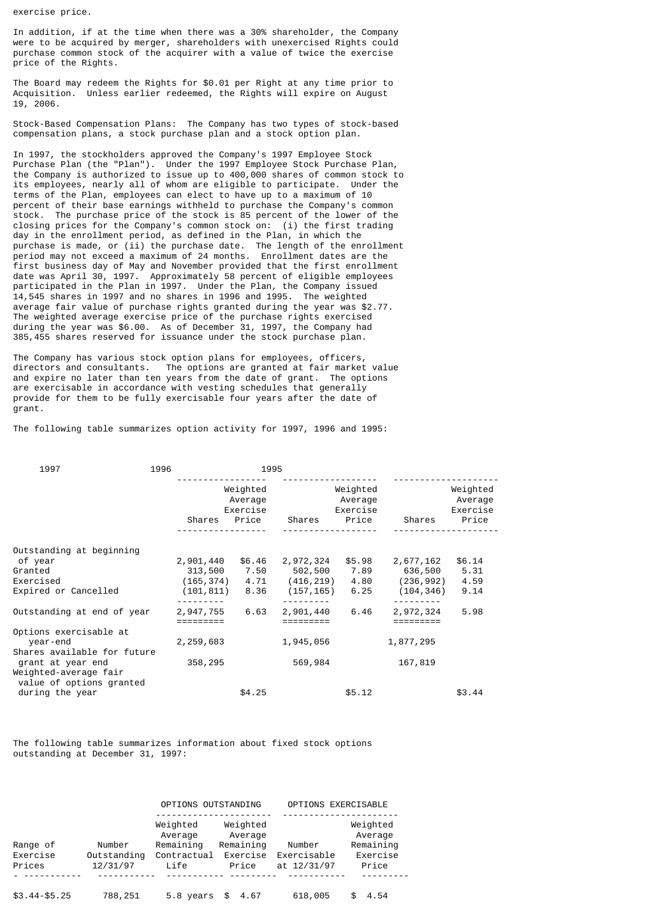exercise price.

In addition, if at the time when there was a 30% shareholder, the Company were to be acquired by merger, shareholders with unexercised Rights could purchase common stock of the acquirer with a value of twice the exercise price of the Rights.

The Board may redeem the Rights for \$0.01 per Right at any time prior to Acquisition. Unless earlier redeemed, the Rights will expire on August 19, 2006.

Stock-Based Compensation Plans: The Company has two types of stock-based compensation plans, a stock purchase plan and a stock option plan.

In 1997, the stockholders approved the Company's 1997 Employee Stock Purchase Plan (the "Plan"). Under the 1997 Employee Stock Purchase Plan, the Company is authorized to issue up to 400,000 shares of common stock to its employees, nearly all of whom are eligible to participate. Under the terms of the Plan, employees can elect to have up to a maximum of 10 percent of their base earnings withheld to purchase the Company's common stock. The purchase price of the stock is 85 percent of the lower of the closing prices for the Company's common stock on: (i) the first trading day in the enrollment period, as defined in the Plan, in which the purchase is made, or (ii) the purchase date. The length of the enrollment period may not exceed a maximum of 24 months. Enrollment dates are the first business day of May and November provided that the first enrollment date was April 30, 1997. Approximately 58 percent of eligible employees participated in the Plan in 1997. Under the Plan, the Company issued 14,545 shares in 1997 and no shares in 1996 and 1995. The weighted average fair value of purchase rights granted during the year was \$2.77. The weighted average exercise price of the purchase rights exercised during the year was \$6.00. As of December 31, 1997, the Company had 385,455 shares reserved for issuance under the stock purchase plan.

The Company has various stock option plans for employees, officers, directors and consultants. The options are granted at fair market value and expire no later than ten years from the date of grant. The options are exercisable in accordance with vesting schedules that generally provide for them to be fully exercisable four years after the date of grant.

The following table summarizes option activity for 1997, 1996 and 1995:

| 1997                                        | 1996 |           | 1995                                     |           |                                          |            |                                          |
|---------------------------------------------|------|-----------|------------------------------------------|-----------|------------------------------------------|------------|------------------------------------------|
|                                             |      | Shares    | Weighted<br>Average<br>Exercise<br>Price | Shares    | Weighted<br>Average<br>Exercise<br>Price | Shares     | Weighted<br>Average<br>Exercise<br>Price |
|                                             |      |           |                                          |           |                                          |            |                                          |
| Outstanding at beginning                    |      |           |                                          |           |                                          |            |                                          |
| of year                                     |      | 2,901,440 | \$6.46                                   | 2,972,324 | \$5.98                                   | 2,677,162  | \$6.14                                   |
| Granted                                     |      | 313,500   | 7.50                                     | 502,500   | 7.89                                     | 636,500    | 5.31                                     |
| Exercised                                   |      | (165,374) | 4.71                                     | (416,219) | 4.80                                     | (236, 992) | 4.59                                     |
| Expired or Cancelled                        |      | (101,811) | 8.36                                     | (157,165) | 6.25                                     | (104, 346) | 9.14                                     |
| Outstanding at end of year                  |      | 2,947,755 | 6.63                                     | 2,901,440 | 6.46                                     | 2,972,324  | 5.98                                     |
| Options exercisable at                      |      |           |                                          |           |                                          |            |                                          |
| year-end                                    |      | 2,259,683 |                                          | 1,945,056 |                                          | 1,877,295  |                                          |
| Shares available for future                 |      |           |                                          |           |                                          |            |                                          |
| grant at year end<br>Weighted-average fair  |      | 358, 295  |                                          | 569,984   |                                          | 167,819    |                                          |
| value of options granted<br>during the year |      |           | \$4.25                                   |           | \$5.12                                   |            | \$3.44                                   |

The following table summarizes information about fixed stock options outstanding at December 31, 1997:

|                      |                         | OPTIONS OUTSTANDING                             |                                              | OPTIONS EXERCISABLE   |                                              |
|----------------------|-------------------------|-------------------------------------------------|----------------------------------------------|-----------------------|----------------------------------------------|
| Range of<br>Exercise | Number                  | Weighted<br>Average<br>Remaining<br>Contractual | Weighted<br>Average<br>Remaining<br>Exercise | Number<br>Exercisable | Weighted<br>Average<br>Remaining<br>Exercise |
| Prices               | Outstanding<br>12/31/97 | Life                                            | Price                                        | at 12/31/97           | Price                                        |
| $$3.44 - $5.25$      | 788,251                 | 5.8 years                                       | \$<br>4.67                                   | 618,005               | 4.54<br>\$                                   |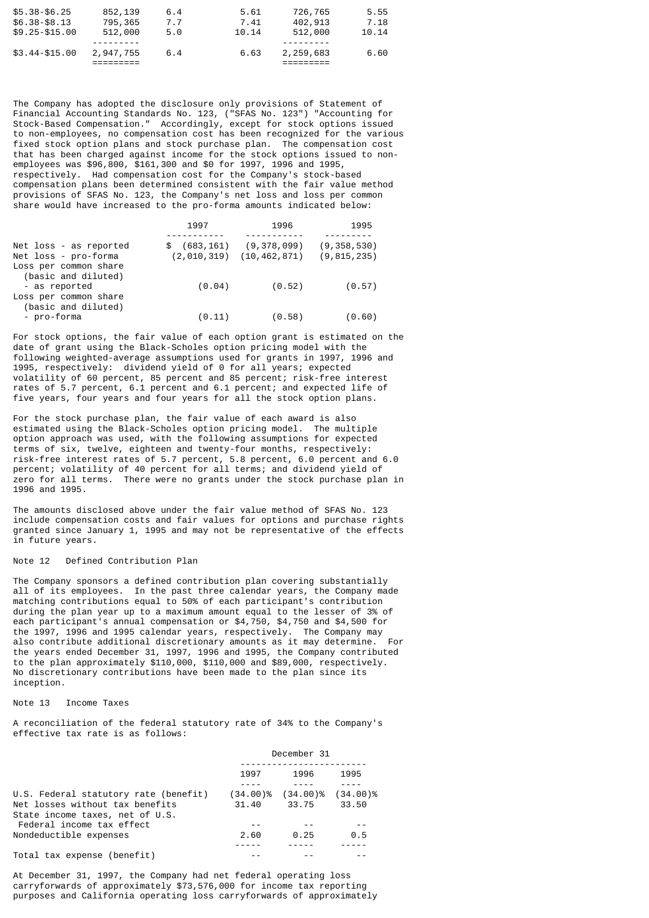| $$5.38 - $6.25$  | 852,139   | 6.4 | 5.61  | 726,765   | 5.55  |
|------------------|-----------|-----|-------|-----------|-------|
| $$6.38 - $8.13$  | 795,365   | 7.7 | 7.41  | 402,913   | 7.18  |
| $$9.25 - $15.00$ | 512,000   | 5.0 | 10.14 | 512,000   | 10.14 |
| $$3.44 - $15.00$ | 2,947,755 | 6.4 | 6.63  | 2,259,683 | 6.60  |
|                  |           |     |       |           |       |

The Company has adopted the disclosure only provisions of Statement of Financial Accounting Standards No. 123, ("SFAS No. 123") "Accounting for Stock-Based Compensation." Accordingly, except for stock options issued to non-employees, no compensation cost has been recognized for the various fixed stock option plans and stock purchase plan. The compensation cost that has been charged against income for the stock options issued to nonemployees was \$96,800, \$161,300 and \$0 for 1997, 1996 and 1995, respectively. Had compensation cost for the Company's stock-based compensation plans been determined consistent with the fair value method provisions of SFAS No. 123, the Company's net loss and loss per common share would have increased to the pro-forma amounts indicated below:

|                                                | 1997          | 1996                                        | 1995                           |
|------------------------------------------------|---------------|---------------------------------------------|--------------------------------|
|                                                |               |                                             |                                |
| Net loss - as reported<br>Net loss - pro-forma | \$ (683, 161) | (9,378,099)<br>$(2,010,319)$ $(10,462,871)$ | (9, 358, 530)<br>(9, 815, 235) |
| Loss per common share                          |               |                                             |                                |
| (basic and diluted)                            |               |                                             |                                |
| - as reported                                  | (0.04)        | (0.52)                                      | (0.57)                         |
| Loss per common share                          |               |                                             |                                |
| (basic and diluted)                            |               |                                             |                                |
| - pro-forma                                    | (0.11)        | (0.58)                                      | (0.60)                         |

For stock options, the fair value of each option grant is estimated on the date of grant using the Black-Scholes option pricing model with the following weighted-average assumptions used for grants in 1997, 1996 and 1995, respectively: dividend yield of 0 for all years; expected volatility of 60 percent, 85 percent and 85 percent; risk-free interest rates of 5.7 percent, 6.1 percent and 6.1 percent; and expected life of five years, four years and four years for all the stock option plans.

For the stock purchase plan, the fair value of each award is also estimated using the Black-Scholes option pricing model. The multiple option approach was used, with the following assumptions for expected terms of six, twelve, eighteen and twenty-four months, respectively: risk-free interest rates of 5.7 percent, 5.8 percent, 6.0 percent and 6.0 percent; volatility of 40 percent for all terms; and dividend yield of zero for all terms. There were no grants under the stock purchase plan in 1996 and 1995.

The amounts disclosed above under the fair value method of SFAS No. 123 include compensation costs and fair values for options and purchase rights granted since January 1, 1995 and may not be representative of the effects in future years.

## Note 12 Defined Contribution Plan

The Company sponsors a defined contribution plan covering substantially all of its employees. In the past three calendar years, the Company made matching contributions equal to 50% of each participant's contribution during the plan year up to a maximum amount equal to the lesser of 3% of each participant's annual compensation or \$4,750, \$4,750 and \$4,500 for the 1997, 1996 and 1995 calendar years, respectively. The Company may also contribute additional discretionary amounts as it may determine. For the years ended December 31, 1997, 1996 and 1995, the Company contributed to the plan approximately \$110,000, \$110,000 and \$89,000, respectively. No discretionary contributions have been made to the plan since its inception.

## Note 13 Income Taxes

A reconciliation of the federal statutory rate of 34% to the Company's effective tax rate is as follows:

|                                       | December 31 |             |             |
|---------------------------------------|-------------|-------------|-------------|
|                                       | 1997        | 1996        | 1995        |
|                                       |             |             |             |
| U.S. Federal statutory rate (benefit) | $(34.00)\%$ | $(34.00)\%$ | $(34.00)\%$ |
| Net losses without tax benefits       | 31.40       | 33.75       | 33.50       |
| State income taxes, net of U.S.       |             |             |             |
| Federal income tax effect             |             |             |             |
| Nondeductible expenses                | 2.60        | 0.25        | 0.5         |
|                                       |             |             |             |
| Total tax expense (benefit)           |             |             |             |

At December 31, 1997, the Company had net federal operating loss carryforwards of approximately \$73,576,000 for income tax reporting purposes and California operating loss carryforwards of approximately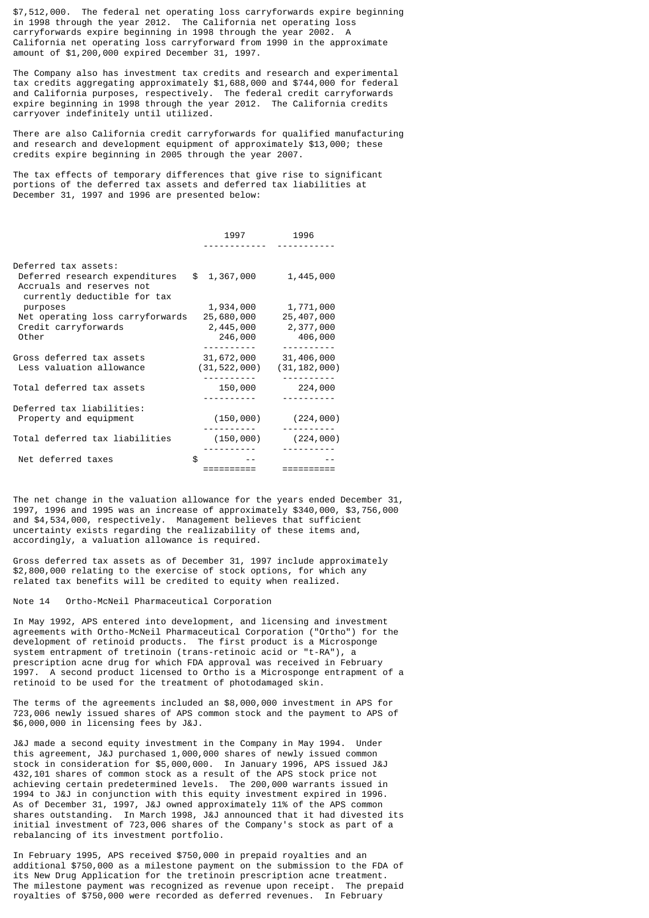\$7,512,000. The federal net operating loss carryforwards expire beginning in 1998 through the year 2012. The California net operating loss carryforwards expire beginning in 1998 through the year 2002. A California net operating loss carryforward from 1990 in the approximate amount of \$1,200,000 expired December 31, 1997.

The Company also has investment tax credits and research and experimental tax credits aggregating approximately \$1,688,000 and \$744,000 for federal and California purposes, respectively. The federal credit carryforwards expire beginning in 1998 through the year 2012. The California credits carryover indefinitely until utilized.

There are also California credit carryforwards for qualified manufacturing and research and development equipment of approximately \$13,000; these credits expire beginning in 2005 through the year 2007.

The tax effects of temporary differences that give rise to significant portions of the deferred tax assets and deferred tax liabilities at December 31, 1997 and 1996 are presented below:

|                                                           | 1997                         | 1996                         |
|-----------------------------------------------------------|------------------------------|------------------------------|
| Deferred tax assets:<br>Deferred research expenditures    | \$1,367,000                  | 1,445,000                    |
| Accruals and reserves not<br>currently deductible for tax |                              |                              |
| purposes<br>Net operating loss carryforwards              | 1,934,000<br>25,680,000      | 1,771,000<br>25,407,000      |
| Credit carryforwards<br>Other                             | 2,445,000<br>246,000         | 2,377,000<br>406,000         |
|                                                           |                              |                              |
| Gross deferred tax assets<br>Less valuation allowance     | 31,672,000<br>(31, 522, 000) | 31,406,000<br>(31, 182, 000) |
| Total deferred tax assets                                 | 150,000                      | 224,000                      |
| Deferred tax liabilities:                                 |                              |                              |
| Property and equipment                                    | (150,000)                    | (224, 000)                   |
| Total deferred tax liabilities                            | (150,000)                    | (224, 000)                   |
| Net deferred taxes                                        | \$                           |                              |
|                                                           |                              |                              |

The net change in the valuation allowance for the years ended December 31, 1997, 1996 and 1995 was an increase of approximately \$340,000, \$3,756,000 and \$4,534,000, respectively. Management believes that sufficient uncertainty exists regarding the realizability of these items and, accordingly, a valuation allowance is required.

Gross deferred tax assets as of December 31, 1997 include approximately \$2,800,000 relating to the exercise of stock options, for which any related tax benefits will be credited to equity when realized.

Note 14 Ortho-McNeil Pharmaceutical Corporation

In May 1992, APS entered into development, and licensing and investment agreements with Ortho-McNeil Pharmaceutical Corporation ("Ortho") for the development of retinoid products. The first product is a Microsponge system entrapment of tretinoin (trans-retinoic acid or "t-RA"), a prescription acne drug for which FDA approval was received in February 1997. A second product licensed to Ortho is a Microsponge entrapment of a retinoid to be used for the treatment of photodamaged skin.

The terms of the agreements included an \$8,000,000 investment in APS for 723,006 newly issued shares of APS common stock and the payment to APS of \$6,000,000 in licensing fees by J&J.

J&J made a second equity investment in the Company in May 1994. Under this agreement, J&J purchased 1,000,000 shares of newly issued common stock in consideration for \$5,000,000. In January 1996, APS issued J&J 432,101 shares of common stock as a result of the APS stock price not achieving certain predetermined levels. The 200,000 warrants issued in 1994 to J&J in conjunction with this equity investment expired in 1996. As of December 31, 1997, J&J owned approximately 11% of the APS common shares outstanding. In March 1998, J&J announced that it had divested its initial investment of 723,006 shares of the Company's stock as part of a rebalancing of its investment portfolio.

In February 1995, APS received \$750,000 in prepaid royalties and an additional \$750,000 as a milestone payment on the submission to the FDA of its New Drug Application for the tretinoin prescription acne treatment. The milestone payment was recognized as revenue upon receipt. The prepaid royalties of \$750,000 were recorded as deferred revenues. In February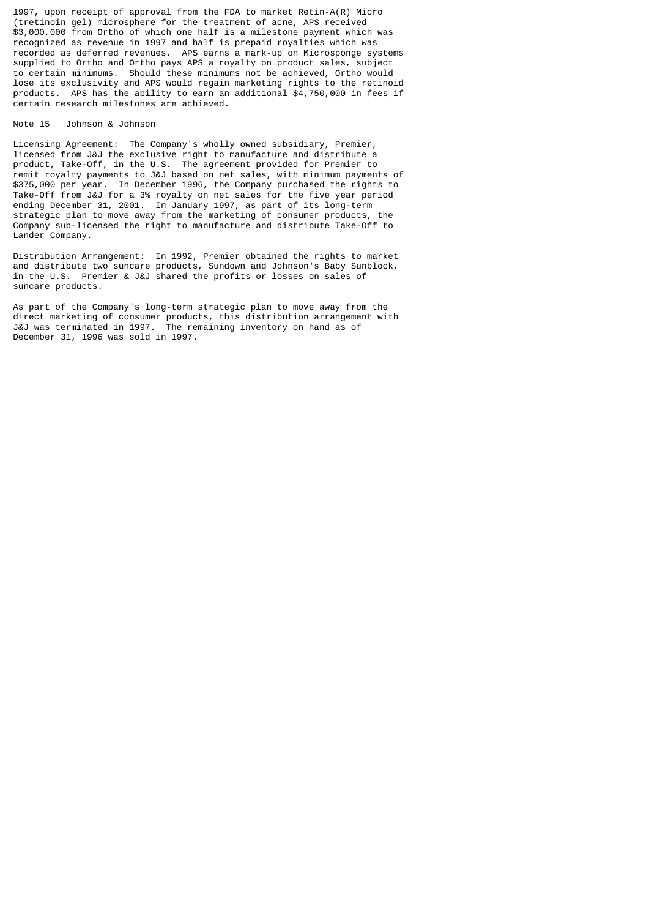1997, upon receipt of approval from the FDA to market Retin-A(R) Micro (tretinoin gel) microsphere for the treatment of acne, APS received \$3,000,000 from Ortho of which one half is a milestone payment which was recognized as revenue in 1997 and half is prepaid royalties which was recorded as deferred revenues. APS earns a mark-up on Microsponge systems supplied to Ortho and Ortho pays APS a royalty on product sales, subject to certain minimums. Should these minimums not be achieved, Ortho would lose its exclusivity and APS would regain marketing rights to the retinoid products. APS has the ability to earn an additional \$4,750,000 in fees if certain research milestones are achieved.

#### Note 15 Johnson & Johnson

Licensing Agreement: The Company's wholly owned subsidiary, Premier, licensed from J&J the exclusive right to manufacture and distribute a product, Take-Off, in the U.S. The agreement provided for Premier to remit royalty payments to J&J based on net sales, with minimum payments of \$375,000 per year. In December 1996, the Company purchased the rights to Take-Off from J&J for a 3% royalty on net sales for the five year period ending December 31, 2001. In January 1997, as part of its long-term strategic plan to move away from the marketing of consumer products, the Company sub-licensed the right to manufacture and distribute Take-Off to Lander Company.

Distribution Arrangement: In 1992, Premier obtained the rights to market and distribute two suncare products, Sundown and Johnson's Baby Sunblock, in the U.S. Premier & J&J shared the profits or losses on sales of suncare products.

As part of the Company's long-term strategic plan to move away from the direct marketing of consumer products, this distribution arrangement with J&J was terminated in 1997. The remaining inventory on hand as of December 31, 1996 was sold in 1997.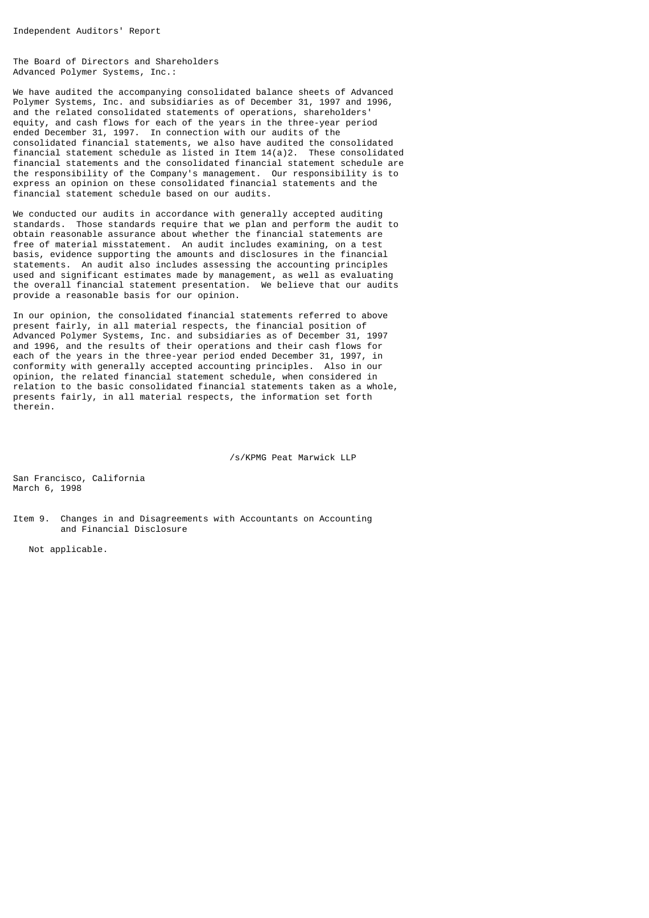The Board of Directors and Shareholders Advanced Polymer Systems, Inc.:

We have audited the accompanying consolidated balance sheets of Advanced Polymer Systems, Inc. and subsidiaries as of December 31, 1997 and 1996, and the related consolidated statements of operations, shareholders' equity, and cash flows for each of the years in the three-year period ended December 31, 1997. In connection with our audits of the consolidated financial statements, we also have audited the consolidated financial statement schedule as listed in Item  $14(a)2$ . These consolidated financial statements and the consolidated financial statement schedule are the responsibility of the Company's management. Our responsibility is to express an opinion on these consolidated financial statements and the financial statement schedule based on our audits.

We conducted our audits in accordance with generally accepted auditing standards. Those standards require that we plan and perform the audit to obtain reasonable assurance about whether the financial statements are free of material misstatement. An audit includes examining, on a test basis, evidence supporting the amounts and disclosures in the financial statements. An audit also includes assessing the accounting principles used and significant estimates made by management, as well as evaluating the overall financial statement presentation. We believe that our audits provide a reasonable basis for our opinion.

In our opinion, the consolidated financial statements referred to above present fairly, in all material respects, the financial position of Advanced Polymer Systems, Inc. and subsidiaries as of December 31, 1997 and 1996, and the results of their operations and their cash flows for each of the years in the three-year period ended December 31, 1997, in conformity with generally accepted accounting principles. Also in our opinion, the related financial statement schedule, when considered in relation to the basic consolidated financial statements taken as a whole, presents fairly, in all material respects, the information set forth therein.

/s/KPMG Peat Marwick LLP

San Francisco, California March 6, 1998

Item 9. Changes in and Disagreements with Accountants on Accounting and Financial Disclosure

Not applicable.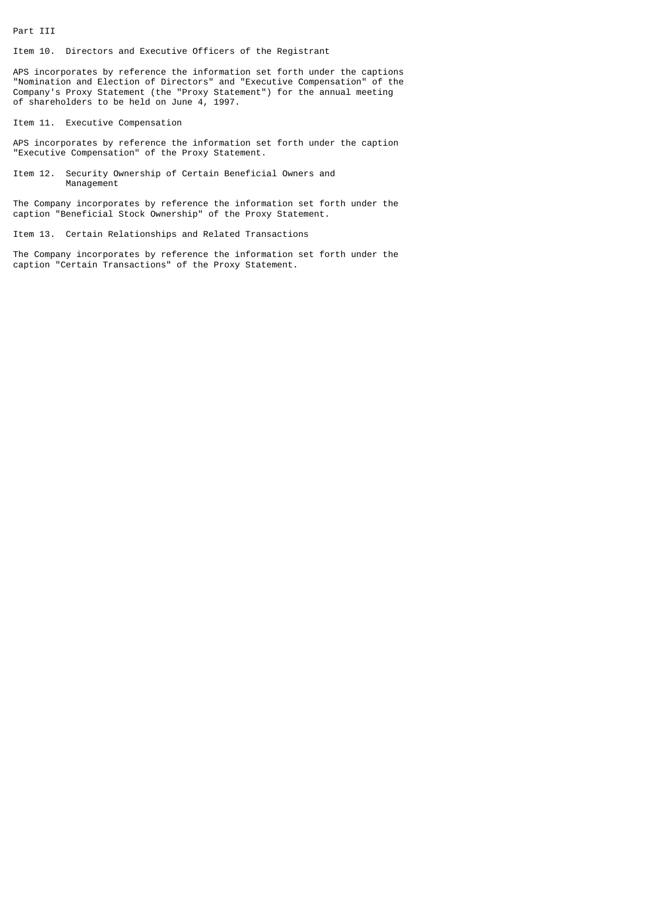Part III

Item 10. Directors and Executive Officers of the Registrant

APS incorporates by reference the information set forth under the captions "Nomination and Election of Directors" and "Executive Compensation" of the Company's Proxy Statement (the "Proxy Statement") for the annual meeting of shareholders to be held on June 4, 1997.

Item 11. Executive Compensation

APS incorporates by reference the information set forth under the caption "Executive Compensation" of the Proxy Statement.

Item 12. Security Ownership of Certain Beneficial Owners and Management

The Company incorporates by reference the information set forth under the caption "Beneficial Stock Ownership" of the Proxy Statement.

Item 13. Certain Relationships and Related Transactions

The Company incorporates by reference the information set forth under the caption "Certain Transactions" of the Proxy Statement.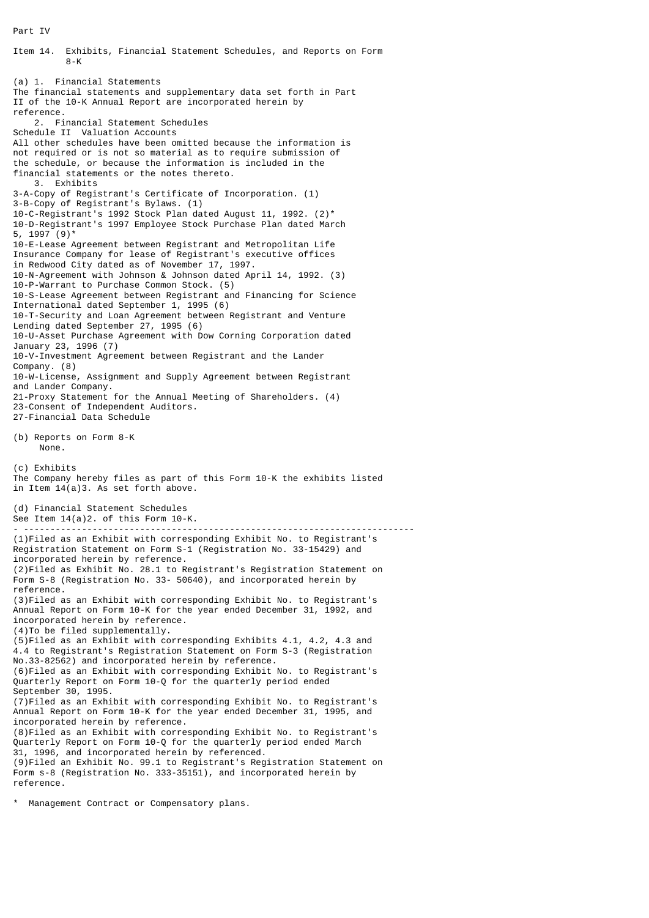Part IV

 8-K (a) 1. Financial Statements The financial statements and supplementary data set forth in Part II of the 10-K Annual Report are incorporated herein by reference. 2. Financial Statement Schedules Schedule II Valuation Accounts All other schedules have been omitted because the information is not required or is not so material as to require submission of the schedule, or because the information is included in the financial statements or the notes thereto. 3. Exhibits 3-A-Copy of Registrant's Certificate of Incorporation. (1) 3-B-Copy of Registrant's Bylaws. (1) 10-C-Registrant's 1992 Stock Plan dated August 11, 1992. (2)\* 10-D-Registrant's 1997 Employee Stock Purchase Plan dated March 5, 1997 (9)\* 10-E-Lease Agreement between Registrant and Metropolitan Life Insurance Company for lease of Registrant's executive offices in Redwood City dated as of November 17, 1997. 10-N-Agreement with Johnson & Johnson dated April 14, 1992. (3) 10-P-Warrant to Purchase Common Stock. (5) 10-S-Lease Agreement between Registrant and Financing for Science International dated September 1, 1995 (6) 10-T-Security and Loan Agreement between Registrant and Venture Lending dated September 27, 1995 (6) 10-U-Asset Purchase Agreement with Dow Corning Corporation dated January 23, 1996 (7) 10-V-Investment Agreement between Registrant and the Lander Company. (8) 10-W-License, Assignment and Supply Agreement between Registrant and Lander Company. 21-Proxy Statement for the Annual Meeting of Shareholders. (4) 23-Consent of Independent Auditors. 27-Financial Data Schedule (b) Reports on Form 8-K None. (c) Exhibits The Company hereby files as part of this Form 10-K the exhibits listed in Item 14(a)3. As set forth above. (d) Financial Statement Schedules See Item 14(a)2. of this Form 10-K. - -------------------------------------------------------------------------- (1)Filed as an Exhibit with corresponding Exhibit No. to Registrant's Registration Statement on Form S-1 (Registration No. 33-15429) and incorporated herein by reference. (2)Filed as Exhibit No. 28.1 to Registrant's Registration Statement on Form S-8 (Registration No. 33- 50640), and incorporated herein by reference. (3)Filed as an Exhibit with corresponding Exhibit No. to Registrant's Annual Report on Form 10-K for the year ended December 31, 1992, and incorporated herein by reference. (4)To be filed supplementally. (5)Filed as an Exhibit with corresponding Exhibits 4.1, 4.2, 4.3 and 4.4 to Registrant's Registration Statement on Form S-3 (Registration No.33-82562) and incorporated herein by reference. (6)Filed as an Exhibit with corresponding Exhibit No. to Registrant's Quarterly Report on Form 10-Q for the quarterly period ended September 30, 1995. (7)Filed as an Exhibit with corresponding Exhibit No. to Registrant's Annual Report on Form 10-K for the year ended December 31, 1995, and incorporated herein by reference. (8)Filed as an Exhibit with corresponding Exhibit No. to Registrant's Quarterly Report on Form 10-Q for the quarterly period ended March 31, 1996, and incorporated herein by referenced. (9)Filed an Exhibit No. 99.1 to Registrant's Registration Statement on Form s-8 (Registration No. 333-35151), and incorporated herein by reference. \* Management Contract or Compensatory plans.

Item 14. Exhibits, Financial Statement Schedules, and Reports on Form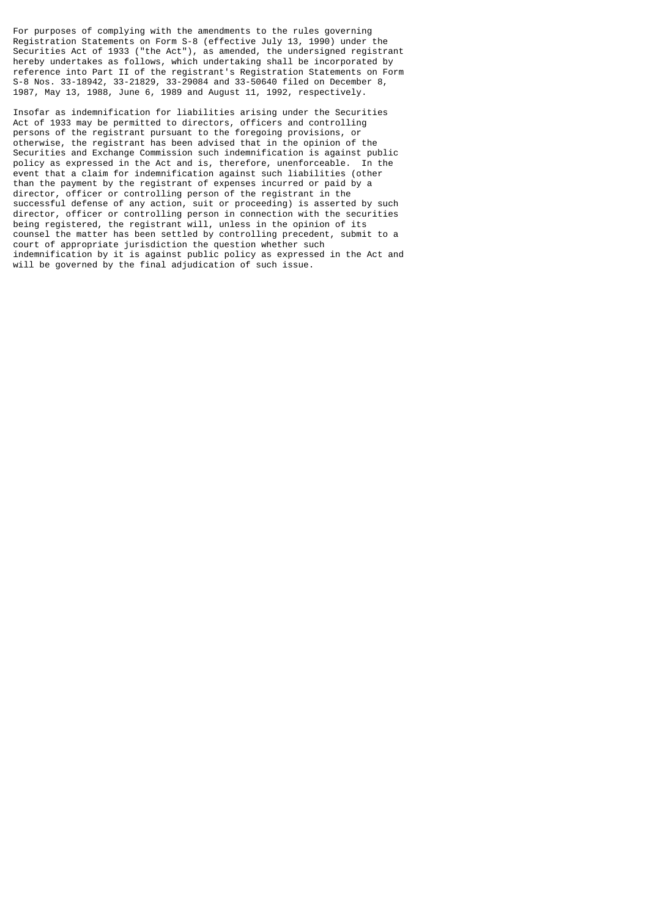For purposes of complying with the amendments to the rules governing Registration Statements on Form S-8 (effective July 13, 1990) under the Securities Act of 1933 ("the Act"), as amended, the undersigned registrant hereby undertakes as follows, which undertaking shall be incorporated by reference into Part II of the registrant's Registration Statements on Form S-8 Nos. 33-18942, 33-21829, 33-29084 and 33-50640 filed on December 8, 1987, May 13, 1988, June 6, 1989 and August 11, 1992, respectively.

Insofar as indemnification for liabilities arising under the Securities Act of 1933 may be permitted to directors, officers and controlling persons of the registrant pursuant to the foregoing provisions, or otherwise, the registrant has been advised that in the opinion of the Securities and Exchange Commission such indemnification is against public policy as expressed in the Act and is, therefore, unenforceable. In the event that a claim for indemnification against such liabilities (other than the payment by the registrant of expenses incurred or paid by a director, officer or controlling person of the registrant in the successful defense of any action, suit or proceeding) is asserted by such director, officer or controlling person in connection with the securities being registered, the registrant will, unless in the opinion of its counsel the matter has been settled by controlling precedent, submit to a court of appropriate jurisdiction the question whether such indemnification by it is against public policy as expressed in the Act and will be governed by the final adjudication of such issue.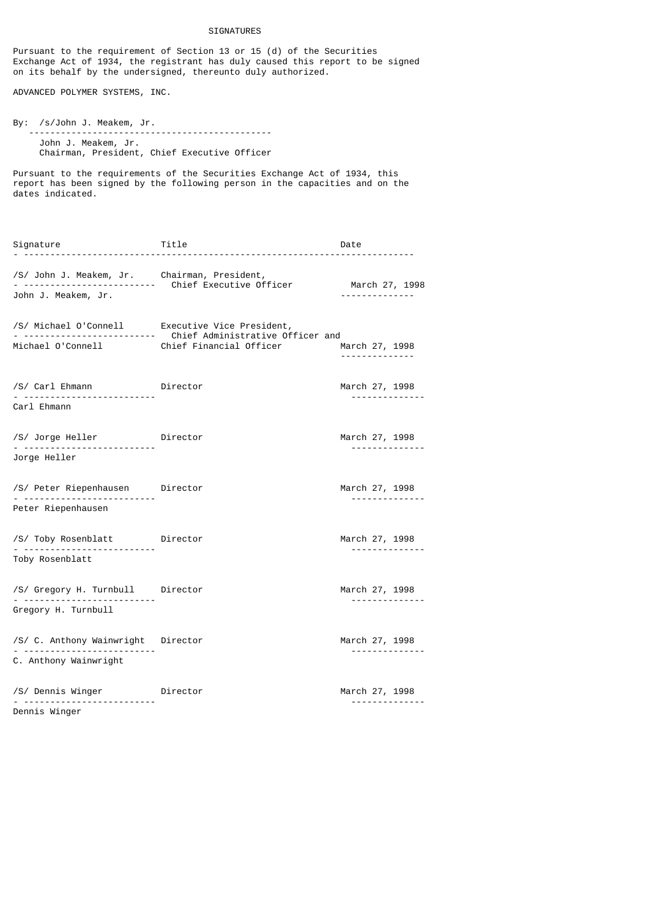## SIGNATURES

Pursuant to the requirement of Section 13 or 15 (d) of the Securities Exchange Act of 1934, the registrant has duly caused this report to be signed on its behalf by the undersigned, thereunto duly authorized.

ADVANCED POLYMER SYSTEMS, INC.

By: /s/John J. Meakem, Jr. ---------------------------------------------- John J. Meakem, Jr. Chairman, President, Chief Executive Officer

Pursuant to the requirements of the Securities Exchange Act of 1934, this report has been signed by the following person in the capacities and on the dates indicated.

Signature Title Date - -------------------------------------------------------------------------- /S/ John J. Meakem, Jr. Chairman, President, - ------------------------- Chief Executive Officer March 27, 1998 John J. Meakem, Jr. -------------- /S/ Michael O'Connell Executive Vice President, - ------------------------- Chief Administrative Officer and Michael O'Connell **Chief Financial Officer** March 27, 1998 -------------- /S/ Carl Ehmann **Director** Director March 27, 1998 - ------------------------- -------------- Carl Ehmann /S/ Jorge Heller Director March 27, 1998 - ------------------------- -------------- Jorge Heller /S/ Peter Riepenhausen Director March 27, 1998 - ------------------------- -------------- Peter Riepenhausen /S/ Toby Rosenblatt Director March 27, 1998 - ------------------------- -------------- Toby Rosenblatt /S/ Gregory H. Turnbull Director March 27, 1998 - ------------------------- -------------- Gregory H. Turnbull /S/ C. Anthony Wainwright Director March 27, 1998 - ------------------------- -------------- C. Anthony Wainwright /S/ Dennis Winger Director March 27, 1998 - ------------------------- -------------- Dennis Winger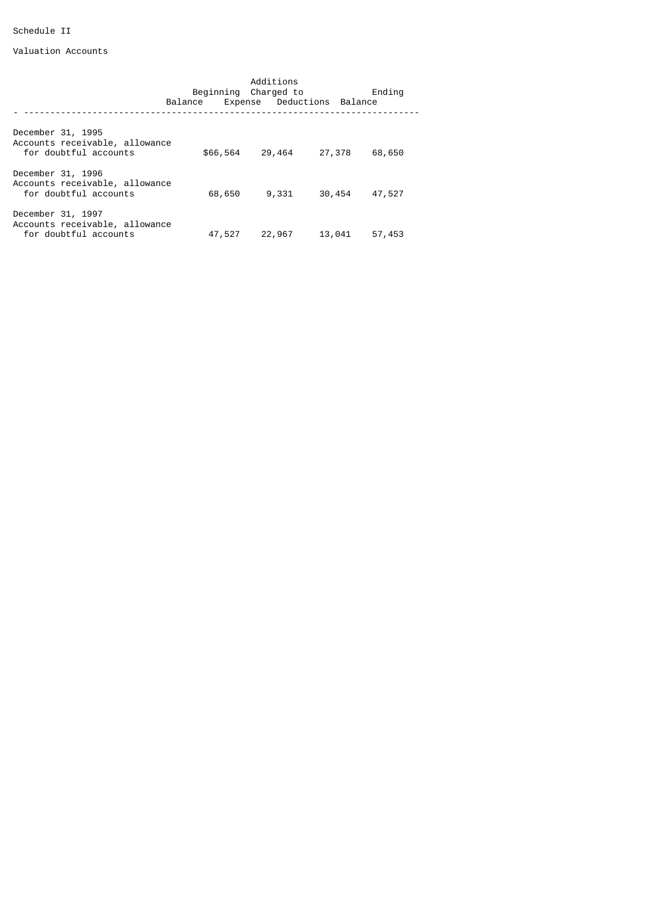# Schedule II

Valuation Accounts

|                                                                              | Additions<br>Beginning Charged to |                            |        | Ending |        |
|------------------------------------------------------------------------------|-----------------------------------|----------------------------|--------|--------|--------|
|                                                                              | Balance                           | Expense Deductions Balance |        |        |        |
| December 31, 1995<br>Accounts receivable, allowance<br>for doubtful accounts |                                   | \$66,564                   | 29,464 | 27,378 | 68,650 |
| December 31, 1996<br>Accounts receivable, allowance<br>for doubtful accounts |                                   | 68,650                     | 9,331  | 30,454 | 47,527 |
| December 31, 1997<br>Accounts receivable, allowance<br>for doubtful accounts |                                   | 47,527                     | 22,967 | 13,041 | 57,453 |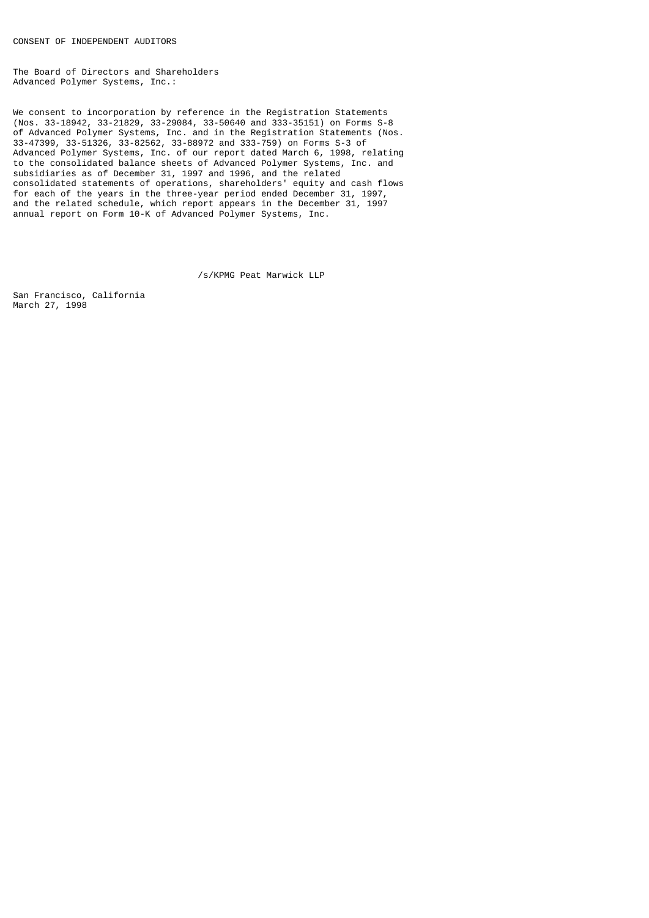The Board of Directors and Shareholders Advanced Polymer Systems, Inc.:

We consent to incorporation by reference in the Registration Statements (Nos. 33-18942, 33-21829, 33-29084, 33-50640 and 333-35151) on Forms S-8 of Advanced Polymer Systems, Inc. and in the Registration Statements (Nos. 33-47399, 33-51326, 33-82562, 33-88972 and 333-759) on Forms S-3 of Advanced Polymer Systems, Inc. of our report dated March 6, 1998, relating to the consolidated balance sheets of Advanced Polymer Systems, Inc. and subsidiaries as of December 31, 1997 and 1996, and the related consolidated statements of operations, shareholders' equity and cash flows for each of the years in the three-year period ended December 31, 1997, and the related schedule, which report appears in the December 31, 1997 annual report on Form 10-K of Advanced Polymer Systems, Inc.

/s/KPMG Peat Marwick LLP

San Francisco, California March 27, 1998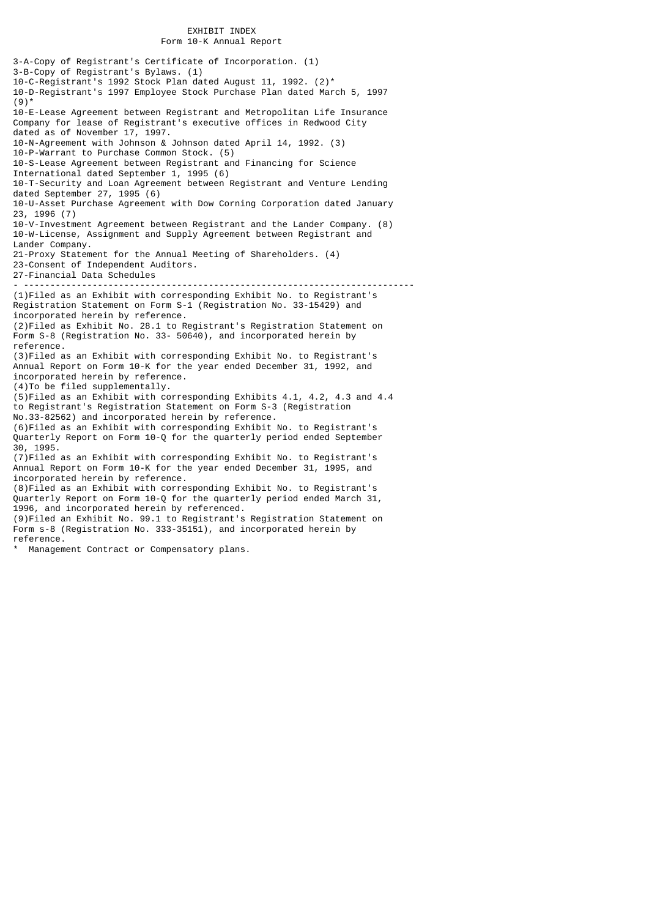### EXHIBIT INDEX Form 10-K Annual Report

3-A-Copy of Registrant's Certificate of Incorporation. (1) 3-B-Copy of Registrant's Bylaws. (1) 10-C-Registrant's 1992 Stock Plan dated August 11, 1992. (2)\* 10-D-Registrant's 1997 Employee Stock Purchase Plan dated March 5, 1997  $(9)$ <sup>\*</sup> 10-E-Lease Agreement between Registrant and Metropolitan Life Insurance Company for lease of Registrant's executive offices in Redwood City dated as of November 17, 1997. 10-N-Agreement with Johnson & Johnson dated April 14, 1992. (3) 10-P-Warrant to Purchase Common Stock. (5) 10-S-Lease Agreement between Registrant and Financing for Science International dated September 1, 1995 (6) 10-T-Security and Loan Agreement between Registrant and Venture Lending dated September 27, 1995 (6) 10-U-Asset Purchase Agreement with Dow Corning Corporation dated January 23, 1996 (7) 10-V-Investment Agreement between Registrant and the Lander Company. (8) 10-W-License, Assignment and Supply Agreement between Registrant and Lander Company. 21-Proxy Statement for the Annual Meeting of Shareholders. (4) 23-Consent of Independent Auditors. 27-Financial Data Schedules - -------------------------------------------------------------------------- (1)Filed as an Exhibit with corresponding Exhibit No. to Registrant's Registration Statement on Form S-1 (Registration No. 33-15429) and incorporated herein by reference. (2)Filed as Exhibit No. 28.1 to Registrant's Registration Statement on Form S-8 (Registration No. 33- 50640), and incorporated herein by reference. (3)Filed as an Exhibit with corresponding Exhibit No. to Registrant's Annual Report on Form 10-K for the year ended December 31, 1992, and incorporated herein by reference. (4)To be filed supplementally. (5)Filed as an Exhibit with corresponding Exhibits 4.1, 4.2, 4.3 and 4.4 to Registrant's Registration Statement on Form S-3 (Registration No.33-82562) and incorporated herein by reference. (6)Filed as an Exhibit with corresponding Exhibit No. to Registrant's Quarterly Report on Form 10-Q for the quarterly period ended September 30, 1995. (7)Filed as an Exhibit with corresponding Exhibit No. to Registrant's Annual Report on Form 10-K for the year ended December 31, 1995, and incorporated herein by reference. (8)Filed as an Exhibit with corresponding Exhibit No. to Registrant's Quarterly Report on Form 10-Q for the quarterly period ended March 31, 1996, and incorporated herein by referenced. (9)Filed an Exhibit No. 99.1 to Registrant's Registration Statement on Form s-8 (Registration No. 333-35151), and incorporated herein by reference.

Management Contract or Compensatory plans.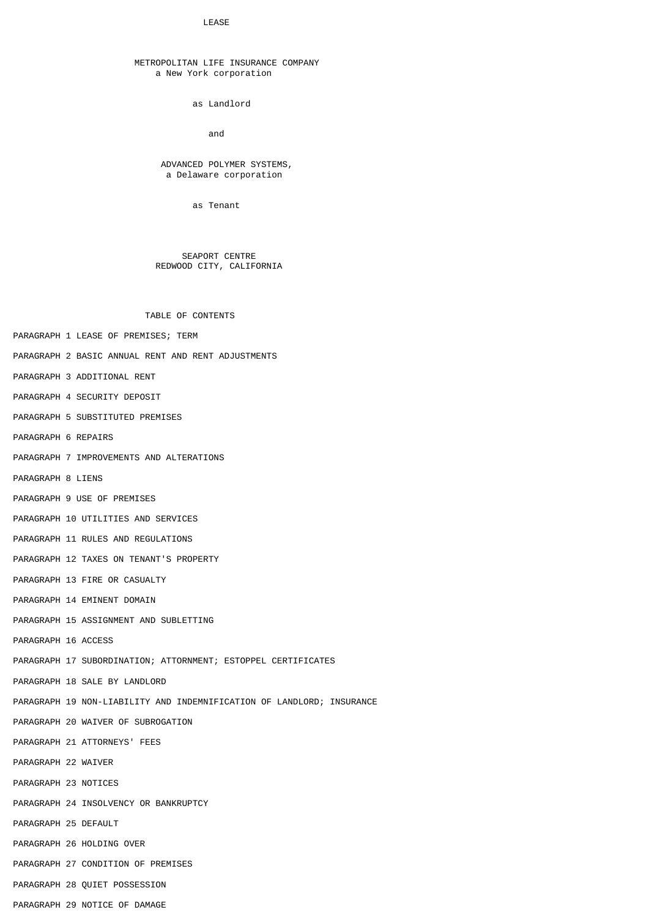#### LEASE

### METROPOLITAN LIFE INSURANCE COMPANY a New York corporation

as Landlord

and the contract of the contract of the contract of the contract of the contract of the contract of the contract of the contract of the contract of the contract of the contract of the contract of the contract of the contra

### ADVANCED POLYMER SYSTEMS, a Delaware corporation

as Tenant

### SEAPORT CENTRE REDWOOD CITY, CALIFORNIA

TABLE OF CONTENTS

- PARAGRAPH 1 LEASE OF PREMISES; TERM
- PARAGRAPH 2 BASIC ANNUAL RENT AND RENT ADJUSTMENTS
- PARAGRAPH 3 ADDITIONAL RENT
- PARAGRAPH 4 SECURITY DEPOSIT
- PARAGRAPH 5 SUBSTITUTED PREMISES
- PARAGRAPH 6 REPAIRS
- PARAGRAPH 7 IMPROVEMENTS AND ALTERATIONS
- PARAGRAPH 8 LIENS
- PARAGRAPH 9 USE OF PREMISES
- PARAGRAPH 10 UTILITIES AND SERVICES
- PARAGRAPH 11 RULES AND REGULATIONS
- PARAGRAPH 12 TAXES ON TENANT'S PROPERTY
- PARAGRAPH 13 FIRE OR CASUALTY
- PARAGRAPH 14 EMINENT DOMAIN
- PARAGRAPH 15 ASSIGNMENT AND SUBLETTING
- PARAGRAPH 16 ACCESS
- PARAGRAPH 17 SUBORDINATION; ATTORNMENT; ESTOPPEL CERTIFICATES
- PARAGRAPH 18 SALE BY LANDLORD
- PARAGRAPH 19 NON-LIABILITY AND INDEMNIFICATION OF LANDLORD; INSURANCE
- PARAGRAPH 20 WAIVER OF SUBROGATION
- PARAGRAPH 21 ATTORNEYS' FEES
- PARAGRAPH 22 WAIVER
- PARAGRAPH 23 NOTICES
- PARAGRAPH 24 INSOLVENCY OR BANKRUPTCY
- PARAGRAPH 25 DEFAULT
- PARAGRAPH 26 HOLDING OVER
- PARAGRAPH 27 CONDITION OF PREMISES
- PARAGRAPH 28 QUIET POSSESSION
- PARAGRAPH 29 NOTICE OF DAMAGE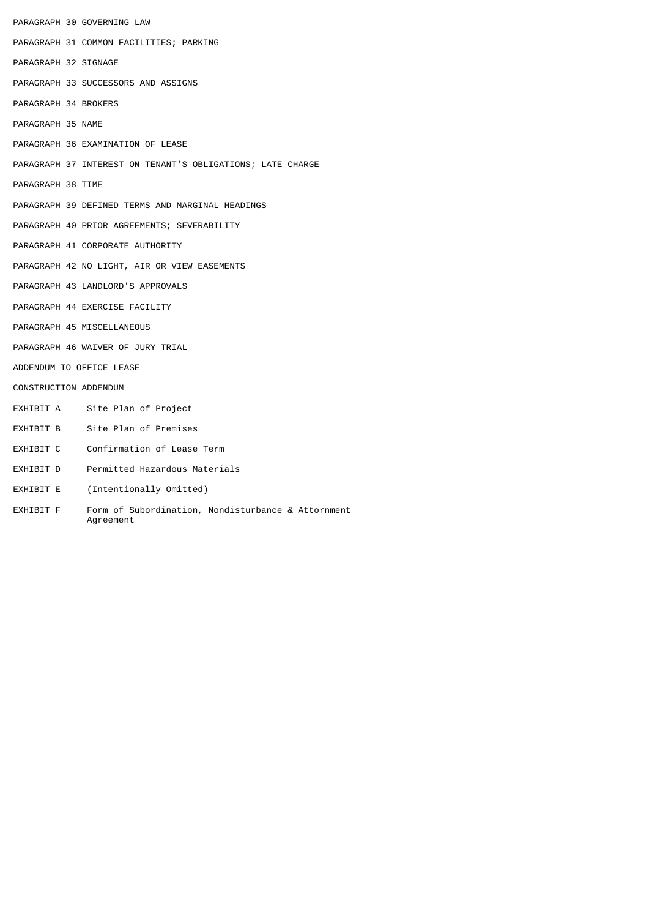|                          |  | PARAGRAPH 30 GOVERNING LAW                                 |  |  |
|--------------------------|--|------------------------------------------------------------|--|--|
|                          |  | PARAGRAPH 31 COMMON FACILITIES; PARKING                    |  |  |
| PARAGRAPH 32 SIGNAGE     |  |                                                            |  |  |
|                          |  | PARAGRAPH 33 SUCCESSORS AND ASSIGNS                        |  |  |
| PARAGRAPH 34 BROKERS     |  |                                                            |  |  |
| PARAGRAPH 35 NAME        |  |                                                            |  |  |
|                          |  | PARAGRAPH 36 EXAMINATION OF LEASE                          |  |  |
|                          |  | PARAGRAPH 37 INTEREST ON TENANT'S OBLIGATIONS; LATE CHARGE |  |  |
| PARAGRAPH 38 TIME        |  |                                                            |  |  |
|                          |  | PARAGRAPH 39 DEFINED TERMS AND MARGINAL HEADINGS           |  |  |
|                          |  | PARAGRAPH 40 PRIOR AGREEMENTS; SEVERABILITY                |  |  |
|                          |  | PARAGRAPH 41 CORPORATE AUTHORITY                           |  |  |
|                          |  | PARAGRAPH 42 NO LIGHT, AIR OR VIEW EASEMENTS               |  |  |
|                          |  | PARAGRAPH 43 LANDLORD'S APPROVALS                          |  |  |
|                          |  | PARAGRAPH 44 EXERCISE FACILITY                             |  |  |
|                          |  | PARAGRAPH 45 MISCELLANEOUS                                 |  |  |
|                          |  | PARAGRAPH 46 WAIVER OF JURY TRIAL                          |  |  |
| ADDENDUM TO OFFICE LEASE |  |                                                            |  |  |
| CONSTRUCTION ADDENDUM    |  |                                                            |  |  |
|                          |  | EXHIBIT A Site Plan of Project                             |  |  |
| EXHIBIT B                |  | Site Plan of Premises                                      |  |  |
| EXHIBIT C                |  | Confirmation of Lease Term                                 |  |  |
|                          |  | EXHIBIT D      Permitted Hazardous Materials               |  |  |
| EXHIBIT E                |  | (Intentionally Omitted)                                    |  |  |

EXHIBIT F Form of Subordination, Nondisturbance & Attornment Agreement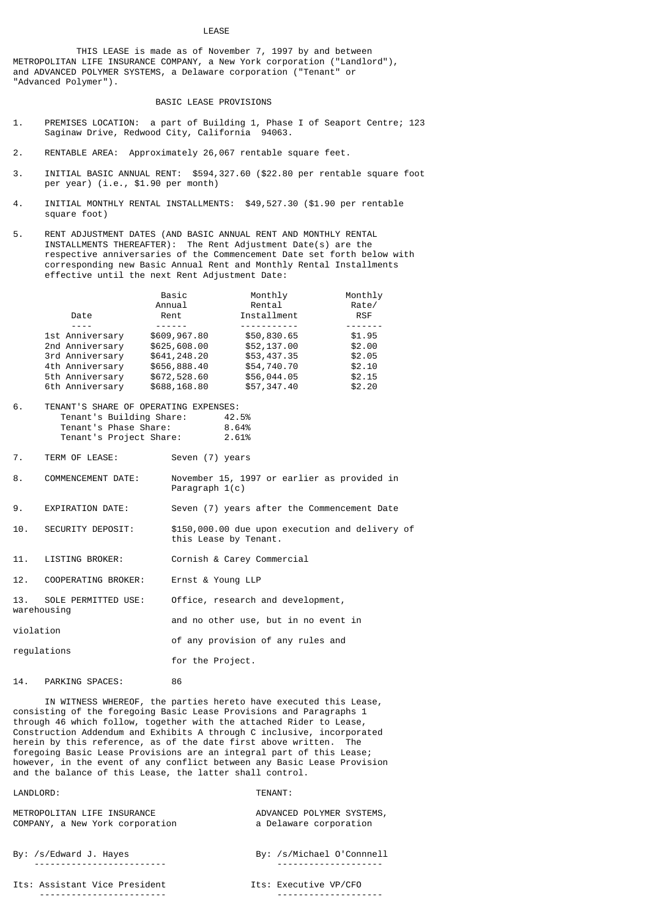### LEASE

 THIS LEASE is made as of November 7, 1997 by and between METROPOLITAN LIFE INSURANCE COMPANY, a New York corporation ("Landlord"), and ADVANCED POLYMER SYSTEMS, a Delaware corporation ("Tenant" or "Advanced Polymer").

### BASIC LEASE PROVISIONS

- 1. PREMISES LOCATION: a part of Building 1, Phase I of Seaport Centre; 123 Saginaw Drive, Redwood City, California 94063.
- 2. RENTABLE AREA: Approximately 26,067 rentable square feet.
- 3. INITIAL BASIC ANNUAL RENT: \$594,327.60 (\$22.80 per rentable square foot per year) (i.e., \$1.90 per month)
- 4. INITIAL MONTHLY RENTAL INSTALLMENTS: \$49,527.30 (\$1.90 per rentable square foot)
- 5. RENT ADJUSTMENT DATES (AND BASIC ANNUAL RENT AND MONTHLY RENTAL INSTALLMENTS THEREAFTER): The Rent Adjustment Date(s) are the respective anniversaries of the Commencement Date set forth below with corresponding new Basic Annual Rent and Monthly Rental Installments effective until the next Rent Adjustment Date:

|                 | Basic        | Monthly     | Monthly    |
|-----------------|--------------|-------------|------------|
|                 | Annual       | Rental      | Rate/      |
| Date            | Rent         | Installment | <b>RSF</b> |
|                 |              |             |            |
| 1st Anniversary | \$609,967.80 | \$50,830.65 | \$1.95     |
| 2nd Anniversary | \$625,608.00 | \$52,137.00 | \$2.00     |
| 3rd Anniversary | \$641,248.20 | \$53,437.35 | \$2.05     |
| 4th Anniversary | \$656,888.40 | \$54,740.70 | \$2.10     |
| 5th Anniversary | \$672,528.60 | \$56,044.05 | \$2.15     |
| 6th Anniversary | \$688,168.80 | \$57,347.40 | \$2.20     |

6. TENANT'S SHARE OF OPERATING EXPENSES: Tenant's Building Share: 42.5% Tenant's Phase Share: 8.64%<br>Tenant's Project Share: 2.61% Tenant's Project Share:

- 7. TERM OF LEASE: Seven (7) years
- 8. COMMENCEMENT DATE: November 15, 1997 or earlier as provided in Paragraph 1(c)
- 9. EXPIRATION DATE: Seven (7) years after the Commencement Date
- 10. SECURITY DEPOSIT: \$150,000.00 due upon execution and delivery of this Lease by Tenant.
- 11. LISTING BROKER: Cornish & Carey Commercial
- 12. COOPERATING BROKER: Ernst & Young LLP
- 13. SOLE PERMITTED USE: Office, research and development, warehousing
- and no other use, but in no event in violation of any provision of any rules and regulations
	- for the Project.
- 14. PARKING SPACES: 86

 IN WITNESS WHEREOF, the parties hereto have executed this Lease, consisting of the foregoing Basic Lease Provisions and Paragraphs 1 through 46 which follow, together with the attached Rider to Lease, Construction Addendum and Exhibits A through C inclusive, incorporated herein by this reference, as of the date first above written. The foregoing Basic Lease Provisions are an integral part of this Lease; however, in the event of any conflict between any Basic Lease Provision and the balance of this Lease, the latter shall control.

### LANDLORD: TENANT:

METROPOLITAN LIFE INSURANCE<br>COMPANY, a New York corporation and a Delaware corporation COMPANY, a New York corporation

By: /s/Edward J. Hayes By: /s/Michael O'Connnell ------------------------- --------------------

Its: Assistant Vice President Its: Executive VP/CFO ------------------------ --------------------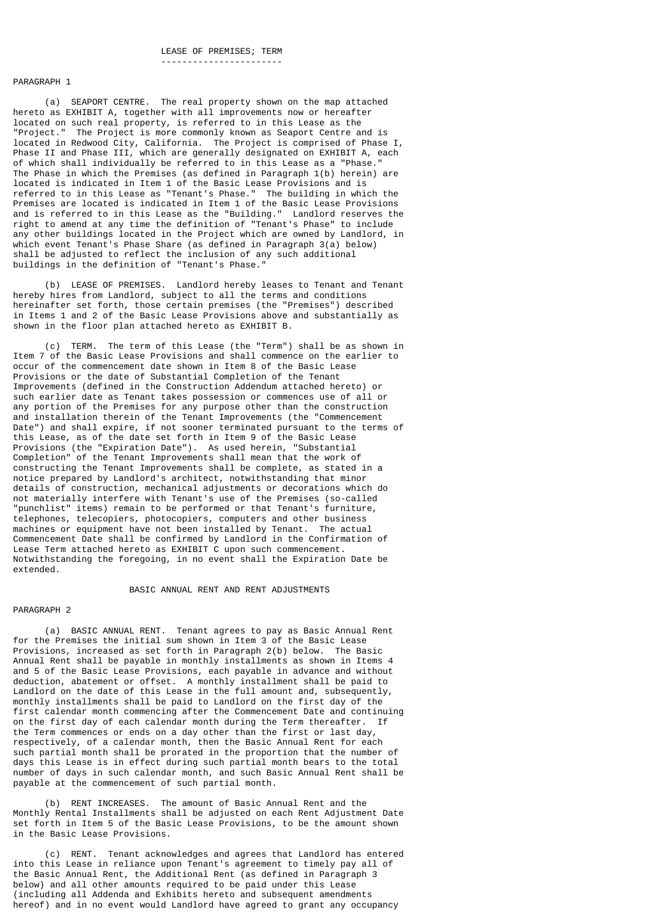#### -----------------------

#### PARAGRAPH 1

 (a) SEAPORT CENTRE. The real property shown on the map attached hereto as EXHIBIT A, together with all improvements now or hereafter located on such real property, is referred to in this Lease as the "Project." The Project is more commonly known as Seaport Centre and is located in Redwood City, California. The Project is comprised of Phase I, Phase II and Phase III, which are generally designated on EXHIBIT A, each of which shall individually be referred to in this Lease as a "Phase." The Phase in which the Premises (as defined in Paragraph 1(b) herein) are located is indicated in Item 1 of the Basic Lease Provisions and is referred to in this Lease as "Tenant's Phase." The building in which the Premises are located is indicated in Item 1 of the Basic Lease Provisions and is referred to in this Lease as the "Building." Landlord reserves the right to amend at any time the definition of "Tenant's Phase" to include any other buildings located in the Project which are owned by Landlord, in which event Tenant's Phase Share (as defined in Paragraph 3(a) below) shall be adjusted to reflect the inclusion of any such additional buildings in the definition of "Tenant's Phase."

 (b) LEASE OF PREMISES. Landlord hereby leases to Tenant and Tenant hereby hires from Landlord, subject to all the terms and conditions hereinafter set forth, those certain premises (the "Premises") described in Items 1 and 2 of the Basic Lease Provisions above and substantially as shown in the floor plan attached hereto as EXHIBIT B.

 (c) TERM. The term of this Lease (the "Term") shall be as shown in Item 7 of the Basic Lease Provisions and shall commence on the earlier to occur of the commencement date shown in Item 8 of the Basic Lease Provisions or the date of Substantial Completion of the Tenant Improvements (defined in the Construction Addendum attached hereto) or such earlier date as Tenant takes possession or commences use of all or any portion of the Premises for any purpose other than the construction and installation therein of the Tenant Improvements (the "Commencement Date") and shall expire, if not sooner terminated pursuant to the terms of this Lease, as of the date set forth in Item 9 of the Basic Lease Provisions (the "Expiration Date"). As used herein, "Substantial Completion" of the Tenant Improvements shall mean that the work of constructing the Tenant Improvements shall be complete, as stated in a notice prepared by Landlord's architect, notwithstanding that minor details of construction, mechanical adjustments or decorations which do not materially interfere with Tenant's use of the Premises (so-called "punchlist" items) remain to be performed or that Tenant's furniture, telephones, telecopiers, photocopiers, computers and other business machines or equipment have not been installed by Tenant. The actual Commencement Date shall be confirmed by Landlord in the Confirmation of Lease Term attached hereto as EXHIBIT C upon such commencement. Notwithstanding the foregoing, in no event shall the Expiration Date be extended.

### BASIC ANNUAL RENT AND RENT ADJUSTMENTS

#### PARAGRAPH 2

 (a) BASIC ANNUAL RENT. Tenant agrees to pay as Basic Annual Rent for the Premises the initial sum shown in Item 3 of the Basic Lease Provisions, increased as set forth in Paragraph 2(b) below. The Basic Annual Rent shall be payable in monthly installments as shown in Items 4 and 5 of the Basic Lease Provisions, each payable in advance and without deduction, abatement or offset. A monthly installment shall be paid to Landlord on the date of this Lease in the full amount and, subsequently, monthly installments shall be paid to Landlord on the first day of the first calendar month commencing after the Commencement Date and continuing on the first day of each calendar month during the Term thereafter. If the Term commences or ends on a day other than the first or last day, respectively, of a calendar month, then the Basic Annual Rent for each such partial month shall be prorated in the proportion that the number of days this Lease is in effect during such partial month bears to the total number of days in such calendar month, and such Basic Annual Rent shall be payable at the commencement of such partial month.

 (b) RENT INCREASES. The amount of Basic Annual Rent and the Monthly Rental Installments shall be adjusted on each Rent Adjustment Date set forth in Item 5 of the Basic Lease Provisions, to be the amount shown in the Basic Lease Provisions.

 (c) RENT. Tenant acknowledges and agrees that Landlord has entered into this Lease in reliance upon Tenant's agreement to timely pay all of the Basic Annual Rent, the Additional Rent (as defined in Paragraph 3 below) and all other amounts required to be paid under this Lease (including all Addenda and Exhibits hereto and subsequent amendments hereof) and in no event would Landlord have agreed to grant any occupancy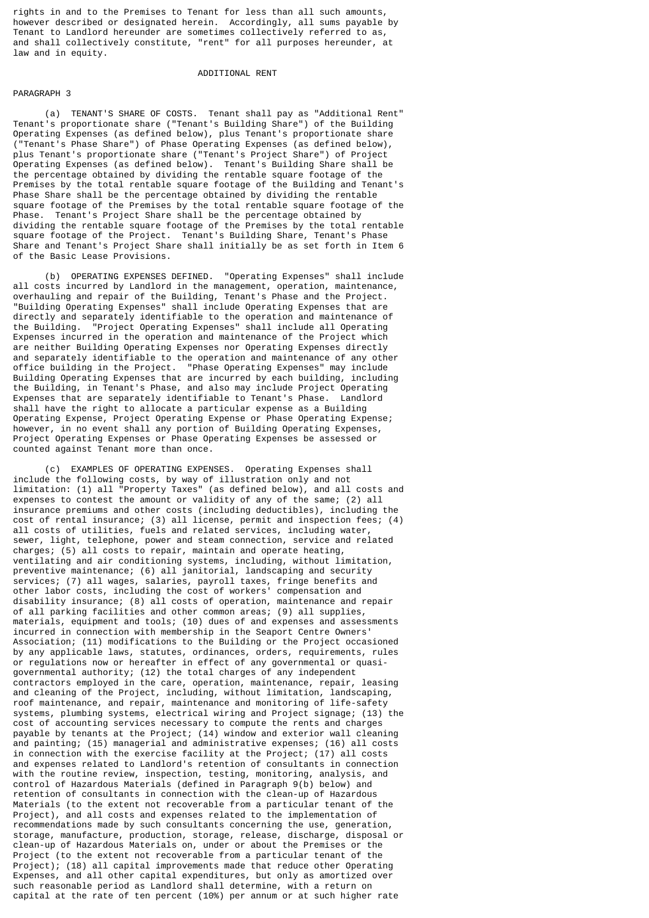rights in and to the Premises to Tenant for less than all such amounts, however described or designated herein. Accordingly, all sums payable by Tenant to Landlord hereunder are sometimes collectively referred to as, and shall collectively constitute, "rent" for all purposes hereunder, at law and in equity.

### ADDITIONAL RENT

### PARAGRAPH 3

 (a) TENANT'S SHARE OF COSTS. Tenant shall pay as "Additional Rent" Tenant's proportionate share ("Tenant's Building Share") of the Building Operating Expenses (as defined below), plus Tenant's proportionate share ("Tenant's Phase Share") of Phase Operating Expenses (as defined below), plus Tenant's proportionate share ("Tenant's Project Share") of Project Operating Expenses (as defined below). Tenant's Building Share shall be the percentage obtained by dividing the rentable square footage of the Premises by the total rentable square footage of the Building and Tenant's Phase Share shall be the percentage obtained by dividing the rentable square footage of the Premises by the total rentable square footage of the Phase. Tenant's Project Share shall be the percentage obtained by dividing the rentable square footage of the Premises by the total rentable square footage of the Project. Tenant's Building Share, Tenant's Phase Share and Tenant's Project Share shall initially be as set forth in Item 6 of the Basic Lease Provisions.

 (b) OPERATING EXPENSES DEFINED. "Operating Expenses" shall include all costs incurred by Landlord in the management, operation, maintenance, overhauling and repair of the Building, Tenant's Phase and the Project. "Building Operating Expenses" shall include Operating Expenses that are directly and separately identifiable to the operation and maintenance of the Building. "Project Operating Expenses" shall include all Operating Expenses incurred in the operation and maintenance of the Project which are neither Building Operating Expenses nor Operating Expenses directly and separately identifiable to the operation and maintenance of any other office building in the Project. "Phase Operating Expenses" may include Building Operating Expenses that are incurred by each building, including the Building, in Tenant's Phase, and also may include Project Operating Expenses that are separately identifiable to Tenant's Phase. Landlord shall have the right to allocate a particular expense as a Building Operating Expense, Project Operating Expense or Phase Operating Expense; however, in no event shall any portion of Building Operating Expenses, Project Operating Expenses or Phase Operating Expenses be assessed or counted against Tenant more than once.

 (c) EXAMPLES OF OPERATING EXPENSES. Operating Expenses shall include the following costs, by way of illustration only and not limitation: (1) all "Property Taxes" (as defined below), and all costs and expenses to contest the amount or validity of any of the same; (2) all insurance premiums and other costs (including deductibles), including the cost of rental insurance; (3) all license, permit and inspection fees; (4) all costs of utilities, fuels and related services, including water, sewer, light, telephone, power and steam connection, service and related charges; (5) all costs to repair, maintain and operate heating, ventilating and air conditioning systems, including, without limitation, preventive maintenance; (6) all janitorial, landscaping and security services; (7) all wages, salaries, payroll taxes, fringe benefits and other labor costs, including the cost of workers' compensation and disability insurance; (8) all costs of operation, maintenance and repair of all parking facilities and other common areas; (9) all supplies, materials, equipment and tools; (10) dues of and expenses and assessments incurred in connection with membership in the Seaport Centre Owners' Association; (11) modifications to the Building or the Project occasioned by any applicable laws, statutes, ordinances, orders, requirements, rules or regulations now or hereafter in effect of any governmental or quasigovernmental authority; (12) the total charges of any independent contractors employed in the care, operation, maintenance, repair, leasing and cleaning of the Project, including, without limitation, landscaping, roof maintenance, and repair, maintenance and monitoring of life-safety systems, plumbing systems, electrical wiring and Project signage; (13) the cost of accounting services necessary to compute the rents and charges payable by tenants at the Project; (14) window and exterior wall cleaning and painting; (15) managerial and administrative expenses; (16) all costs in connection with the exercise facility at the Project; (17) all costs and expenses related to Landlord's retention of consultants in connection with the routine review, inspection, testing, monitoring, analysis, and control of Hazardous Materials (defined in Paragraph 9(b) below) and retention of consultants in connection with the clean-up of Hazardous Materials (to the extent not recoverable from a particular tenant of the Project), and all costs and expenses related to the implementation of recommendations made by such consultants concerning the use, generation, storage, manufacture, production, storage, release, discharge, disposal or clean-up of Hazardous Materials on, under or about the Premises or the Project (to the extent not recoverable from a particular tenant of the Project); (18) all capital improvements made that reduce other Operating Expenses, and all other capital expenditures, but only as amortized over such reasonable period as Landlord shall determine, with a return on capital at the rate of ten percent (10%) per annum or at such higher rate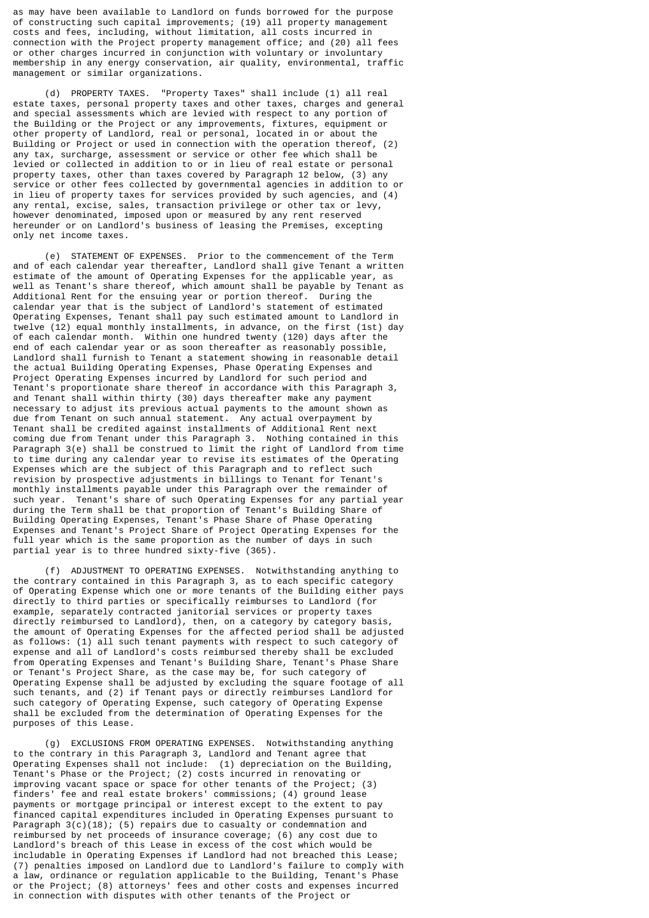as may have been available to Landlord on funds borrowed for the purpose of constructing such capital improvements; (19) all property management costs and fees, including, without limitation, all costs incurred in connection with the Project property management office; and (20) all fees or other charges incurred in conjunction with voluntary or involuntary membership in any energy conservation, air quality, environmental, traffic management or similar organizations.

 (d) PROPERTY TAXES. "Property Taxes" shall include (1) all real estate taxes, personal property taxes and other taxes, charges and general and special assessments which are levied with respect to any portion of the Building or the Project or any improvements, fixtures, equipment or other property of Landlord, real or personal, located in or about the Building or Project or used in connection with the operation thereof, (2) any tax, surcharge, assessment or service or other fee which shall be levied or collected in addition to or in lieu of real estate or personal property taxes, other than taxes covered by Paragraph 12 below, (3) any service or other fees collected by governmental agencies in addition to or in lieu of property taxes for services provided by such agencies, and (4) any rental, excise, sales, transaction privilege or other tax or levy, however denominated, imposed upon or measured by any rent reserved hereunder or on Landlord's business of leasing the Premises, excepting only net income taxes.

 (e) STATEMENT OF EXPENSES. Prior to the commencement of the Term and of each calendar year thereafter, Landlord shall give Tenant a written estimate of the amount of Operating Expenses for the applicable year, as well as Tenant's share thereof, which amount shall be payable by Tenant as Additional Rent for the ensuing year or portion thereof. During the calendar year that is the subject of Landlord's statement of estimated Operating Expenses, Tenant shall pay such estimated amount to Landlord in twelve (12) equal monthly installments, in advance, on the first (1st) day of each calendar month. Within one hundred twenty (120) days after the end of each calendar year or as soon thereafter as reasonably possible, Landlord shall furnish to Tenant a statement showing in reasonable detail the actual Building Operating Expenses, Phase Operating Expenses and Project Operating Expenses incurred by Landlord for such period and Tenant's proportionate share thereof in accordance with this Paragraph 3, and Tenant shall within thirty (30) days thereafter make any payment necessary to adjust its previous actual payments to the amount shown as due from Tenant on such annual statement. Any actual overpayment by Tenant shall be credited against installments of Additional Rent next coming due from Tenant under this Paragraph 3. Nothing contained in this Paragraph 3(e) shall be construed to limit the right of Landlord from time to time during any calendar year to revise its estimates of the Operating Expenses which are the subject of this Paragraph and to reflect such revision by prospective adjustments in billings to Tenant for Tenant's monthly installments payable under this Paragraph over the remainder of such year. Tenant's share of such Operating Expenses for any partial year during the Term shall be that proportion of Tenant's Building Share of Building Operating Expenses, Tenant's Phase Share of Phase Operating Expenses and Tenant's Project Share of Project Operating Expenses for the full year which is the same proportion as the number of days in such partial year is to three hundred sixty-five (365).

 (f) ADJUSTMENT TO OPERATING EXPENSES. Notwithstanding anything to the contrary contained in this Paragraph 3, as to each specific category of Operating Expense which one or more tenants of the Building either pays directly to third parties or specifically reimburses to Landlord (for example, separately contracted janitorial services or property taxes directly reimbursed to Landlord), then, on a category by category basis, the amount of Operating Expenses for the affected period shall be adjusted as follows: (1) all such tenant payments with respect to such category of expense and all of Landlord's costs reimbursed thereby shall be excluded from Operating Expenses and Tenant's Building Share, Tenant's Phase Share or Tenant's Project Share, as the case may be, for such category of Operating Expense shall be adjusted by excluding the square footage of all such tenants, and (2) if Tenant pays or directly reimburses Landlord for such category of Operating Expense, such category of Operating Expense shall be excluded from the determination of Operating Expenses for the purposes of this Lease.

 (g) EXCLUSIONS FROM OPERATING EXPENSES. Notwithstanding anything to the contrary in this Paragraph 3, Landlord and Tenant agree that Operating Expenses shall not include: (1) depreciation on the Building, Tenant's Phase or the Project; (2) costs incurred in renovating or improving vacant space or space for other tenants of the Project; (3) finders' fee and real estate brokers' commissions; (4) ground lease payments or mortgage principal or interest except to the extent to pay financed capital expenditures included in Operating Expenses pursuant to Paragraph  $3(c)(18)$ ; (5) repairs due to casualty or condemnation and reimbursed by net proceeds of insurance coverage; (6) any cost due to Landlord's breach of this Lease in excess of the cost which would be includable in Operating Expenses if Landlord had not breached this Lease; (7) penalties imposed on Landlord due to Landlord's failure to comply with a law, ordinance or regulation applicable to the Building, Tenant's Phase or the Project; (8) attorneys' fees and other costs and expenses incurred in connection with disputes with other tenants of the Project or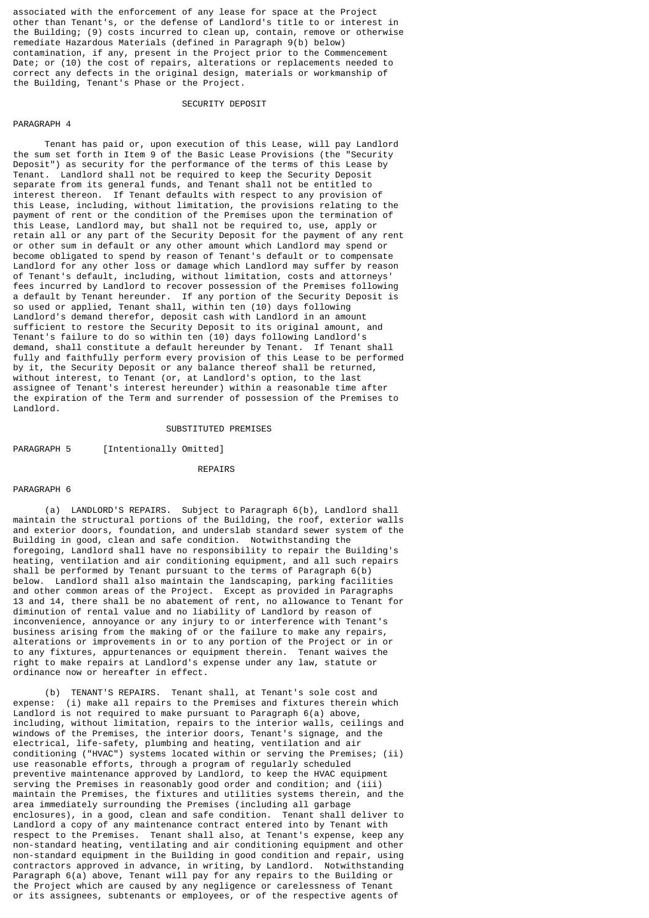associated with the enforcement of any lease for space at the Project other than Tenant's, or the defense of Landlord's title to or interest in the Building; (9) costs incurred to clean up, contain, remove or otherwise remediate Hazardous Materials (defined in Paragraph 9(b) below) contamination, if any, present in the Project prior to the Commencement Date; or (10) the cost of repairs, alterations or replacements needed to correct any defects in the original design, materials or workmanship of the Building, Tenant's Phase or the Project.

#### SECURITY DEPOSIT

### PARAGRAPH 4

 Tenant has paid or, upon execution of this Lease, will pay Landlord the sum set forth in Item 9 of the Basic Lease Provisions (the "Security Deposit") as security for the performance of the terms of this Lease by Tenant. Landlord shall not be required to keep the Security Deposit separate from its general funds, and Tenant shall not be entitled to interest thereon. If Tenant defaults with respect to any provision of this Lease, including, without limitation, the provisions relating to the payment of rent or the condition of the Premises upon the termination of this Lease, Landlord may, but shall not be required to, use, apply or retain all or any part of the Security Deposit for the payment of any rent or other sum in default or any other amount which Landlord may spend or become obligated to spend by reason of Tenant's default or to compensate Landlord for any other loss or damage which Landlord may suffer by reason of Tenant's default, including, without limitation, costs and attorneys' fees incurred by Landlord to recover possession of the Premises following a default by Tenant hereunder. If any portion of the Security Deposit is so used or applied, Tenant shall, within ten (10) days following Landlord's demand therefor, deposit cash with Landlord in an amount sufficient to restore the Security Deposit to its original amount, and Tenant's failure to do so within ten (10) days following Landlord's demand, shall constitute a default hereunder by Tenant. If Tenant shall fully and faithfully perform every provision of this Lease to be performed by it, the Security Deposit or any balance thereof shall be returned, without interest, to Tenant (or, at Landlord's option, to the last assignee of Tenant's interest hereunder) within a reasonable time after the expiration of the Term and surrender of possession of the Premises to Landlord.

#### SUBSTITUTED PREMISES

PARAGRAPH 5 [Intentionally Omitted]

#### **REPATRS**

#### PARAGRAPH 6

 (a) LANDLORD'S REPAIRS. Subject to Paragraph 6(b), Landlord shall maintain the structural portions of the Building, the roof, exterior walls and exterior doors, foundation, and underslab standard sewer system of the Building in good, clean and safe condition. Notwithstanding the foregoing, Landlord shall have no responsibility to repair the Building's heating, ventilation and air conditioning equipment, and all such repairs shall be performed by Tenant pursuant to the terms of Paragraph 6(b) below. Landlord shall also maintain the landscaping, parking facilities and other common areas of the Project. Except as provided in Paragraphs 13 and 14, there shall be no abatement of rent, no allowance to Tenant for diminution of rental value and no liability of Landlord by reason of inconvenience, annoyance or any injury to or interference with Tenant's business arising from the making of or the failure to make any repairs, alterations or improvements in or to any portion of the Project or in or to any fixtures, appurtenances or equipment therein. Tenant waives the right to make repairs at Landlord's expense under any law, statute or ordinance now or hereafter in effect.

 (b) TENANT'S REPAIRS. Tenant shall, at Tenant's sole cost and expense: (i) make all repairs to the Premises and fixtures therein which Landlord is not required to make pursuant to Paragraph 6(a) above, including, without limitation, repairs to the interior walls, ceilings and windows of the Premises, the interior doors, Tenant's signage, and the electrical, life-safety, plumbing and heating, ventilation and air conditioning ("HVAC") systems located within or serving the Premises; (ii) use reasonable efforts, through a program of regularly scheduled preventive maintenance approved by Landlord, to keep the HVAC equipment serving the Premises in reasonably good order and condition; and (iii) maintain the Premises, the fixtures and utilities systems therein, and the area immediately surrounding the Premises (including all garbage enclosures), in a good, clean and safe condition. Tenant shall deliver to Landlord a copy of any maintenance contract entered into by Tenant with respect to the Premises. Tenant shall also, at Tenant's expense, keep any non-standard heating, ventilating and air conditioning equipment and other non-standard equipment in the Building in good condition and repair, using contractors approved in advance, in writing, by Landlord. Notwithstanding Paragraph 6(a) above, Tenant will pay for any repairs to the Building or the Project which are caused by any negligence or carelessness of Tenant or its assignees, subtenants or employees, or of the respective agents of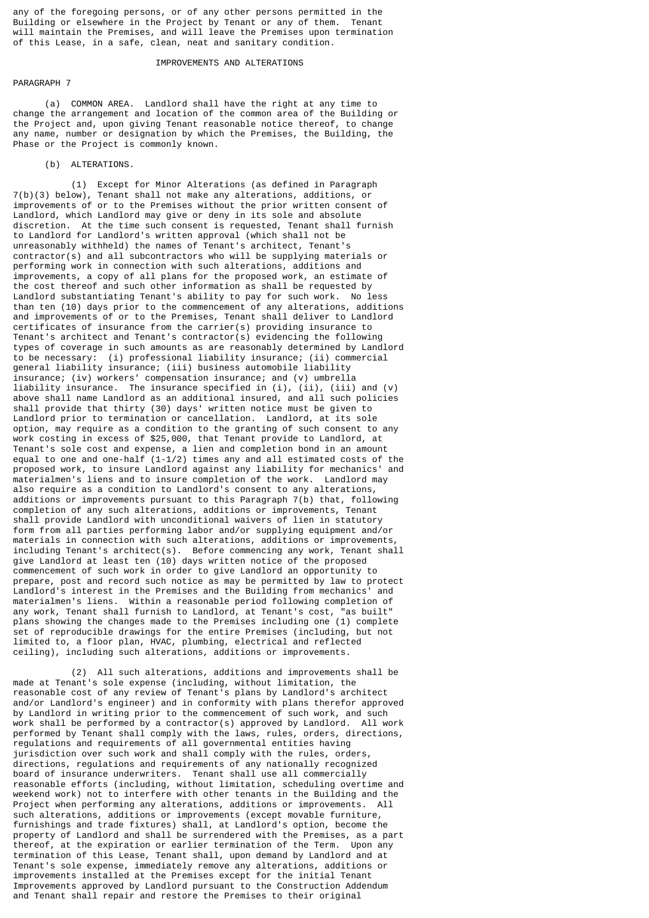any of the foregoing persons, or of any other persons permitted in the Building or elsewhere in the Project by Tenant or any of them. Tenant will maintain the Premises, and will leave the Premises upon termination of this Lease, in a safe, clean, neat and sanitary condition.

### IMPROVEMENTS AND ALTERATIONS

### PARAGRAPH 7

 (a) COMMON AREA. Landlord shall have the right at any time to change the arrangement and location of the common area of the Building or the Project and, upon giving Tenant reasonable notice thereof, to change any name, number or designation by which the Premises, the Building, the Phase or the Project is commonly known.

(b) ALTERATIONS.

 (1) Except for Minor Alterations (as defined in Paragraph 7(b)(3) below), Tenant shall not make any alterations, additions, or improvements of or to the Premises without the prior written consent of Landlord, which Landlord may give or deny in its sole and absolute discretion. At the time such consent is requested, Tenant shall furnish to Landlord for Landlord's written approval (which shall not be unreasonably withheld) the names of Tenant's architect, Tenant's contractor(s) and all subcontractors who will be supplying materials or performing work in connection with such alterations, additions and improvements, a copy of all plans for the proposed work, an estimate of the cost thereof and such other information as shall be requested by Landlord substantiating Tenant's ability to pay for such work. No less than ten (10) days prior to the commencement of any alterations, additions and improvements of or to the Premises, Tenant shall deliver to Landlord certificates of insurance from the carrier(s) providing insurance to Tenant's architect and Tenant's contractor(s) evidencing the following types of coverage in such amounts as are reasonably determined by Landlord to be necessary: (i) professional liability insurance; (ii) commercial general liability insurance; (iii) business automobile liability insurance; (iv) workers' compensation insurance; and (v) umbrella liability insurance. The insurance specified in  $(i)$ ,  $(i)$ ,  $(i)$ ,  $(i)$  and  $(v)$ above shall name Landlord as an additional insured, and all such policies shall provide that thirty (30) days' written notice must be given to Landlord prior to termination or cancellation. Landlord, at its sole option, may require as a condition to the granting of such consent to any work costing in excess of \$25,000, that Tenant provide to Landlord, at Tenant's sole cost and expense, a lien and completion bond in an amount equal to one and one-half  $(1-i/2)$  times any and all estimated costs of the proposed work, to insure Landlord against any liability for mechanics' and materialmen's liens and to insure completion of the work. Landlord may also require as a condition to Landlord's consent to any alterations, additions or improvements pursuant to this Paragraph 7(b) that, following completion of any such alterations, additions or improvements, Tenant shall provide Landlord with unconditional waivers of lien in statutory form from all parties performing labor and/or supplying equipment and/or materials in connection with such alterations, additions or improvements, including Tenant's architect(s). Before commencing any work, Tenant shall give Landlord at least ten (10) days written notice of the proposed commencement of such work in order to give Landlord an opportunity to prepare, post and record such notice as may be permitted by law to protect Landlord's interest in the Premises and the Building from mechanics' and materialmen's liens. Within a reasonable period following completion of any work, Tenant shall furnish to Landlord, at Tenant's cost, "as built" plans showing the changes made to the Premises including one (1) complete set of reproducible drawings for the entire Premises (including, but not limited to, a floor plan, HVAC, plumbing, electrical and reflected ceiling), including such alterations, additions or improvements.

 (2) All such alterations, additions and improvements shall be made at Tenant's sole expense (including, without limitation, the reasonable cost of any review of Tenant's plans by Landlord's architect and/or Landlord's engineer) and in conformity with plans therefor approved by Landlord in writing prior to the commencement of such work, and such work shall be performed by a contractor(s) approved by Landlord. All work performed by Tenant shall comply with the laws, rules, orders, directions, regulations and requirements of all governmental entities having jurisdiction over such work and shall comply with the rules, orders, directions, regulations and requirements of any nationally recognized board of insurance underwriters. Tenant shall use all commercially reasonable efforts (including, without limitation, scheduling overtime and weekend work) not to interfere with other tenants in the Building and the Project when performing any alterations, additions or improvements. All such alterations, additions or improvements (except movable furniture, furnishings and trade fixtures) shall, at Landlord's option, become the property of Landlord and shall be surrendered with the Premises, as a part thereof, at the expiration or earlier termination of the Term. Upon any termination of this Lease, Tenant shall, upon demand by Landlord and at Tenant's sole expense, immediately remove any alterations, additions or improvements installed at the Premises except for the initial Tenant Improvements approved by Landlord pursuant to the Construction Addendum and Tenant shall repair and restore the Premises to their original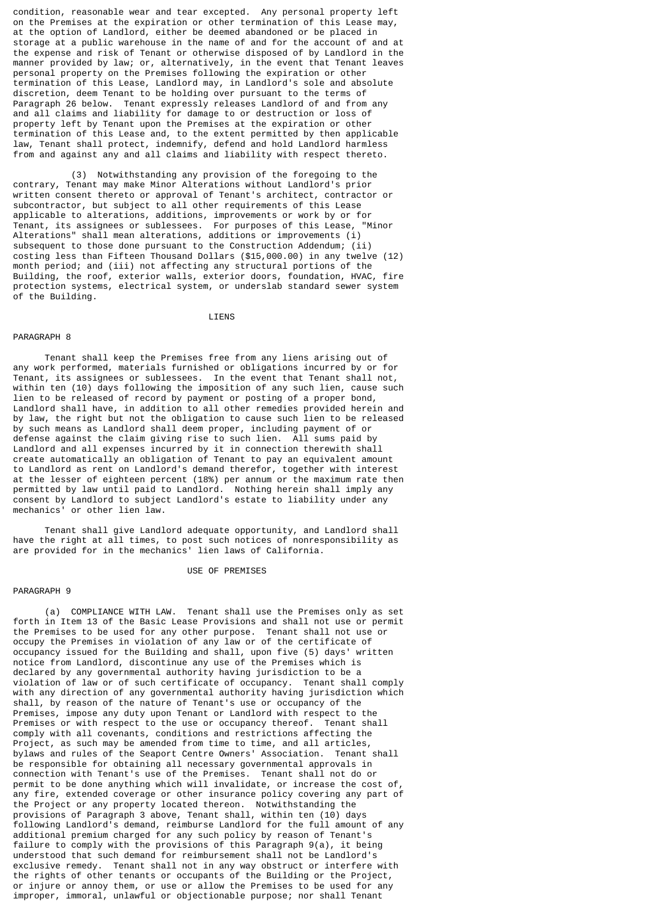condition, reasonable wear and tear excepted. Any personal property left on the Premises at the expiration or other termination of this Lease may, at the option of Landlord, either be deemed abandoned or be placed in storage at a public warehouse in the name of and for the account of and at the expense and risk of Tenant or otherwise disposed of by Landlord in the manner provided by law; or, alternatively, in the event that Tenant leaves personal property on the Premises following the expiration or other termination of this Lease, Landlord may, in Landlord's sole and absolute discretion, deem Tenant to be holding over pursuant to the terms of Paragraph 26 below. Tenant expressly releases Landlord of and from any and all claims and liability for damage to or destruction or loss of property left by Tenant upon the Premises at the expiration or other termination of this Lease and, to the extent permitted by then applicable law, Tenant shall protect, indemnify, defend and hold Landlord harmless from and against any and all claims and liability with respect thereto.

 (3) Notwithstanding any provision of the foregoing to the contrary, Tenant may make Minor Alterations without Landlord's prior written consent thereto or approval of Tenant's architect, contractor or subcontractor, but subject to all other requirements of this Lease applicable to alterations, additions, improvements or work by or for Tenant, its assignees or sublessees. For purposes of this Lease, "Minor Alterations" shall mean alterations, additions or improvements (i) subsequent to those done pursuant to the Construction Addendum;  $(ii)$ costing less than Fifteen Thousand Dollars (\$15,000.00) in any twelve (12) month period; and (iii) not affecting any structural portions of the Building, the roof, exterior walls, exterior doors, foundation, HVAC, fire protection systems, electrical system, or underslab standard sewer system of the Building.

**LIENS** 

#### PARAGRAPH 8

 Tenant shall keep the Premises free from any liens arising out of any work performed, materials furnished or obligations incurred by or for Tenant, its assignees or sublessees. In the event that Tenant shall not, within ten (10) days following the imposition of any such lien, cause such lien to be released of record by payment or posting of a proper bond, Landlord shall have, in addition to all other remedies provided herein and by law, the right but not the obligation to cause such lien to be released by such means as Landlord shall deem proper, including payment of or defense against the claim giving rise to such lien. All sums paid by Landlord and all expenses incurred by it in connection therewith shall create automatically an obligation of Tenant to pay an equivalent amount to Landlord as rent on Landlord's demand therefor, together with interest at the lesser of eighteen percent (18%) per annum or the maximum rate then permitted by law until paid to Landlord. Nothing herein shall imply any consent by Landlord to subject Landlord's estate to liability under any mechanics' or other lien law.

 Tenant shall give Landlord adequate opportunity, and Landlord shall have the right at all times, to post such notices of nonresponsibility as are provided for in the mechanics' lien laws of California.

#### USE OF PREMISES

### PARAGRAPH 9

 (a) COMPLIANCE WITH LAW. Tenant shall use the Premises only as set forth in Item 13 of the Basic Lease Provisions and shall not use or permit the Premises to be used for any other purpose. Tenant shall not use or occupy the Premises in violation of any law or of the certificate of occupancy issued for the Building and shall, upon five (5) days' written notice from Landlord, discontinue any use of the Premises which is declared by any governmental authority having jurisdiction to be a violation of law or of such certificate of occupancy. Tenant shall comply with any direction of any governmental authority having jurisdiction which shall, by reason of the nature of Tenant's use or occupancy of the Premises, impose any duty upon Tenant or Landlord with respect to the Premises or with respect to the use or occupancy thereof. Tenant shall comply with all covenants, conditions and restrictions affecting the Project, as such may be amended from time to time, and all articles, bylaws and rules of the Seaport Centre Owners' Association. Tenant shall be responsible for obtaining all necessary governmental approvals in connection with Tenant's use of the Premises. Tenant shall not do or permit to be done anything which will invalidate, or increase the cost of, any fire, extended coverage or other insurance policy covering any part of the Project or any property located thereon. Notwithstanding the provisions of Paragraph 3 above, Tenant shall, within ten (10) days following Landlord's demand, reimburse Landlord for the full amount of any additional premium charged for any such policy by reason of Tenant's failure to comply with the provisions of this Paragraph 9(a), it being understood that such demand for reimbursement shall not be Landlord's exclusive remedy. Tenant shall not in any way obstruct or interfere with the rights of other tenants or occupants of the Building or the Project, or injure or annoy them, or use or allow the Premises to be used for any improper, immoral, unlawful or objectionable purpose; nor shall Tenant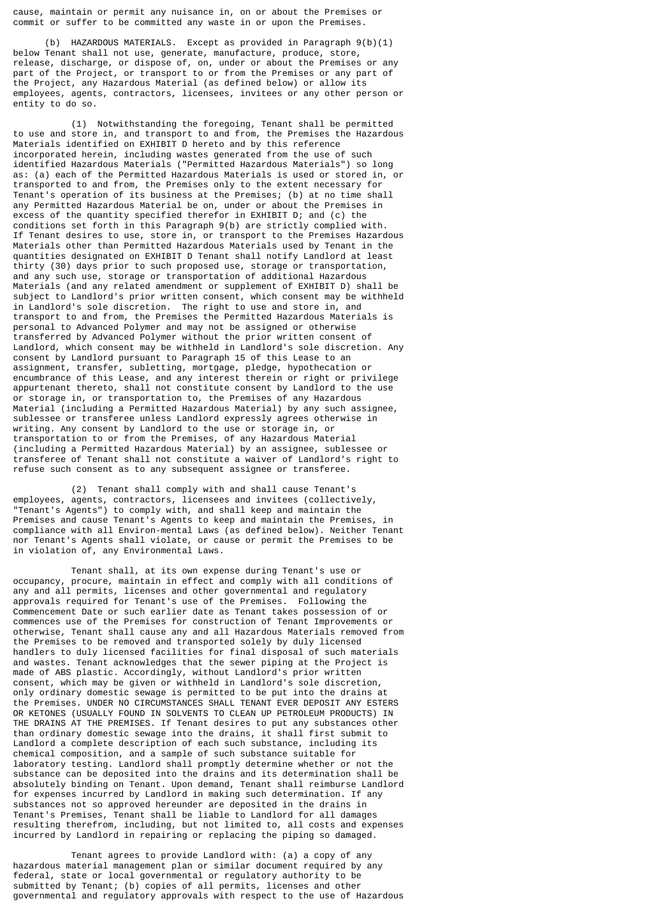cause, maintain or permit any nuisance in, on or about the Premises or commit or suffer to be committed any waste in or upon the Premises.

 (b) HAZARDOUS MATERIALS. Except as provided in Paragraph 9(b)(1) below Tenant shall not use, generate, manufacture, produce, store, release, discharge, or dispose of, on, under or about the Premises or any part of the Project, or transport to or from the Premises or any part of the Project, any Hazardous Material (as defined below) or allow its employees, agents, contractors, licensees, invitees or any other person or entity to do so.

 (1) Notwithstanding the foregoing, Tenant shall be permitted to use and store in, and transport to and from, the Premises the Hazardous Materials identified on EXHIBIT D hereto and by this reference incorporated herein, including wastes generated from the use of such identified Hazardous Materials ("Permitted Hazardous Materials") so long as: (a) each of the Permitted Hazardous Materials is used or stored in, or transported to and from, the Premises only to the extent necessary for Tenant's operation of its business at the Premises; (b) at no time shall any Permitted Hazardous Material be on, under or about the Premises in excess of the quantity specified therefor in EXHIBIT D; and (c) the conditions set forth in this Paragraph 9(b) are strictly complied with. If Tenant desires to use, store in, or transport to the Premises Hazardous Materials other than Permitted Hazardous Materials used by Tenant in the quantities designated on EXHIBIT D Tenant shall notify Landlord at least thirty (30) days prior to such proposed use, storage or transportation, and any such use, storage or transportation of additional Hazardous Materials (and any related amendment or supplement of EXHIBIT D) shall be subject to Landlord's prior written consent, which consent may be withheld in Landlord's sole discretion. The right to use and store in, and transport to and from, the Premises the Permitted Hazardous Materials is personal to Advanced Polymer and may not be assigned or otherwise transferred by Advanced Polymer without the prior written consent of Landlord, which consent may be withheld in Landlord's sole discretion. Any consent by Landlord pursuant to Paragraph 15 of this Lease to an assignment, transfer, subletting, mortgage, pledge, hypothecation or encumbrance of this Lease, and any interest therein or right or privilege appurtenant thereto, shall not constitute consent by Landlord to the use or storage in, or transportation to, the Premises of any Hazardous Material (including a Permitted Hazardous Material) by any such assignee, sublessee or transferee unless Landlord expressly agrees otherwise in writing. Any consent by Landlord to the use or storage in, or transportation to or from the Premises, of any Hazardous Material (including a Permitted Hazardous Material) by an assignee, sublessee or transferee of Tenant shall not constitute a waiver of Landlord's right to refuse such consent as to any subsequent assignee or transferee.

 (2) Tenant shall comply with and shall cause Tenant's employees, agents, contractors, licensees and invitees (collectively, "Tenant's Agents") to comply with, and shall keep and maintain the Premises and cause Tenant's Agents to keep and maintain the Premises, in compliance with all Environ-mental Laws (as defined below). Neither Tenant nor Tenant's Agents shall violate, or cause or permit the Premises to be in violation of, any Environmental Laws.

 Tenant shall, at its own expense during Tenant's use or occupancy, procure, maintain in effect and comply with all conditions of any and all permits, licenses and other governmental and regulatory approvals required for Tenant's use of the Premises. Following the Commencement Date or such earlier date as Tenant takes possession of or commences use of the Premises for construction of Tenant Improvements or otherwise, Tenant shall cause any and all Hazardous Materials removed from the Premises to be removed and transported solely by duly licensed handlers to duly licensed facilities for final disposal of such materials and wastes. Tenant acknowledges that the sewer piping at the Project is made of ABS plastic. Accordingly, without Landlord's prior written consent, which may be given or withheld in Landlord's sole discretion, only ordinary domestic sewage is permitted to be put into the drains at the Premises. UNDER NO CIRCUMSTANCES SHALL TENANT EVER DEPOSIT ANY ESTERS OR KETONES (USUALLY FOUND IN SOLVENTS TO CLEAN UP PETROLEUM PRODUCTS) IN THE DRAINS AT THE PREMISES. If Tenant desires to put any substances other than ordinary domestic sewage into the drains, it shall first submit to Landlord a complete description of each such substance, including its chemical composition, and a sample of such substance suitable for laboratory testing. Landlord shall promptly determine whether or not the substance can be deposited into the drains and its determination shall be absolutely binding on Tenant. Upon demand, Tenant shall reimburse Landlord for expenses incurred by Landlord in making such determination. If any substances not so approved hereunder are deposited in the drains in Tenant's Premises, Tenant shall be liable to Landlord for all damages resulting therefrom, including, but not limited to, all costs and expenses incurred by Landlord in repairing or replacing the piping so damaged.

 Tenant agrees to provide Landlord with: (a) a copy of any hazardous material management plan or similar document required by any federal, state or local governmental or regulatory authority to be submitted by Tenant; (b) copies of all permits, licenses and other governmental and regulatory approvals with respect to the use of Hazardous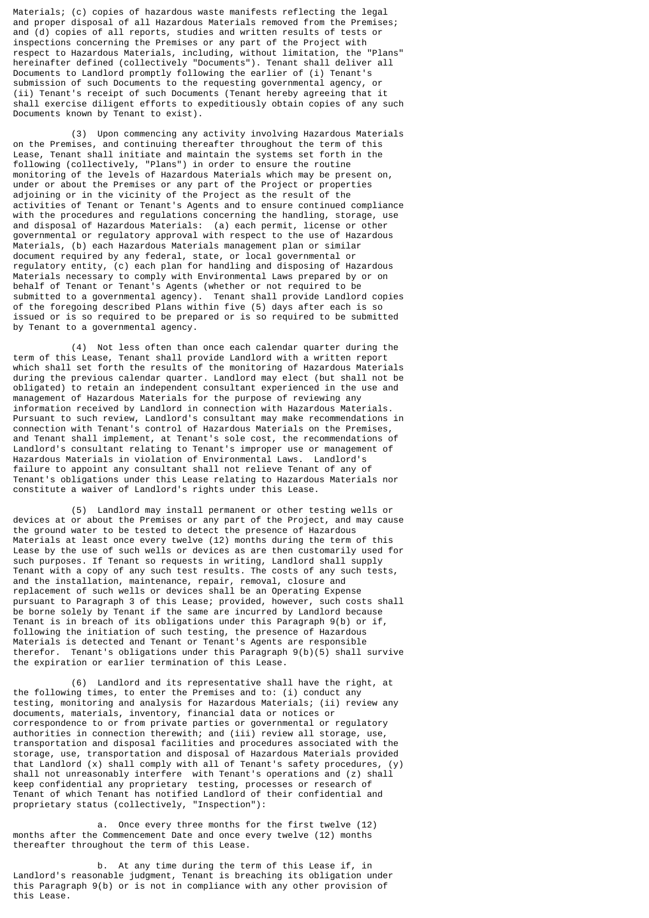Materials; (c) copies of hazardous waste manifests reflecting the legal and proper disposal of all Hazardous Materials removed from the Premises; and (d) copies of all reports, studies and written results of tests or inspections concerning the Premises or any part of the Project with respect to Hazardous Materials, including, without limitation, the "Plans" hereinafter defined (collectively "Documents"). Tenant shall deliver all Documents to Landlord promptly following the earlier of (i) Tenant's submission of such Documents to the requesting governmental agency, or (ii) Tenant's receipt of such Documents (Tenant hereby agreeing that it shall exercise diligent efforts to expeditiously obtain copies of any such Documents known by Tenant to exist).

 (3) Upon commencing any activity involving Hazardous Materials on the Premises, and continuing thereafter throughout the term of this Lease, Tenant shall initiate and maintain the systems set forth in the following (collectively, "Plans") in order to ensure the routine monitoring of the levels of Hazardous Materials which may be present on, under or about the Premises or any part of the Project or properties adjoining or in the vicinity of the Project as the result of the activities of Tenant or Tenant's Agents and to ensure continued compliance with the procedures and regulations concerning the handling, storage, use and disposal of Hazardous Materials: (a) each permit, license or other governmental or regulatory approval with respect to the use of Hazardous Materials, (b) each Hazardous Materials management plan or similar document required by any federal, state, or local governmental or regulatory entity, (c) each plan for handling and disposing of Hazardous Materials necessary to comply with Environmental Laws prepared by or on behalf of Tenant or Tenant's Agents (whether or not required to be submitted to a governmental agency). Tenant shall provide Landlord copies of the foregoing described Plans within five (5) days after each is so issued or is so required to be prepared or is so required to be submitted by Tenant to a governmental agency.

 (4) Not less often than once each calendar quarter during the term of this Lease, Tenant shall provide Landlord with a written report which shall set forth the results of the monitoring of Hazardous Materials during the previous calendar quarter. Landlord may elect (but shall not be obligated) to retain an independent consultant experienced in the use and management of Hazardous Materials for the purpose of reviewing any information received by Landlord in connection with Hazardous Materials. Pursuant to such review, Landlord's consultant may make recommendations in connection with Tenant's control of Hazardous Materials on the Premises, and Tenant shall implement, at Tenant's sole cost, the recommendations of Landlord's consultant relating to Tenant's improper use or management of Hazardous Materials in violation of Environmental Laws. Landlord's failure to appoint any consultant shall not relieve Tenant of any of Tenant's obligations under this Lease relating to Hazardous Materials nor constitute a waiver of Landlord's rights under this Lease.

 (5) Landlord may install permanent or other testing wells or devices at or about the Premises or any part of the Project, and may cause the ground water to be tested to detect the presence of Hazardous Materials at least once every twelve (12) months during the term of this Lease by the use of such wells or devices as are then customarily used for such purposes. If Tenant so requests in writing, Landlord shall supply Tenant with a copy of any such test results. The costs of any such tests, and the installation, maintenance, repair, removal, closure and replacement of such wells or devices shall be an Operating Expense pursuant to Paragraph 3 of this Lease; provided, however, such costs shall be borne solely by Tenant if the same are incurred by Landlord because Tenant is in breach of its obligations under this Paragraph 9(b) or if, following the initiation of such testing, the presence of Hazardous Materials is detected and Tenant or Tenant's Agents are responsible therefor. Tenant's obligations under this Paragraph 9(b)(5) shall survive the expiration or earlier termination of this Lease.

 (6) Landlord and its representative shall have the right, at the following times, to enter the Premises and to: (i) conduct any testing, monitoring and analysis for Hazardous Materials; (ii) review any documents, materials, inventory, financial data or notices or correspondence to or from private parties or governmental or regulatory authorities in connection therewith; and (iii) review all storage, use, transportation and disposal facilities and procedures associated with the storage, use, transportation and disposal of Hazardous Materials provided that Landlord (x) shall comply with all of Tenant's safety procedures, (y) shall not unreasonably interfere with Tenant's operations and (z) shall keep confidential any proprietary testing, processes or research of Tenant of which Tenant has notified Landlord of their confidential and proprietary status (collectively, "Inspection"):

 a. Once every three months for the first twelve (12) months after the Commencement Date and once every twelve (12) months thereafter throughout the term of this Lease.

 b. At any time during the term of this Lease if, in Landlord's reasonable judgment, Tenant is breaching its obligation under this Paragraph 9(b) or is not in compliance with any other provision of this Lease.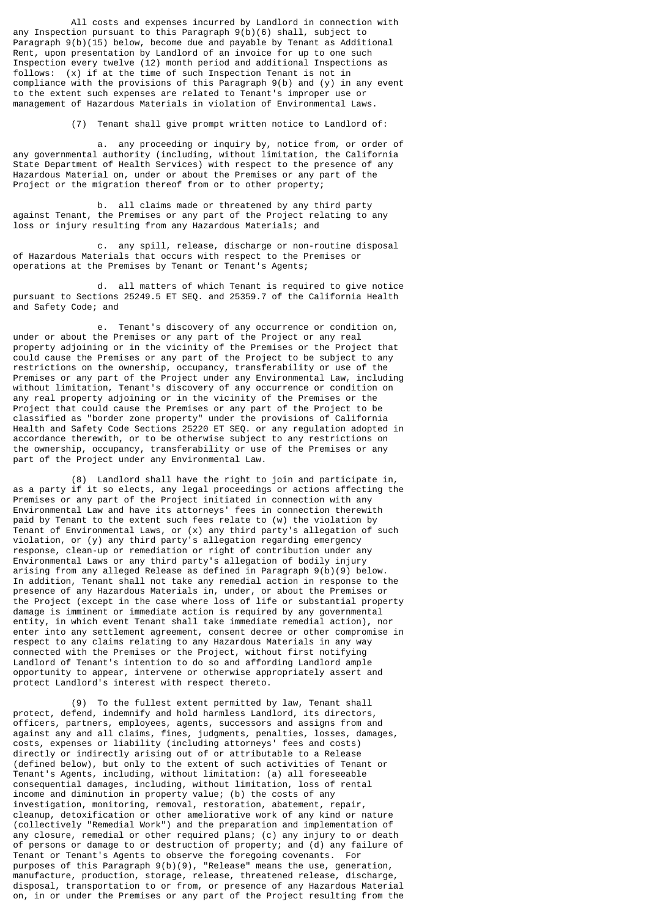All costs and expenses incurred by Landlord in connection with any Inspection pursuant to this Paragraph 9(b)(6) shall, subject to Paragraph 9(b)(15) below, become due and payable by Tenant as Additional Rent, upon presentation by Landlord of an invoice for up to one such Inspection every twelve (12) month period and additional Inspections as follows: (x) if at the time of such Inspection Tenant is not in compliance with the provisions of this Paragraph 9(b) and (y) in any event to the extent such expenses are related to Tenant's improper use or management of Hazardous Materials in violation of Environmental Laws.

(7) Tenant shall give prompt written notice to Landlord of:

 a. any proceeding or inquiry by, notice from, or order of any governmental authority (including, without limitation, the California State Department of Health Services) with respect to the presence of any Hazardous Material on, under or about the Premises or any part of the Project or the migration thereof from or to other property;

 b. all claims made or threatened by any third party against Tenant, the Premises or any part of the Project relating to any loss or injury resulting from any Hazardous Materials; and

 c. any spill, release, discharge or non-routine disposal of Hazardous Materials that occurs with respect to the Premises or operations at the Premises by Tenant or Tenant's Agents;

 d. all matters of which Tenant is required to give notice pursuant to Sections 25249.5 ET SEQ. and 25359.7 of the California Health and Safety Code; and

 e. Tenant's discovery of any occurrence or condition on, under or about the Premises or any part of the Project or any real property adjoining or in the vicinity of the Premises or the Project that could cause the Premises or any part of the Project to be subject to any restrictions on the ownership, occupancy, transferability or use of the Premises or any part of the Project under any Environmental Law, including without limitation, Tenant's discovery of any occurrence or condition on any real property adjoining or in the vicinity of the Premises or the Project that could cause the Premises or any part of the Project to be classified as "border zone property" under the provisions of California Health and Safety Code Sections 25220 ET SEQ. or any regulation adopted in accordance therewith, or to be otherwise subject to any restrictions on the ownership, occupancy, transferability or use of the Premises or any part of the Project under any Environmental Law.

 (8) Landlord shall have the right to join and participate in, as a party if it so elects, any legal proceedings or actions affecting the Premises or any part of the Project initiated in connection with any Environmental Law and have its attorneys' fees in connection therewith paid by Tenant to the extent such fees relate to (w) the violation by Tenant of Environmental Laws, or (x) any third party's allegation of such violation, or (y) any third party's allegation regarding emergency response, clean-up or remediation or right of contribution under any Environmental Laws or any third party's allegation of bodily injury arising from any alleged Release as defined in Paragraph 9(b)(9) below. In addition, Tenant shall not take any remedial action in response to the presence of any Hazardous Materials in, under, or about the Premises or the Project (except in the case where loss of life or substantial property damage is imminent or immediate action is required by any governmental entity, in which event Tenant shall take immediate remedial action), nor enter into any settlement agreement, consent decree or other compromise in respect to any claims relating to any Hazardous Materials in any way connected with the Premises or the Project, without first notifying Landlord of Tenant's intention to do so and affording Landlord ample opportunity to appear, intervene or otherwise appropriately assert and protect Landlord's interest with respect thereto.

 (9) To the fullest extent permitted by law, Tenant shall protect, defend, indemnify and hold harmless Landlord, its directors, officers, partners, employees, agents, successors and assigns from and against any and all claims, fines, judgments, penalties, losses, damages, costs, expenses or liability (including attorneys' fees and costs) directly or indirectly arising out of or attributable to a Release (defined below), but only to the extent of such activities of Tenant or Tenant's Agents, including, without limitation: (a) all foreseeable consequential damages, including, without limitation, loss of rental income and diminution in property value; (b) the costs of any investigation, monitoring, removal, restoration, abatement, repair, cleanup, detoxification or other ameliorative work of any kind or nature (collectively "Remedial Work") and the preparation and implementation of any closure, remedial or other required plans; (c) any injury to or death of persons or damage to or destruction of property; and (d) any failure of Tenant or Tenant's Agents to observe the foregoing covenants. For purposes of this Paragraph 9(b)(9), "Release" means the use, generation, manufacture, production, storage, release, threatened release, discharge, disposal, transportation to or from, or presence of any Hazardous Material on, in or under the Premises or any part of the Project resulting from the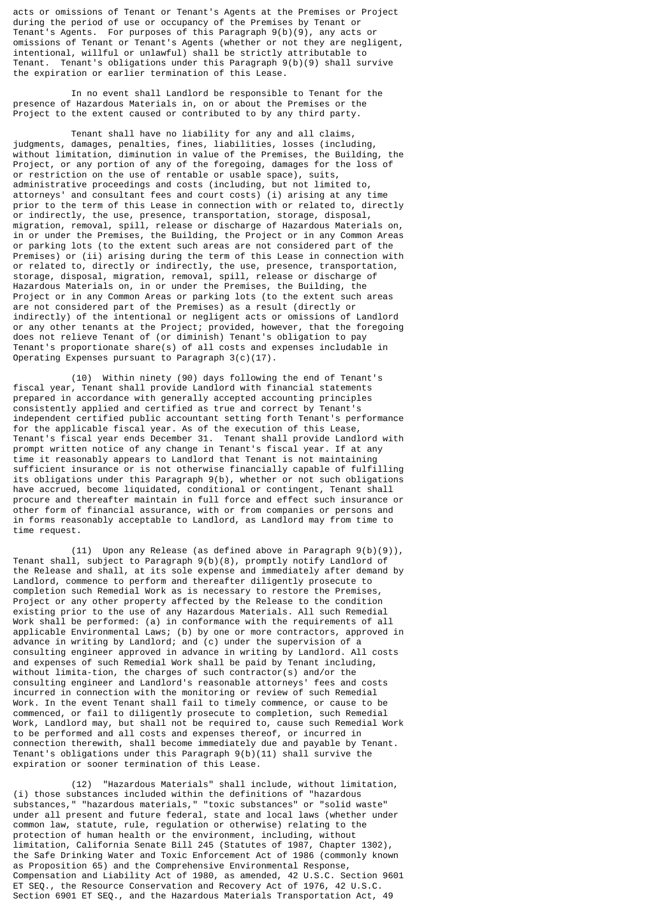acts or omissions of Tenant or Tenant's Agents at the Premises or Project during the period of use or occupancy of the Premises by Tenant or Tenant's Agents. For purposes of this Paragraph 9(b)(9), any acts or omissions of Tenant or Tenant's Agents (whether or not they are negligent, intentional, willful or unlawful) shall be strictly attributable to Tenant. Tenant's obligations under this Paragraph 9(b)(9) shall survive the expiration or earlier termination of this Lease.

 In no event shall Landlord be responsible to Tenant for the presence of Hazardous Materials in, on or about the Premises or the Project to the extent caused or contributed to by any third party.

 Tenant shall have no liability for any and all claims, judgments, damages, penalties, fines, liabilities, losses (including, without limitation, diminution in value of the Premises, the Building, the Project, or any portion of any of the foregoing, damages for the loss of or restriction on the use of rentable or usable space), suits, administrative proceedings and costs (including, but not limited to, attorneys' and consultant fees and court costs) (i) arising at any time prior to the term of this Lease in connection with or related to, directly or indirectly, the use, presence, transportation, storage, disposal, migration, removal, spill, release or discharge of Hazardous Materials on, in or under the Premises, the Building, the Project or in any Common Areas or parking lots (to the extent such areas are not considered part of the Premises) or (ii) arising during the term of this Lease in connection with or related to, directly or indirectly, the use, presence, transportation, storage, disposal, migration, removal, spill, release or discharge of Hazardous Materials on, in or under the Premises, the Building, the Project or in any Common Areas or parking lots (to the extent such areas are not considered part of the Premises) as a result (directly or indirectly) of the intentional or negligent acts or omissions of Landlord or any other tenants at the Project; provided, however, that the foregoing does not relieve Tenant of (or diminish) Tenant's obligation to pay Tenant's proportionate share(s) of all costs and expenses includable in Operating Expenses pursuant to Paragraph 3(c)(17).

 (10) Within ninety (90) days following the end of Tenant's fiscal year, Tenant shall provide Landlord with financial statements prepared in accordance with generally accepted accounting principles consistently applied and certified as true and correct by Tenant's independent certified public accountant setting forth Tenant's performance for the applicable fiscal year. As of the execution of this Lease, Tenant's fiscal year ends December 31. Tenant shall provide Landlord with prompt written notice of any change in Tenant's fiscal year. If at any time it reasonably appears to Landlord that Tenant is not maintaining sufficient insurance or is not otherwise financially capable of fulfilling its obligations under this Paragraph 9(b), whether or not such obligations have accrued, become liquidated, conditional or contingent, Tenant shall procure and thereafter maintain in full force and effect such insurance or other form of financial assurance, with or from companies or persons and in forms reasonably acceptable to Landlord, as Landlord may from time to time request.

 (11) Upon any Release (as defined above in Paragraph 9(b)(9)), Tenant shall, subject to Paragraph 9(b)(8), promptly notify Landlord of the Release and shall, at its sole expense and immediately after demand by Landlord, commence to perform and thereafter diligently prosecute to completion such Remedial Work as is necessary to restore the Premises, Project or any other property affected by the Release to the condition existing prior to the use of any Hazardous Materials. All such Remedial Work shall be performed: (a) in conformance with the requirements of all applicable Environmental Laws; (b) by one or more contractors, approved in advance in writing by Landlord; and (c) under the supervision of a consulting engineer approved in advance in writing by Landlord. All costs and expenses of such Remedial Work shall be paid by Tenant including, without limita-tion, the charges of such contractor(s) and/or the consulting engineer and Landlord's reasonable attorneys' fees and costs incurred in connection with the monitoring or review of such Remedial Work. In the event Tenant shall fail to timely commence, or cause to be commenced, or fail to diligently prosecute to completion, such Remedial Work, Landlord may, but shall not be required to, cause such Remedial Work to be performed and all costs and expenses thereof, or incurred in connection therewith, shall become immediately due and payable by Tenant. Tenant's obligations under this Paragraph 9(b)(11) shall survive the expiration or sooner termination of this Lease.

 (12) "Hazardous Materials" shall include, without limitation, (i) those substances included within the definitions of "hazardous substances," "hazardous materials," "toxic substances" or "solid waste" under all present and future federal, state and local laws (whether under common law, statute, rule, regulation or otherwise) relating to the protection of human health or the environment, including, without limitation, California Senate Bill 245 (Statutes of 1987, Chapter 1302), the Safe Drinking Water and Toxic Enforcement Act of 1986 (commonly known as Proposition 65) and the Comprehensive Environmental Response, Compensation and Liability Act of 1980, as amended, 42 U.S.C. Section 9601 ET SEQ., the Resource Conservation and Recovery Act of 1976, 42 U.S.C. Section 6901 ET SEQ., and the Hazardous Materials Transportation Act, 49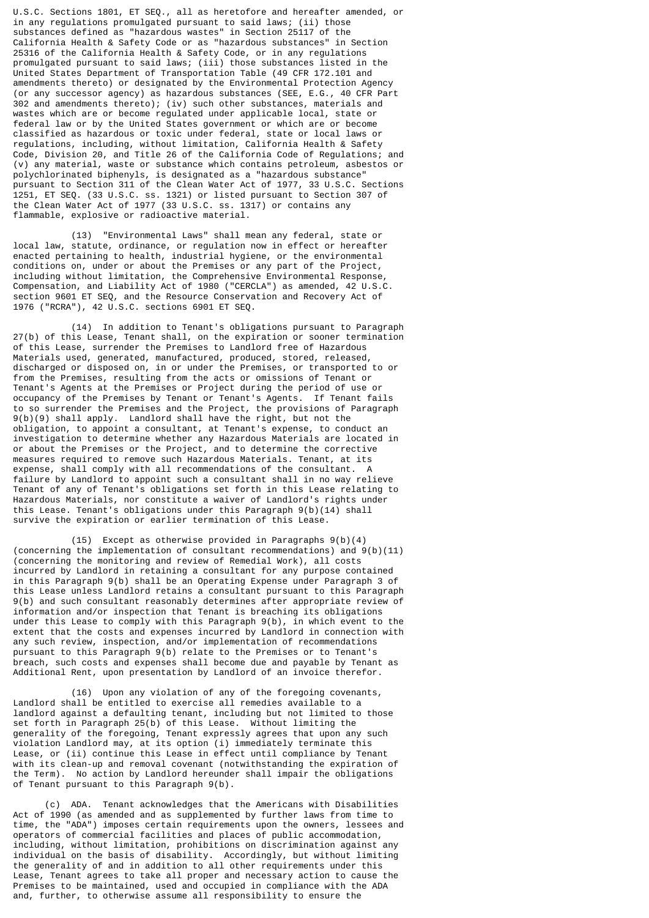U.S.C. Sections 1801, ET SEQ., all as heretofore and hereafter amended, or in any regulations promulgated pursuant to said laws; (ii) those substances defined as "hazardous wastes" in Section 25117 of the California Health & Safety Code or as "hazardous substances" in Section 25316 of the California Health & Safety Code, or in any regulations promulgated pursuant to said laws; (iii) those substances listed in the United States Department of Transportation Table (49 CFR 172.101 and amendments thereto) or designated by the Environmental Protection Agency (or any successor agency) as hazardous substances (SEE, E.G., 40 CFR Part 302 and amendments thereto); (iv) such other substances, materials and wastes which are or become regulated under applicable local, state or federal law or by the United States government or which are or become classified as hazardous or toxic under federal, state or local laws or regulations, including, without limitation, California Health & Safety Code, Division 20, and Title 26 of the California Code of Regulations; and (v) any material, waste or substance which contains petroleum, asbestos or polychlorinated biphenyls, is designated as a "hazardous substance" pursuant to Section 311 of the Clean Water Act of 1977, 33 U.S.C. Sections 1251, ET SEQ. (33 U.S.C. ss. 1321) or listed pursuant to Section 307 of the Clean Water Act of 1977 (33 U.S.C. ss. 1317) or contains any flammable, explosive or radioactive material.

 (13) "Environmental Laws" shall mean any federal, state or local law, statute, ordinance, or regulation now in effect or hereafter enacted pertaining to health, industrial hygiene, or the environmental conditions on, under or about the Premises or any part of the Project, including without limitation, the Comprehensive Environmental Response, Compensation, and Liability Act of 1980 ("CERCLA") as amended, 42 U.S.C. section 9601 ET SEQ, and the Resource Conservation and Recovery Act of 1976 ("RCRA"), 42 U.S.C. sections 6901 ET SEQ.

 (14) In addition to Tenant's obligations pursuant to Paragraph 27(b) of this Lease, Tenant shall, on the expiration or sooner termination of this Lease, surrender the Premises to Landlord free of Hazardous Materials used, generated, manufactured, produced, stored, released, discharged or disposed on, in or under the Premises, or transported to or from the Premises, resulting from the acts or omissions of Tenant or Tenant's Agents at the Premises or Project during the period of use or occupancy of the Premises by Tenant or Tenant's Agents. If Tenant fails to so surrender the Premises and the Project, the provisions of Paragraph 9(b)(9) shall apply. Landlord shall have the right, but not the obligation, to appoint a consultant, at Tenant's expense, to conduct an investigation to determine whether any Hazardous Materials are located in or about the Premises or the Project, and to determine the corrective measures required to remove such Hazardous Materials. Tenant, at its expense, shall comply with all recommendations of the consultant. A failure by Landlord to appoint such a consultant shall in no way relieve Tenant of any of Tenant's obligations set forth in this Lease relating to Hazardous Materials, nor constitute a waiver of Landlord's rights under this Lease. Tenant's obligations under this Paragraph  $9(b)(14)$  shall survive the expiration or earlier termination of this Lease.

 (15) Except as otherwise provided in Paragraphs 9(b)(4) (concerning the implementation of consultant recommendations) and 9(b)(11) (concerning the monitoring and review of Remedial Work), all costs incurred by Landlord in retaining a consultant for any purpose contained in this Paragraph 9(b) shall be an Operating Expense under Paragraph 3 of this Lease unless Landlord retains a consultant pursuant to this Paragraph 9(b) and such consultant reasonably determines after appropriate review of information and/or inspection that Tenant is breaching its obligations under this Lease to comply with this Paragraph  $9(b)$ , in which event to the extent that the costs and expenses incurred by Landlord in connection with any such review, inspection, and/or implementation of recommendations pursuant to this Paragraph 9(b) relate to the Premises or to Tenant's breach, such costs and expenses shall become due and payable by Tenant as Additional Rent, upon presentation by Landlord of an invoice therefor.

 (16) Upon any violation of any of the foregoing covenants, Landlord shall be entitled to exercise all remedies available to a landlord against a defaulting tenant, including but not limited to those set forth in Paragraph 25(b) of this Lease. Without limiting the generality of the foregoing, Tenant expressly agrees that upon any such violation Landlord may, at its option (i) immediately terminate this Lease, or (ii) continue this Lease in effect until compliance by Tenant with its clean-up and removal covenant (notwithstanding the expiration of the Term). No action by Landlord hereunder shall impair the obligations of Tenant pursuant to this Paragraph 9(b).

 (c) ADA. Tenant acknowledges that the Americans with Disabilities Act of 1990 (as amended and as supplemented by further laws from time to time, the "ADA") imposes certain requirements upon the owners, lessees and operators of commercial facilities and places of public accommodation, including, without limitation, prohibitions on discrimination against any individual on the basis of disability. Accordingly, but without limiting the generality of and in addition to all other requirements under this Lease, Tenant agrees to take all proper and necessary action to cause the Premises to be maintained, used and occupied in compliance with the ADA and, further, to otherwise assume all responsibility to ensure the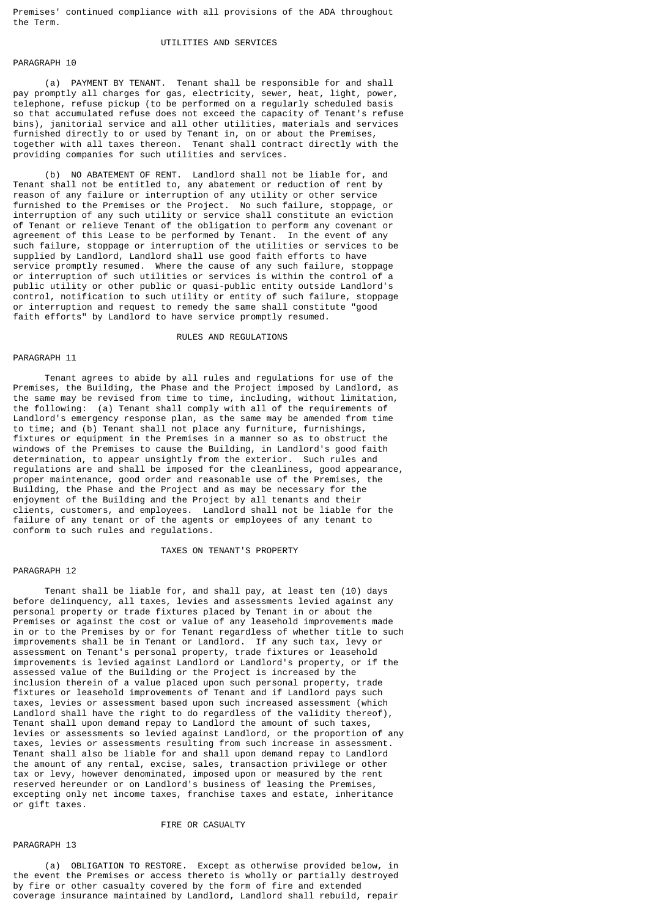Premises' continued compliance with all provisions of the ADA throughout the Term.

### UTILITIES AND SERVICES

### PARAGRAPH 10

 (a) PAYMENT BY TENANT. Tenant shall be responsible for and shall pay promptly all charges for gas, electricity, sewer, heat, light, power, telephone, refuse pickup (to be performed on a regularly scheduled basis so that accumulated refuse does not exceed the capacity of Tenant's refuse bins), janitorial service and all other utilities, materials and services furnished directly to or used by Tenant in, on or about the Premises, together with all taxes thereon. Tenant shall contract directly with the providing companies for such utilities and services.

 (b) NO ABATEMENT OF RENT. Landlord shall not be liable for, and Tenant shall not be entitled to, any abatement or reduction of rent by reason of any failure or interruption of any utility or other service furnished to the Premises or the Project. No such failure, stoppage, or interruption of any such utility or service shall constitute an eviction of Tenant or relieve Tenant of the obligation to perform any covenant or agreement of this Lease to be performed by Tenant. In the event of any such failure, stoppage or interruption of the utilities or services to be supplied by Landlord, Landlord shall use good faith efforts to have service promptly resumed. Where the cause of any such failure, stoppage or interruption of such utilities or services is within the control of a public utility or other public or quasi-public entity outside Landlord's control, notification to such utility or entity of such failure, stoppage or interruption and request to remedy the same shall constitute "good faith efforts" by Landlord to have service promptly resumed.

#### RULES AND REGULATIONS

#### PARAGRAPH 11

 Tenant agrees to abide by all rules and regulations for use of the Premises, the Building, the Phase and the Project imposed by Landlord, as the same may be revised from time to time, including, without limitation, the following: (a) Tenant shall comply with all of the requirements of Landlord's emergency response plan, as the same may be amended from time to time; and (b) Tenant shall not place any furniture, furnishings, fixtures or equipment in the Premises in a manner so as to obstruct the windows of the Premises to cause the Building, in Landlord's good faith determination, to appear unsightly from the exterior. Such rules and regulations are and shall be imposed for the cleanliness, good appearance, proper maintenance, good order and reasonable use of the Premises, the Building, the Phase and the Project and as may be necessary for the enjoyment of the Building and the Project by all tenants and their clients, customers, and employees. Landlord shall not be liable for the failure of any tenant or of the agents or employees of any tenant to conform to such rules and regulations.

#### TAXES ON TENANT'S PROPERTY

### PARAGRAPH 12

 Tenant shall be liable for, and shall pay, at least ten (10) days before delinquency, all taxes, levies and assessments levied against any personal property or trade fixtures placed by Tenant in or about the Premises or against the cost or value of any leasehold improvements made in or to the Premises by or for Tenant regardless of whether title to such improvements shall be in Tenant or Landlord. If any such tax, levy or assessment on Tenant's personal property, trade fixtures or leasehold improvements is levied against Landlord or Landlord's property, or if the assessed value of the Building or the Project is increased by the inclusion therein of a value placed upon such personal property, trade fixtures or leasehold improvements of Tenant and if Landlord pays such taxes, levies or assessment based upon such increased assessment (which Landlord shall have the right to do regardless of the validity thereof), Tenant shall upon demand repay to Landlord the amount of such taxes, levies or assessments so levied against Landlord, or the proportion of any taxes, levies or assessments resulting from such increase in assessment. Tenant shall also be liable for and shall upon demand repay to Landlord the amount of any rental, excise, sales, transaction privilege or other tax or levy, however denominated, imposed upon or measured by the rent reserved hereunder or on Landlord's business of leasing the Premises, excepting only net income taxes, franchise taxes and estate, inheritance or gift taxes.

### FIRE OR CASUALTY

### PARAGRAPH 13

 (a) OBLIGATION TO RESTORE. Except as otherwise provided below, in the event the Premises or access thereto is wholly or partially destroyed by fire or other casualty covered by the form of fire and extended coverage insurance maintained by Landlord, Landlord shall rebuild, repair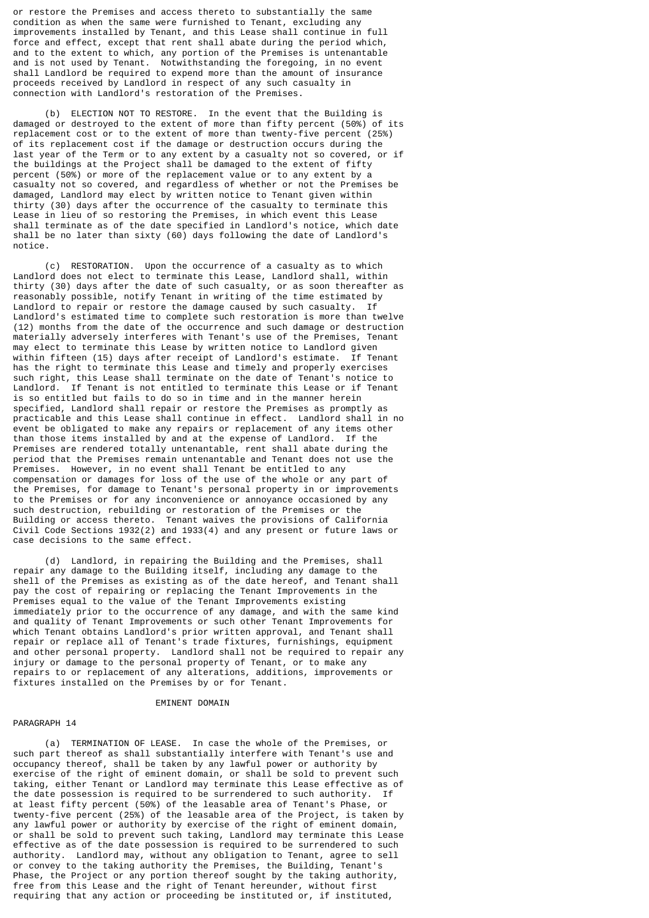or restore the Premises and access thereto to substantially the same condition as when the same were furnished to Tenant, excluding any improvements installed by Tenant, and this Lease shall continue in full force and effect, except that rent shall abate during the period which, and to the extent to which, any portion of the Premises is untenantable and is not used by Tenant. Notwithstanding the foregoing, in no event shall Landlord be required to expend more than the amount of insurance proceeds received by Landlord in respect of any such casualty in connection with Landlord's restoration of the Premises.

 (b) ELECTION NOT TO RESTORE. In the event that the Building is damaged or destroyed to the extent of more than fifty percent (50%) of its replacement cost or to the extent of more than twenty-five percent (25%) of its replacement cost if the damage or destruction occurs during the last year of the Term or to any extent by a casualty not so covered, or if the buildings at the Project shall be damaged to the extent of fifty percent (50%) or more of the replacement value or to any extent by a casualty not so covered, and regardless of whether or not the Premises be damaged, Landlord may elect by written notice to Tenant given within thirty (30) days after the occurrence of the casualty to terminate this Lease in lieu of so restoring the Premises, in which event this Lease shall terminate as of the date specified in Landlord's notice, which date shall be no later than sixty (60) days following the date of Landlord's notice.

 (c) RESTORATION. Upon the occurrence of a casualty as to which Landlord does not elect to terminate this Lease, Landlord shall, within thirty (30) days after the date of such casualty, or as soon thereafter as reasonably possible, notify Tenant in writing of the time estimated by Landlord to repair or restore the damage caused by such casualty. If Landlord's estimated time to complete such restoration is more than twelve (12) months from the date of the occurrence and such damage or destruction materially adversely interferes with Tenant's use of the Premises, Tenant may elect to terminate this Lease by written notice to Landlord given within fifteen (15) days after receipt of Landlord's estimate. If Tenant has the right to terminate this Lease and timely and properly exercises such right, this Lease shall terminate on the date of Tenant's notice to Landlord. If Tenant is not entitled to terminate this Lease or if Tenant is so entitled but fails to do so in time and in the manner herein specified, Landlord shall repair or restore the Premises as promptly as practicable and this Lease shall continue in effect. Landlord shall in no event be obligated to make any repairs or replacement of any items other than those items installed by and at the expense of Landlord. If the Premises are rendered totally untenantable, rent shall abate during the period that the Premises remain untenantable and Tenant does not use the Premises. However, in no event shall Tenant be entitled to any compensation or damages for loss of the use of the whole or any part of the Premises, for damage to Tenant's personal property in or improvements to the Premises or for any inconvenience or annoyance occasioned by any such destruction, rebuilding or restoration of the Premises or the Building or access thereto. Tenant waives the provisions of California Civil Code Sections 1932(2) and 1933(4) and any present or future laws or case decisions to the same effect.

 (d) Landlord, in repairing the Building and the Premises, shall repair any damage to the Building itself, including any damage to the shell of the Premises as existing as of the date hereof, and Tenant shall pay the cost of repairing or replacing the Tenant Improvements in the Premises equal to the value of the Tenant Improvements existing immediately prior to the occurrence of any damage, and with the same kind and quality of Tenant Improvements or such other Tenant Improvements for which Tenant obtains Landlord's prior written approval, and Tenant shall repair or replace all of Tenant's trade fixtures, furnishings, equipment and other personal property. Landlord shall not be required to repair any injury or damage to the personal property of Tenant, or to make any repairs to or replacement of any alterations, additions, improvements or fixtures installed on the Premises by or for Tenant.

#### EMINENT DOMAIN

### PARAGRAPH 14

 (a) TERMINATION OF LEASE. In case the whole of the Premises, or such part thereof as shall substantially interfere with Tenant's use and occupancy thereof, shall be taken by any lawful power or authority by exercise of the right of eminent domain, or shall be sold to prevent such taking, either Tenant or Landlord may terminate this Lease effective as of the date possession is required to be surrendered to such authority. If at least fifty percent (50%) of the leasable area of Tenant's Phase, or twenty-five percent (25%) of the leasable area of the Project, is taken by any lawful power or authority by exercise of the right of eminent domain, or shall be sold to prevent such taking, Landlord may terminate this Lease effective as of the date possession is required to be surrendered to such authority. Landlord may, without any obligation to Tenant, agree to sell or convey to the taking authority the Premises, the Building, Tenant's Phase, the Project or any portion thereof sought by the taking authority, free from this Lease and the right of Tenant hereunder, without first requiring that any action or proceeding be instituted or, if instituted,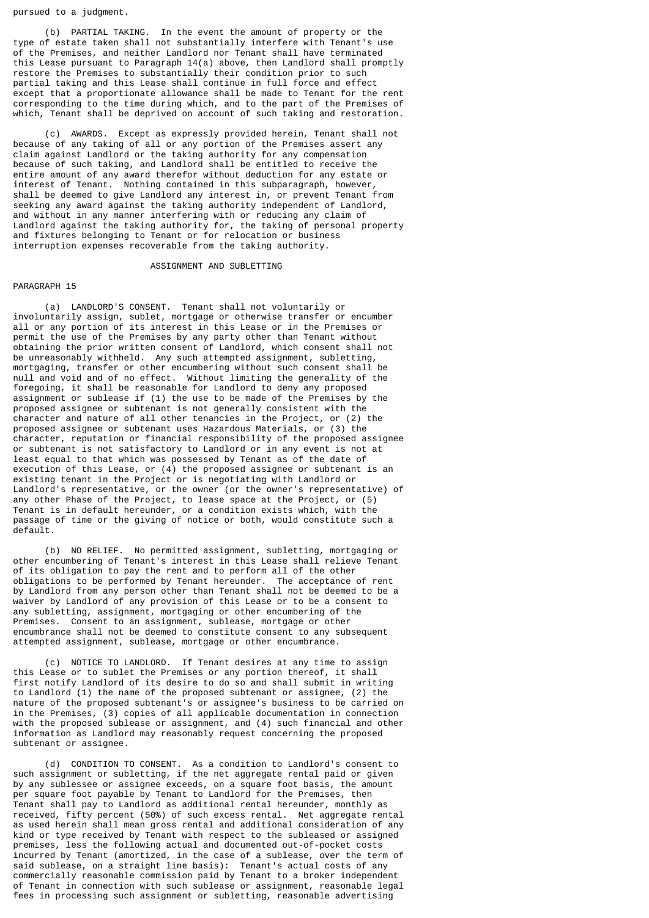pursued to a judgment.

 (b) PARTIAL TAKING. In the event the amount of property or the type of estate taken shall not substantially interfere with Tenant's use of the Premises, and neither Landlord nor Tenant shall have terminated this Lease pursuant to Paragraph 14(a) above, then Landlord shall promptly restore the Premises to substantially their condition prior to such partial taking and this Lease shall continue in full force and effect except that a proportionate allowance shall be made to Tenant for the rent corresponding to the time during which, and to the part of the Premises of which, Tenant shall be deprived on account of such taking and restoration.

 (c) AWARDS. Except as expressly provided herein, Tenant shall not because of any taking of all or any portion of the Premises assert any claim against Landlord or the taking authority for any compensation because of such taking, and Landlord shall be entitled to receive the entire amount of any award therefor without deduction for any estate or interest of Tenant. Nothing contained in this subparagraph, however, shall be deemed to give Landlord any interest in, or prevent Tenant from seeking any award against the taking authority independent of Landlord, and without in any manner interfering with or reducing any claim of Landlord against the taking authority for, the taking of personal property and fixtures belonging to Tenant or for relocation or business interruption expenses recoverable from the taking authority.

### ASSIGNMENT AND SUBLETTING

#### PARAGRAPH 15

 (a) LANDLORD'S CONSENT. Tenant shall not voluntarily or involuntarily assign, sublet, mortgage or otherwise transfer or encumber all or any portion of its interest in this Lease or in the Premises or permit the use of the Premises by any party other than Tenant without obtaining the prior written consent of Landlord, which consent shall not be unreasonably withheld. Any such attempted assignment, subletting, mortgaging, transfer or other encumbering without such consent shall be null and void and of no effect. Without limiting the generality of the foregoing, it shall be reasonable for Landlord to deny any proposed assignment or sublease if (1) the use to be made of the Premises by the proposed assignee or subtenant is not generally consistent with the character and nature of all other tenancies in the Project, or (2) the proposed assignee or subtenant uses Hazardous Materials, or (3) the character, reputation or financial responsibility of the proposed assignee or subtenant is not satisfactory to Landlord or in any event is not at least equal to that which was possessed by Tenant as of the date of execution of this Lease, or (4) the proposed assignee or subtenant is an existing tenant in the Project or is negotiating with Landlord or Landlord's representative, or the owner (or the owner's representative) of any other Phase of the Project, to lease space at the Project, or (5) Tenant is in default hereunder, or a condition exists which, with the passage of time or the giving of notice or both, would constitute such a default.

 (b) NO RELIEF. No permitted assignment, subletting, mortgaging or other encumbering of Tenant's interest in this Lease shall relieve Tenant of its obligation to pay the rent and to perform all of the other obligations to be performed by Tenant hereunder. The acceptance of rent by Landlord from any person other than Tenant shall not be deemed to be a waiver by Landlord of any provision of this Lease or to be a consent to any subletting, assignment, mortgaging or other encumbering of the Premises. Consent to an assignment, sublease, mortgage or other encumbrance shall not be deemed to constitute consent to any subsequent attempted assignment, sublease, mortgage or other encumbrance.

 (c) NOTICE TO LANDLORD. If Tenant desires at any time to assign this Lease or to sublet the Premises or any portion thereof, it shall first notify Landlord of its desire to do so and shall submit in writing to Landlord (1) the name of the proposed subtenant or assignee, (2) the nature of the proposed subtenant's or assignee's business to be carried on in the Premises, (3) copies of all applicable documentation in connection with the proposed sublease or assignment, and (4) such financial and other information as Landlord may reasonably request concerning the proposed subtenant or assignee.

 (d) CONDITION TO CONSENT. As a condition to Landlord's consent to such assignment or subletting, if the net aggregate rental paid or given by any sublessee or assignee exceeds, on a square foot basis, the amount per square foot payable by Tenant to Landlord for the Premises, then Tenant shall pay to Landlord as additional rental hereunder, monthly as received, fifty percent (50%) of such excess rental. Net aggregate rental as used herein shall mean gross rental and additional consideration of any kind or type received by Tenant with respect to the subleased or assigned premises, less the following actual and documented out-of-pocket costs incurred by Tenant (amortized, in the case of a sublease, over the term of said sublease, on a straight line basis): Tenant's actual costs of any commercially reasonable commission paid by Tenant to a broker independent of Tenant in connection with such sublease or assignment, reasonable legal fees in processing such assignment or subletting, reasonable advertising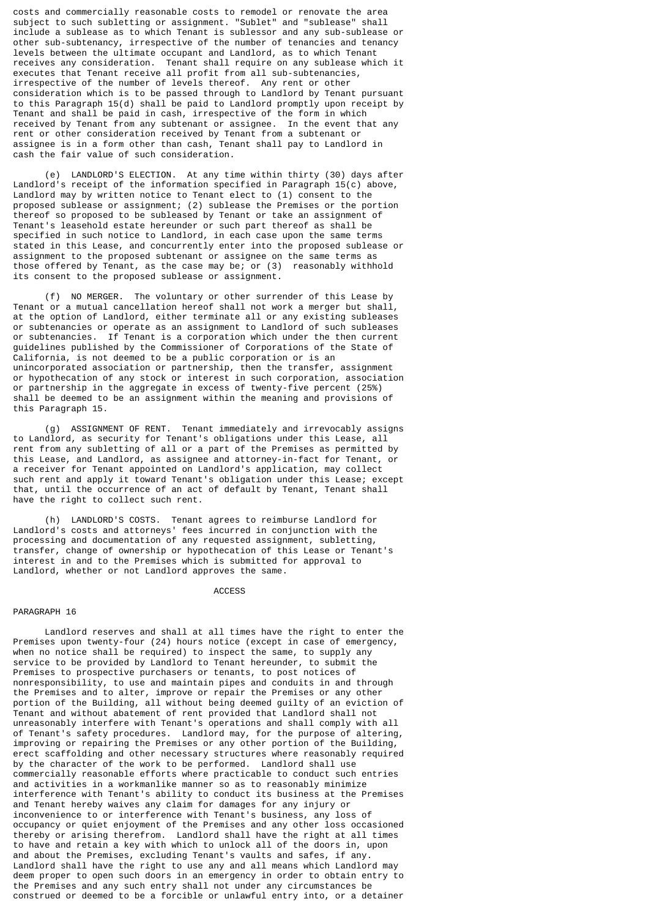costs and commercially reasonable costs to remodel or renovate the area subject to such subletting or assignment. "Sublet" and "sublease" shall include a sublease as to which Tenant is sublessor and any sub-sublease or other sub-subtenancy, irrespective of the number of tenancies and tenancy levels between the ultimate occupant and Landlord, as to which Tenant receives any consideration. Tenant shall require on any sublease which it executes that Tenant receive all profit from all sub-subtenancies, irrespective of the number of levels thereof. Any rent or other consideration which is to be passed through to Landlord by Tenant pursuant to this Paragraph 15(d) shall be paid to Landlord promptly upon receipt by Tenant and shall be paid in cash, irrespective of the form in which received by Tenant from any subtenant or assignee. In the event that any rent or other consideration received by Tenant from a subtenant or assignee is in a form other than cash, Tenant shall pay to Landlord in cash the fair value of such consideration.

 (e) LANDLORD'S ELECTION. At any time within thirty (30) days after Landlord's receipt of the information specified in Paragraph 15(c) above, Landlord may by written notice to Tenant elect to (1) consent to the proposed sublease or assignment; (2) sublease the Premises or the portion thereof so proposed to be subleased by Tenant or take an assignment of Tenant's leasehold estate hereunder or such part thereof as shall be specified in such notice to Landlord, in each case upon the same terms stated in this Lease, and concurrently enter into the proposed sublease or assignment to the proposed subtenant or assignee on the same terms as those offered by Tenant, as the case may be; or (3) reasonably withhold its consent to the proposed sublease or assignment.

 (f) NO MERGER. The voluntary or other surrender of this Lease by Tenant or a mutual cancellation hereof shall not work a merger but shall, at the option of Landlord, either terminate all or any existing subleases or subtenancies or operate as an assignment to Landlord of such subleases or subtenancies. If Tenant is a corporation which under the then current guidelines published by the Commissioner of Corporations of the State of California, is not deemed to be a public corporation or is an unincorporated association or partnership, then the transfer, assignment or hypothecation of any stock or interest in such corporation, association or partnership in the aggregate in excess of twenty-five percent (25%) shall be deemed to be an assignment within the meaning and provisions of this Paragraph 15.

 (g) ASSIGNMENT OF RENT. Tenant immediately and irrevocably assigns to Landlord, as security for Tenant's obligations under this Lease, all rent from any subletting of all or a part of the Premises as permitted by this Lease, and Landlord, as assignee and attorney-in-fact for Tenant, or a receiver for Tenant appointed on Landlord's application, may collect such rent and apply it toward Tenant's obligation under this Lease; except that, until the occurrence of an act of default by Tenant, Tenant shall have the right to collect such rent.

 (h) LANDLORD'S COSTS. Tenant agrees to reimburse Landlord for Landlord's costs and attorneys' fees incurred in conjunction with the processing and documentation of any requested assignment, subletting, transfer, change of ownership or hypothecation of this Lease or Tenant's interest in and to the Premises which is submitted for approval to Landlord, whether or not Landlord approves the same.

### ACCESS

#### PARAGRAPH 16

 Landlord reserves and shall at all times have the right to enter the Premises upon twenty-four (24) hours notice (except in case of emergency, when no notice shall be required) to inspect the same, to supply any service to be provided by Landlord to Tenant hereunder, to submit the Premises to prospective purchasers or tenants, to post notices of nonresponsibility, to use and maintain pipes and conduits in and through the Premises and to alter, improve or repair the Premises or any other portion of the Building, all without being deemed guilty of an eviction of Tenant and without abatement of rent provided that Landlord shall not unreasonably interfere with Tenant's operations and shall comply with all of Tenant's safety procedures. Landlord may, for the purpose of altering, improving or repairing the Premises or any other portion of the Building, erect scaffolding and other necessary structures where reasonably required by the character of the work to be performed. Landlord shall use commercially reasonable efforts where practicable to conduct such entries and activities in a workmanlike manner so as to reasonably minimize interference with Tenant's ability to conduct its business at the Premises and Tenant hereby waives any claim for damages for any injury or inconvenience to or interference with Tenant's business, any loss of occupancy or quiet enjoyment of the Premises and any other loss occasioned thereby or arising therefrom. Landlord shall have the right at all times to have and retain a key with which to unlock all of the doors in, upon and about the Premises, excluding Tenant's vaults and safes, if any. Landlord shall have the right to use any and all means which Landlord may deem proper to open such doors in an emergency in order to obtain entry to the Premises and any such entry shall not under any circumstances be construed or deemed to be a forcible or unlawful entry into, or a detainer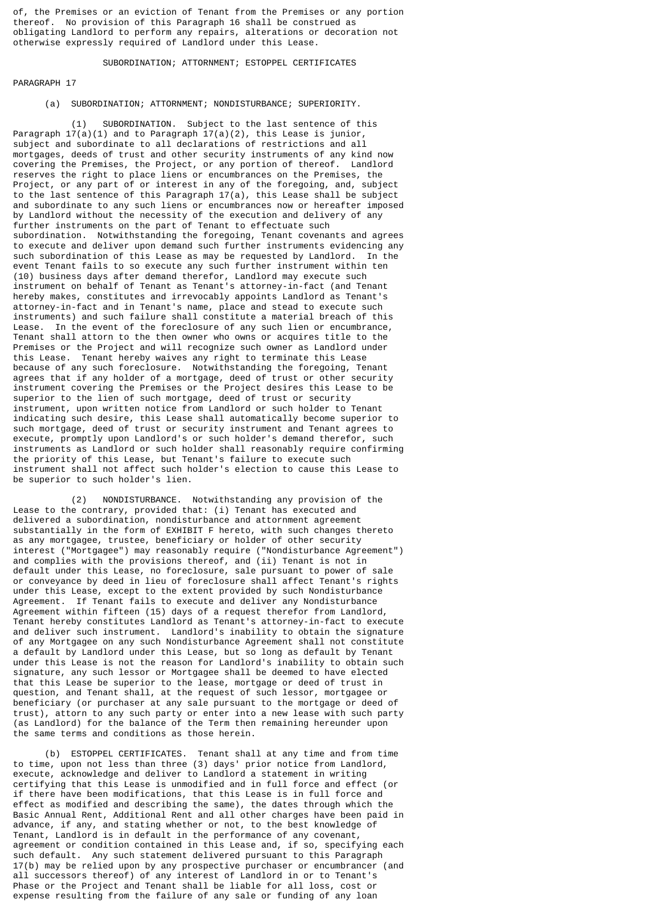of, the Premises or an eviction of Tenant from the Premises or any portion thereof. No provision of this Paragraph 16 shall be construed as obligating Landlord to perform any repairs, alterations or decoration not otherwise expressly required of Landlord under this Lease.

### SUBORDINATION; ATTORNMENT; ESTOPPEL CERTIFICATES

PARAGRAPH 17

### (a) SUBORDINATION; ATTORNMENT; NONDISTURBANCE; SUPERIORITY.

 (1) SUBORDINATION. Subject to the last sentence of this Paragraph  $17(a)(1)$  and to Paragraph  $17(a)(2)$ , this Lease is junior, subject and subordinate to all declarations of restrictions and all mortgages, deeds of trust and other security instruments of any kind now covering the Premises, the Project, or any portion of thereof. Landlord reserves the right to place liens or encumbrances on the Premises, the Project, or any part of or interest in any of the foregoing, and, subject to the last sentence of this Paragraph 17(a), this Lease shall be subject and subordinate to any such liens or encumbrances now or hereafter imposed by Landlord without the necessity of the execution and delivery of any further instruments on the part of Tenant to effectuate such subordination. Notwithstanding the foregoing, Tenant covenants and agrees to execute and deliver upon demand such further instruments evidencing any such subordination of this Lease as may be requested by Landlord. In the event Tenant fails to so execute any such further instrument within ten (10) business days after demand therefor, Landlord may execute such instrument on behalf of Tenant as Tenant's attorney-in-fact (and Tenant hereby makes, constitutes and irrevocably appoints Landlord as Tenant's attorney-in-fact and in Tenant's name, place and stead to execute such instruments) and such failure shall constitute a material breach of this Lease. In the event of the foreclosure of any such lien or encumbrance, Tenant shall attorn to the then owner who owns or acquires title to the Premises or the Project and will recognize such owner as Landlord under this Lease. Tenant hereby waives any right to terminate this Lease because of any such foreclosure. Notwithstanding the foregoing, Tenant agrees that if any holder of a mortgage, deed of trust or other security instrument covering the Premises or the Project desires this Lease to be superior to the lien of such mortgage, deed of trust or security instrument, upon written notice from Landlord or such holder to Tenant indicating such desire, this Lease shall automatically become superior to such mortgage, deed of trust or security instrument and Tenant agrees to execute, promptly upon Landlord's or such holder's demand therefor, such instruments as Landlord or such holder shall reasonably require confirming the priority of this Lease, but Tenant's failure to execute such instrument shall not affect such holder's election to cause this Lease to be superior to such holder's lien.

 (2) NONDISTURBANCE. Notwithstanding any provision of the Lease to the contrary, provided that: (i) Tenant has executed and delivered a subordination, nondisturbance and attornment agreement substantially in the form of EXHIBIT F hereto, with such changes thereto as any mortgagee, trustee, beneficiary or holder of other security interest ("Mortgagee") may reasonably require ("Nondisturbance Agreement") and complies with the provisions thereof, and (ii) Tenant is not in default under this Lease, no foreclosure, sale pursuant to power of sale or conveyance by deed in lieu of foreclosure shall affect Tenant's rights under this Lease, except to the extent provided by such Nondisturbance Agreement. If Tenant fails to execute and deliver any Nondisturbance Agreement within fifteen (15) days of a request therefor from Landlord, Tenant hereby constitutes Landlord as Tenant's attorney-in-fact to execute and deliver such instrument. Landlord's inability to obtain the signature of any Mortgagee on any such Nondisturbance Agreement shall not constitute a default by Landlord under this Lease, but so long as default by Tenant under this Lease is not the reason for Landlord's inability to obtain such signature, any such lessor or Mortgagee shall be deemed to have elected that this Lease be superior to the lease, mortgage or deed of trust in question, and Tenant shall, at the request of such lessor, mortgagee or beneficiary (or purchaser at any sale pursuant to the mortgage or deed of trust), attorn to any such party or enter into a new lease with such party (as Landlord) for the balance of the Term then remaining hereunder upon the same terms and conditions as those herein.

 (b) ESTOPPEL CERTIFICATES. Tenant shall at any time and from time to time, upon not less than three (3) days' prior notice from Landlord, execute, acknowledge and deliver to Landlord a statement in writing certifying that this Lease is unmodified and in full force and effect (or if there have been modifications, that this Lease is in full force and effect as modified and describing the same), the dates through which the Basic Annual Rent, Additional Rent and all other charges have been paid in advance, if any, and stating whether or not, to the best knowledge of Tenant, Landlord is in default in the performance of any covenant, agreement or condition contained in this Lease and, if so, specifying each such default. Any such statement delivered pursuant to this Paragraph 17(b) may be relied upon by any prospective purchaser or encumbrancer (and all successors thereof) of any interest of Landlord in or to Tenant's Phase or the Project and Tenant shall be liable for all loss, cost or expense resulting from the failure of any sale or funding of any loan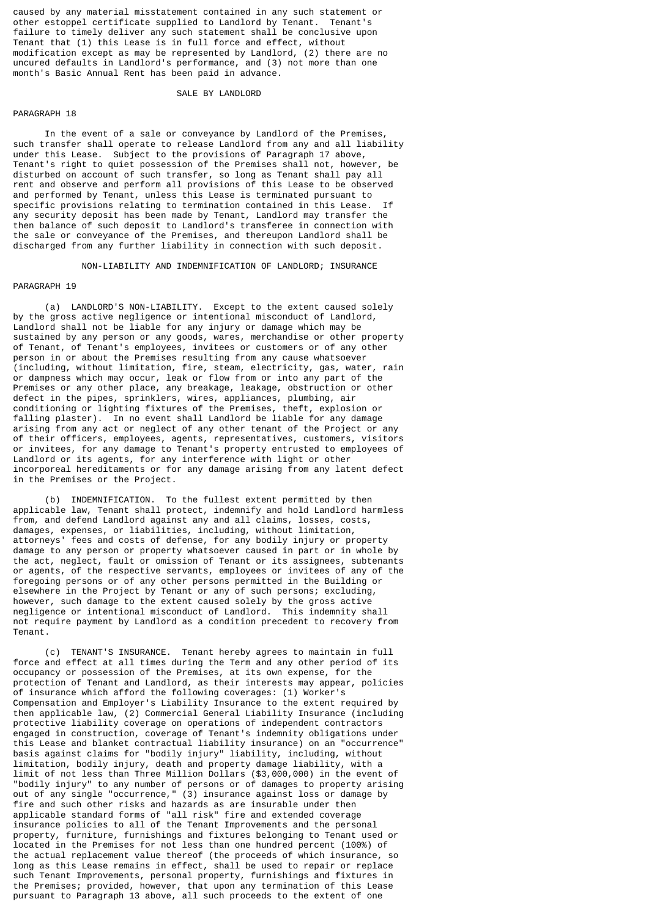caused by any material misstatement contained in any such statement or other estoppel certificate supplied to Landlord by Tenant. Tenant's failure to timely deliver any such statement shall be conclusive upon Tenant that (1) this Lease is in full force and effect, without modification except as may be represented by Landlord, (2) there are no uncured defaults in Landlord's performance, and (3) not more than one month's Basic Annual Rent has been paid in advance.

### SALE BY LANDLORD

### PARAGRAPH 18

 In the event of a sale or conveyance by Landlord of the Premises, such transfer shall operate to release Landlord from any and all liability under this Lease. Subject to the provisions of Paragraph 17 above, Tenant's right to quiet possession of the Premises shall not, however, disturbed on account of such transfer, so long as Tenant shall pay all rent and observe and perform all provisions of this Lease to be observed and performed by Tenant, unless this Lease is terminated pursuant to specific provisions relating to termination contained in this Lease. any security deposit has been made by Tenant, Landlord may transfer the then balance of such deposit to Landlord's transferee in connection with the sale or conveyance of the Premises, and thereupon Landlord shall be discharged from any further liability in connection with such deposit.

NON-LIABILITY AND INDEMNIFICATION OF LANDLORD; INSURANCE

### PARAGRAPH 19

 (a) LANDLORD'S NON-LIABILITY. Except to the extent caused solely by the gross active negligence or intentional misconduct of Landlord, Landlord shall not be liable for any injury or damage which may be sustained by any person or any goods, wares, merchandise or other property of Tenant, of Tenant's employees, invitees or customers or of any other person in or about the Premises resulting from any cause whatsoever (including, without limitation, fire, steam, electricity, gas, water, rain or dampness which may occur, leak or flow from or into any part of the Premises or any other place, any breakage, leakage, obstruction or other defect in the pipes, sprinklers, wires, appliances, plumbing, air conditioning or lighting fixtures of the Premises, theft, explosion or falling plaster). In no event shall Landlord be liable for any damage arising from any act or neglect of any other tenant of the Project or any of their officers, employees, agents, representatives, customers, visitors or invitees, for any damage to Tenant's property entrusted to employees of Landlord or its agents, for any interference with light or other incorporeal hereditaments or for any damage arising from any latent defect in the Premises or the Project.

 (b) INDEMNIFICATION. To the fullest extent permitted by then applicable law, Tenant shall protect, indemnify and hold Landlord harmless from, and defend Landlord against any and all claims, losses, costs, damages, expenses, or liabilities, including, without limitation, attorneys' fees and costs of defense, for any bodily injury or property damage to any person or property whatsoever caused in part or in whole by the act, neglect, fault or omission of Tenant or its assignees, subtenants or agents, of the respective servants, employees or invitees of any of the foregoing persons or of any other persons permitted in the Building or elsewhere in the Project by Tenant or any of such persons; excluding, however, such damage to the extent caused solely by the gross active negligence or intentional misconduct of Landlord. This indemnity shall not require payment by Landlord as a condition precedent to recovery from Tenant.

 (c) TENANT'S INSURANCE. Tenant hereby agrees to maintain in full force and effect at all times during the Term and any other period of its occupancy or possession of the Premises, at its own expense, for the protection of Tenant and Landlord, as their interests may appear, policies of insurance which afford the following coverages: (1) Worker's Compensation and Employer's Liability Insurance to the extent required by then applicable law, (2) Commercial General Liability Insurance (including protective liability coverage on operations of independent contractors engaged in construction, coverage of Tenant's indemnity obligations under this Lease and blanket contractual liability insurance) on an "occurrence" basis against claims for "bodily injury" liability, including, without limitation, bodily injury, death and property damage liability, with a limit of not less than Three Million Dollars (\$3,000,000) in the event of "bodily injury" to any number of persons or of damages to property arising out of any single "occurrence," (3) insurance against loss or damage by fire and such other risks and hazards as are insurable under then applicable standard forms of "all risk" fire and extended coverage insurance policies to all of the Tenant Improvements and the personal property, furniture, furnishings and fixtures belonging to Tenant used or located in the Premises for not less than one hundred percent (100%) of the actual replacement value thereof (the proceeds of which insurance, so long as this Lease remains in effect, shall be used to repair or replace such Tenant Improvements, personal property, furnishings and fixtures in the Premises; provided, however, that upon any termination of this Lease pursuant to Paragraph 13 above, all such proceeds to the extent of one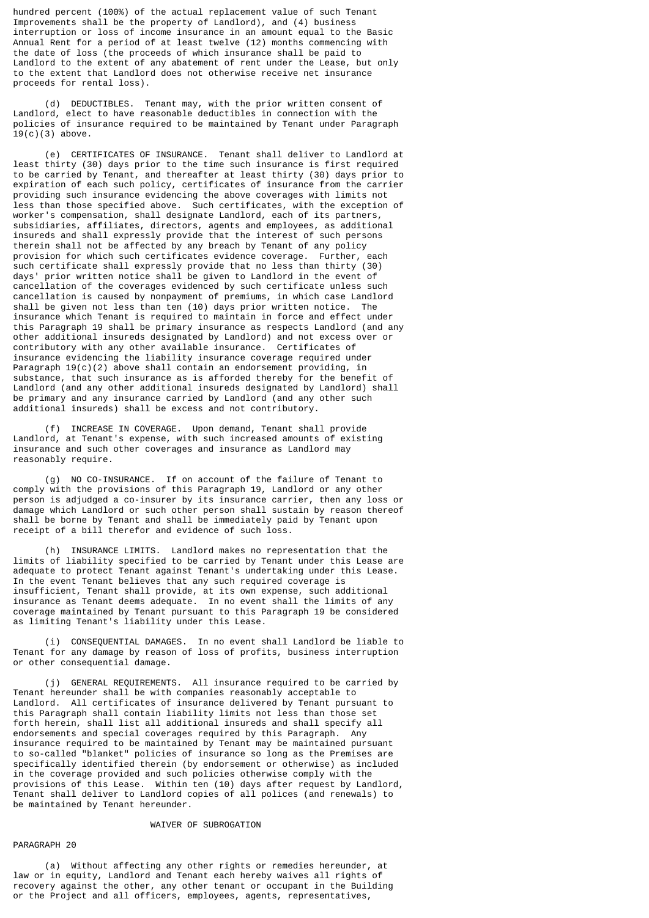hundred percent (100%) of the actual replacement value of such Tenant Improvements shall be the property of Landlord), and (4) business interruption or loss of income insurance in an amount equal to the Basic Annual Rent for a period of at least twelve (12) months commencing with the date of loss (the proceeds of which insurance shall be paid to Landlord to the extent of any abatement of rent under the Lease, but only to the extent that Landlord does not otherwise receive net insurance proceeds for rental loss).

 (d) DEDUCTIBLES. Tenant may, with the prior written consent of Landlord, elect to have reasonable deductibles in connection with the policies of insurance required to be maintained by Tenant under Paragraph  $19(c)(3)$  above.

 (e) CERTIFICATES OF INSURANCE. Tenant shall deliver to Landlord at least thirty (30) days prior to the time such insurance is first required to be carried by Tenant, and thereafter at least thirty (30) days prior to expiration of each such policy, certificates of insurance from the carrier providing such insurance evidencing the above coverages with limits not less than those specified above. Such certificates, with the exception of worker's compensation, shall designate Landlord, each of its partners, subsidiaries, affiliates, directors, agents and employees, as additional insureds and shall expressly provide that the interest of such persons therein shall not be affected by any breach by Tenant of any policy provision for which such certificates evidence coverage. Further, each such certificate shall expressly provide that no less than thirty (30) days' prior written notice shall be given to Landlord in the event of cancellation of the coverages evidenced by such certificate unless such cancellation is caused by nonpayment of premiums, in which case Landlord shall be given not less than ten (10) days prior written notice. The insurance which Tenant is required to maintain in force and effect under this Paragraph 19 shall be primary insurance as respects Landlord (and any other additional insureds designated by Landlord) and not excess over or contributory with any other available insurance. Certificates of insurance evidencing the liability insurance coverage required under Paragraph 19(c)(2) above shall contain an endorsement providing, in substance, that such insurance as is afforded thereby for the benefit of Landlord (and any other additional insureds designated by Landlord) shall be primary and any insurance carried by Landlord (and any other such additional insureds) shall be excess and not contributory.

 (f) INCREASE IN COVERAGE. Upon demand, Tenant shall provide Landlord, at Tenant's expense, with such increased amounts of existing insurance and such other coverages and insurance as Landlord may reasonably require.

 (g) NO CO-INSURANCE. If on account of the failure of Tenant to comply with the provisions of this Paragraph 19, Landlord or any other person is adjudged a co-insurer by its insurance carrier, then any loss or damage which Landlord or such other person shall sustain by reason thereof shall be borne by Tenant and shall be immediately paid by Tenant upon receipt of a bill therefor and evidence of such loss.

 (h) INSURANCE LIMITS. Landlord makes no representation that the limits of liability specified to be carried by Tenant under this Lease are adequate to protect Tenant against Tenant's undertaking under this Lease. In the event Tenant believes that any such required coverage is insufficient, Tenant shall provide, at its own expense, such additional insurance as Tenant deems adequate. In no event shall the limits of any coverage maintained by Tenant pursuant to this Paragraph 19 be considered as limiting Tenant's liability under this Lease.

 (i) CONSEQUENTIAL DAMAGES. In no event shall Landlord be liable to Tenant for any damage by reason of loss of profits, business interruption or other consequential damage.

 (j) GENERAL REQUIREMENTS. All insurance required to be carried by Tenant hereunder shall be with companies reasonably acceptable to Landlord. All certificates of insurance delivered by Tenant pursuant to this Paragraph shall contain liability limits not less than those set forth herein, shall list all additional insureds and shall specify all endorsements and special coverages required by this Paragraph. Any insurance required to be maintained by Tenant may be maintained pursuant to so-called "blanket" policies of insurance so long as the Premises are specifically identified therein (by endorsement or otherwise) as included in the coverage provided and such policies otherwise comply with the provisions of this Lease. Within ten (10) days after request by Landlord, Tenant shall deliver to Landlord copies of all polices (and renewals) to be maintained by Tenant hereunder.

### WAIVER OF SUBROGATION

### PARAGRAPH 20

 (a) Without affecting any other rights or remedies hereunder, at law or in equity, Landlord and Tenant each hereby waives all rights of recovery against the other, any other tenant or occupant in the Building or the Project and all officers, employees, agents, representatives,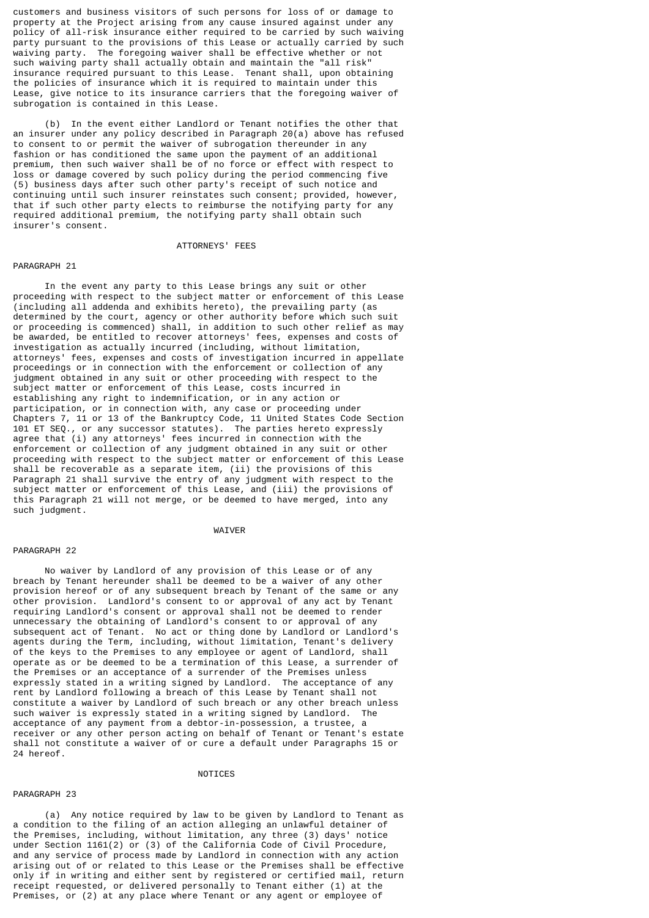customers and business visitors of such persons for loss of or damage to property at the Project arising from any cause insured against under any policy of all-risk insurance either required to be carried by such waiving party pursuant to the provisions of this Lease or actually carried by such waiving party. The foregoing waiver shall be effective whether or not such waiving party shall actually obtain and maintain the "all risk" insurance required pursuant to this Lease. Tenant shall, upon obtaining the policies of insurance which it is required to maintain under this Lease, give notice to its insurance carriers that the foregoing waiver of subrogation is contained in this Lease.

 (b) In the event either Landlord or Tenant notifies the other that an insurer under any policy described in Paragraph 20(a) above has refused to consent to or permit the waiver of subrogation thereunder in any fashion or has conditioned the same upon the payment of an additional premium, then such waiver shall be of no force or effect with respect to loss or damage covered by such policy during the period commencing five (5) business days after such other party's receipt of such notice and continuing until such insurer reinstates such consent; provided, however, that if such other party elects to reimburse the notifying party for any required additional premium, the notifying party shall obtain such insurer's consent.

### ATTORNEYS' FEES

### PARAGRAPH 21

 In the event any party to this Lease brings any suit or other proceeding with respect to the subject matter or enforcement of this Lease (including all addenda and exhibits hereto), the prevailing party (as determined by the court, agency or other authority before which such suit or proceeding is commenced) shall, in addition to such other relief as may be awarded, be entitled to recover attorneys' fees, expenses and costs of investigation as actually incurred (including, without limitation, attorneys' fees, expenses and costs of investigation incurred in appellate proceedings or in connection with the enforcement or collection of any judgment obtained in any suit or other proceeding with respect to the subject matter or enforcement of this Lease, costs incurred in establishing any right to indemnification, or in any action or participation, or in connection with, any case or proceeding under Chapters 7, 11 or 13 of the Bankruptcy Code, 11 United States Code Section<br>101 ET SEO., or any successor statutes). The parties hereto expressly or any successor statutes). The parties hereto expressly agree that (i) any attorneys' fees incurred in connection with the enforcement or collection of any judgment obtained in any suit or other proceeding with respect to the subject matter or enforcement of this Lease shall be recoverable as a separate item, (ii) the provisions of this Paragraph 21 shall survive the entry of any judgment with respect to the subject matter or enforcement of this Lease, and (iii) the provisions of this Paragraph 21 will not merge, or be deemed to have merged, into any such judgment.

### WAIVER

#### PARAGRAPH 22

 No waiver by Landlord of any provision of this Lease or of any breach by Tenant hereunder shall be deemed to be a waiver of any other provision hereof or of any subsequent breach by Tenant of the same or any other provision. Landlord's consent to or approval of any act by Tenant requiring Landlord's consent or approval shall not be deemed to render unnecessary the obtaining of Landlord's consent to or approval of any subsequent act of Tenant. No act or thing done by Landlord or Landlord's agents during the Term, including, without limitation, Tenant's delivery of the keys to the Premises to any employee or agent of Landlord, shall operate as or be deemed to be a termination of this Lease, a surrender of the Premises or an acceptance of a surrender of the Premises unless expressly stated in a writing signed by Landlord. The acceptance of any rent by Landlord following a breach of this Lease by Tenant shall not constitute a waiver by Landlord of such breach or any other breach unless such waiver is expressly stated in a writing signed by Landlord. The acceptance of any payment from a debtor-in-possession, a trustee, a receiver or any other person acting on behalf of Tenant or Tenant's estate shall not constitute a waiver of or cure a default under Paragraphs 15 or 24 hereof.

#### **NOTTCES**

### PARAGRAPH 23

 (a) Any notice required by law to be given by Landlord to Tenant as a condition to the filing of an action alleging an unlawful detainer of the Premises, including, without limitation, any three (3) days' notice under Section 1161(2) or (3) of the California Code of Civil Procedure, and any service of process made by Landlord in connection with any action arising out of or related to this Lease or the Premises shall be effective only if in writing and either sent by registered or certified mail, return receipt requested, or delivered personally to Tenant either (1) at the Premises, or (2) at any place where Tenant or any agent or employee of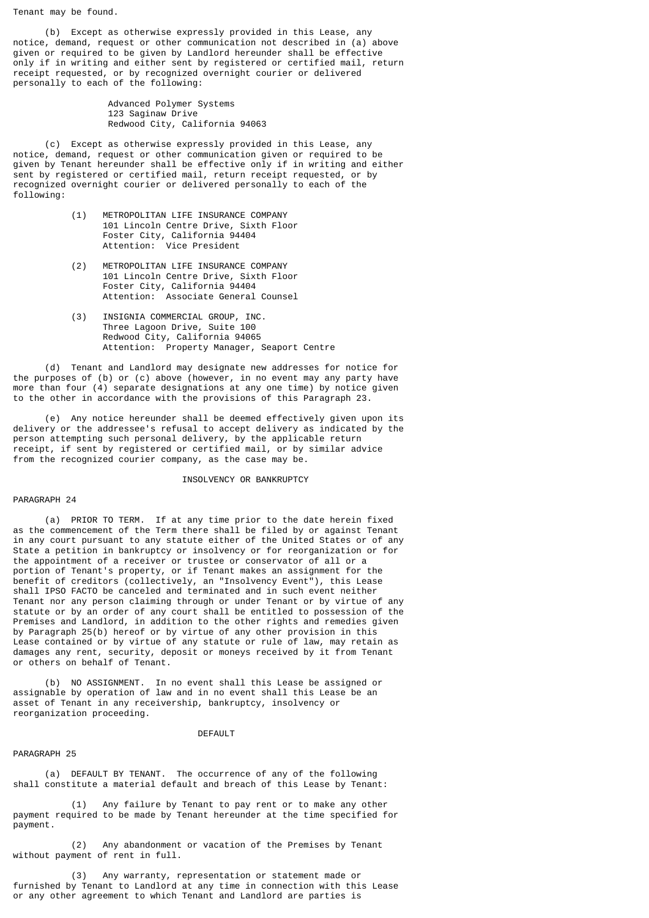Tenant may be found.

 (b) Except as otherwise expressly provided in this Lease, any notice, demand, request or other communication not described in (a) above given or required to be given by Landlord hereunder shall be effective only if in writing and either sent by registered or certified mail, return receipt requested, or by recognized overnight courier or delivered personally to each of the following:

> Advanced Polymer Systems 123 Saginaw Drive Redwood City, California 94063

 (c) Except as otherwise expressly provided in this Lease, any notice, demand, request or other communication given or required to be given by Tenant hereunder shall be effective only if in writing and either sent by registered or certified mail, return receipt requested, or by recognized overnight courier or delivered personally to each of the following:

- (1) METROPOLITAN LIFE INSURANCE COMPANY 101 Lincoln Centre Drive, Sixth Floor Foster City, California 94404 Attention: Vice President
- (2) METROPOLITAN LIFE INSURANCE COMPANY 101 Lincoln Centre Drive, Sixth Floor Foster City, California 94404 Attention: Associate General Counsel
	- (3) INSIGNIA COMMERCIAL GROUP, INC. Three Lagoon Drive, Suite 100 Redwood City, California 94065 Attention: Property Manager, Seaport Centre

 (d) Tenant and Landlord may designate new addresses for notice for the purposes of (b) or (c) above (however, in no event may any party have more than four (4) separate designations at any one time) by notice given to the other in accordance with the provisions of this Paragraph 23.

 (e) Any notice hereunder shall be deemed effectively given upon its delivery or the addressee's refusal to accept delivery as indicated by the person attempting such personal delivery, by the applicable return receipt, if sent by registered or certified mail, or by similar advice from the recognized courier company, as the case may be.

### INSOLVENCY OR BANKRUPTCY

### PARAGRAPH 24

 (a) PRIOR TO TERM. If at any time prior to the date herein fixed as the commencement of the Term there shall be filed by or against Tenant in any court pursuant to any statute either of the United States or of any State a petition in bankruptcy or insolvency or for reorganization or for the appointment of a receiver or trustee or conservator of all or a portion of Tenant's property, or if Tenant makes an assignment for the benefit of creditors (collectively, an "Insolvency Event"), this Lease shall IPSO FACTO be canceled and terminated and in such event neither Tenant nor any person claiming through or under Tenant or by virtue of any statute or by an order of any court shall be entitled to possession of the Premises and Landlord, in addition to the other rights and remedies given by Paragraph 25(b) hereof or by virtue of any other provision in this Lease contained or by virtue of any statute or rule of law, may retain as damages any rent, security, deposit or moneys received by it from Tenant or others on behalf of Tenant.

 (b) NO ASSIGNMENT. In no event shall this Lease be assigned or assignable by operation of law and in no event shall this Lease be an asset of Tenant in any receivership, bankruptcy, insolvency or reorganization proceeding.

#### DEFAULT

#### PARAGRAPH 25

 (a) DEFAULT BY TENANT. The occurrence of any of the following shall constitute a material default and breach of this Lease by Tenant:

 (1) Any failure by Tenant to pay rent or to make any other payment required to be made by Tenant hereunder at the time specified for payment.

 (2) Any abandonment or vacation of the Premises by Tenant without payment of rent in full.

 (3) Any warranty, representation or statement made or furnished by Tenant to Landlord at any time in connection with this Lease or any other agreement to which Tenant and Landlord are parties is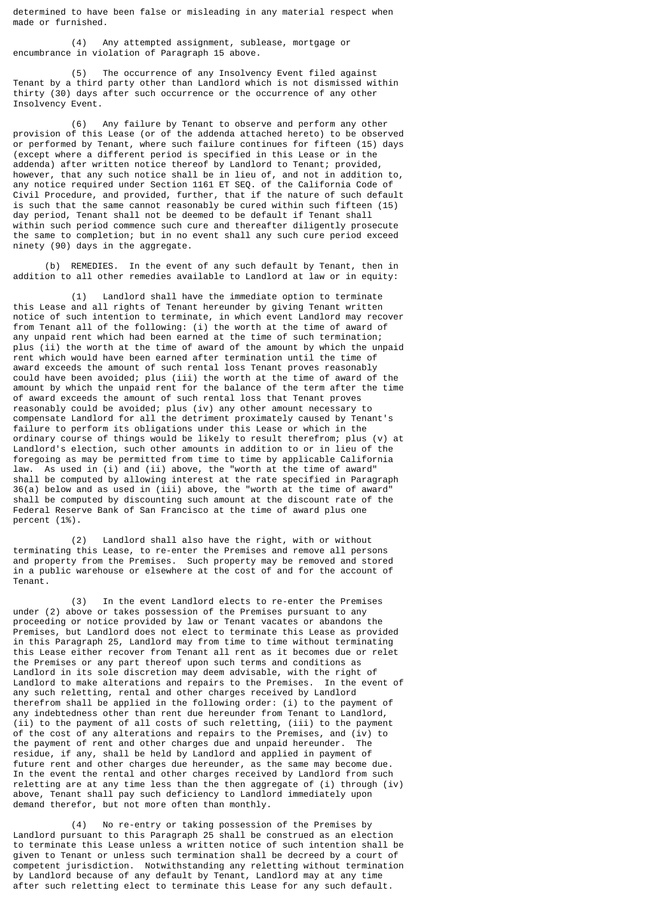determined to have been false or misleading in any material respect when made or furnished.

 (4) Any attempted assignment, sublease, mortgage or encumbrance in violation of Paragraph 15 above.

 (5) The occurrence of any Insolvency Event filed against Tenant by a third party other than Landlord which is not dismissed within thirty (30) days after such occurrence or the occurrence of any other Insolvency Event.

 (6) Any failure by Tenant to observe and perform any other provision of this Lease (or of the addenda attached hereto) to be observed or performed by Tenant, where such failure continues for fifteen (15) days (except where a different period is specified in this Lease or in the addenda) after written notice thereof by Landlord to Tenant; provided, however, that any such notice shall be in lieu of, and not in addition to, any notice required under Section 1161 ET SEQ. of the California Code of Civil Procedure, and provided, further, that if the nature of such default is such that the same cannot reasonably be cured within such fifteen (15) day period, Tenant shall not be deemed to be default if Tenant shall within such period commence such cure and thereafter diligently prosecute the same to completion; but in no event shall any such cure period exceed ninety (90) days in the aggregate.

 (b) REMEDIES. In the event of any such default by Tenant, then in addition to all other remedies available to Landlord at law or in equity:

 (1) Landlord shall have the immediate option to terminate this Lease and all rights of Tenant hereunder by giving Tenant written notice of such intention to terminate, in which event Landlord may recover from Tenant all of the following: (i) the worth at the time of award of any unpaid rent which had been earned at the time of such termination; plus (ii) the worth at the time of award of the amount by which the unpaid rent which would have been earned after termination until the time of award exceeds the amount of such rental loss Tenant proves reasonably could have been avoided; plus (iii) the worth at the time of award of the amount by which the unpaid rent for the balance of the term after the time of award exceeds the amount of such rental loss that Tenant proves reasonably could be avoided; plus (iv) any other amount necessary to compensate Landlord for all the detriment proximately caused by Tenant's failure to perform its obligations under this Lease or which in the ordinary course of things would be likely to result therefrom; plus (v) at Landlord's election, such other amounts in addition to or in lieu of the foregoing as may be permitted from time to time by applicable California law. As used in (i) and (ii) above, the "worth at the time of award" shall be computed by allowing interest at the rate specified in Paragraph 36(a) below and as used in (iii) above, the "worth at the time of award" shall be computed by discounting such amount at the discount rate of the Federal Reserve Bank of San Francisco at the time of award plus one percent (1%).

 (2) Landlord shall also have the right, with or without terminating this Lease, to re-enter the Premises and remove all persons and property from the Premises. Such property may be removed and stored in a public warehouse or elsewhere at the cost of and for the account of Tenant.

 (3) In the event Landlord elects to re-enter the Premises under (2) above or takes possession of the Premises pursuant to any proceeding or notice provided by law or Tenant vacates or abandons the Premises, but Landlord does not elect to terminate this Lease as provided in this Paragraph 25, Landlord may from time to time without terminating this Lease either recover from Tenant all rent as it becomes due or relet the Premises or any part thereof upon such terms and conditions as Landlord in its sole discretion may deem advisable, with the right of Landlord to make alterations and repairs to the Premises. In the event of any such reletting, rental and other charges received by Landlord therefrom shall be applied in the following order: (i) to the payment of any indebtedness other than rent due hereunder from Tenant to Landlord, (ii) to the payment of all costs of such reletting, (iii) to the payment of the cost of any alterations and repairs to the Premises, and (iv) to the payment of rent and other charges due and unpaid hereunder. The residue, if any, shall be held by Landlord and applied in payment of future rent and other charges due hereunder, as the same may become due. In the event the rental and other charges received by Landlord from such reletting are at any time less than the then aggregate of  $(i)$  through  $(iv)$ above, Tenant shall pay such deficiency to Landlord immediately upon demand therefor, but not more often than monthly.

 (4) No re-entry or taking possession of the Premises by Landlord pursuant to this Paragraph 25 shall be construed as an election to terminate this Lease unless a written notice of such intention shall be given to Tenant or unless such termination shall be decreed by a court of competent jurisdiction. Notwithstanding any reletting without termination by Landlord because of any default by Tenant, Landlord may at any time after such reletting elect to terminate this Lease for any such default.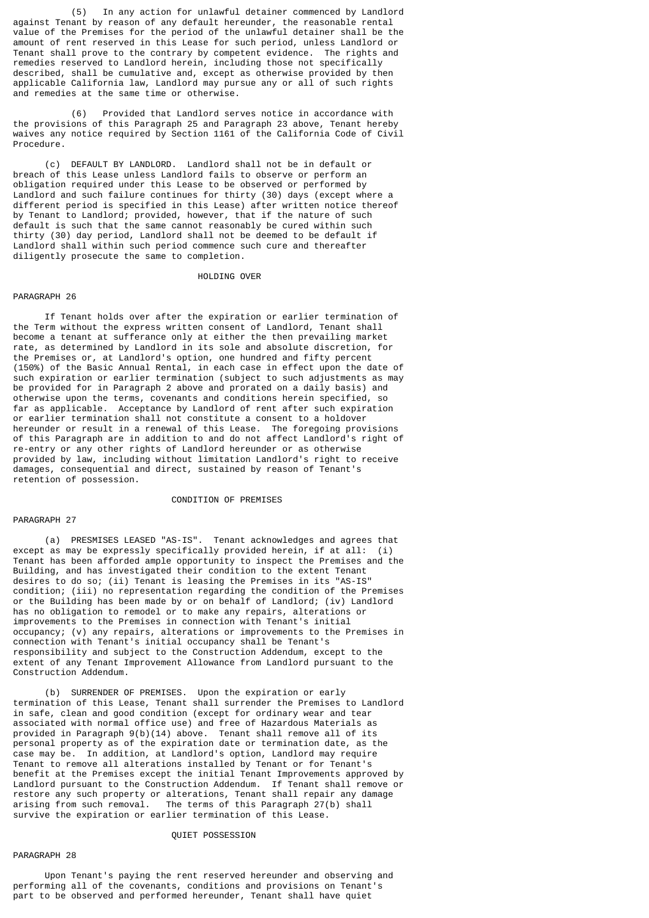(5) In any action for unlawful detainer commenced by Landlord against Tenant by reason of any default hereunder, the reasonable rental value of the Premises for the period of the unlawful detainer shall be the amount of rent reserved in this Lease for such period, unless Landlord or Tenant shall prove to the contrary by competent evidence. The rights and remedies reserved to Landlord herein, including those not specifically described, shall be cumulative and, except as otherwise provided by then applicable California law, Landlord may pursue any or all of such rights and remedies at the same time or otherwise.

 (6) Provided that Landlord serves notice in accordance with the provisions of this Paragraph 25 and Paragraph 23 above, Tenant hereby waives any notice required by Section 1161 of the California Code of Civil Procedure.

 (c) DEFAULT BY LANDLORD. Landlord shall not be in default or breach of this Lease unless Landlord fails to observe or perform an obligation required under this Lease to be observed or performed by Landlord and such failure continues for thirty (30) days (except where a different period is specified in this Lease) after written notice thereof by Tenant to Landlord; provided, however, that if the nature of such default is such that the same cannot reasonably be cured within such thirty (30) day period, Landlord shall not be deemed to be default if Landlord shall within such period commence such cure and thereafter diligently prosecute the same to completion.

#### HOLDING OVER

### PARAGRAPH 26

 If Tenant holds over after the expiration or earlier termination of the Term without the express written consent of Landlord, Tenant shall become a tenant at sufferance only at either the then prevailing market rate, as determined by Landlord in its sole and absolute discretion, for the Premises or, at Landlord's option, one hundred and fifty percent (150%) of the Basic Annual Rental, in each case in effect upon the date of such expiration or earlier termination (subject to such adjustments as may be provided for in Paragraph 2 above and prorated on a daily basis) and otherwise upon the terms, covenants and conditions herein specified, so far as applicable. Acceptance by Landlord of rent after such expiration or earlier termination shall not constitute a consent to a holdover hereunder or result in a renewal of this Lease. The foregoing provisions of this Paragraph are in addition to and do not affect Landlord's right of re-entry or any other rights of Landlord hereunder or as otherwise provided by law, including without limitation Landlord's right to receive damages, consequential and direct, sustained by reason of Tenant's retention of possession.

### CONDITION OF PREMISES

### PARAGRAPH 27

 (a) PRESMISES LEASED "AS-IS". Tenant acknowledges and agrees that except as may be expressly specifically provided herein, if at all: (i) Tenant has been afforded ample opportunity to inspect the Premises and the Building, and has investigated their condition to the extent Tenant desires to do so; (ii) Tenant is leasing the Premises in its "AS-IS" condition; (iii) no representation regarding the condition of the Premises or the Building has been made by or on behalf of Landlord; (iv) Landlord has no obligation to remodel or to make any repairs, alterations or improvements to the Premises in connection with Tenant's initial occupancy; (v) any repairs, alterations or improvements to the Premises in connection with Tenant's initial occupancy shall be Tenant's responsibility and subject to the Construction Addendum, except to the extent of any Tenant Improvement Allowance from Landlord pursuant to the Construction Addendum.

 (b) SURRENDER OF PREMISES. Upon the expiration or early termination of this Lease, Tenant shall surrender the Premises to Landlord in safe, clean and good condition (except for ordinary wear and tear associated with normal office use) and free of Hazardous Materials as provided in Paragraph 9(b)(14) above. Tenant shall remove all of its personal property as of the expiration date or termination date, as the case may be. In addition, at Landlord's option, Landlord may require Tenant to remove all alterations installed by Tenant or for Tenant's benefit at the Premises except the initial Tenant Improvements approved by Landlord pursuant to the Construction Addendum. If Tenant shall remove or restore any such property or alterations, Tenant shall repair any damage arising from such removal. The terms of this Paragraph 27(b) shall survive the expiration or earlier termination of this Lease.

#### QUIET POSSESSION

#### PARAGRAPH 28

 Upon Tenant's paying the rent reserved hereunder and observing and performing all of the covenants, conditions and provisions on Tenant's part to be observed and performed hereunder, Tenant shall have quiet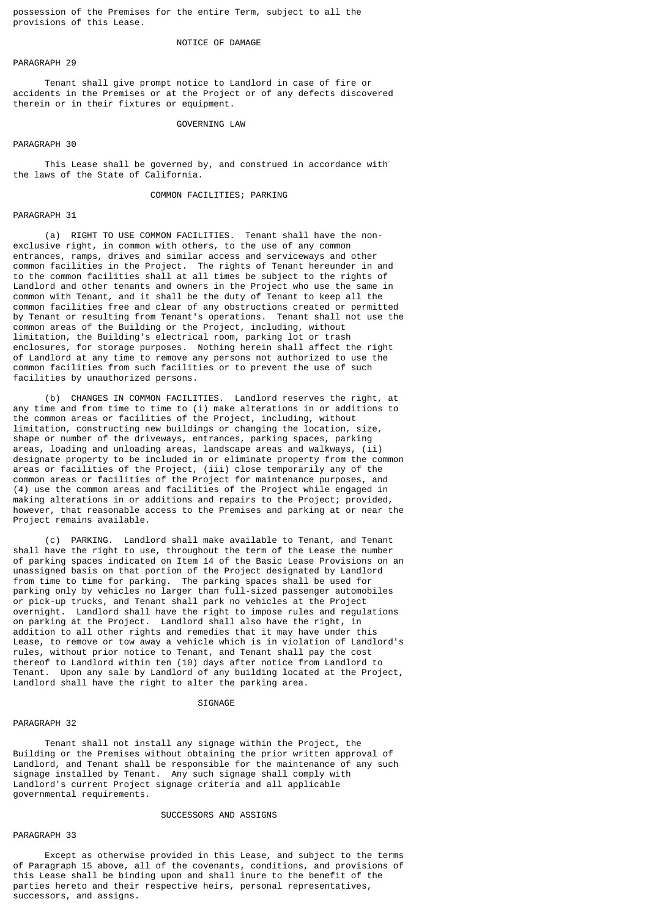possession of the Premises for the entire Term, subject to all the provisions of this Lease.

### NOTICE OF DAMAGE

PARAGRAPH 29

 Tenant shall give prompt notice to Landlord in case of fire or accidents in the Premises or at the Project or of any defects discovered therein or in their fixtures or equipment.

#### GOVERNING LAW

#### PARAGRAPH 30

 This Lease shall be governed by, and construed in accordance with the laws of the State of California.

### COMMON FACILITIES; PARKING

### PARAGRAPH 31

 (a) RIGHT TO USE COMMON FACILITIES. Tenant shall have the nonexclusive right, in common with others, to the use of any common entrances, ramps, drives and similar access and serviceways and other common facilities in the Project. The rights of Tenant hereunder in and to the common facilities shall at all times be subject to the rights of Landlord and other tenants and owners in the Project who use the same in common with Tenant, and it shall be the duty of Tenant to keep all the common facilities free and clear of any obstructions created or permitted by Tenant or resulting from Tenant's operations. Tenant shall not use the common areas of the Building or the Project, including, without limitation, the Building's electrical room, parking lot or trash enclosures, for storage purposes. Nothing herein shall affect the right of Landlord at any time to remove any persons not authorized to use the common facilities from such facilities or to prevent the use of such facilities by unauthorized persons.

 (b) CHANGES IN COMMON FACILITIES. Landlord reserves the right, at any time and from time to time to (i) make alterations in or additions to the common areas or facilities of the Project, including, without limitation, constructing new buildings or changing the location, size, shape or number of the driveways, entrances, parking spaces, parking areas, loading and unloading areas, landscape areas and walkways, (ii) designate property to be included in or eliminate property from the common areas or facilities of the Project, (iii) close temporarily any of the common areas or facilities of the Project for maintenance purposes, and (4) use the common areas and facilities of the Project while engaged in making alterations in or additions and repairs to the Project; provided, however, that reasonable access to the Premises and parking at or near the Project remains available.

 (c) PARKING. Landlord shall make available to Tenant, and Tenant shall have the right to use, throughout the term of the Lease the number of parking spaces indicated on Item 14 of the Basic Lease Provisions on an unassigned basis on that portion of the Project designated by Landlord from time to time for parking. The parking spaces shall be used for parking only by vehicles no larger than full-sized passenger automobiles or pick-up trucks, and Tenant shall park no vehicles at the Project overnight. Landlord shall have the right to impose rules and regulations on parking at the Project. Landlord shall also have the right, in addition to all other rights and remedies that it may have under this Lease, to remove or tow away a vehicle which is in violation of Landlord's rules, without prior notice to Tenant, and Tenant shall pay the cost thereof to Landlord within ten (10) days after notice from Landlord to Tenant. Upon any sale by Landlord of any building located at the Project, Landlord shall have the right to alter the parking area.

#### **STGNAGE**

### PARAGRAPH 32

 Tenant shall not install any signage within the Project, the Building or the Premises without obtaining the prior written approval of Landlord, and Tenant shall be responsible for the maintenance of any such signage installed by Tenant. Any such signage shall comply with Landlord's current Project signage criteria and all applicable governmental requirements.

#### SUCCESSORS AND ASSIGNS

#### PARAGRAPH 33

 Except as otherwise provided in this Lease, and subject to the terms of Paragraph 15 above, all of the covenants, conditions, and provisions of this Lease shall be binding upon and shall inure to the benefit of the parties hereto and their respective heirs, personal representatives, successors, and assigns.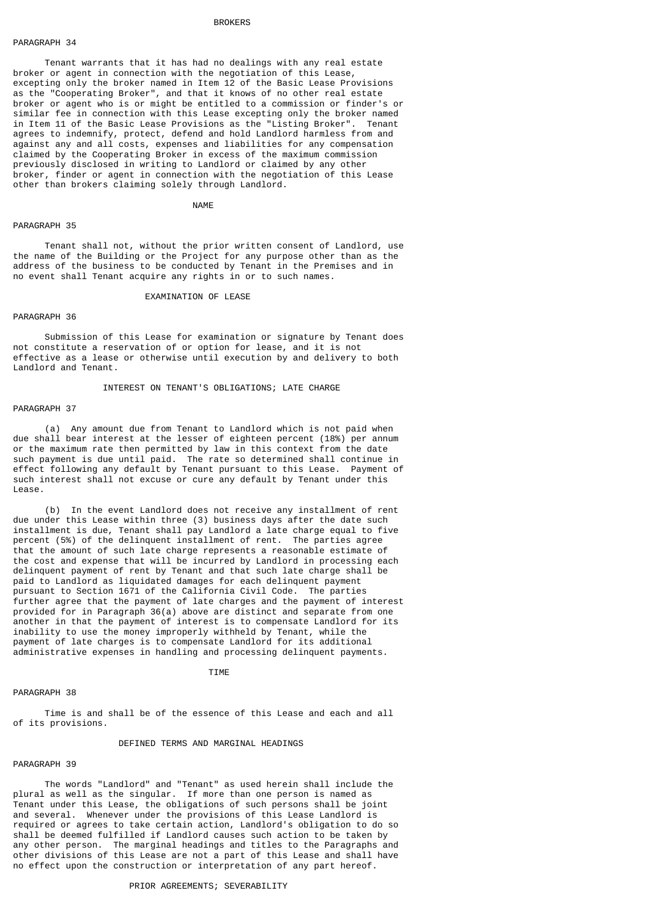### **BROKERS**

#### PARAGRAPH 34

 Tenant warrants that it has had no dealings with any real estate broker or agent in connection with the negotiation of this Lease, excepting only the broker named in Item 12 of the Basic Lease Provisions as the "Cooperating Broker", and that it knows of no other real estate broker or agent who is or might be entitled to a commission or finder's or similar fee in connection with this Lease excepting only the broker named in Item 11 of the Basic Lease Provisions as the "Listing Broker". Tenant agrees to indemnify, protect, defend and hold Landlord harmless from and against any and all costs, expenses and liabilities for any compensation claimed by the Cooperating Broker in excess of the maximum commission previously disclosed in writing to Landlord or claimed by any other broker, finder or agent in connection with the negotiation of this Lease other than brokers claiming solely through Landlord.

NAME NAME

#### PARAGRAPH 35

 Tenant shall not, without the prior written consent of Landlord, use the name of the Building or the Project for any purpose other than as the address of the business to be conducted by Tenant in the Premises and in no event shall Tenant acquire any rights in or to such names.

#### EXAMINATION OF LEASE

### PARAGRAPH 36

 Submission of this Lease for examination or signature by Tenant does not constitute a reservation of or option for lease, and it is not effective as a lease or otherwise until execution by and delivery to both Landlord and Tenant.

### INTEREST ON TENANT'S OBLIGATIONS; LATE CHARGE

#### PARAGRAPH 37

 (a) Any amount due from Tenant to Landlord which is not paid when due shall bear interest at the lesser of eighteen percent (18%) per annum or the maximum rate then permitted by law in this context from the date such payment is due until paid. The rate so determined shall continue in effect following any default by Tenant pursuant to this Lease. Payment of such interest shall not excuse or cure any default by Tenant under this Lease.

 (b) In the event Landlord does not receive any installment of rent due under this Lease within three (3) business days after the date such installment is due, Tenant shall pay Landlord a late charge equal to five percent (5%) of the delinquent installment of rent. The parties agree that the amount of such late charge represents a reasonable estimate of the cost and expense that will be incurred by Landlord in processing each delinquent payment of rent by Tenant and that such late charge shall be paid to Landlord as liquidated damages for each delinquent payment pursuant to Section 1671 of the California Civil Code. The parties further agree that the payment of late charges and the payment of interest provided for in Paragraph 36(a) above are distinct and separate from one another in that the payment of interest is to compensate Landlord for its inability to use the money improperly withheld by Tenant, while the payment of late charges is to compensate Landlord for its additional administrative expenses in handling and processing delinquent payments.

#### TIME TERM IN THE TERM IN THE TERM IN THE TERM IN THE TERM IN THE TERM IN THE TERM IN THE TERM IN THE TERM IN THE TERM IN THE TERM IN THE TERM IN THE TERM IN THE TERM IN THE TERM IN THE TERM IN THE TERM IN THE TERM IN THE T

#### PARAGRAPH 38

 Time is and shall be of the essence of this Lease and each and all of its provisions.

#### DEFINED TERMS AND MARGINAL HEADINGS

#### PARAGRAPH 39

 The words "Landlord" and "Tenant" as used herein shall include the plural as well as the singular. If more than one person is named as Tenant under this Lease, the obligations of such persons shall be joint and several. Whenever under the provisions of this Lease Landlord is required or agrees to take certain action, Landlord's obligation to do so shall be deemed fulfilled if Landlord causes such action to be taken by any other person. The marginal headings and titles to the Paragraphs and other divisions of this Lease are not a part of this Lease and shall have no effect upon the construction or interpretation of any part hereof.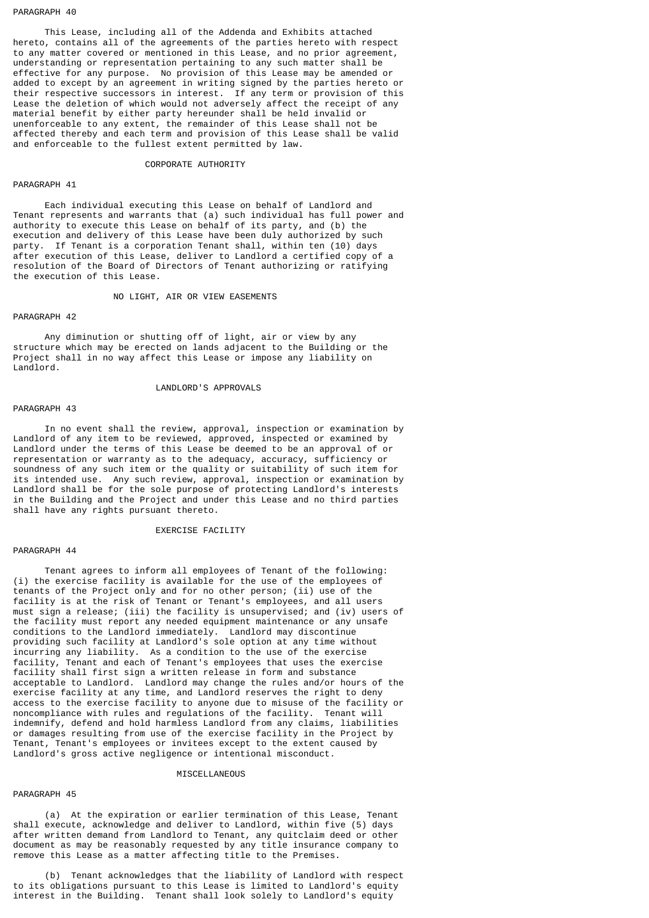#### PARAGRAPH 40

 This Lease, including all of the Addenda and Exhibits attached hereto, contains all of the agreements of the parties hereto with respect to any matter covered or mentioned in this Lease, and no prior agreement, understanding or representation pertaining to any such matter shall be effective for any purpose. No provision of this Lease may be amended or added to except by an agreement in writing signed by the parties hereto or their respective successors in interest. If any term or provision of this Lease the deletion of which would not adversely affect the receipt of any material benefit by either party hereunder shall be held invalid or unenforceable to any extent, the remainder of this Lease shall not be affected thereby and each term and provision of this Lease shall be valid and enforceable to the fullest extent permitted by law.

#### CORPORATE AUTHORITY

#### PARAGRAPH 41

 Each individual executing this Lease on behalf of Landlord and Tenant represents and warrants that (a) such individual has full power and authority to execute this Lease on behalf of its party, and (b) the execution and delivery of this Lease have been duly authorized by such party. If Tenant is a corporation Tenant shall, within ten (10) days after execution of this Lease, deliver to Landlord a certified copy of a resolution of the Board of Directors of Tenant authorizing or ratifying the execution of this Lease.

#### NO LIGHT, AIR OR VIEW EASEMENTS

### PARAGRAPH 42

 Any diminution or shutting off of light, air or view by any structure which may be erected on lands adjacent to the Building or the Project shall in no way affect this Lease or impose any liability on Landlord.

#### LANDLORD'S APPROVALS

#### PARAGRAPH 43

 In no event shall the review, approval, inspection or examination by Landlord of any item to be reviewed, approved, inspected or examined by Landlord under the terms of this Lease be deemed to be an approval of or representation or warranty as to the adequacy, accuracy, sufficiency or soundness of any such item or the quality or suitability of such item for its intended use. Any such review, approval, inspection or examination by Landlord shall be for the sole purpose of protecting Landlord's interests in the Building and the Project and under this Lease and no third parties shall have any rights pursuant thereto.

### EXERCISE FACILITY

#### PARAGRAPH 44

 Tenant agrees to inform all employees of Tenant of the following: (i) the exercise facility is available for the use of the employees of tenants of the Project only and for no other person; (ii) use of the facility is at the risk of Tenant or Tenant's employees, and all users must sign a release; (iii) the facility is unsupervised; and (iv) users of the facility must report any needed equipment maintenance or any unsafe conditions to the Landlord immediately. Landlord may discontinue providing such facility at Landlord's sole option at any time without incurring any liability. As a condition to the use of the exercise facility, Tenant and each of Tenant's employees that uses the exercise facility shall first sign a written release in form and substance acceptable to Landlord. Landlord may change the rules and/or hours of the exercise facility at any time, and Landlord reserves the right to deny access to the exercise facility to anyone due to misuse of the facility or noncompliance with rules and regulations of the facility. Tenant will indemnify, defend and hold harmless Landlord from any claims, liabilities or damages resulting from use of the exercise facility in the Project by Tenant, Tenant's employees or invitees except to the extent caused by Landlord's gross active negligence or intentional misconduct.

#### MISCELLANEOUS

### PARAGRAPH 45

 (a) At the expiration or earlier termination of this Lease, Tenant shall execute, acknowledge and deliver to Landlord, within five (5) days after written demand from Landlord to Tenant, any quitclaim deed or other document as may be reasonably requested by any title insurance company to remove this Lease as a matter affecting title to the Premises.

 (b) Tenant acknowledges that the liability of Landlord with respect to its obligations pursuant to this Lease is limited to Landlord's equity interest in the Building. Tenant shall look solely to Landlord's equity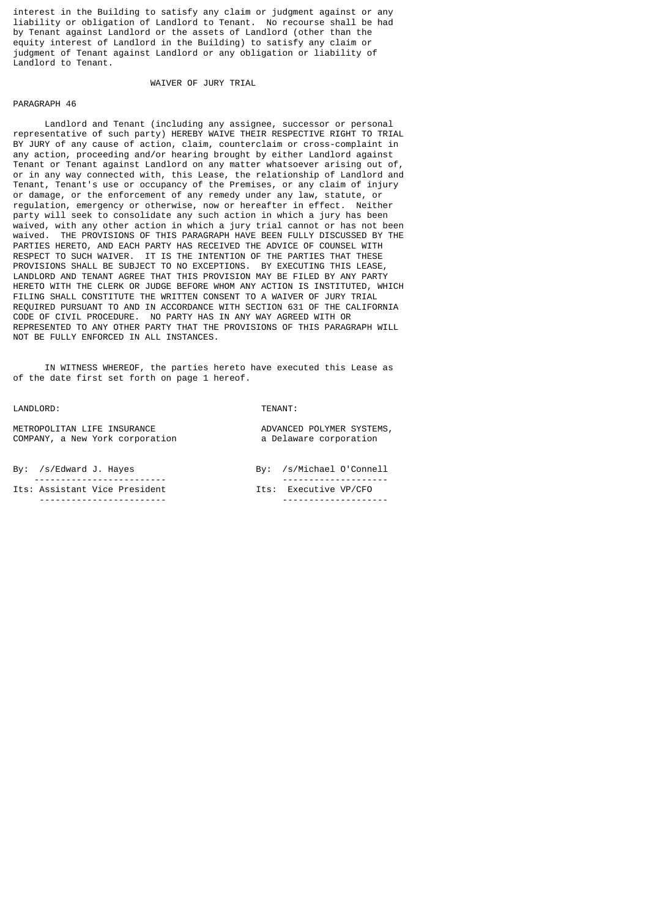interest in the Building to satisfy any claim or judgment against or any liability or obligation of Landlord to Tenant. No recourse shall be had by Tenant against Landlord or the assets of Landlord (other than the equity interest of Landlord in the Building) to satisfy any claim or judgment of Tenant against Landlord or any obligation or liability of Landlord to Tenant.

#### WAIVER OF JURY TRIAL

#### PARAGRAPH 46

 Landlord and Tenant (including any assignee, successor or personal representative of such party) HEREBY WAIVE THEIR RESPECTIVE RIGHT TO TRIAL BY JURY of any cause of action, claim, counterclaim or cross-complaint in any action, proceeding and/or hearing brought by either Landlord against Tenant or Tenant against Landlord on any matter whatsoever arising out of, or in any way connected with, this Lease, the relationship of Landlord and Tenant, Tenant's use or occupancy of the Premises, or any claim of injury or damage, or the enforcement of any remedy under any law, statute, or regulation, emergency or otherwise, now or hereafter in effect. Neither party will seek to consolidate any such action in which a jury has been waived, with any other action in which a jury trial cannot or has not been waived. THE PROVISIONS OF THIS PARAGRAPH HAVE BEEN FULLY DISCUSSED BY THE PARTIES HERETO, AND EACH PARTY HAS RECEIVED THE ADVICE OF COUNSEL WITH RESPECT TO SUCH WAIVER. IT IS THE INTENTION OF THE PARTIES THAT THESE PROVISIONS SHALL BE SUBJECT TO NO EXCEPTIONS. BY EXECUTING THIS LEASE, LANDLORD AND TENANT AGREE THAT THIS PROVISION MAY BE FILED BY ANY PARTY HERETO WITH THE CLERK OR JUDGE BEFORE WHOM ANY ACTION IS INSTITUTED, WHICH FILING SHALL CONSTITUTE THE WRITTEN CONSENT TO A WAIVER OF JURY TRIAL REQUIRED PURSUANT TO AND IN ACCORDANCE WITH SECTION 631 OF THE CALIFORNIA CODE OF CIVIL PROCEDURE. NO PARTY HAS IN ANY WAY AGREED WITH OR REPRESENTED TO ANY OTHER PARTY THAT THE PROVISIONS OF THIS PARAGRAPH WILL NOT BE FULLY ENFORCED IN ALL INSTANCES.

 IN WITNESS WHEREOF, the parties hereto have executed this Lease as of the date first set forth on page 1 hereof.

LANDLORD: TENANT:

| METROPOLITAN LIFE INSURANCE     |  |  |
|---------------------------------|--|--|
| COMPANY, a New York corporation |  |  |

By: /s/Edward J. Hayes

| --------------------------    | -------------------   |
|-------------------------------|-----------------------|
| Its: Assistant Vice President | Its: Executive VP/CFO |
| ----------------------        | -------------------   |

| By: /s/Michael 0'Connell |
|--------------------------|
| Its: Executive VP/CFO    |

ADVANCED POLYMER SYSTEMS, a Delaware corporation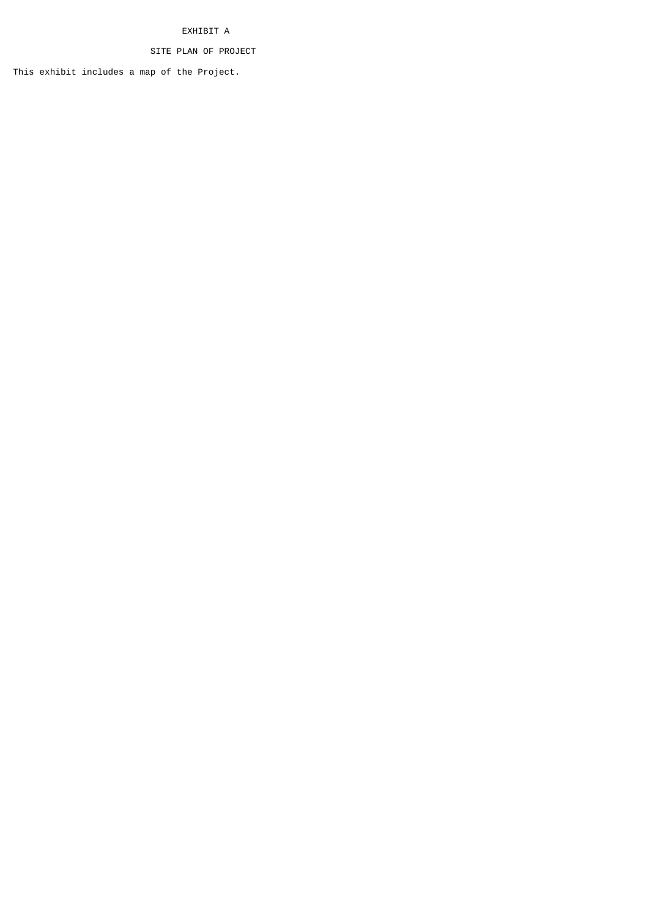# EXHIBIT A

# SITE PLAN OF PROJECT

This exhibit includes a map of the Project.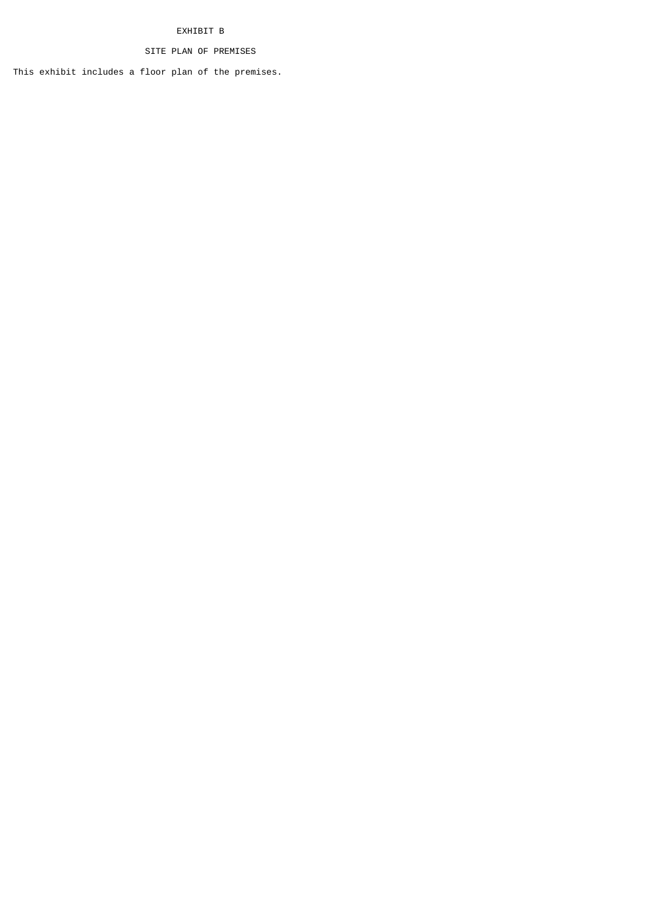# EXHIBIT B

# SITE PLAN OF PREMISES

This exhibit includes a floor plan of the premises.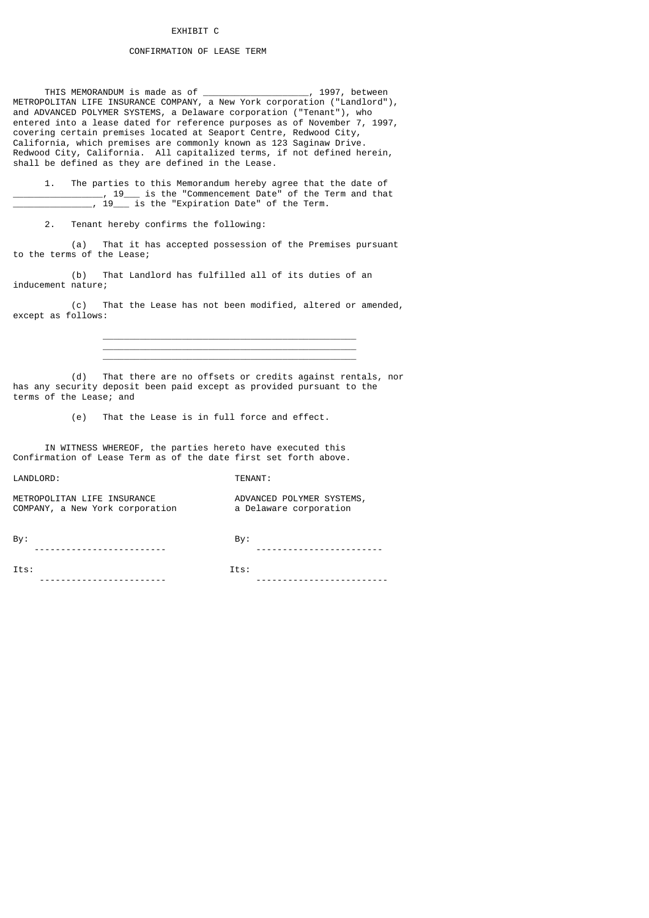## EXHIBIT C

### CONFIRMATION OF LEASE TERM

 THIS MEMORANDUM is made as of \_\_\_\_\_\_\_\_\_\_\_\_\_\_\_\_\_\_\_\_, 1997, between METROPOLITAN LIFE INSURANCE COMPANY, a New York corporation ("Landlord"), and ADVANCED POLYMER SYSTEMS, a Delaware corporation ("Tenant"), who entered into a lease dated for reference purposes as of November 7, 1997, covering certain premises located at Seaport Centre, Redwood City, California, which premises are commonly known as 123 Saginaw Drive. Redwood City, California. All capitalized terms, if not defined herein, shall be defined as they are defined in the Lease.

 1. The parties to this Memorandum hereby agree that the date of \_\_\_\_\_\_\_\_\_\_\_\_\_\_\_\_\_, 19\_\_\_ is the "Commencement Date" of the Term and that  $19$  is the "Expiration Date" of the Term.

2. Tenant hereby confirms the following:

 (a) That it has accepted possession of the Premises pursuant to the terms of the Lease;

 (b) That Landlord has fulfilled all of its duties of an inducement nature;

 $\frac{1}{2}$  ,  $\frac{1}{2}$  ,  $\frac{1}{2}$  ,  $\frac{1}{2}$  ,  $\frac{1}{2}$  ,  $\frac{1}{2}$  ,  $\frac{1}{2}$  ,  $\frac{1}{2}$  ,  $\frac{1}{2}$  ,  $\frac{1}{2}$  ,  $\frac{1}{2}$  ,  $\frac{1}{2}$  ,  $\frac{1}{2}$  ,  $\frac{1}{2}$  ,  $\frac{1}{2}$  ,  $\frac{1}{2}$  ,  $\frac{1}{2}$  ,  $\frac{1}{2}$  ,  $\frac{1$ 

 (c) That the Lease has not been modified, altered or amended, except as follows:

 $\frac{1}{2}$  ,  $\frac{1}{2}$  ,  $\frac{1}{2}$  ,  $\frac{1}{2}$  ,  $\frac{1}{2}$  ,  $\frac{1}{2}$  ,  $\frac{1}{2}$  ,  $\frac{1}{2}$  ,  $\frac{1}{2}$  ,  $\frac{1}{2}$  ,  $\frac{1}{2}$  ,  $\frac{1}{2}$  ,  $\frac{1}{2}$  ,  $\frac{1}{2}$  ,  $\frac{1}{2}$  ,  $\frac{1}{2}$  ,  $\frac{1}{2}$  ,  $\frac{1}{2}$  ,  $\frac{1$  $\frac{1}{2}$  ,  $\frac{1}{2}$  ,  $\frac{1}{2}$  ,  $\frac{1}{2}$  ,  $\frac{1}{2}$  ,  $\frac{1}{2}$  ,  $\frac{1}{2}$  ,  $\frac{1}{2}$  ,  $\frac{1}{2}$  ,  $\frac{1}{2}$  ,  $\frac{1}{2}$  ,  $\frac{1}{2}$  ,  $\frac{1}{2}$  ,  $\frac{1}{2}$  ,  $\frac{1}{2}$  ,  $\frac{1}{2}$  ,  $\frac{1}{2}$  ,  $\frac{1}{2}$  ,  $\frac{1$ 

 (d) That there are no offsets or credits against rentals, nor has any security deposit been paid except as provided pursuant to the terms of the Lease; and

(e) That the Lease is in full force and effect.

 IN WITNESS WHEREOF, the parties hereto have executed this Confirmation of Lease Term as of the date first set forth above.

LANDLORD: TENANT:

| METROPOLITAN LIFE INSURANCE     | ADVANCED POLYMER SYSTEMS, |
|---------------------------------|---------------------------|
| COMPANY, a New York corporation | a Delaware corporation    |
|                                 |                           |

By: By: ------------------------- ------------------------

Its: Its:

------------------------ -------------------------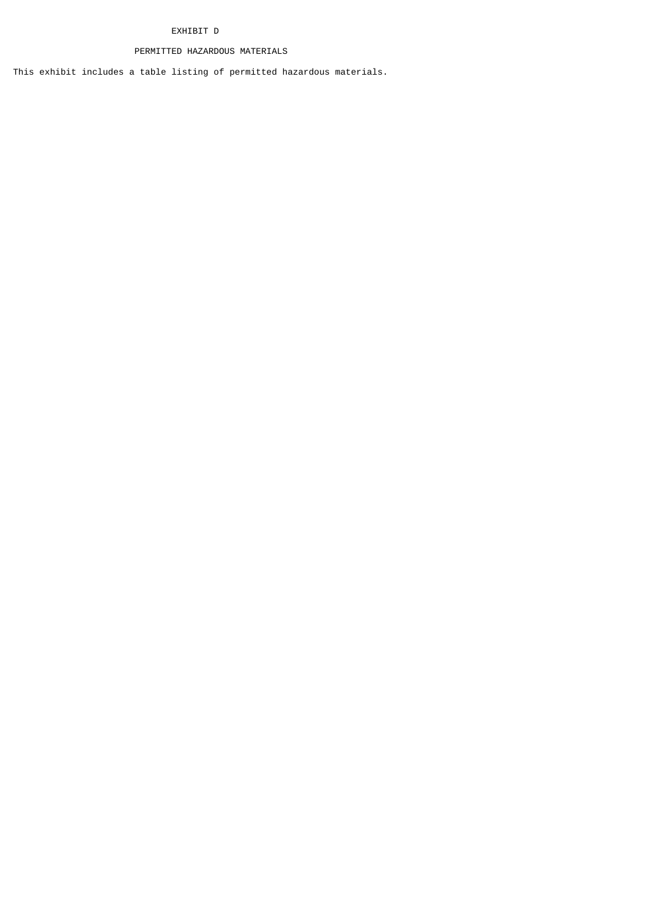# EXHIBIT D

# PERMITTED HAZARDOUS MATERIALS

This exhibit includes a table listing of permitted hazardous materials.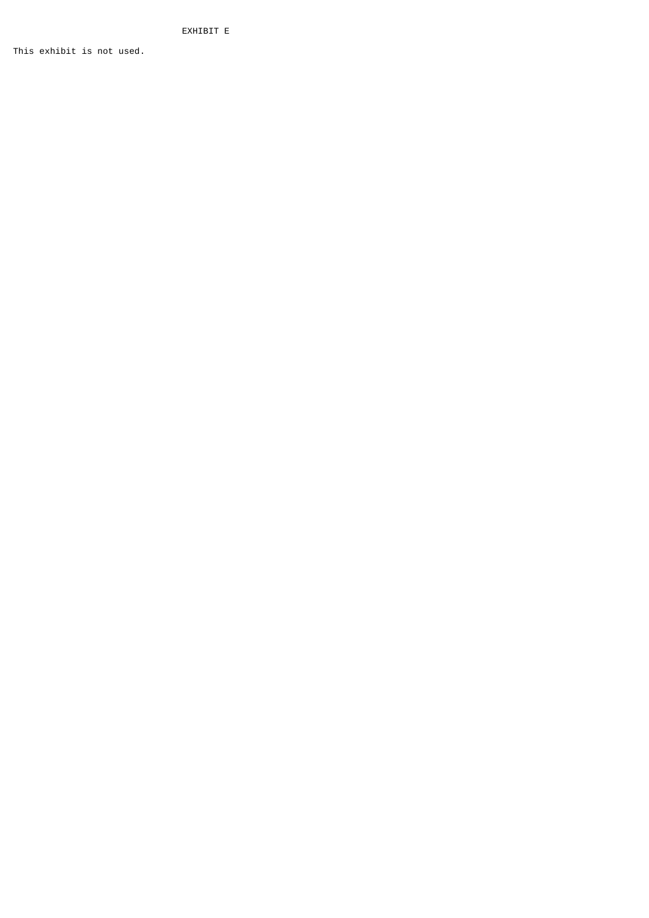EXHIBIT E

This exhibit is not used.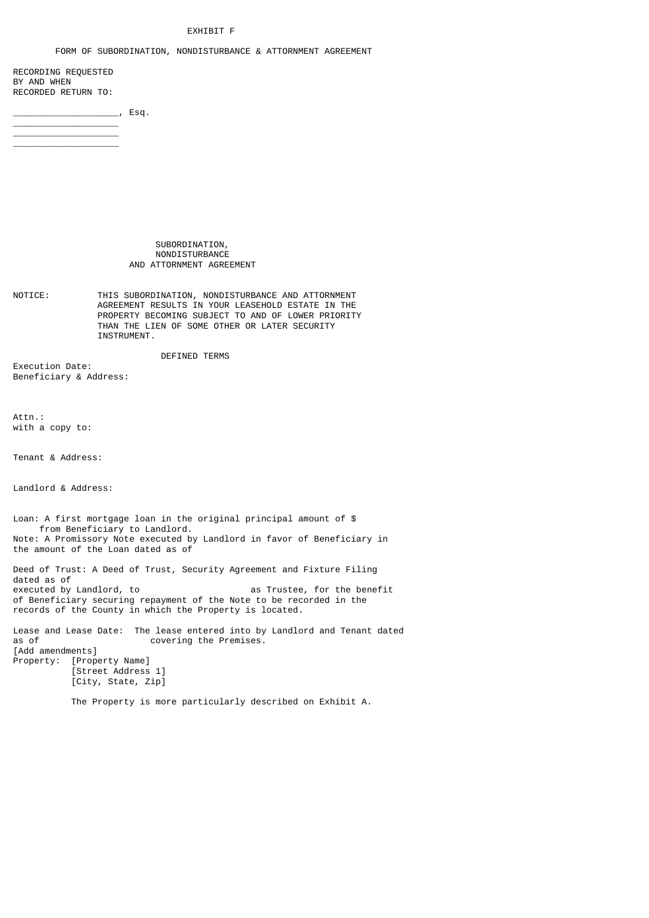# EXHIBIT F

#### FORM OF SUBORDINATION, NONDISTURBANCE & ATTORNMENT AGREEMENT

RECORDING REQUESTED BY AND WHEN RECORDED RETURN TO:

\_\_\_\_\_\_\_\_\_\_\_\_\_\_\_\_\_\_\_\_ \_\_\_\_\_\_\_\_\_\_\_\_\_\_\_\_\_\_\_\_ \_\_\_\_\_\_\_\_\_\_\_\_\_\_\_\_\_\_\_\_

 $\overline{\phantom{a}}$ , Esq.

 SUBORDINATION, NONDISTURBANCE AND ATTORNMENT AGREEMENT

NOTICE: THIS SUBORDINATION, NONDISTURBANCE AND ATTORNMENT AGREEMENT RESULTS IN YOUR LEASEHOLD ESTATE IN THE PROPERTY BECOMING SUBJECT TO AND OF LOWER PRIORITY THAN THE LIEN OF SOME OTHER OR LATER SECURITY INSTRUMENT.

DEFINED TERMS

Execution Date: Beneficiary & Address:

Attn.: with a copy to:

Tenant & Address:

Landlord & Address:

Loan: A first mortgage loan in the original principal amount of \$ from Beneficiary to Landlord. Note: A Promissory Note executed by Landlord in favor of Beneficiary in the amount of the Loan dated as of Deed of Trust: A Deed of Trust, Security Agreement and Fixture Filing dated as of<br>executed by Landlord, to as Trustee, for the benefit of Beneficiary securing repayment of the Note to be recorded in the records of the County in which the Property is located.

Lease and Lease Date: The lease entered into by Landlord and Tenant dated<br>as of covering the Premises. covering the Premises. [Add amendments] Property: [Property Name] [Street Address 1] [City, State, Zip]

The Property is more particularly described on Exhibit A.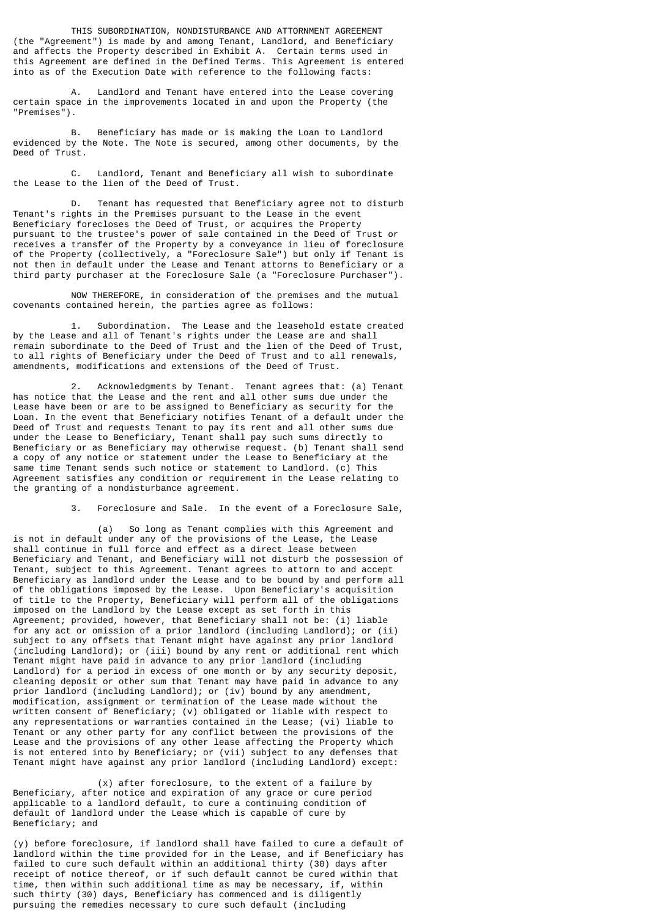THIS SUBORDINATION, NONDISTURBANCE AND ATTORNMENT AGREEMENT (the "Agreement") is made by and among Tenant, Landlord, and Beneficiary and affects the Property described in Exhibit A. Certain terms used in this Agreement are defined in the Defined Terms. This Agreement is entered into as of the Execution Date with reference to the following facts:

 A. Landlord and Tenant have entered into the Lease covering certain space in the improvements located in and upon the Property (the "Premises").

 B. Beneficiary has made or is making the Loan to Landlord evidenced by the Note. The Note is secured, among other documents, by the Deed of Trust.

 C. Landlord, Tenant and Beneficiary all wish to subordinate the Lease to the lien of the Deed of Trust.

 D. Tenant has requested that Beneficiary agree not to disturb Tenant's rights in the Premises pursuant to the Lease in the event Beneficiary forecloses the Deed of Trust, or acquires the Property pursuant to the trustee's power of sale contained in the Deed of Trust or receives a transfer of the Property by a conveyance in lieu of foreclosure of the Property (collectively, a "Foreclosure Sale") but only if Tenant is not then in default under the Lease and Tenant attorns to Beneficiary or a third party purchaser at the Foreclosure Sale (a "Foreclosure Purchaser").

 NOW THEREFORE, in consideration of the premises and the mutual covenants contained herein, the parties agree as follows:

 1. Subordination. The Lease and the leasehold estate created by the Lease and all of Tenant's rights under the Lease are and shall remain subordinate to the Deed of Trust and the lien of the Deed of Trust, to all rights of Beneficiary under the Deed of Trust and to all renewals, amendments, modifications and extensions of the Deed of Trust.

 2. Acknowledgments by Tenant. Tenant agrees that: (a) Tenant has notice that the Lease and the rent and all other sums due under the Lease have been or are to be assigned to Beneficiary as security for the Loan. In the event that Beneficiary notifies Tenant of a default under the Deed of Trust and requests Tenant to pay its rent and all other sums due under the Lease to Beneficiary, Tenant shall pay such sums directly to Beneficiary or as Beneficiary may otherwise request. (b) Tenant shall send a copy of any notice or statement under the Lease to Beneficiary at the same time Tenant sends such notice or statement to Landlord. (c) This Agreement satisfies any condition or requirement in the Lease relating to the granting of a nondisturbance agreement.

3. Foreclosure and Sale. In the event of a Foreclosure Sale,

 (a) So long as Tenant complies with this Agreement and is not in default under any of the provisions of the Lease, the Lease shall continue in full force and effect as a direct lease between Beneficiary and Tenant, and Beneficiary will not disturb the possession of Tenant, subject to this Agreement. Tenant agrees to attorn to and accept Beneficiary as landlord under the Lease and to be bound by and perform all of the obligations imposed by the Lease. Upon Beneficiary's acquisition of title to the Property, Beneficiary will perform all of the obligations imposed on the Landlord by the Lease except as set forth in this Agreement; provided, however, that Beneficiary shall not be: (i) liable for any act or omission of a prior landlord (including Landlord); or (ii) subject to any offsets that Tenant might have against any prior landlord (including Landlord); or (iii) bound by any rent or additional rent which Tenant might have paid in advance to any prior landlord (including Landlord) for a period in excess of one month or by any security deposit, cleaning deposit or other sum that Tenant may have paid in advance to any prior landlord (including Landlord); or (iv) bound by any amendment, modification, assignment or termination of the Lease made without the written consent of Beneficiary; (v) obligated or liable with respect to any representations or warranties contained in the Lease; (vi) liable to Tenant or any other party for any conflict between the provisions of the Lease and the provisions of any other lease affecting the Property which is not entered into by Beneficiary; or (vii) subject to any defenses that Tenant might have against any prior landlord (including Landlord) except:

 (x) after foreclosure, to the extent of a failure by Beneficiary, after notice and expiration of any grace or cure period applicable to a landlord default, to cure a continuing condition of default of landlord under the Lease which is capable of cure by Beneficiary; and

(y) before foreclosure, if landlord shall have failed to cure a default of landlord within the time provided for in the Lease, and if Beneficiary has failed to cure such default within an additional thirty (30) days after receipt of notice thereof, or if such default cannot be cured within that time, then within such additional time as may be necessary, if, within such thirty (30) days, Beneficiary has commenced and is diligently pursuing the remedies necessary to cure such default (including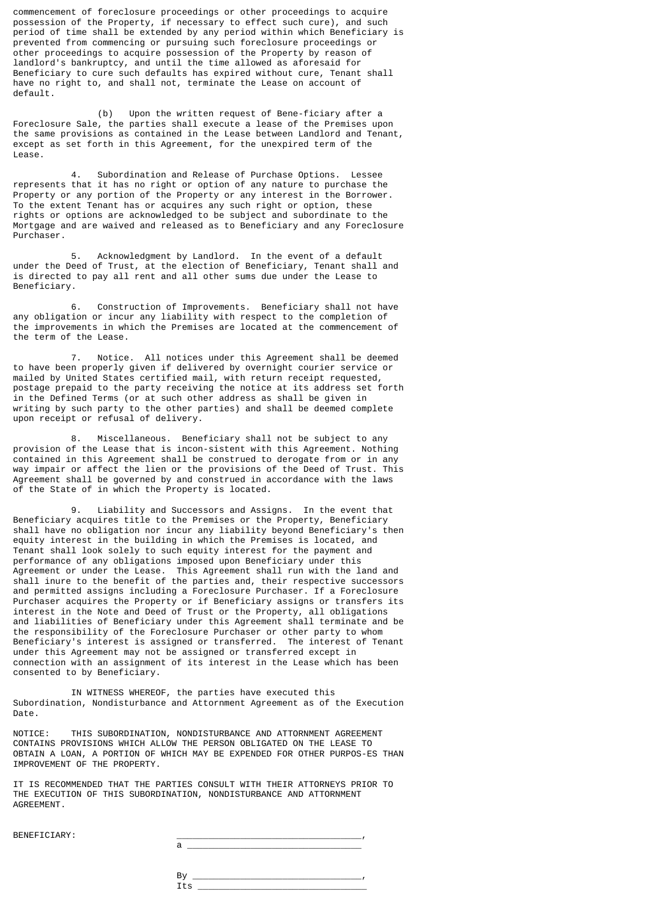commencement of foreclosure proceedings or other proceedings to acquire possession of the Property, if necessary to effect such cure), and such period of time shall be extended by any period within which Beneficiary is prevented from commencing or pursuing such foreclosure proceedings or other proceedings to acquire possession of the Property by reason of landlord's bankruptcy, and until the time allowed as aforesaid for Beneficiary to cure such defaults has expired without cure, Tenant shall have no right to, and shall not, terminate the Lease on account of default.

 (b) Upon the written request of Bene-ficiary after a Foreclosure Sale, the parties shall execute a lease of the Premises upon the same provisions as contained in the Lease between Landlord and Tenant, except as set forth in this Agreement, for the unexpired term of the Lease.

 4. Subordination and Release of Purchase Options. Lessee represents that it has no right or option of any nature to purchase the Property or any portion of the Property or any interest in the Borrower. To the extent Tenant has or acquires any such right or option, these rights or options are acknowledged to be subject and subordinate to the Mortgage and are waived and released as to Beneficiary and any Foreclosure Purchaser.

 5. Acknowledgment by Landlord. In the event of a default under the Deed of Trust, at the election of Beneficiary, Tenant shall and is directed to pay all rent and all other sums due under the Lease to Beneficiary.

 6. Construction of Improvements. Beneficiary shall not have any obligation or incur any liability with respect to the completion of the improvements in which the Premises are located at the commencement of the term of the Lease.

 7. Notice. All notices under this Agreement shall be deemed to have been properly given if delivered by overnight courier service or mailed by United States certified mail, with return receipt requested, postage prepaid to the party receiving the notice at its address set forth in the Defined Terms (or at such other address as shall be given in writing by such party to the other parties) and shall be deemed complete upon receipt or refusal of delivery.

 8. Miscellaneous. Beneficiary shall not be subject to any provision of the Lease that is incon-sistent with this Agreement. Nothing contained in this Agreement shall be construed to derogate from or in any way impair or affect the lien or the provisions of the Deed of Trust. This Agreement shall be governed by and construed in accordance with the laws of the State of in which the Property is located.

 9. Liability and Successors and Assigns. In the event that Beneficiary acquires title to the Premises or the Property, Beneficiary shall have no obligation nor incur any liability beyond Beneficiary's then equity interest in the building in which the Premises is located, and Tenant shall look solely to such equity interest for the payment and performance of any obligations imposed upon Beneficiary under this Agreement or under the Lease. This Agreement shall run with the land and shall inure to the benefit of the parties and, their respective successors and permitted assigns including a Foreclosure Purchaser. If a Foreclosure Purchaser acquires the Property or if Beneficiary assigns or transfers its interest in the Note and Deed of Trust or the Property, all obligations and liabilities of Beneficiary under this Agreement shall terminate and be the responsibility of the Foreclosure Purchaser or other party to whom Beneficiary's interest is assigned or transferred. The interest of Tenant under this Agreement may not be assigned or transferred except in connection with an assignment of its interest in the Lease which has been consented to by Beneficiary.

 IN WITNESS WHEREOF, the parties have executed this Subordination, Nondisturbance and Attornment Agreement as of the Execution Date.

NOTICE: THIS SUBORDINATION, NONDISTURBANCE AND ATTORNMENT AGREEMENT CONTAINS PROVISIONS WHICH ALLOW THE PERSON OBLIGATED ON THE LEASE TO OBTAIN A LOAN, A PORTION OF WHICH MAY BE EXPENDED FOR OTHER PURPOS-ES THAN IMPROVEMENT OF THE PROPERTY.

IT IS RECOMMENDED THAT THE PARTIES CONSULT WITH THEIR ATTORNEYS PRIOR TO THE EXECUTION OF THIS SUBORDINATION, NONDISTURBANCE AND ATTORNMENT AGREEMENT.

BENEFICIARY: \_\_\_\_\_\_\_\_\_\_\_\_\_\_\_\_\_\_\_\_\_\_\_\_\_\_\_\_\_\_\_\_\_\_\_,

| DENEFICIARI. |  |
|--------------|--|
|              |  |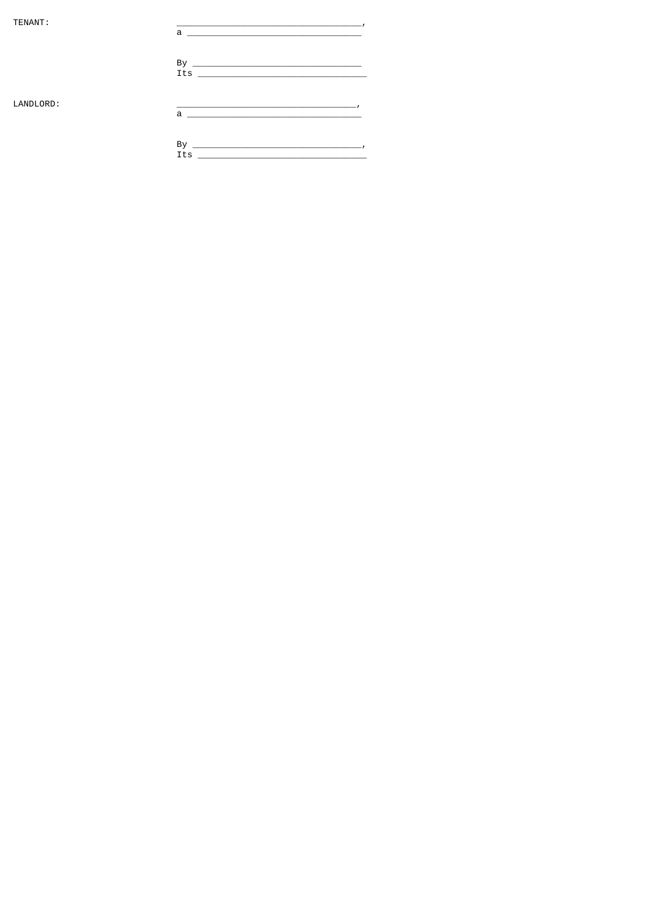TENANT:

 $\overline{\phantom{a}}$  $\overline{a}$  $\frac{By}{Its}$  $\overline{\phantom{a}}$ 

LANDLORD: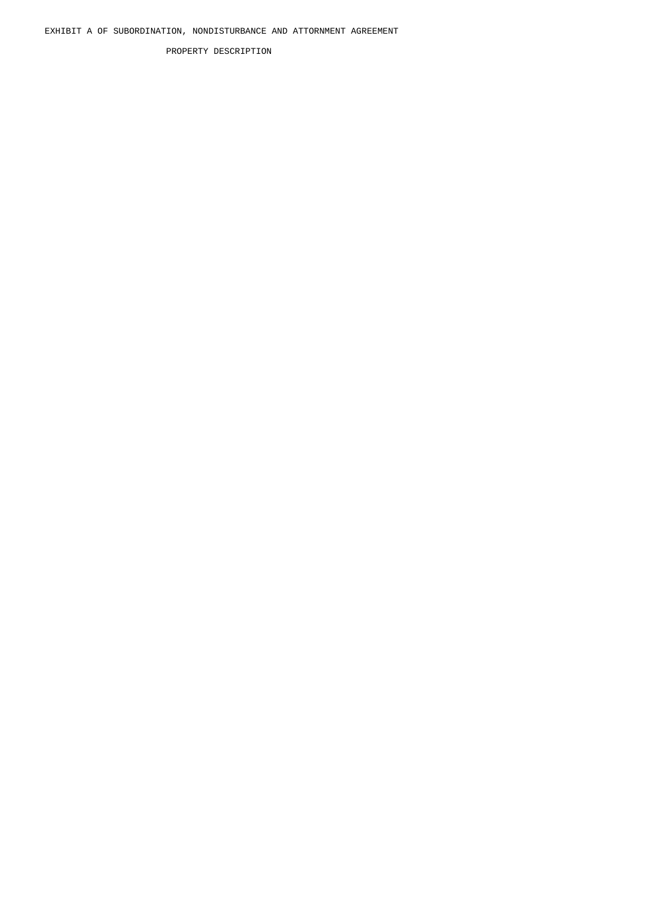PROPERTY DESCRIPTION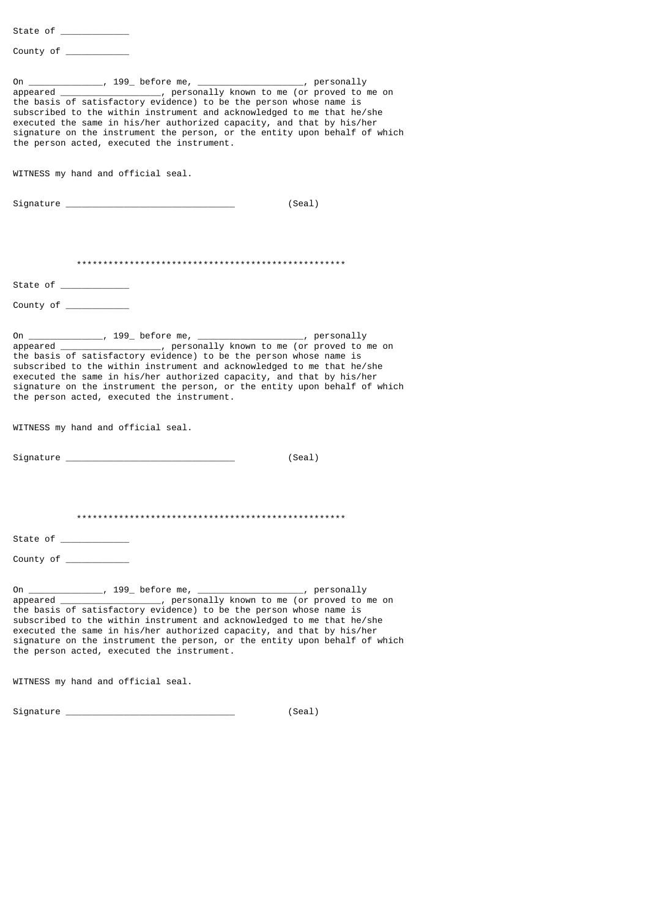State of \_\_\_\_\_\_\_\_\_\_\_\_\_

County of \_\_\_\_\_\_\_\_\_\_\_\_

On \_\_\_\_\_\_\_\_\_\_\_\_\_\_, 199\_ before me, \_\_\_\_\_\_\_\_\_\_\_\_\_\_\_\_\_\_\_\_, personally appeared \_\_\_\_\_\_\_\_\_\_\_\_\_\_\_\_\_\_\_, personally known to me (or proved to me on the basis of satisfactory evidence) to be the person whose name is subscribed to the within instrument and acknowledged to me that he/she executed the same in his/her authorized capacity, and that by his/her signature on the instrument the person, or the entity upon behalf of which the person acted, executed the instrument. WITNESS my hand and official seal. Signature \_\_\_\_\_\_\_\_\_\_\_\_\_\_\_\_\_\_\_\_\_\_\_\_\_\_\_\_\_\_\_\_ (Seal) \*\*\*\*\*\*\*\*\*\*\*\*\*\*\*\*\*\*\*\*\*\*\*\*\*\*\*\*\*\*\*\*\*\*\*\*\*\*\*\*\*\*\*\*\*\*\*\*\*\*\* State of County of  $\overline{\phantom{a}}$ On \_\_\_\_\_\_\_\_\_\_\_\_\_\_, 199\_ before me, \_\_\_\_\_\_\_\_\_\_\_\_\_\_\_\_\_\_\_\_\_\_\_\_, personally appeared by appeared and personally known to me (or proved to r appeared to me (or proved to me on the basis of satisfactory evidence) to be the person whose name is subscribed to the within instrument and acknowledged to me that he/she executed the same in his/her authorized capacity, and that by his/her signature on the instrument the person, or the entity upon behalf of which the person acted, executed the instrument. WITNESS my hand and official seal. Signature \_\_\_\_\_\_\_\_\_\_\_\_\_\_\_\_\_\_\_\_\_\_\_\_\_\_\_\_\_\_\_\_ (Seal) \*\*\*\*\*\*\*\*\*\*\*\*\*\*\*\*\*\*\*\*\*\*\*\*\*\*\*\*\*\*\*\*\*\*\*\*\*\*\*\*\*\*\*\*\*\*\*\*\*\*\* State of \_\_\_\_\_\_ County of \_\_\_\_\_\_\_\_\_\_\_\_ On \_\_\_\_\_\_\_\_\_\_\_\_\_\_, 199\_ before me, \_\_\_\_\_\_\_\_\_\_\_\_\_\_\_\_\_\_\_\_, personally appeared \_\_\_\_\_\_\_\_\_\_\_\_\_\_\_\_\_\_\_, personally known to me (or proved to me on the basis of satisfactory evidence) to be the person whose name is subscribed to the within instrument and acknowledged to me that he/she executed the same in his/her authorized capacity, and that by his/her signature on the instrument the person, or the entity upon behalf of which the person acted, executed the instrument. WITNESS my hand and official seal. Signature \_\_\_\_\_\_\_\_\_\_\_\_\_\_\_\_\_\_\_\_\_\_\_\_\_\_\_\_\_\_\_\_ (Seal)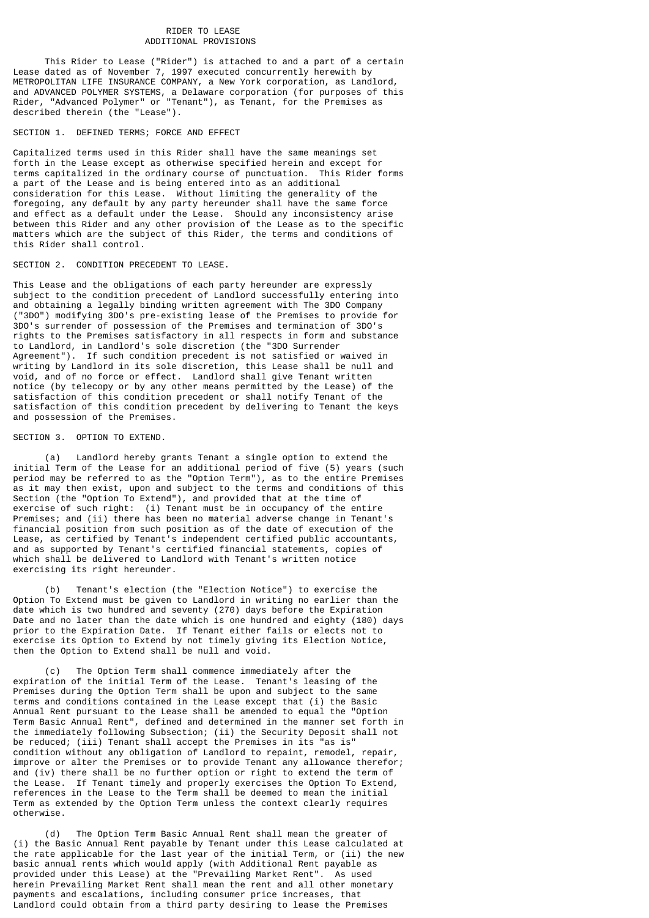# RIDER TO LEASE ADDITIONAL PROVISIONS

 This Rider to Lease ("Rider") is attached to and a part of a certain Lease dated as of November 7, 1997 executed concurrently herewith by METROPOLITAN LIFE INSURANCE COMPANY, a New York corporation, as Landlord, and ADVANCED POLYMER SYSTEMS, a Delaware corporation (for purposes of this Rider, "Advanced Polymer" or "Tenant"), as Tenant, for the Premises as described therein (the "Lease").

## SECTION 1. DEFINED TERMS; FORCE AND EFFECT

Capitalized terms used in this Rider shall have the same meanings set forth in the Lease except as otherwise specified herein and except for terms capitalized in the ordinary course of punctuation. This Rider forms a part of the Lease and is being entered into as an additional consideration for this Lease. Without limiting the generality of the foregoing, any default by any party hereunder shall have the same force and effect as a default under the Lease. Should any inconsistency arise between this Rider and any other provision of the Lease as to the specific matters which are the subject of this Rider, the terms and conditions of this Rider shall control.

# SECTION 2. CONDITION PRECEDENT TO LEASE.

This Lease and the obligations of each party hereunder are expressly subject to the condition precedent of Landlord successfully entering into and obtaining a legally binding written agreement with The 3DO Company ("3DO") modifying 3DO's pre-existing lease of the Premises to provide for 3DO's surrender of possession of the Premises and termination of 3DO's rights to the Premises satisfactory in all respects in form and substance to Landlord, in Landlord's sole discretion (the "3DO Surrender Agreement"). If such condition precedent is not satisfied or waived in writing by Landlord in its sole discretion, this Lease shall be null and void, and of no force or effect. Landlord shall give Tenant written notice (by telecopy or by any other means permitted by the Lease) of the satisfaction of this condition precedent or shall notify Tenant of the satisfaction of this condition precedent by delivering to Tenant the keys and possession of the Premises.

# SECTION 3. OPTION TO EXTEND.

 (a) Landlord hereby grants Tenant a single option to extend the initial Term of the Lease for an additional period of five (5) years (such period may be referred to as the "Option Term"), as to the entire Premises as it may then exist, upon and subject to the terms and conditions of this Section (the "Option To Extend"), and provided that at the time of exercise of such right: (i) Tenant must be in occupancy of the entire Premises; and (ii) there has been no material adverse change in Tenant's financial position from such position as of the date of execution of the Lease, as certified by Tenant's independent certified public accountants, and as supported by Tenant's certified financial statements, copies of which shall be delivered to Landlord with Tenant's written notice exercising its right hereunder.

 (b) Tenant's election (the "Election Notice") to exercise the Option To Extend must be given to Landlord in writing no earlier than the date which is two hundred and seventy (270) days before the Expiration Date and no later than the date which is one hundred and eighty (180) days prior to the Expiration Date. If Tenant either fails or elects not to exercise its Option to Extend by not timely giving its Election Notice, then the Option to Extend shall be null and void.

 (c) The Option Term shall commence immediately after the expiration of the initial Term of the Lease. Tenant's leasing of the Premises during the Option Term shall be upon and subject to the same terms and conditions contained in the Lease except that (i) the Basic Annual Rent pursuant to the Lease shall be amended to equal the "Option Term Basic Annual Rent", defined and determined in the manner set forth in the immediately following Subsection; (ii) the Security Deposit shall not be reduced; (iii) Tenant shall accept the Premises in its "as is" condition without any obligation of Landlord to repaint, remodel, repair, improve or alter the Premises or to provide Tenant any allowance therefor; and (iv) there shall be no further option or right to extend the term of the Lease. If Tenant timely and properly exercises the Option To Extend, references in the Lease to the Term shall be deemed to mean the initial Term as extended by the Option Term unless the context clearly requires otherwise.

 (d) The Option Term Basic Annual Rent shall mean the greater of (i) the Basic Annual Rent payable by Tenant under this Lease calculated at the rate applicable for the last year of the initial Term, or (ii) the new basic annual rents which would apply (with Additional Rent payable as provided under this Lease) at the "Prevailing Market Rent". As used herein Prevailing Market Rent shall mean the rent and all other monetary payments and escalations, including consumer price increases, that Landlord could obtain from a third party desiring to lease the Premises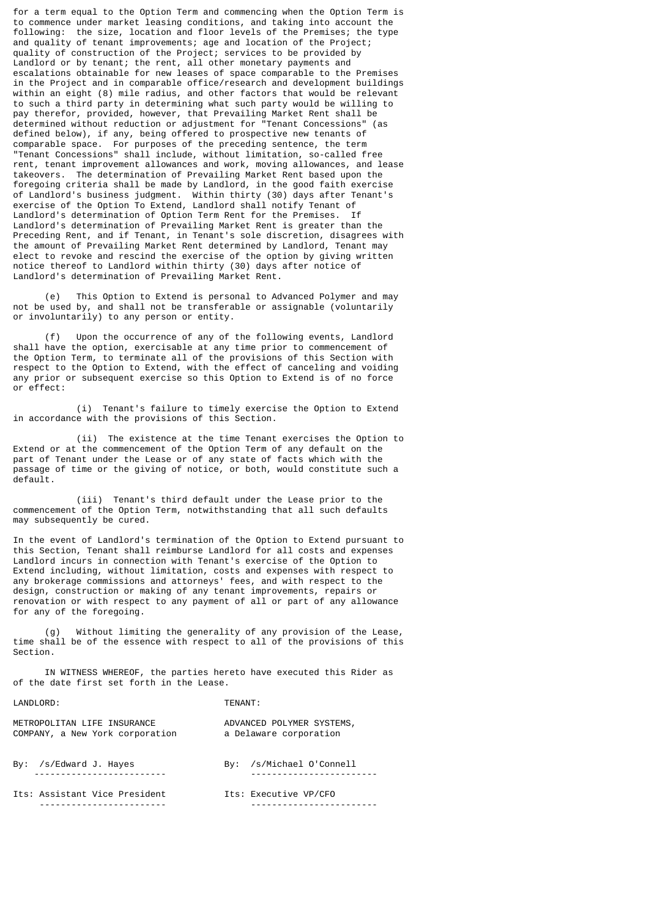for a term equal to the Option Term and commencing when the Option Term is to commence under market leasing conditions, and taking into account the following: the size, location and floor levels of the Premises; the type and quality of tenant improvements; age and location of the Project; quality of construction of the Project; services to be provided by Landlord or by tenant; the rent, all other monetary payments and escalations obtainable for new leases of space comparable to the Premises in the Project and in comparable office/research and development buildings within an eight (8) mile radius, and other factors that would be relevant to such a third party in determining what such party would be willing to pay therefor, provided, however, that Prevailing Market Rent shall be determined without reduction or adjustment for "Tenant Concessions" (as defined below), if any, being offered to prospective new tenants of comparable space. For purposes of the preceding sentence, the term "Tenant Concessions" shall include, without limitation, so-called free rent, tenant improvement allowances and work, moving allowances, and lease takeovers. The determination of Prevailing Market Rent based upon the foregoing criteria shall be made by Landlord, in the good faith exercise of Landlord's business judgment. Within thirty (30) days after Tenant's exercise of the Option To Extend, Landlord shall notify Tenant of Landlord's determination of Option Term Rent for the Premises. If Landlord's determination of Prevailing Market Rent is greater than the Preceding Rent, and if Tenant, in Tenant's sole discretion, disagrees with the amount of Prevailing Market Rent determined by Landlord, Tenant may elect to revoke and rescind the exercise of the option by giving written notice thereof to Landlord within thirty (30) days after notice of Landlord's determination of Prevailing Market Rent.

 (e) This Option to Extend is personal to Advanced Polymer and may not be used by, and shall not be transferable or assignable (voluntarily or involuntarily) to any person or entity.

 (f) Upon the occurrence of any of the following events, Landlord shall have the option, exercisable at any time prior to commencement of the Option Term, to terminate all of the provisions of this Section with respect to the Option to Extend, with the effect of canceling and voiding any prior or subsequent exercise so this Option to Extend is of no force or effect:

 (i) Tenant's failure to timely exercise the Option to Extend in accordance with the provisions of this Section.

 (ii) The existence at the time Tenant exercises the Option to Extend or at the commencement of the Option Term of any default on the part of Tenant under the Lease or of any state of facts which with the passage of time or the giving of notice, or both, would constitute such a default.

 (iii) Tenant's third default under the Lease prior to the commencement of the Option Term, notwithstanding that all such defaults may subsequently be cured.

In the event of Landlord's termination of the Option to Extend pursuant to this Section, Tenant shall reimburse Landlord for all costs and expenses Landlord incurs in connection with Tenant's exercise of the Option to Extend including, without limitation, costs and expenses with respect to any brokerage commissions and attorneys' fees, and with respect to the design, construction or making of any tenant improvements, repairs or renovation or with respect to any payment of all or part of any allowance for any of the foregoing.

 (g) Without limiting the generality of any provision of the Lease, time shall be of the essence with respect to all of the provisions of this Section.

 IN WITNESS WHEREOF, the parties hereto have executed this Rider as of the date first set forth in the Lease.

| LANDLORD:                                                      | TENANT:                                             |
|----------------------------------------------------------------|-----------------------------------------------------|
| METROPOLITAN LIFE INSURANCE<br>COMPANY, a New York corporation | ADVANCED POLYMER SYSTEMS,<br>a Delaware corporation |
| By: /s/Edward J. Hayes                                         | By: /s/Michael 0'Connell                            |
| Its: Assistant Vice President                                  | Its: Executive VP/CFO                               |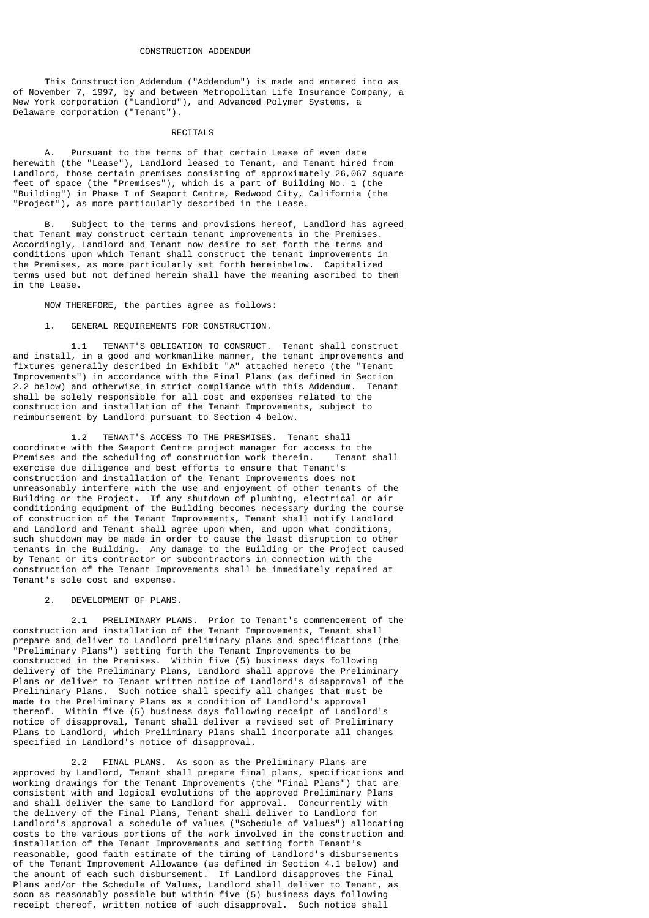This Construction Addendum ("Addendum") is made and entered into as of November 7, 1997, by and between Metropolitan Life Insurance Company, a New York corporation ("Landlord"), and Advanced Polymer Systems, a Delaware corporation ("Tenant").

#### **RECTTALS**

 A. Pursuant to the terms of that certain Lease of even date herewith (the "Lease"), Landlord leased to Tenant, and Tenant hired from Landlord, those certain premises consisting of approximately 26,067 square feet of space (the "Premises"), which is a part of Building No. 1 (the "Building") in Phase I of Seaport Centre, Redwood City, California (the "Project"), as more particularly described in the Lease.

 B. Subject to the terms and provisions hereof, Landlord has agreed that Tenant may construct certain tenant improvements in the Premises. Accordingly, Landlord and Tenant now desire to set forth the terms and conditions upon which Tenant shall construct the tenant improvements in the Premises, as more particularly set forth hereinbelow. Capitalized terms used but not defined herein shall have the meaning ascribed to them in the Lease.

NOW THEREFORE, the parties agree as follows:

# 1. GENERAL REQUIREMENTS FOR CONSTRUCTION.

 1.1 TENANT'S OBLIGATION TO CONSRUCT. Tenant shall construct and install, in a good and workmanlike manner, the tenant improvements and fixtures generally described in Exhibit "A" attached hereto (the "Tenant Improvements") in accordance with the Final Plans (as defined in Section 2.2 below) and otherwise in strict compliance with this Addendum. Tenant shall be solely responsible for all cost and expenses related to the construction and installation of the Tenant Improvements, subject to reimbursement by Landlord pursuant to Section 4 below.

 1.2 TENANT'S ACCESS TO THE PRESMISES. Tenant shall coordinate with the Seaport Centre project manager for access to the Premises and the scheduling of construction work therein. exercise due diligence and best efforts to ensure that Tenant's construction and installation of the Tenant Improvements does not unreasonably interfere with the use and enjoyment of other tenants of the Building or the Project. If any shutdown of plumbing, electrical or air conditioning equipment of the Building becomes necessary during the course of construction of the Tenant Improvements, Tenant shall notify Landlord and Landlord and Tenant shall agree upon when, and upon what conditions, such shutdown may be made in order to cause the least disruption to other tenants in the Building. Any damage to the Building or the Project caused by Tenant or its contractor or subcontractors in connection with the construction of the Tenant Improvements shall be immediately repaired at Tenant's sole cost and expense.

2. DEVELOPMENT OF PLANS.

 2.1 PRELIMINARY PLANS. Prior to Tenant's commencement of the construction and installation of the Tenant Improvements, Tenant shall prepare and deliver to Landlord preliminary plans and specifications (the "Preliminary Plans") setting forth the Tenant Improvements to be constructed in the Premises. Within five (5) business days following delivery of the Preliminary Plans, Landlord shall approve the Preliminary Plans or deliver to Tenant written notice of Landlord's disapproval of the Preliminary Plans. Such notice shall specify all changes that must be made to the Preliminary Plans as a condition of Landlord's approval thereof. Within five (5) business days following receipt of Landlord's notice of disapproval, Tenant shall deliver a revised set of Preliminary Plans to Landlord, which Preliminary Plans shall incorporate all changes specified in Landlord's notice of disapproval.

 2.2 FINAL PLANS. As soon as the Preliminary Plans are approved by Landlord, Tenant shall prepare final plans, specifications and working drawings for the Tenant Improvements (the "Final Plans") that are consistent with and logical evolutions of the approved Preliminary Plans and shall deliver the same to Landlord for approval. Concurrently with the delivery of the Final Plans, Tenant shall deliver to Landlord for Landlord's approval a schedule of values ("Schedule of Values") allocating costs to the various portions of the work involved in the construction and installation of the Tenant Improvements and setting forth Tenant's reasonable, good faith estimate of the timing of Landlord's disbursements of the Tenant Improvement Allowance (as defined in Section 4.1 below) and the amount of each such disbursement. If Landlord disapproves the Final Plans and/or the Schedule of Values, Landlord shall deliver to Tenant, as soon as reasonably possible but within five (5) business days following receipt thereof, written notice of such disapproval. Such notice shall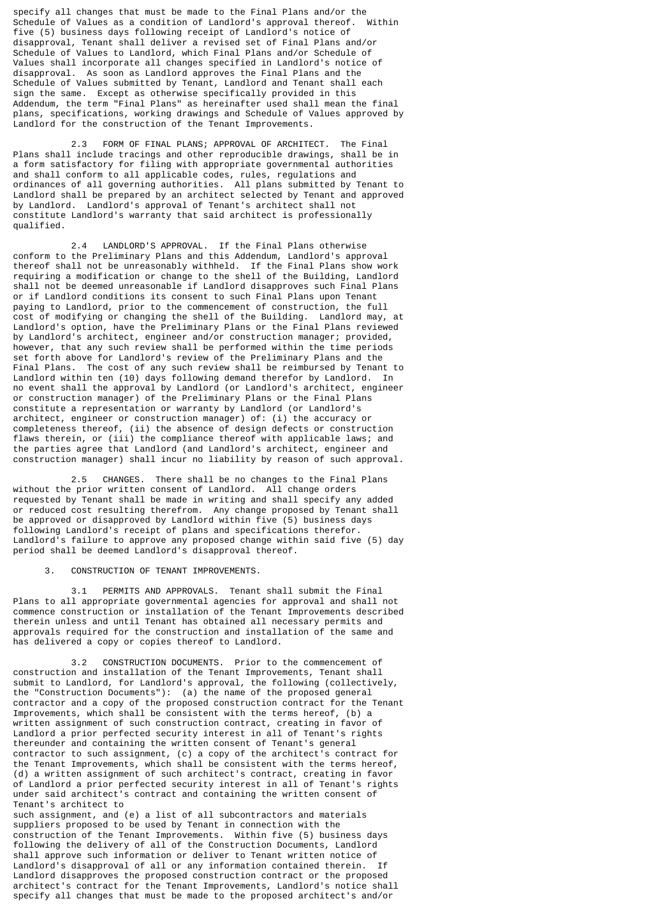specify all changes that must be made to the Final Plans and/or the<br>Schedule of Values as a condition of Landlord's annroyal thereof within Schedule of Values as a condition of Landlord's approval thereof. five (5) business days following receipt of Landlord's notice of disapproval, Tenant shall deliver a revised set of Final Plans and/or Schedule of Values to Landlord, which Final Plans and/or Schedule of Values shall incorporate all changes specified in Landlord's notice of disapproval. As soon as Landlord approves the Final Plans and the Schedule of Values submitted by Tenant, Landlord and Tenant shall each sign the same. Except as otherwise specifically provided in this Addendum, the term "Final Plans" as hereinafter used shall mean the final plans, specifications, working drawings and Schedule of Values approved by Landlord for the construction of the Tenant Improvements.

 2.3 FORM OF FINAL PLANS; APPROVAL OF ARCHITECT. The Final Plans shall include tracings and other reproducible drawings, shall be in a form satisfactory for filing with appropriate governmental authorities and shall conform to all applicable codes, rules, regulations and ordinances of all governing authorities. All plans submitted by Tenant to Landlord shall be prepared by an architect selected by Tenant and approved by Landlord. Landlord's approval of Tenant's architect shall not constitute Landlord's warranty that said architect is professionally qualified.

 2.4 LANDLORD'S APPROVAL. If the Final Plans otherwise conform to the Preliminary Plans and this Addendum, Landlord's approval thereof shall not be unreasonably withheld. If the Final Plans show work requiring a modification or change to the shell of the Building, Landlord shall not be deemed unreasonable if Landlord disapproves such Final Plans or if Landlord conditions its consent to such Final Plans upon Tenant paying to Landlord, prior to the commencement of construction, the full cost of modifying or changing the shell of the Building. Landlord may, at Landlord's option, have the Preliminary Plans or the Final Plans reviewed by Landlord's architect, engineer and/or construction manager; provided, however, that any such review shall be performed within the time periods set forth above for Landlord's review of the Preliminary Plans and the Final Plans. The cost of any such review shall be reimbursed by Tenant to Landlord within ten (10) days following demand therefor by Landlord. In no event shall the approval by Landlord (or Landlord's architect, engineer or construction manager) of the Preliminary Plans or the Final Plans constitute a representation or warranty by Landlord (or Landlord's architect, engineer or construction manager) of: (i) the accuracy or completeness thereof, (ii) the absence of design defects or construction flaws therein, or (iii) the compliance thereof with applicable laws; and the parties agree that Landlord (and Landlord's architect, engineer and construction manager) shall incur no liability by reason of such approval.

 2.5 CHANGES. There shall be no changes to the Final Plans without the prior written consent of Landlord. All change orders requested by Tenant shall be made in writing and shall specify any added or reduced cost resulting therefrom. Any change proposed by Tenant shall be approved or disapproved by Landlord within five (5) business days following Landlord's receipt of plans and specifications therefor. Landlord's failure to approve any proposed change within said five (5) day period shall be deemed Landlord's disapproval thereof.

### 3. CONSTRUCTION OF TENANT IMPROVEMENTS.

 3.1 PERMITS AND APPROVALS. Tenant shall submit the Final Plans to all appropriate governmental agencies for approval and shall not commence construction or installation of the Tenant Improvements described therein unless and until Tenant has obtained all necessary permits and approvals required for the construction and installation of the same and has delivered a copy or copies thereof to Landlord.

 3.2 CONSTRUCTION DOCUMENTS. Prior to the commencement of construction and installation of the Tenant Improvements, Tenant shall submit to Landlord, for Landlord's approval, the following (collectively, the "Construction Documents"): (a) the name of the proposed general contractor and a copy of the proposed construction contract for the Tenant Improvements, which shall be consistent with the terms hereof, (b) a written assignment of such construction contract, creating in favor of Landlord a prior perfected security interest in all of Tenant's rights thereunder and containing the written consent of Tenant's general contractor to such assignment, (c) a copy of the architect's contract for the Tenant Improvements, which shall be consistent with the terms hereof, (d) a written assignment of such architect's contract, creating in favor of Landlord a prior perfected security interest in all of Tenant's rights under said architect's contract and containing the written consent of Tenant's architect to

such assignment, and (e) a list of all subcontractors and materials suppliers proposed to be used by Tenant in connection with the construction of the Tenant Improvements. Within five (5) business days following the delivery of all of the Construction Documents, Landlord shall approve such information or deliver to Tenant written notice of Landlord's disapproval of all or any information contained therein. If Landlord disapproves the proposed construction contract or the proposed architect's contract for the Tenant Improvements, Landlord's notice shall specify all changes that must be made to the proposed architect's and/or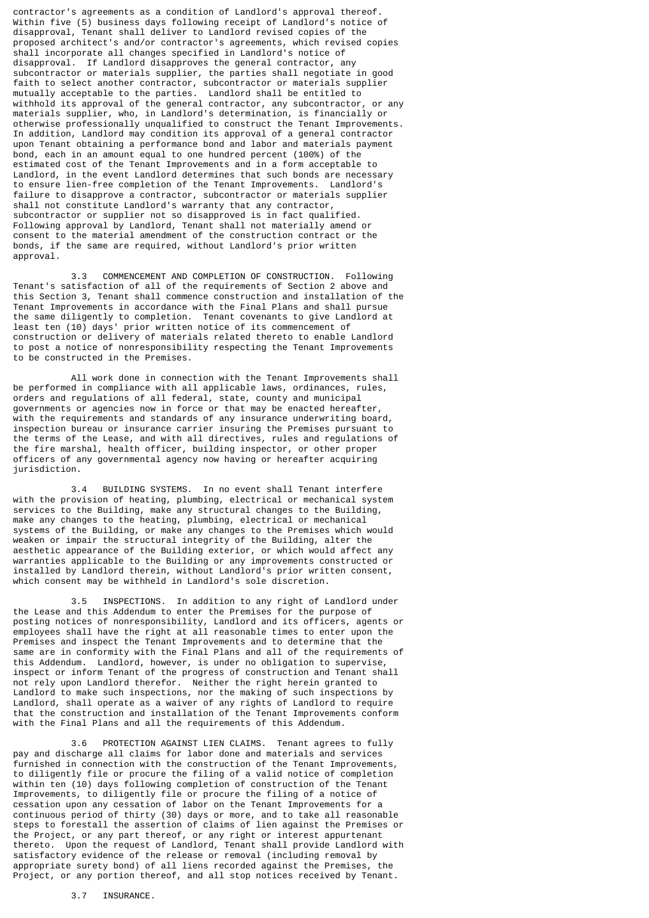contractor's agreements as a condition of Landlord's approval thereof. Within five (5) business days following receipt of Landlord's notice of disapproval, Tenant shall deliver to Landlord revised copies of the proposed architect's and/or contractor's agreements, which revised copies shall incorporate all changes specified in Landlord's notice of disapproval. If Landlord disapproves the general contractor, any subcontractor or materials supplier, the parties shall negotiate in good faith to select another contractor, subcontractor or materials supplier mutually acceptable to the parties. Landlord shall be entitled to withhold its approval of the general contractor, any subcontractor, or any materials supplier, who, in Landlord's determination, is financially or otherwise professionally unqualified to construct the Tenant Improvements. In addition, Landlord may condition its approval of a general contractor upon Tenant obtaining a performance bond and labor and materials payment bond, each in an amount equal to one hundred percent (100%) of the estimated cost of the Tenant Improvements and in a form acceptable to Landlord, in the event Landlord determines that such bonds are necessary to ensure lien-free completion of the Tenant Improvements. Landlord's failure to disapprove a contractor, subcontractor or materials supplier shall not constitute Landlord's warranty that any contractor, subcontractor or supplier not so disapproved is in fact qualified. Following approval by Landlord, Tenant shall not materially amend or consent to the material amendment of the construction contract or the bonds, if the same are required, without Landlord's prior written approval.

 3.3 COMMENCEMENT AND COMPLETION OF CONSTRUCTION. Following Tenant's satisfaction of all of the requirements of Section 2 above and this Section 3, Tenant shall commence construction and installation of the Tenant Improvements in accordance with the Final Plans and shall pursue the same diligently to completion. Tenant covenants to give Landlord at least ten (10) days' prior written notice of its commencement of construction or delivery of materials related thereto to enable Landlord to post a notice of nonresponsibility respecting the Tenant Improvements to be constructed in the Premises.

All work done in connection with the Tenant Improvements shall be performed in compliance with all applicable laws, ordinances, rules, orders and regulations of all federal, state, county and municipal governments or agencies now in force or that may be enacted hereafter, with the requirements and standards of any insurance underwriting board, inspection bureau or insurance carrier insuring the Premises pursuant to the terms of the Lease, and with all directives, rules and regulations of the fire marshal, health officer, building inspector, or other proper officers of any governmental agency now having or hereafter acquiring jurisdiction.

 3.4 BUILDING SYSTEMS. In no event shall Tenant interfere with the provision of heating, plumbing, electrical or mechanical system services to the Building, make any structural changes to the Building, make any changes to the heating, plumbing, electrical or mechanical systems of the Building, or make any changes to the Premises which would weaken or impair the structural integrity of the Building, alter the aesthetic appearance of the Building exterior, or which would affect any warranties applicable to the Building or any improvements constructed or installed by Landlord therein, without Landlord's prior written consent, which consent may be withheld in Landlord's sole discretion.

 3.5 INSPECTIONS. In addition to any right of Landlord under the Lease and this Addendum to enter the Premises for the purpose of posting notices of nonresponsibility, Landlord and its officers, agents or employees shall have the right at all reasonable times to enter upon the Premises and inspect the Tenant Improvements and to determine that the same are in conformity with the Final Plans and all of the requirements of this Addendum. Landlord, however, is under no obligation to supervise, inspect or inform Tenant of the progress of construction and Tenant shall not rely upon Landlord therefor. Neither the right herein granted to Landlord to make such inspections, nor the making of such inspections by Landlord, shall operate as a waiver of any rights of Landlord to require that the construction and installation of the Tenant Improvements conform with the Final Plans and all the requirements of this Addendum.

 3.6 PROTECTION AGAINST LIEN CLAIMS. Tenant agrees to fully pay and discharge all claims for labor done and materials and services furnished in connection with the construction of the Tenant Improvements, to diligently file or procure the filing of a valid notice of completion within ten (10) days following completion of construction of the Tenant Improvements, to diligently file or procure the filing of a notice of cessation upon any cessation of labor on the Tenant Improvements for a continuous period of thirty (30) days or more, and to take all reasonable steps to forestall the assertion of claims of lien against the Premises or the Project, or any part thereof, or any right or interest appurtenant thereto. Upon the request of Landlord, Tenant shall provide Landlord with satisfactory evidence of the release or removal (including removal by appropriate surety bond) of all liens recorded against the Premises, the Project, or any portion thereof, and all stop notices received by Tenant.

3.7 INSURANCE.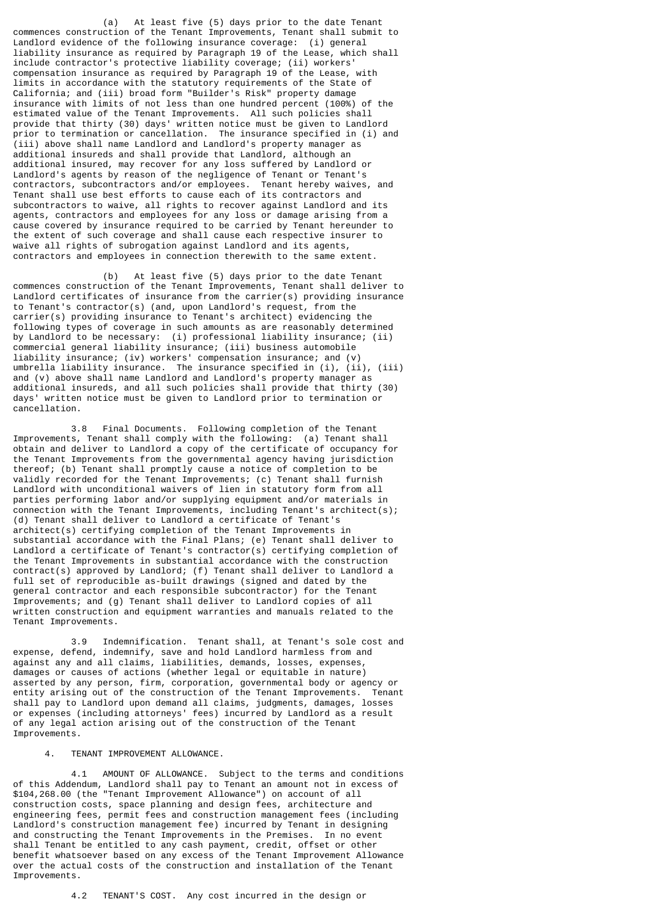(a) At least five (5) days prior to the date Tenant commences construction of the Tenant Improvements, Tenant shall submit to Landlord evidence of the following insurance coverage: (i) general liability insurance as required by Paragraph 19 of the Lease, which shall include contractor's protective liability coverage; (ii) workers' compensation insurance as required by Paragraph 19 of the Lease, with limits in accordance with the statutory requirements of the State of California; and (iii) broad form "Builder's Risk" property damage insurance with limits of not less than one hundred percent (100%) of the estimated value of the Tenant Improvements. All such policies shall provide that thirty (30) days' written notice must be given to Landlord prior to termination or cancellation. The insurance specified in (i) and (iii) above shall name Landlord and Landlord's property manager as additional insureds and shall provide that Landlord, although an additional insured, may recover for any loss suffered by Landlord or Landlord's agents by reason of the negligence of Tenant or Tenant's contractors, subcontractors and/or employees. Tenant hereby waives, and Tenant shall use best efforts to cause each of its contractors and subcontractors to waive, all rights to recover against Landlord and its agents, contractors and employees for any loss or damage arising from a cause covered by insurance required to be carried by Tenant hereunder to the extent of such coverage and shall cause each respective insurer to waive all rights of subrogation against Landlord and its agents, contractors and employees in connection therewith to the same extent.

 (b) At least five (5) days prior to the date Tenant commences construction of the Tenant Improvements, Tenant shall deliver to Landlord certificates of insurance from the carrier(s) providing insurance to Tenant's contractor(s) (and, upon Landlord's request, from the carrier(s) providing insurance to Tenant's architect) evidencing the following types of coverage in such amounts as are reasonably determined by Landlord to be necessary: (i) professional liability insurance; (ii) commercial general liability insurance; (iii) business automobile liability insurance; (iv) workers' compensation insurance; and (v) umbrella liability insurance. The insurance specified in (i), (ii), (iii) and (v) above shall name Landlord and Landlord's property manager as additional insureds, and all such policies shall provide that thirty (30) days' written notice must be given to Landlord prior to termination or cancellation.

 3.8 Final Documents. Following completion of the Tenant Improvements, Tenant shall comply with the following: (a) Tenant shall obtain and deliver to Landlord a copy of the certificate of occupancy for the Tenant Improvements from the governmental agency having jurisdiction thereof; (b) Tenant shall promptly cause a notice of completion to be validly recorded for the Tenant Improvements; (c) Tenant shall furnish Landlord with unconditional waivers of lien in statutory form from all parties performing labor and/or supplying equipment and/or materials in connection with the Tenant Improvements, including Tenant's architect(s); (d) Tenant shall deliver to Landlord a certificate of Tenant's architect(s) certifying completion of the Tenant Improvements in substantial accordance with the Final Plans; (e) Tenant shall deliver to Landlord a certificate of Tenant's contractor(s) certifying completion of the Tenant Improvements in substantial accordance with the construction contract(s) approved by Landlord; (f) Tenant shall deliver to Landlord a full set of reproducible as-built drawings (signed and dated by the general contractor and each responsible subcontractor) for the Tenant Improvements; and (g) Tenant shall deliver to Landlord copies of all written construction and equipment warranties and manuals related to the Tenant Improvements.

 3.9 Indemnification. Tenant shall, at Tenant's sole cost and expense, defend, indemnify, save and hold Landlord harmless from and against any and all claims, liabilities, demands, losses, expenses, damages or causes of actions (whether legal or equitable in nature) asserted by any person, firm, corporation, governmental body or agency or entity arising out of the construction of the Tenant Improvements. Tenant shall pay to Landlord upon demand all claims, judgments, damages, losses or expenses (including attorneys' fees) incurred by Landlord as a result of any legal action arising out of the construction of the Tenant Improvements.

#### 4. TENANT IMPROVEMENT ALLOWANCE.

 4.1 AMOUNT OF ALLOWANCE. Subject to the terms and conditions of this Addendum, Landlord shall pay to Tenant an amount not in excess of \$104,268.00 (the "Tenant Improvement Allowance") on account of all construction costs, space planning and design fees, architecture and engineering fees, permit fees and construction management fees (including Landlord's construction management fee) incurred by Tenant in designing and constructing the Tenant Improvements in the Premises. In no event shall Tenant be entitled to any cash payment, credit, offset or other benefit whatsoever based on any excess of the Tenant Improvement Allowance over the actual costs of the construction and installation of the Tenant Improvements.

4.2 TENANT'S COST. Any cost incurred in the design or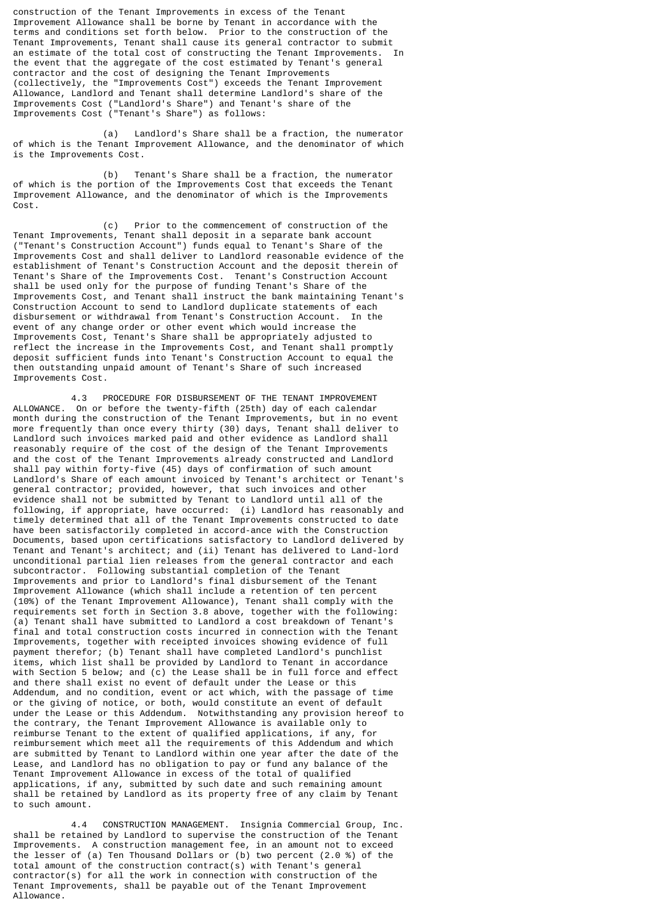construction of the Tenant Improvements in excess of the Tenant Improvement Allowance shall be borne by Tenant in accordance with the terms and conditions set forth below. Prior to the construction of the Tenant Improvements, Tenant shall cause its general contractor to submit<br>an estimate of the total cost of constructing the Tenant Improvements . In an estimate of the total cost of constructing the Tenant Improvements. the event that the aggregate of the cost estimated by Tenant's general contractor and the cost of designing the Tenant Improvements (collectively, the "Improvements Cost") exceeds the Tenant Improvement Allowance, Landlord and Tenant shall determine Landlord's share of the Improvements Cost ("Landlord's Share") and Tenant's share of the Improvements Cost ("Tenant's Share") as follows:

 (a) Landlord's Share shall be a fraction, the numerator of which is the Tenant Improvement Allowance, and the denominator of which is the Improvements Cost.

 (b) Tenant's Share shall be a fraction, the numerator of which is the portion of the Improvements Cost that exceeds the Tenant Improvement Allowance, and the denominator of which is the Improvements Cost.

 (c) Prior to the commencement of construction of the Tenant Improvements, Tenant shall deposit in a separate bank account ("Tenant's Construction Account") funds equal to Tenant's Share of the Improvements Cost and shall deliver to Landlord reasonable evidence of the establishment of Tenant's Construction Account and the deposit therein of Tenant's Share of the Improvements Cost. Tenant's Construction Account shall be used only for the purpose of funding Tenant's Share of the Improvements Cost, and Tenant shall instruct the bank maintaining Tenant's Construction Account to send to Landlord duplicate statements of each disbursement or withdrawal from Tenant's Construction Account. In the event of any change order or other event which would increase the Improvements Cost, Tenant's Share shall be appropriately adjusted to reflect the increase in the Improvements Cost, and Tenant shall promptly deposit sufficient funds into Tenant's Construction Account to equal the then outstanding unpaid amount of Tenant's Share of such increased Improvements Cost.

 4.3 PROCEDURE FOR DISBURSEMENT OF THE TENANT IMPROVEMENT ALLOWANCE. On or before the twenty-fifth (25th) day of each calendar month during the construction of the Tenant Improvements, but in no event more frequently than once every thirty (30) days, Tenant shall deliver to Landlord such invoices marked paid and other evidence as Landlord shall reasonably require of the cost of the design of the Tenant Improvements and the cost of the Tenant Improvements already constructed and Landlord shall pay within forty-five (45) days of confirmation of such amount Landlord's Share of each amount invoiced by Tenant's architect or Tenant's general contractor; provided, however, that such invoices and other evidence shall not be submitted by Tenant to Landlord until all of the following, if appropriate, have occurred: (i) Landlord has reasonably and timely determined that all of the Tenant Improvements constructed to date have been satisfactorily completed in accord-ance with the Construction Documents, based upon certifications satisfactory to Landlord delivered by Tenant and Tenant's architect; and (ii) Tenant has delivered to Land-lord unconditional partial lien releases from the general contractor and each subcontractor. Following substantial completion of the Tenant Improvements and prior to Landlord's final disbursement of the Tenant Improvement Allowance (which shall include a retention of ten percent (10%) of the Tenant Improvement Allowance), Tenant shall comply with the requirements set forth in Section 3.8 above, together with the following: (a) Tenant shall have submitted to Landlord a cost breakdown of Tenant's final and total construction costs incurred in connection with the Tenant Improvements, together with receipted invoices showing evidence of full payment therefor; (b) Tenant shall have completed Landlord's punchlist items, which list shall be provided by Landlord to Tenant in accordance with Section 5 below; and (c) the Lease shall be in full force and effect and there shall exist no event of default under the Lease or this Addendum, and no condition, event or act which, with the passage of time or the giving of notice, or both, would constitute an event of default under the Lease or this Addendum. Notwithstanding any provision hereof to the contrary, the Tenant Improvement Allowance is available only to reimburse Tenant to the extent of qualified applications, if any, for reimbursement which meet all the requirements of this Addendum and which are submitted by Tenant to Landlord within one year after the date of the Lease, and Landlord has no obligation to pay or fund any balance of the Tenant Improvement Allowance in excess of the total of qualified applications, if any, submitted by such date and such remaining amount shall be retained by Landlord as its property free of any claim by Tenant to such amount.

 4.4 CONSTRUCTION MANAGEMENT. Insignia Commercial Group, Inc. shall be retained by Landlord to supervise the construction of the Tenant Improvements. A construction management fee, in an amount not to exceed the lesser of (a) Ten Thousand Dollars or (b) two percent (2.0 %) of the total amount of the construction contract(s) with Tenant's general contractor(s) for all the work in connection with construction of the Tenant Improvements, shall be payable out of the Tenant Improvement Allowance.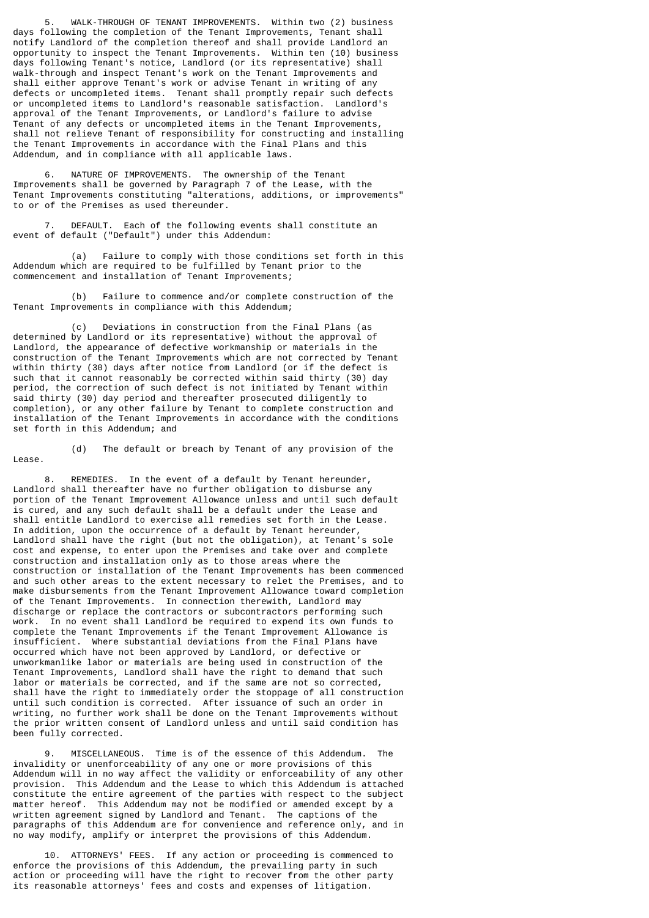5. WALK-THROUGH OF TENANT IMPROVEMENTS. Within two (2) business days following the completion of the Tenant Improvements, Tenant shall notify Landlord of the completion thereof and shall provide Landlord an opportunity to inspect the Tenant Improvements. Within ten (10) business days following Tenant's notice, Landlord (or its representative) shall walk-through and inspect Tenant's work on the Tenant Improvements and shall either approve Tenant's work or advise Tenant in writing of any defects or uncompleted items. Tenant shall promptly repair such defects or uncompleted items to Landlord's reasonable satisfaction. Landlord's approval of the Tenant Improvements, or Landlord's failure to advise Tenant of any defects or uncompleted items in the Tenant Improvements, shall not relieve Tenant of responsibility for constructing and installing the Tenant Improvements in accordance with the Final Plans and this Addendum, and in compliance with all applicable laws.

 6. NATURE OF IMPROVEMENTS. The ownership of the Tenant Improvements shall be governed by Paragraph 7 of the Lease, with the Tenant Improvements constituting "alterations, additions, or improvements" to or of the Premises as used thereunder.

 7. DEFAULT. Each of the following events shall constitute an event of default ("Default") under this Addendum:

 (a) Failure to comply with those conditions set forth in this Addendum which are required to be fulfilled by Tenant prior to the commencement and installation of Tenant Improvements;

 (b) Failure to commence and/or complete construction of the Tenant Improvements in compliance with this Addendum;

 (c) Deviations in construction from the Final Plans (as determined by Landlord or its representative) without the approval of Landlord, the appearance of defective workmanship or materials in the construction of the Tenant Improvements which are not corrected by Tenant within thirty (30) days after notice from Landlord (or if the defect is such that it cannot reasonably be corrected within said thirty (30) day period, the correction of such defect is not initiated by Tenant within said thirty (30) day period and thereafter prosecuted diligently to completion), or any other failure by Tenant to complete construction and installation of the Tenant Improvements in accordance with the conditions set forth in this Addendum; and

 (d) The default or breach by Tenant of any provision of the Lease.

 8. REMEDIES. In the event of a default by Tenant hereunder, Landlord shall thereafter have no further obligation to disburse any portion of the Tenant Improvement Allowance unless and until such default is cured, and any such default shall be a default under the Lease and shall entitle Landlord to exercise all remedies set forth in the Lease. In addition, upon the occurrence of a default by Tenant hereunder, Landlord shall have the right (but not the obligation), at Tenant's sole cost and expense, to enter upon the Premises and take over and complete construction and installation only as to those areas where the construction or installation of the Tenant Improvements has been commenced and such other areas to the extent necessary to relet the Premises, and to make disbursements from the Tenant Improvement Allowance toward completion of the Tenant Improvements. In connection therewith, Landlord may discharge or replace the contractors or subcontractors performing such work. In no event shall Landlord be required to expend its own funds to complete the Tenant Improvements if the Tenant Improvement Allowance is insufficient. Where substantial deviations from the Final Plans have occurred which have not been approved by Landlord, or defective or unworkmanlike labor or materials are being used in construction of the Tenant Improvements, Landlord shall have the right to demand that such labor or materials be corrected, and if the same are not so corrected, shall have the right to immediately order the stoppage of all construction until such condition is corrected. After issuance of such an order in writing, no further work shall be done on the Tenant Improvements without the prior written consent of Landlord unless and until said condition has been fully corrected.

 9. MISCELLANEOUS. Time is of the essence of this Addendum. The invalidity or unenforceability of any one or more provisions of this Addendum will in no way affect the validity or enforceability of any other provision. This Addendum and the Lease to which this Addendum is attached constitute the entire agreement of the parties with respect to the subject matter hereof. This Addendum may not be modified or amended except by a written agreement signed by Landlord and Tenant. The captions of the paragraphs of this Addendum are for convenience and reference only, and in no way modify, amplify or interpret the provisions of this Addendum.

 10. ATTORNEYS' FEES. If any action or proceeding is commenced to enforce the provisions of this Addendum, the prevailing party in such action or proceeding will have the right to recover from the other party its reasonable attorneys' fees and costs and expenses of litigation.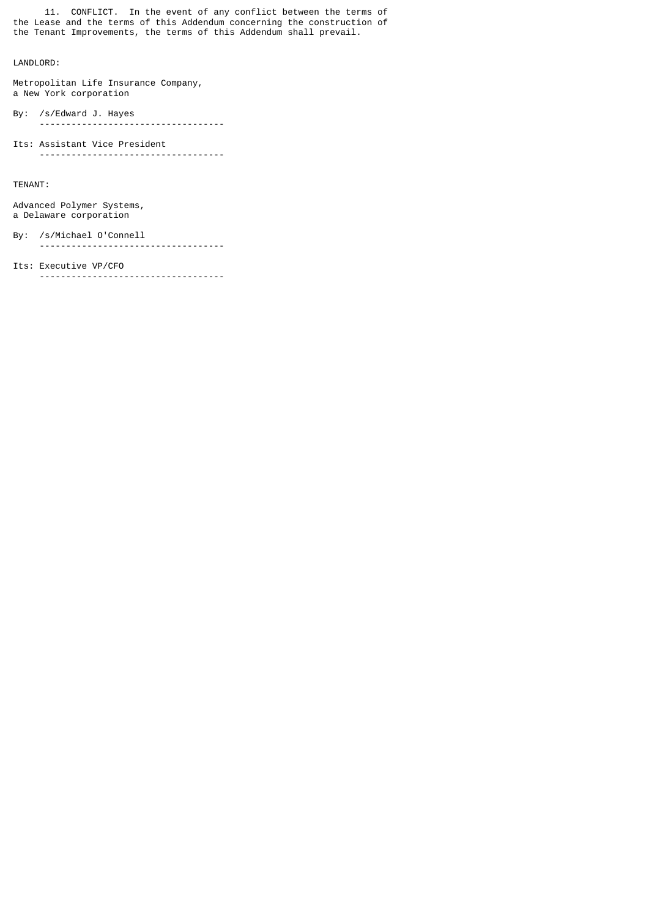11. CONFLICT. In the event of any conflict between the terms of the Lease and the terms of this Addendum concerning the construction of the Tenant Improvements, the terms of this Addendum shall prevail.

# LANDLORD:

Metropolitan Life Insurance Company, a New York corporation

By: /s/Edward J. Hayes -----------------------------------

Its: Assistant Vice President -----------------------------------

TENANT:

Advanced Polymer Systems, a Delaware corporation

### By: /s/Michael O'Connell

-----------------------------------

### Its: Executive VP/CFO

-----------------------------------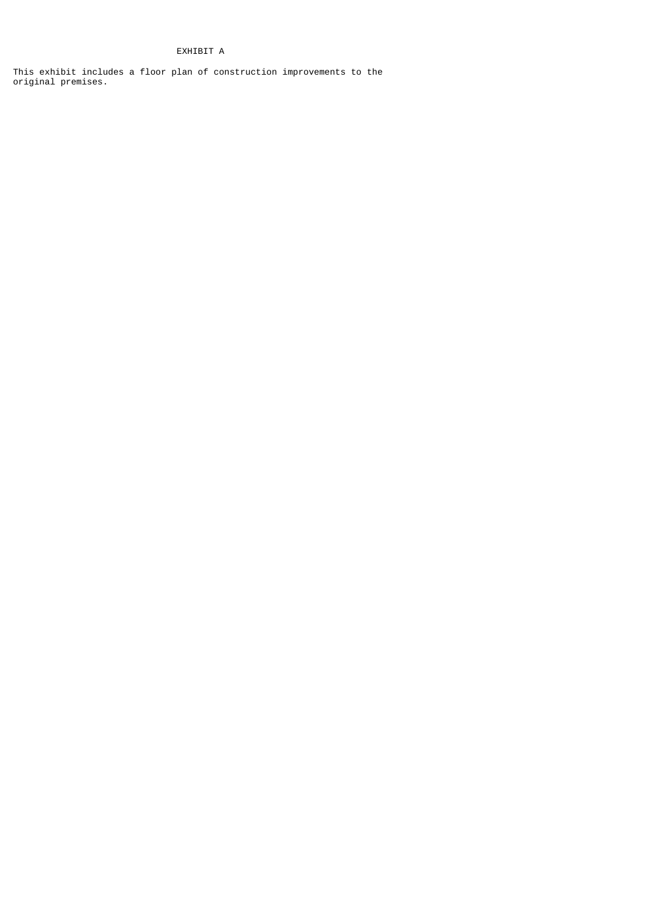# EXHIBIT A

This exhibit includes a floor plan of construction improvements to the original premises.